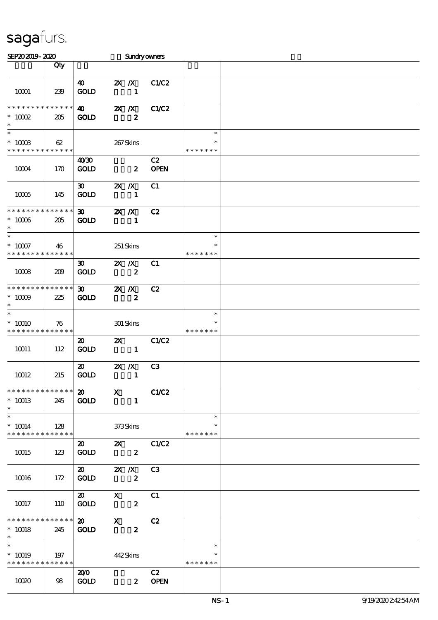| SEP202019-2020                                       |                                   |                                             | <b>Sundryowners</b>                                                                                   |                   |                                   |  |
|------------------------------------------------------|-----------------------------------|---------------------------------------------|-------------------------------------------------------------------------------------------------------|-------------------|-----------------------------------|--|
|                                                      | Qty                               |                                             |                                                                                                       |                   |                                   |  |
| 10001                                                | 239                               | 40<br><b>GOLD</b>                           | $X \, X$<br>$\mathbf{1}$                                                                              | C1/C2             |                                   |  |
| * * * * * * * *<br>$* 10002$                         | * * * * * *<br>205                | $\boldsymbol{\omega}$<br><b>GOLD</b>        | $X$ $N$<br>$\boldsymbol{z}$                                                                           | C1/C2             |                                   |  |
| $\ast$<br>$\ast$<br>$*$ 10003                        | 62                                |                                             | 267Skins                                                                                              |                   | $\ast$<br>*                       |  |
| * * * * * * * *<br>10004                             | * * * * * *<br>170                | 40'30<br><b>GOLD</b>                        | $\boldsymbol{z}$                                                                                      | C2<br><b>OPEN</b> | * * * * * * *                     |  |
| 10005                                                | 145                               | $\boldsymbol{\mathfrak{D}}$<br><b>GOLD</b>  | $X$ $N$<br>$\mathbf{1}$                                                                               | C1                |                                   |  |
| * * * * * * * *<br>$*$ 10006 $\,$<br>$\ast$          | $\ast\ast\ast\ast\ast\ast$<br>205 | $\boldsymbol{\mathfrak{D}}$<br><b>GOLD</b>  | $X$ $N$<br>$\mathbf{1}$                                                                               | C2                |                                   |  |
| $\ast$<br>$^\ast$ 10007<br>* * * * * * * *           | 46<br>* * * * * *                 |                                             | 251 Skins                                                                                             |                   | $\ast$<br>$\ast$<br>* * * * * * * |  |
| 10008                                                | 209                               | $\boldsymbol{\mathfrak{D}}$<br><b>GOLD</b>  | $X$ $N$<br>$\boldsymbol{z}$                                                                           | C1                |                                   |  |
| * * * * * * * * * * * * * *<br>$*$ 10009<br>$\ast$   | 225                               | 30 <sup>1</sup><br><b>GOLD</b>              | $X$ $N$<br>$\boldsymbol{z}$                                                                           | C2                |                                   |  |
| $\ast$<br>$*10010$<br>* * * * * * * *                | 76<br>* * * * * *                 |                                             | 301 Skins                                                                                             |                   | $\ast$<br>$\ast$<br>* * * * * * * |  |
| 10011                                                | 112                               | $\boldsymbol{\mathfrak{D}}$<br><b>GOLD</b>  | $\mathbf{x}$<br>$\sim$ 1                                                                              | C1/C2             |                                   |  |
| 10012                                                | 215                               | $\boldsymbol{\mathfrak{D}}$<br><b>GOLD</b>  | $X$ $N$<br>$\mathbf{1}$                                                                               | C3                |                                   |  |
| * * * * * * * * * * * * * * *<br>$* 10013$<br>$\ast$ | 245                               | $\boldsymbol{\mathsf{20}}$ X<br><b>GOLD</b> | $\mathbf{1}$                                                                                          | C1/C2             |                                   |  |
| $\ast$<br>$*$ 10014<br>* * * * * * * * * * * * * * * | 128                               |                                             | 373Skins                                                                                              |                   | $\ast$<br>* * * * * * *           |  |
| 10015                                                | 123                               | $\boldsymbol{\mathsf{20}}$<br><b>GOLD</b>   | <b>2X</b> C1/C2<br>$\boldsymbol{2}$                                                                   |                   |                                   |  |
| 10016                                                | 172                               | <b>GOLD</b>                                 | 20 2X /X C3<br>$\boldsymbol{z}$                                                                       |                   |                                   |  |
| 10017                                                | 110                               | $\boldsymbol{\mathsf{20}}$<br><b>GOLD</b>   | $\boldsymbol{\mathrm{X}}$ and $\boldsymbol{\mathrm{X}}$ and $\boldsymbol{\mathrm{X}}$<br>$\mathbf{2}$ | C1                |                                   |  |
| **************<br>$* 10018$<br>$\ast$                | 245                               | $\boldsymbol{\mathfrak{D}}$<br><b>GOLD</b>  | $\mathbf{x}$<br>$\boldsymbol{z}$                                                                      | C2                |                                   |  |
| $\ast$<br>$* 10019$<br>* * * * * * * * * * * * * *   | 197                               |                                             | 442Skins                                                                                              |                   | $\ast$<br>* * * * * * *           |  |
| 10020                                                | 98                                | 200<br><b>GOLD</b>                          |                                                                                                       | C2<br>2 OPEN      |                                   |  |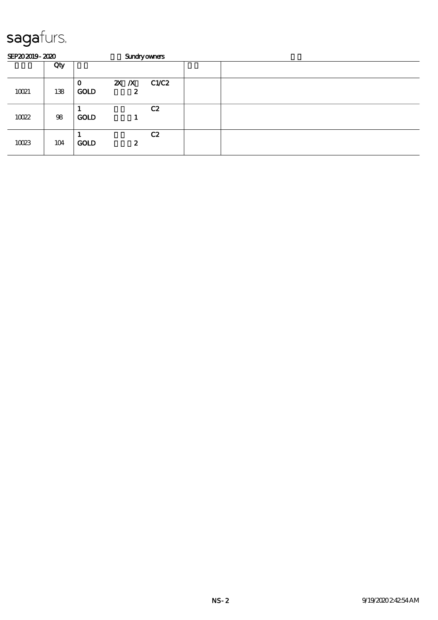| SEP202019-2020 |     |                             |                         | <b>Sundryowners</b> |  |  |  |  |
|----------------|-----|-----------------------------|-------------------------|---------------------|--|--|--|--|
|                | Qty |                             |                         |                     |  |  |  |  |
| 10021          | 138 | $\mathbf{o}$<br><b>GOLD</b> | $2X \t X \t C1/C2$<br>2 |                     |  |  |  |  |
| 10022          | 98  | <b>GOLD</b>                 |                         | C2                  |  |  |  |  |
| 10023          | 104 | <b>GOLD</b>                 | 2                       | C2                  |  |  |  |  |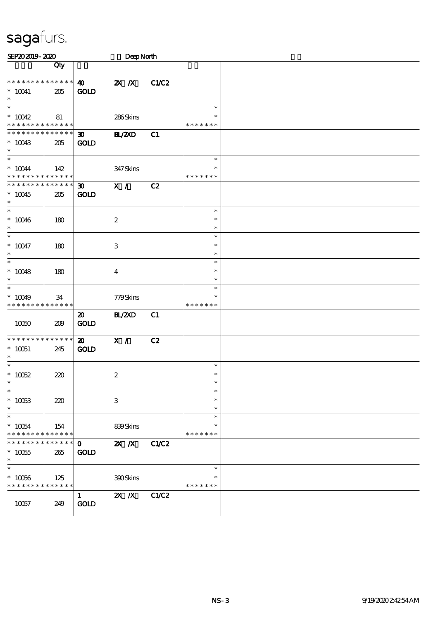| SEP202019-2020                                                                      |                    |                                            | DeepNorth                     |              |                                   |  |
|-------------------------------------------------------------------------------------|--------------------|--------------------------------------------|-------------------------------|--------------|-----------------------------------|--|
|                                                                                     | Qty                |                                            |                               |              |                                   |  |
| * * * * * * * * * * * * * *<br>$*$ 10041<br>$\ast$                                  | 205                | $\boldsymbol{\omega}$<br><b>GOLD</b>       | $X$ $N$                       | C1/C2        |                                   |  |
| $\overline{\phantom{0}}$<br>$* 10042$<br>* * * * * * * * <mark>* * * * * * *</mark> | 81                 |                                            | 286Skins                      |              | $\ast$<br>$\ast$<br>* * * * * * * |  |
| * * * * * * * * * * * * * * *<br>$*10043$<br>$\ast$                                 | 205                | $\boldsymbol{\mathfrak{D}}$<br><b>GOLD</b> | <b>H_/2XD</b>                 | C1           |                                   |  |
| $\ast$<br>$^*$ 10044 $\,$<br>* * * * * * * * <mark>* * * * * * *</mark>             | 142                |                                            | 347Skins                      |              | $\ast$<br>$\ast$<br>* * * * * * * |  |
| * * * * * * * * * * * * * *<br>$*10045$<br>$\ast$                                   | 205                | $\boldsymbol{\mathfrak{D}}$<br><b>GOLD</b> | X /                           | C2           |                                   |  |
| $\overline{\phantom{0}}$<br>$* 10046$<br>$\ast$                                     | 180                |                                            | $\boldsymbol{2}$              |              | $\ast$<br>$\ast$<br>$\ast$        |  |
| $\ast$<br>$^*$ 10047<br>$\ast$                                                      | 180                |                                            | $\,3$                         |              | $\ast$<br>$\ast$<br>$\ast$        |  |
| $_{*}^{-}$<br>$^*$ 10048<br>$\ast$                                                  | 180                |                                            | $\boldsymbol{4}$              |              | $\ast$<br>$\ast$<br>$\ast$        |  |
| $\ast$<br>$* 10049$<br>* * * * * * * * * * * * * *                                  | 34                 |                                            | 779Skins                      |              | $\ast$<br>$\ast$<br>* * * * * * * |  |
| 10050                                                                               | 209                | $\boldsymbol{\mathfrak{D}}$<br><b>GOLD</b> | BL/2XD                        | C1           |                                   |  |
| * * * * * * * * * * * * * *<br>$*$ 10051<br>$\ast$                                  | 245                | $\boldsymbol{\mathfrak{D}}$<br><b>GOLD</b> | X /                           | C2           |                                   |  |
| $\ast$<br>$* 10052$<br>$\ast$                                                       | 220                |                                            | $\boldsymbol{2}$              |              | $\ast$<br>$\ast$<br>∗             |  |
| $\ast$<br>$* 10053$<br>$\ast$                                                       | 220                |                                            | $\ensuremath{\mathbf{3}}$     |              | $\ast$<br>$\ast$<br>$\ast$        |  |
| $\overline{\ast}$<br>$^*$ 10054 $\,$<br>* * * * * * *                               | 154<br>* * * * * * |                                            | 839Skins                      |              | $\ast$<br>$\ast$<br>* * * * * * * |  |
| * * * * * * *<br>$^\ast$ 10055<br>$\ast$                                            | * * * * * *<br>265 | $\mathbf{o}$<br><b>GOLD</b>                | $X$ $X$                       | <b>C1/C2</b> |                                   |  |
| $\ast$<br>$^*$ 10056 $\,$<br>* * * * * * * *                                        | 125<br>* * * * * * |                                            | 300Skins                      |              | $\ast$<br>$\ast$<br>* * * * * * * |  |
| 10057                                                                               | 249                | $\mathbf{1}$<br>GOLD                       | $\overline{X}$ $\overline{X}$ | C1/C2        |                                   |  |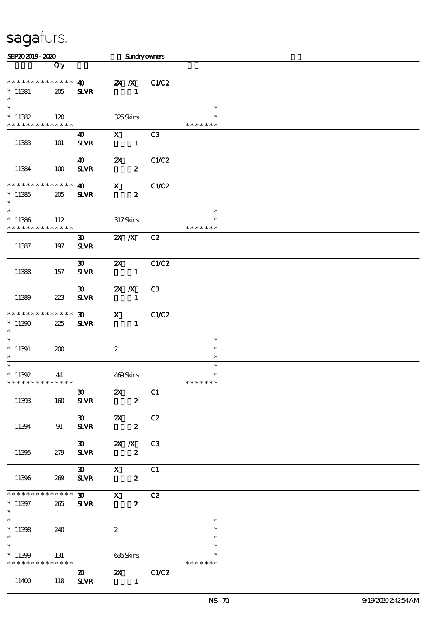| SEP202019-2020                                                   |                    |                                             |                           |                         | <b>Sundryowners</b> |                                   |  |
|------------------------------------------------------------------|--------------------|---------------------------------------------|---------------------------|-------------------------|---------------------|-----------------------------------|--|
|                                                                  | Qty                |                                             |                           |                         |                     |                                   |  |
| * * * * * * * * * * * * * *<br>$*$ 11381<br>$\ast$               | 205                | $\boldsymbol{\omega}$<br><b>SLVR</b>        |                           | $X$ $N$<br>$\mathbf{1}$ | C1/C2               |                                   |  |
| $\ast$<br>$* 11382$<br>* * * * * * * * * * * * * *               | 120                |                                             |                           | 325Skins                |                     | $\ast$<br>∗<br>* * * * * * *      |  |
| 11383                                                            | 101                | 40<br><b>SLVR</b>                           | $\mathbf{x}$              | $\mathbf{1}$            | C <sub>3</sub>      |                                   |  |
| 11384                                                            | 100                | $\boldsymbol{\omega}$<br><b>SLVR</b>        | $\boldsymbol{\mathsf{z}}$ | $\boldsymbol{z}$        | C1/C2               |                                   |  |
| * * * * * * * *<br>$*11385$<br>$\ast$                            | * * * * * *<br>205 | $\boldsymbol{\omega}$<br><b>SLVR</b>        | $\mathbf{x}$              | $\boldsymbol{z}$        | C1/C2               |                                   |  |
| $\ast$<br>$*11386$<br>* * * * * * * *                            | 112<br>* * * * * * |                                             |                           | $317$ Skins             |                     | $\ast$<br>$\ast$<br>* * * * * * * |  |
| 11387                                                            | 197                | $\boldsymbol{\mathfrak{D}}$<br><b>SLVR</b>  | $X$ $X$                   |                         | C2                  |                                   |  |
| 11388                                                            | 157                | $\boldsymbol{\mathfrak{D}}$<br>$S\!L\!V\!R$ | $\boldsymbol{\mathsf{Z}}$ | $\mathbf{1}$            | C1/C2               |                                   |  |
| 11389                                                            | 223                | 30 <sub>o</sub><br><b>SLVR</b>              | $X$ $N$                   | $\mathbf{1}$            | C3                  |                                   |  |
| * * * * * * * *<br>$*11390$<br>$\ast$                            | * * * * * *<br>225 | $\boldsymbol{\mathfrak{D}}$<br><b>SLVR</b>  | $\mathbf{x}$              | $\mathbf{1}$            | C1/C2               |                                   |  |
| $\ast$<br>$*11391$<br>$\ast$                                     | 200                |                                             | $\boldsymbol{z}$          |                         |                     | $\ast$<br>$\ast$<br>$\ast$        |  |
| $\ast$<br>$*11392$<br>* * * * * * * * <mark>* * * * * * *</mark> | 44                 |                                             |                           | 469Skins                |                     | $\ast$<br>$\ast$<br>* * * * * * * |  |
| 11393                                                            | 160                | $30 - 1$<br><b>SLVR</b>                     | $\mathbf{x}$              | $\mathbf{z}$            | C1                  |                                   |  |
| 11394                                                            | 91                 | $\boldsymbol{\mathfrak{D}}$<br><b>SLVR</b>  | $\mathbf{x}$              | $\boldsymbol{2}$        | C2                  |                                   |  |
| 11395                                                            | 279                | 30 2X /X C3<br><b>SLVR</b>                  |                           | $\boldsymbol{z}$        |                     |                                   |  |
| 11396                                                            | 269                | 30 X C1<br><b>SLVR</b>                      |                           | $\mathbf{2}$            |                     |                                   |  |
| * * * * * * * * * * * * * * *<br>$* 11397$<br>$*$                | 265                | 30 X C2<br><b>SLVR</b>                      |                           | $\boldsymbol{z}$        |                     |                                   |  |
| $*11398$<br>$*$ $*$                                              | 240                |                                             | $\boldsymbol{z}$          |                         |                     | $\ast$<br>$\ast$<br>$\ast$        |  |
| $\ast$<br>$*11399$<br>* * * * * * * * * * * * * *                | 131                |                                             |                           | 636Skins                |                     | $\ast$<br>* * * * * * *           |  |
| 11400                                                            | 118                | $\boldsymbol{\mathsf{20}}$<br><b>SLVR</b>   |                           | $\blacksquare$          | <b>2X</b> C1/C2     |                                   |  |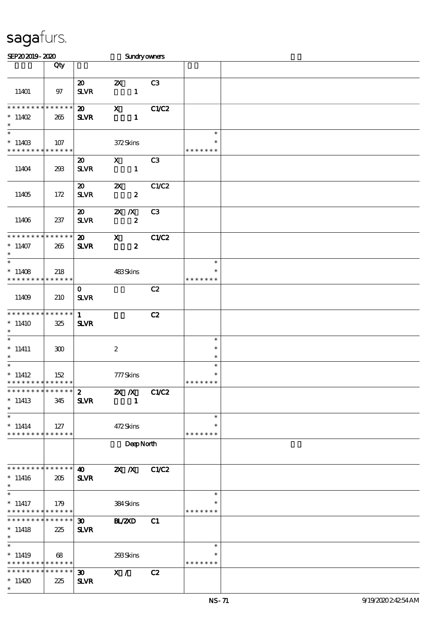| SEP202019-2020                                               |                 |                             | Sundryowners                         |                |                    |  |
|--------------------------------------------------------------|-----------------|-----------------------------|--------------------------------------|----------------|--------------------|--|
|                                                              | Qty             |                             |                                      |                |                    |  |
|                                                              |                 |                             |                                      |                |                    |  |
|                                                              |                 | $\boldsymbol{\mathfrak{D}}$ | $\boldsymbol{\mathsf{Z}}$            | C <sub>3</sub> |                    |  |
| 11401                                                        | 97              | ${\bf S\!L}\!{\bf V\!R}$    | $\mathbf{1}$                         |                |                    |  |
|                                                              |                 |                             |                                      |                |                    |  |
| * * * * * * * *                                              | ******          | $\boldsymbol{\mathfrak{D}}$ | $\mathbf X$                          | C1/C2          |                    |  |
| $* 11402$                                                    | 265             | <b>SLVR</b>                 | $\mathbf{1}$                         |                |                    |  |
| $\ast$                                                       |                 |                             |                                      |                |                    |  |
| $\ast$                                                       |                 |                             |                                      |                | $\ast$             |  |
| $*11403$                                                     | 107             |                             | 372Skins                             |                | $\ast$             |  |
| * * * * * * * * * * * * * *                                  |                 |                             |                                      |                | * * * * * * *      |  |
|                                                              |                 | $\boldsymbol{\mathsf{20}}$  | $\mathbf{x}$                         | C <sub>3</sub> |                    |  |
| 11404                                                        | 293             | <b>SLVR</b>                 | $\mathbf{1}$                         |                |                    |  |
|                                                              |                 |                             |                                      |                |                    |  |
|                                                              |                 | $\boldsymbol{\mathfrak{D}}$ | $\boldsymbol{\mathsf{Z}}$            | C1/C2          |                    |  |
| 11405                                                        | 172             | $S\!L\!VR$                  | $\boldsymbol{z}$                     |                |                    |  |
|                                                              |                 |                             |                                      |                |                    |  |
|                                                              |                 | $\boldsymbol{\mathfrak{D}}$ | $X$ $X$                              | C3             |                    |  |
| 11406                                                        | 237             | ${\bf S\!L}\!{\bf V\!R}$    | $\boldsymbol{z}$                     |                |                    |  |
| * * * * * * * *                                              | * * * * * *     | $\boldsymbol{\mathfrak{D}}$ | $\mathbf x$                          | C1/C2          |                    |  |
| $*11407$                                                     | 265             | <b>SLVR</b>                 | $\boldsymbol{z}$                     |                |                    |  |
| $\ast$                                                       |                 |                             |                                      |                |                    |  |
| $\overline{\ast}$                                            |                 |                             |                                      |                | $\ast$             |  |
| $*11408$                                                     | 218             |                             | 483Skins                             |                | $\ast$             |  |
| * * * * * * * *                                              | * * * * * *     |                             |                                      |                | * * * * * * *      |  |
|                                                              |                 | $\mathbf{O}$                |                                      | C2             |                    |  |
| 11409                                                        | 210             | <b>SLVR</b>                 |                                      |                |                    |  |
|                                                              |                 |                             |                                      |                |                    |  |
| * * * * * * * *                                              | * * * * * *     | $\mathbf{1}$                |                                      | C2             |                    |  |
| $*11410$                                                     | 325             | <b>SLVR</b>                 |                                      |                |                    |  |
| $\ast$                                                       |                 |                             |                                      |                |                    |  |
| $\ast$                                                       |                 |                             |                                      |                | $\ast$             |  |
| $*$ 11411                                                    | 300             |                             | $\boldsymbol{2}$                     |                | $\ast$             |  |
| $\ast$                                                       |                 |                             |                                      |                | $\ast$             |  |
| $\ast$                                                       |                 |                             |                                      |                | $\ast$             |  |
| $*11412$                                                     | 152             |                             | 777Skins                             |                | $\ast$             |  |
| * * * * * * * * * * * * * *<br>* * * * * * * * * * * * * * * |                 |                             |                                      |                | * * * * * * *      |  |
|                                                              |                 | $\mathbf{2}$                | <b>2X X</b> C1C2                     |                |                    |  |
| $*11413$<br>$\ast$                                           | 345             | <b>SLVR</b>                 | $\mathbf{1}$                         |                |                    |  |
| $\ast$                                                       |                 |                             |                                      |                | $\ast$             |  |
| $* 11414$                                                    | 127             |                             | 472Skins                             |                | $\ast$             |  |
| * * * * * * * * * * * * * *                                  |                 |                             |                                      |                | * * * * * * *      |  |
|                                                              |                 |                             | DeepNorth                            |                |                    |  |
|                                                              |                 |                             |                                      |                |                    |  |
|                                                              |                 |                             |                                      |                |                    |  |
| * * * * * * * * * * * * * * *                                |                 | $\boldsymbol{\omega}$       | $\mathbb{Z} \times \mathbb{Z}$ C1/C2 |                |                    |  |
| $*11416$                                                     | 205             | <b>SLVR</b>                 |                                      |                |                    |  |
| $\ast$                                                       |                 |                             |                                      |                |                    |  |
| $\ast$                                                       |                 |                             |                                      |                | $\ast$             |  |
| $*11417$                                                     | 179             |                             | 384Skins                             |                | ∗                  |  |
| * * * * * * * * * * * * * *                                  |                 |                             |                                      |                | * * * * * * *      |  |
| * * * * * * * *                                              | $* * * * * * *$ | $\boldsymbol{\mathfrak{D}}$ | <b>BL/ZXD</b>                        | C1             |                    |  |
| $*11418$                                                     | 225             | <b>SLVR</b>                 |                                      |                |                    |  |
| $\ast$<br>$\ast$                                             |                 |                             |                                      |                |                    |  |
|                                                              |                 |                             |                                      |                | $\ast$             |  |
| $*11419$<br>* * * * * * * * <mark>* * * * * * *</mark>       | 68              |                             | 293Skins                             |                | *<br>* * * * * * * |  |
| * * * * * * * * * * * * * *                                  |                 | $\boldsymbol{\mathfrak{D}}$ |                                      |                |                    |  |
| $*11420$                                                     | 225             | $S\!L\!V\!R$                | X /                                  | C2             |                    |  |
| $\ast$                                                       |                 |                             |                                      |                |                    |  |
|                                                              |                 |                             |                                      |                |                    |  |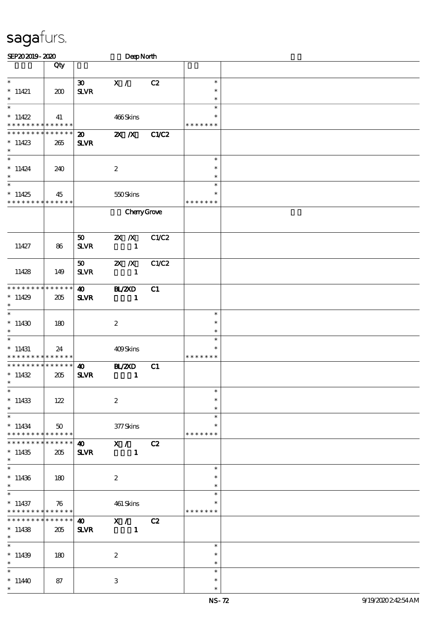| SEP202019-2020                          |              |                             |                           | DeepNorth |                         |  |  |  |  |  |  |  |
|-----------------------------------------|--------------|-----------------------------|---------------------------|-----------|-------------------------|--|--|--|--|--|--|--|
|                                         | Qty          |                             |                           |           |                         |  |  |  |  |  |  |  |
|                                         |              |                             |                           |           |                         |  |  |  |  |  |  |  |
| $\overline{\ast}$                       |              | $\boldsymbol{\mathfrak{D}}$ | $\mathbf{X}$ /            | C2        | $\ast$                  |  |  |  |  |  |  |  |
| $*11421$                                | 200          | <b>SLVR</b>                 |                           |           | $\ast$                  |  |  |  |  |  |  |  |
| $\ast$<br>$\ast$                        |              |                             |                           |           | $\ast$                  |  |  |  |  |  |  |  |
|                                         |              |                             |                           |           | $\ast$                  |  |  |  |  |  |  |  |
| $*11422$<br>* * * * * * * * * * * * * * | 41           |                             | 466Skins                  |           | $\ast$<br>* * * * * * * |  |  |  |  |  |  |  |
| * * * * * * * * * * * * * *             |              |                             |                           |           |                         |  |  |  |  |  |  |  |
|                                         |              | $\boldsymbol{\mathsf{20}}$  | $\overline{z}$ X          | C1/C2     |                         |  |  |  |  |  |  |  |
| $*11423$<br>$\ast$                      | 265          | $S\!L\!V\!R$                |                           |           |                         |  |  |  |  |  |  |  |
| $\overline{\ast}$                       |              |                             |                           |           | $\ast$                  |  |  |  |  |  |  |  |
| $*11424$                                | 240          |                             | $\boldsymbol{2}$          |           | $\ast$                  |  |  |  |  |  |  |  |
| $\ast$                                  |              |                             |                           |           | $\ast$                  |  |  |  |  |  |  |  |
| $\overline{\phantom{0}}$                |              |                             |                           |           | $\ast$                  |  |  |  |  |  |  |  |
| $*11425$                                | 45           |                             | 550Skins                  |           | $\ast$                  |  |  |  |  |  |  |  |
| * * * * * * * * * * * * * *             |              |                             |                           |           | * * * * * * *           |  |  |  |  |  |  |  |
|                                         |              |                             | CharyGrove                |           |                         |  |  |  |  |  |  |  |
|                                         |              |                             |                           |           |                         |  |  |  |  |  |  |  |
|                                         |              |                             |                           |           |                         |  |  |  |  |  |  |  |
|                                         |              | 50                          | $X$ $N$                   | C1/C2     |                         |  |  |  |  |  |  |  |
| 11427                                   | 86           | <b>SLVR</b>                 | $\mathbf{1}$              |           |                         |  |  |  |  |  |  |  |
|                                         |              |                             |                           |           |                         |  |  |  |  |  |  |  |
|                                         |              | $\boldsymbol{\mathfrak{D}}$ | $X$ $N$                   | C1/C2     |                         |  |  |  |  |  |  |  |
| 11428                                   | 149          | <b>SLVR</b>                 | $\sim$ 1                  |           |                         |  |  |  |  |  |  |  |
|                                         |              |                             |                           |           |                         |  |  |  |  |  |  |  |
| * * * * * * * * * * * * * *             |              | $\boldsymbol{\omega}$       | <b>H_/2XD</b>             | C1        |                         |  |  |  |  |  |  |  |
| $*11429$                                | 205          | <b>SLVR</b>                 | $\blacksquare$            |           |                         |  |  |  |  |  |  |  |
| $\ast$<br>$\ast$                        |              |                             |                           |           |                         |  |  |  |  |  |  |  |
|                                         |              |                             |                           |           | $\ast$<br>$\ast$        |  |  |  |  |  |  |  |
| $*11430$<br>$\ast$                      | 180          |                             | $\boldsymbol{z}$          |           | $\ast$                  |  |  |  |  |  |  |  |
| $\ast$                                  |              |                             |                           |           | $\ast$                  |  |  |  |  |  |  |  |
| $*11431$                                | 24           |                             | 409Skins                  |           | ∗                       |  |  |  |  |  |  |  |
| * * * * * * * * * * * * * *             |              |                             |                           |           | * * * * * * *           |  |  |  |  |  |  |  |
| * * * * * * * * * * * * * *             |              | $\boldsymbol{\omega}$       | BL/2XD                    | C1        |                         |  |  |  |  |  |  |  |
| $*11432$                                | 205          | <b>SLVR</b>                 | $\mathbf{1}$              |           |                         |  |  |  |  |  |  |  |
| $\star$ .                               |              |                             |                           |           |                         |  |  |  |  |  |  |  |
| $\overline{\ast}$                       |              |                             |                           |           | $\ast$                  |  |  |  |  |  |  |  |
| $*11433$                                | 122          |                             | $\boldsymbol{2}$          |           | $\ast$                  |  |  |  |  |  |  |  |
| $\ast$                                  |              |                             |                           |           | $\ast$                  |  |  |  |  |  |  |  |
| $\ast$                                  |              |                             |                           |           | $\ast$                  |  |  |  |  |  |  |  |
| $*11434$                                | $50^{\circ}$ |                             | 377Skins                  |           | $\ast$                  |  |  |  |  |  |  |  |
| ******** <mark>******</mark>            |              |                             |                           |           | * * * * * * *           |  |  |  |  |  |  |  |
| * * * * * * * *                         | * * * * * *  | $\boldsymbol{\omega}$       | X / C2                    |           |                         |  |  |  |  |  |  |  |
| $*11435$                                | 205          | <b>SLVR</b>                 | $\blacksquare$            |           |                         |  |  |  |  |  |  |  |
| $*$<br>$\overline{\ast}$                |              |                             |                           |           |                         |  |  |  |  |  |  |  |
|                                         |              |                             |                           |           | $\ast$                  |  |  |  |  |  |  |  |
| $*11436$<br>$\ast$                      | 180          |                             | $\boldsymbol{2}$          |           | $\ast$<br>$\ast$        |  |  |  |  |  |  |  |
| $\ast$                                  |              |                             |                           |           | $\ast$                  |  |  |  |  |  |  |  |
| $*11437$                                | 76           |                             | 461 Skins                 |           |                         |  |  |  |  |  |  |  |
| * * * * * * * * * * * * * *             |              |                             |                           |           | * * * * * * *           |  |  |  |  |  |  |  |
| * * * * * * * *                         | ******       | $\boldsymbol{\omega}$       | X / C2                    |           |                         |  |  |  |  |  |  |  |
| $*11438$                                | 205          | <b>SLVR</b>                 | $\blacksquare$            |           |                         |  |  |  |  |  |  |  |
| $*$                                     |              |                             |                           |           |                         |  |  |  |  |  |  |  |
| $\ast$                                  |              |                             |                           |           | $\ast$                  |  |  |  |  |  |  |  |
| $*11439$                                | 180          |                             | $\boldsymbol{2}$          |           | $\ast$                  |  |  |  |  |  |  |  |
| $\ast$                                  |              |                             |                           |           | $\ast$                  |  |  |  |  |  |  |  |
| $\ast$                                  |              |                             |                           |           | $\ast$                  |  |  |  |  |  |  |  |
| $*1140$                                 | 87           |                             | $\ensuremath{\mathsf{3}}$ |           | $\ast$                  |  |  |  |  |  |  |  |
| $\ast$                                  |              |                             |                           |           | $\ast$                  |  |  |  |  |  |  |  |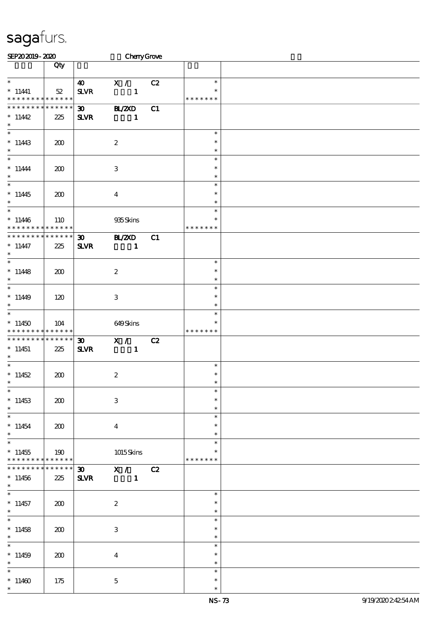| SEP202019-2020              |                        |                             | CharyGrove                |    |               |  |
|-----------------------------|------------------------|-----------------------------|---------------------------|----|---------------|--|
|                             | Qty                    |                             |                           |    |               |  |
|                             |                        |                             |                           |    |               |  |
| $\ast$                      |                        | $\boldsymbol{\omega}$       | X /                       | C2 | $\ast$        |  |
| $*$ 11441                   | $52\,$                 | $S\!L\!V\!R$                | $\mathbf{1}$              |    | $\ast$        |  |
| * * * * * * * * * * * * * * |                        |                             |                           |    | * * * * * * * |  |
| * * * * * * * *             | * * * * * *            | $\boldsymbol{\mathfrak{D}}$ | B1/20D                    | C1 |               |  |
| $*11442$                    | 225                    | <b>SLVR</b>                 | $\mathbf{1}$              |    |               |  |
| $\ast$                      |                        |                             |                           |    |               |  |
| $\overline{\phantom{0}}$    |                        |                             |                           |    | $\ast$        |  |
| $*11443$                    | 200                    |                             | $\boldsymbol{2}$          |    | $\ast$        |  |
| $\ast$                      |                        |                             |                           |    | $\ast$        |  |
| $\overline{\ast}$           |                        |                             |                           |    | $\ast$        |  |
| $* 11444$                   | 200                    |                             | $\ensuremath{\mathbf{3}}$ |    | $\ast$        |  |
| $\ast$                      |                        |                             |                           |    | $\ast$        |  |
| $\ast$                      |                        |                             |                           |    | $\ast$        |  |
|                             |                        |                             |                           |    | $\ast$        |  |
| $*11445$<br>$\ast$          | 200                    |                             | $\boldsymbol{4}$          |    | $\ast$        |  |
| $\overline{\ast}$           |                        |                             |                           |    | $\ast$        |  |
|                             |                        |                             |                           |    | $\ast$        |  |
| $*11446$<br>* * * * * * * * | 110<br>$* * * * * * *$ |                             | 935Skins                  |    | * * * * * * * |  |
|                             |                        |                             |                           |    |               |  |
| * * * * * * * * * * * * * * |                        | $\boldsymbol{\mathfrak{D}}$ | B1/2XD                    | C1 |               |  |
| $* 11447$                   | 225                    | $S\!L\!V\!R$                | $\mathbf{1}$              |    |               |  |
| $\ast$                      |                        |                             |                           |    |               |  |
| $\ast$                      |                        |                             |                           |    | $\ast$        |  |
| $*11448$                    | 200                    |                             | $\boldsymbol{2}$          |    | $\ast$        |  |
| $\ast$                      |                        |                             |                           |    | $\ast$        |  |
| $\ast$                      |                        |                             |                           |    | $\ast$        |  |
| $*1149$                     | 120                    |                             | $\ensuremath{\mathbf{3}}$ |    | $\ast$        |  |
| $\ast$                      |                        |                             |                           |    | $\ast$        |  |
| $\ast$                      |                        |                             |                           |    | $\ast$        |  |
| $*11450$                    | 104                    |                             | 649Skins                  |    | $\ast$        |  |
| * * * * * * * * * * * * * * |                        |                             |                           |    | * * * * * * * |  |
| * * * * * * * * * * * * * * |                        | $\boldsymbol{\mathfrak{D}}$ | X /                       | C2 |               |  |
| $*11451$                    | 225                    | <b>SLVR</b>                 | $\mathbf{1}$              |    |               |  |
| $\ast$                      |                        |                             |                           |    |               |  |
| $\ast$                      |                        |                             |                           |    | $\ast$        |  |
| $*11452$                    | 200                    |                             | $\boldsymbol{2}$          |    | $\ast$        |  |
| $*$                         |                        |                             |                           |    | $\ast$        |  |
| $\ast$                      |                        |                             |                           |    | $\ast$        |  |
| $*11453$                    | 200                    |                             | $\ensuremath{\mathbf{3}}$ |    | $\ast$        |  |
| $\ast$                      |                        |                             |                           |    | $\ast$        |  |
| $\ast$                      |                        |                             |                           |    | $\ast$        |  |
| $*11454$                    | 200                    |                             | $\overline{4}$            |    | $\ast$        |  |
| $\ast$                      |                        |                             |                           |    | $\ast$        |  |
| $\ast$                      |                        |                             |                           |    | $\ast$        |  |
| $*11455$                    | 190                    |                             | 1015Skins                 |    | *             |  |
| * * * * * * * *             | $* * * * * * *$        |                             |                           |    | * * * * * * * |  |
| * * * * * * *               | * * * * * *            | $\boldsymbol{\mathfrak{D}}$ | X / C2                    |    |               |  |
| $*11456$                    | 225                    | <b>SLVR</b>                 | $\blacksquare$            |    |               |  |
| $*$                         |                        |                             |                           |    |               |  |
| $\ast$                      |                        |                             |                           |    | $\ast$        |  |
| $*11457$                    | 200                    |                             | $\boldsymbol{z}$          |    | $\ast$        |  |
| $\ast$                      |                        |                             |                           |    | $\ast$        |  |
| $\ast$                      |                        |                             |                           |    | $\ast$        |  |
| $*11458$                    | 200                    |                             | 3                         |    | $\ast$        |  |
| $\ast$                      |                        |                             |                           |    | $\ast$        |  |
| $\ast$                      |                        |                             |                           |    | $\ast$        |  |
| $*11459$                    | 200                    |                             | $\overline{4}$            |    | $\ast$        |  |
| $\ast$                      |                        |                             |                           |    | $\ast$        |  |
| $\ast$                      |                        |                             |                           |    | $\ast$        |  |
| $*11460$                    | 175                    |                             | $\mathbf{5}$              |    | $\ast$        |  |
| $\ast$                      |                        |                             |                           |    | $\ast$        |  |
|                             |                        |                             |                           |    |               |  |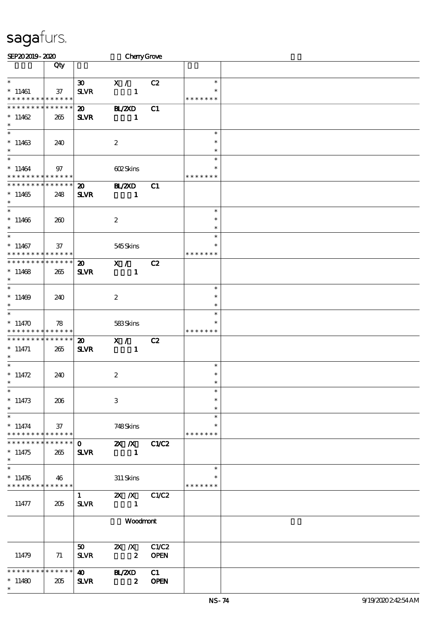| SEP202019-2020                |        |                             | CherryGrove             |             |               |  |
|-------------------------------|--------|-----------------------------|-------------------------|-------------|---------------|--|
|                               | Qty    |                             |                         |             |               |  |
|                               |        |                             |                         |             |               |  |
| $\ast$                        |        | $\boldsymbol{\mathfrak{D}}$ | X /                     | C2          | $\ast$        |  |
| $*11461$                      | $37\,$ | <b>SLVR</b>                 | $\mathbf{1}$            |             | $\ast$        |  |
| * * * * * * * * * * * * * *   |        |                             |                         |             | * * * * * * * |  |
| * * * * * * * * * * * * * *   |        | $\boldsymbol{\mathfrak{D}}$ | <b>BL/2XD</b>           | C1          |               |  |
| $*11462$                      | 265    | <b>SLVR</b>                 | $\mathbf{1}$            |             |               |  |
| $\ast$                        |        |                             |                         |             |               |  |
| $\overline{\phantom{0}}$      |        |                             |                         |             | $\ast$        |  |
| $*11463$                      | 240    |                             | $\boldsymbol{2}$        |             | $\ast$        |  |
| $\ast$                        |        |                             |                         |             | $\ast$        |  |
| $\overline{\ast}$             |        |                             |                         |             | $\ast$        |  |
| $*11464$                      | 97     |                             | 602Skins                |             | $\ast$        |  |
| * * * * * * * * * * * * * *   |        |                             |                         |             | * * * * * * * |  |
| * * * * * * * * * * * * * *   |        | $\boldsymbol{\mathfrak{D}}$ | <b>H_/2XD</b>           | C1          |               |  |
| $*11465$                      | 248    | <b>SLVR</b>                 | $\mathbf{1}$            |             |               |  |
| $\ast$                        |        |                             |                         |             |               |  |
| $\overline{\ast}$             |        |                             |                         |             | $\ast$        |  |
| $*11466$                      | 260    |                             | $\boldsymbol{2}$        |             | $\ast$        |  |
| $\ast$                        |        |                             |                         |             | $\ast$        |  |
| $\overline{\ast}$             |        |                             |                         |             | $\ast$        |  |
| $*11467$                      | 37     |                             | 545Skins                |             | ∗             |  |
| * * * * * * * * * * * * * *   |        |                             |                         |             | * * * * * * * |  |
| * * * * * * * * * * * * * *   |        | $\boldsymbol{\mathfrak{D}}$ | X /                     | C2          |               |  |
| $*11468$                      | 265    | <b>SLVR</b>                 | $\mathbf{1}$            |             |               |  |
| $\ast$                        |        |                             |                         |             |               |  |
| $\overline{\phantom{0}}$      |        |                             |                         |             | $\ast$        |  |
| $*11469$                      | 240    |                             | $\boldsymbol{2}$        |             | $\ast$        |  |
| $\ast$                        |        |                             |                         |             | $\ast$        |  |
| $\ast$                        |        |                             |                         |             | $\ast$        |  |
| $*11470$                      | 78     |                             | 583Skins                |             | ∗             |  |
| * * * * * * * * * * * * * *   |        |                             |                         |             | * * * * * * * |  |
| * * * * * * * * * * * * * *   |        | $\boldsymbol{\mathsf{20}}$  | X /                     | C2          |               |  |
| $* 11471$                     | 265    | <b>SLVR</b>                 | $\mathbf{1}$            |             |               |  |
| $*$                           |        |                             |                         |             |               |  |
| $*$                           |        |                             |                         |             | $\ast$        |  |
| $* 11472$                     | 240    |                             | $\boldsymbol{2}$        |             | $\ast$        |  |
| $*$                           |        |                             |                         |             | $\ast$        |  |
| $\ast$                        |        |                             |                         |             | $\ast$        |  |
| $*11473$                      | 206    |                             | 3                       |             | $\ast$        |  |
| $\ast$                        |        |                             |                         |             | $\ast$        |  |
| $\ast$                        |        |                             |                         |             | $\ast$        |  |
| $* 11474$                     | 37     |                             | 748Skins                |             | ∗             |  |
| * * * * * * * * * * * * * *   |        |                             |                         |             | * * * * * * * |  |
| * * * * * * * * * * * * * * * |        |                             | $0$ 2X $\chi$ C1C2      |             |               |  |
| $*11475$                      | 265    | <b>SLVR</b>                 | $\blacksquare$          |             |               |  |
| $\ast$                        |        |                             |                         |             |               |  |
| $\overline{\phantom{1}}$      |        |                             |                         |             | $\ast$        |  |
| $*11476$                      | 46     |                             | 311 Skins               |             | $\ast$        |  |
| * * * * * * * * * * * * * *   |        |                             |                         |             | * * * * * * * |  |
|                               |        | $1 \quad \blacksquare$      | 2X / X C1/C2            |             |               |  |
| 11477                         | 205    | <b>SLVR</b>                 | $\blacksquare$          |             |               |  |
|                               |        |                             |                         |             |               |  |
|                               |        |                             | Woodmont                |             |               |  |
|                               |        |                             |                         |             |               |  |
|                               |        |                             |                         |             |               |  |
|                               |        | 50                          | 2X /X C1/C2             |             |               |  |
| 11479                         | 71     | <b>SLVR</b>                 | $\overline{\mathbf{z}}$ | <b>OPEN</b> |               |  |
|                               |        |                             |                         |             |               |  |
| * * * * * * * * * * * * * *   |        |                             | 40 BL/2XD               | C1          |               |  |
| $*11480$                      | 205    | <b>SLVR</b>                 | $\boldsymbol{z}$        | <b>OPEN</b> |               |  |
| $\ast$                        |        |                             |                         |             |               |  |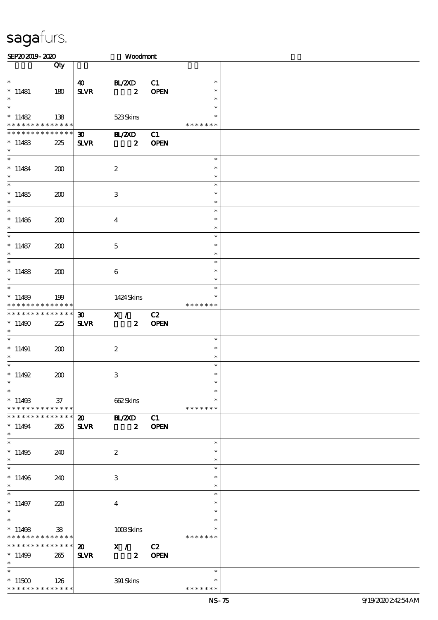| SEP202019-2020                                           |               |                                            | Woodmant                                 |                   |                                   |  |
|----------------------------------------------------------|---------------|--------------------------------------------|------------------------------------------|-------------------|-----------------------------------|--|
|                                                          | Qty           |                                            |                                          |                   |                                   |  |
| $\overline{\phantom{0}}$<br>$*11481$<br>$\ast$           | 180           | <b>40</b><br><b>SLVR</b>                   | BL/ZXD<br>$\mathbf{2}$                   | C1<br><b>OPEN</b> | $\ast$<br>$\ast$<br>$\ast$        |  |
| $\ast$<br>$*11482$<br>* * * * * * * * * * * * * *        | 138           |                                            | 523Skins                                 |                   | $\ast$<br>$\ast$<br>* * * * * * * |  |
| * * * * * * * * * * * * * *<br>$*11483$<br>$\ast$        | 225           | 30<br><b>SLVR</b>                          | <b>HL/2XD</b><br>$\boldsymbol{z}$        | C1<br><b>OPEN</b> |                                   |  |
| $\ast$<br>$* 11484$<br>$\ast$                            | 200           |                                            | $\boldsymbol{2}$                         |                   | $\ast$<br>$\ast$<br>$\ast$        |  |
| $\ast$<br>$*11485$<br>$\ast$                             | 200           |                                            | 3                                        |                   | $\ast$<br>$\ast$<br>$\ast$        |  |
| $\ast$<br>$*11486$<br>$\ast$<br>$\overline{\ast}$        | 200           |                                            | $\overline{4}$                           |                   | $\ast$<br>$\ast$<br>$\ast$        |  |
| $*11487$<br>$\ast$                                       | 200           |                                            | $\mathbf 5$                              |                   | $\ast$<br>$\ast$<br>$\ast$        |  |
| $\ast$<br>$*11488$<br>$\ast$                             | 200           |                                            | 6                                        |                   | $\ast$<br>$\ast$<br>$\ast$        |  |
| $\ast$<br>$*11489$<br>* * * * * * * * * * * * * * *      | 199           |                                            | 1424 Skins                               |                   | $\ast$<br>$\ast$<br>* * * * * * * |  |
| ******** <mark>******</mark><br>$*11490$<br>$\ast$       | 225           | <b>SLVR</b>                                | 30 X / C2                                | 2 OPEN            |                                   |  |
| $*$<br>$*11491$<br>$\ast$<br>$\ast$                      | 200           |                                            | $\boldsymbol{z}$                         |                   | $\ast$<br>$\ast$<br>$\ast$        |  |
| $* 11492$<br>$\overline{\phantom{0}}$                    | 200           |                                            | 3                                        |                   | $\ast$<br>$\ast$<br>$\ast$        |  |
| $*11493$<br>* * * * * * * * * * * * * * *                | 37            |                                            | 662Skins                                 |                   | $\ast$<br>* * * * * * *           |  |
| * * * * * * * * * * * * * * *<br>$*11494$<br>$\ast$      | 265           | $\boldsymbol{\mathfrak{D}}$<br><b>SLVR</b> | <b>BL/ZXD</b><br>$\overline{\mathbf{2}}$ | C1<br><b>OPEN</b> |                                   |  |
| $\ast$<br>$*11495$<br>$\ast$<br>$\overline{\ast}$        | 240           |                                            | $\boldsymbol{2}$                         |                   | $\ast$<br>$\ast$<br>$\ast$        |  |
| $*11496$<br>$\ast$                                       | 240           |                                            | 3                                        |                   | $\ast$<br>$\ast$<br>$\ast$        |  |
| $*11497$<br>$\ast$<br>$\ast$                             | 220           |                                            | $\bf{4}$                                 |                   | $\ast$<br>$\ast$<br>$\ast$        |  |
| $*11498$<br>* * * * * * * * * * * * * *                  | $\mathbf{38}$ |                                            | 1008Skins                                |                   | $\ast$<br>*<br>* * * * * * *      |  |
| ******** <mark>*******</mark><br>$*11499$<br>$*$ and $*$ | 265           | $\boldsymbol{\mathsf{20}}$<br><b>SLVR</b>  | X / C2<br>2 OPEN                         |                   |                                   |  |
| $*11500$<br>* * * * * * * * * * * * * *                  | 126           |                                            | 391 Skins                                |                   | $\ast$<br>* * * * * * *           |  |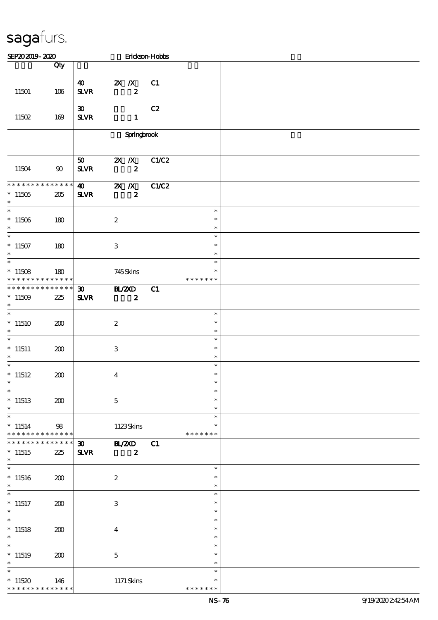| SEP202019-2020                                           |                    |                                             |                                               | Erickson-Hobbs |                                        |  |
|----------------------------------------------------------|--------------------|---------------------------------------------|-----------------------------------------------|----------------|----------------------------------------|--|
|                                                          | Qty                |                                             |                                               |                |                                        |  |
| 11501                                                    | 106                | $\boldsymbol{\omega}$<br>$S\!L\!V\!R$       | $\mathbf{X}$ $\mathbf{X}$<br>$\boldsymbol{z}$ | C1             |                                        |  |
| 11502                                                    | 169                | $\boldsymbol{\mathfrak{D}}$<br>$S\!L\!V\!R$ | $\mathbf{1}$                                  | C2             |                                        |  |
|                                                          |                    |                                             | <b>Springbrook</b>                            |                |                                        |  |
| 11504                                                    | 90                 | 50<br>${\bf S\!L}\!{\bf V\!R}$              | $\mathbf{X}$ $\mathbf{X}$<br>$\boldsymbol{z}$ | C1/C2          |                                        |  |
| * * * * * * * *<br>$^*$ 11505 $\,$<br>$\ast$             | * * * * * *<br>205 | $\boldsymbol{\omega}$<br><b>SLVR</b>        | $X$ $X$<br>$\boldsymbol{z}$                   | C1/C2          |                                        |  |
| $\overline{\ast}$<br>$*11506$<br>$\ast$                  | 180                |                                             | $\boldsymbol{2}$                              |                | $\ast$<br>$\ast$<br>$\ast$             |  |
| $\overline{\ast}$<br>$^*$ 11507<br>$\ast$                | 180                |                                             | $\ensuremath{\mathbf{3}}$                     |                | $\ast$<br>$\ast$<br>$\ast$             |  |
| $\overline{\ast}$<br>$*11508$<br>* * * * * * * *         | 180<br>******      |                                             | 745Skins                                      |                | $\ast$<br>$\ast$<br>* * * * * * *      |  |
| * * * * * * * * * * * * * *<br>$*11509$<br>$\ast$        | 225                | 30 <sub>o</sub><br>$S\!L\!V\!R$             | <b>HZZD</b><br>$\boldsymbol{z}$               | C1             |                                        |  |
| $\ast$<br>$*11510$<br>$\ast$                             | 200                |                                             | $\boldsymbol{2}$                              |                | $\ast$<br>$\ast$<br>$\ast$             |  |
| $\overline{\ast}$<br>$*$ 11511<br>$\ast$                 | 200                |                                             | $\,3$                                         |                | $\ast$<br>$\ast$<br>$\ast$             |  |
| $\ast$<br>$*11512$                                       | 200                |                                             | $\boldsymbol{4}$                              |                | $\ast$<br>$\ast$                       |  |
| $\ast$<br>$*11513$<br>$\ast$<br>$\overline{\phantom{0}}$ | 200                |                                             | $\mathbf 5$                                   |                | $\ast$<br>$\ast$<br>$\ast$             |  |
| $*11514$<br>* * * * * * * *                              | 98<br>$******$     |                                             | 1123Skins                                     |                | $\ast$<br>$\ast$<br>* * * * * * *      |  |
| * * * * * * * *<br>$*11515$<br>$\ast$                    | * * * * * *<br>225 | $\boldsymbol{\mathfrak{D}}$<br>$S\!L\!V\!R$ | <b>HAZYD</b><br>$\boldsymbol{z}$              | C1             |                                        |  |
| $\ast$<br>$*11516$<br>$\ast$                             | 200                |                                             | $\boldsymbol{2}$                              |                | $\ast$<br>$\ast$<br>$\ast$             |  |
| $\ast$<br>$*11517$<br>$\ast$                             | 200                |                                             | $\,3$                                         |                | $\ast$<br>$\ast$<br>$\ast$             |  |
| $\ast$<br>$*11518$<br>$\ast$                             | 200                |                                             | $\boldsymbol{4}$                              |                | $\ast$<br>$\ast$<br>$\ast$             |  |
| $\ast$<br>$*11519$<br>$\ast$                             | 200                |                                             | $\mathbf 5$                                   |                | $\ast$<br>$\ast$<br>$\ast$             |  |
| $\ast$<br>$*11520$<br>* * * * * * * *                    | 146<br>* * * * * * |                                             | 1171 Skins                                    |                | $\ast$<br>$\ast$<br>* * * * *<br>$* *$ |  |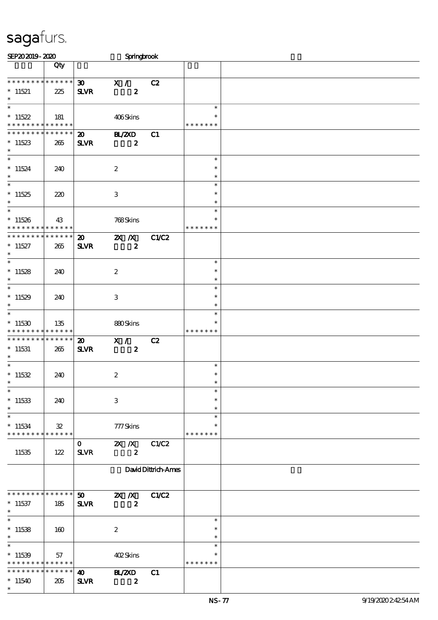| SEP202019-2020                                                         |                               |                                             | Springbrook                        |                     |                                   |  |
|------------------------------------------------------------------------|-------------------------------|---------------------------------------------|------------------------------------|---------------------|-----------------------------------|--|
|                                                                        | Qty                           |                                             |                                    |                     |                                   |  |
| * * * * * * * * * * * * * *<br>$*11521$<br>$\ast$<br>$\overline{\ast}$ | 225                           | $\infty$<br><b>SLVR</b>                     | X /<br>$\boldsymbol{z}$            | C2                  |                                   |  |
| $*11522$<br>* * * * * * * * * * * * * *                                | 181                           |                                             | 406Skins                           |                     | $\ast$<br>* * * * * * *           |  |
| * * * * * * * * * * * * * *<br>$*11523$<br>$\ast$                      | 265                           | $\boldsymbol{\mathfrak{D}}$<br>$S\!L\!V\!R$ | <b>BL/2XD</b><br>$\boldsymbol{z}$  | C1                  |                                   |  |
| $\ast$<br>$*11524$<br>$\ast$                                           | 240                           |                                             | $\boldsymbol{2}$                   |                     | $\ast$<br>$\ast$<br>$\ast$        |  |
| $\overline{\ast}$<br>$*11525$<br>$\ast$                                | 220                           |                                             | $\,3$                              |                     | $\ast$<br>$\ast$<br>$\ast$        |  |
| $\overline{\phantom{0}}$<br>$*11526$<br>* * * * * * * * * * * * * *    | 43                            |                                             | 768Skins                           |                     | $\ast$<br>$\ast$<br>* * * * * * * |  |
| * * * * * * * * * * * * * *<br>$*11527$<br>$\ast$                      | 265                           | $\boldsymbol{\mathfrak{D}}$<br><b>SLVR</b>  | $X$ $N$<br>$\boldsymbol{z}$        | C1/C2               |                                   |  |
| $\overline{\ast}$<br>$*11528$<br>$\ast$                                | 240                           |                                             | $\boldsymbol{2}$                   |                     | $\ast$<br>$\ast$<br>$\ast$        |  |
| $\ast$<br>$*11529$<br>$\ast$                                           | 240                           |                                             | $\,3\,$                            |                     | $\ast$<br>$\ast$<br>$\ast$        |  |
| $\ast$<br>$*11530$<br>* * * * * * * * * * * * * * *                    | 135                           |                                             | 880Skins                           |                     | $\ast$<br>$\ast$<br>* * * * * * * |  |
| ******** <mark>******</mark><br>$*11531$<br>$\ast$                     | 265                           | $\boldsymbol{\mathfrak{D}}$<br><b>SLVR</b>  | X /<br>$\boldsymbol{z}$            | C2                  |                                   |  |
| $\ast$<br>$*11532$                                                     | 240                           |                                             | $\boldsymbol{z}$                   |                     | $\ast$<br>$\ast$                  |  |
| $\ast$<br>$^*$ 11533 $\,$<br>$\ast$                                    | 240                           |                                             | 3                                  |                     | $\ast$<br>$\ast$<br>$\ast$        |  |
| $\ast$<br>$*11534$<br>* * * * * * * *                                  | $\mathfrak{B}$<br>* * * * * * |                                             | 777Skins                           |                     | $\ast$<br>$\ast$<br>* * * * * * * |  |
| 11535                                                                  | 122                           | $\mathbf{O}$<br><b>SLVR</b>                 | $2X$ $\Lambda$<br>$\boldsymbol{z}$ | C1/C2               |                                   |  |
|                                                                        |                               |                                             |                                    | David Dittrich-Ames |                                   |  |
| * * * * * * * * * * * * * * *<br>$*11537$<br>$\ast$                    | 185                           | 50 <sub>2</sub><br><b>SLVR</b>              | $\mathbb{Z}$ X<br>$\boldsymbol{z}$ | C1/C2               |                                   |  |
| $\ast$<br>$*11538$<br>$\ast$                                           | 160                           |                                             | $\boldsymbol{2}$                   |                     | $\ast$<br>$\ast$<br>$\ast$        |  |
| $*11539$<br>* * * * * * * *                                            | 57<br>* * * * * *             |                                             | 402Skins                           |                     | $\ast$<br>* * * * * * *           |  |
| * * * * * * * *<br>$*11540$<br>$\ast$                                  | * * * * * *  <br>205          | $\boldsymbol{\omega}$<br>$S\!L\!V\!R$       | <b>BL/2XD</b><br>$\boldsymbol{z}$  | C1                  |                                   |  |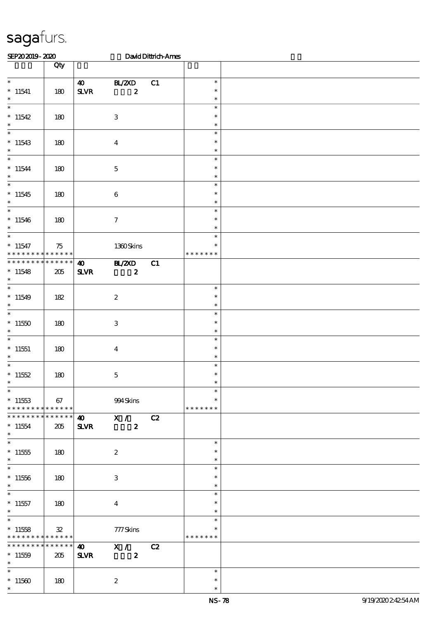| SEP202019-2020                                                  |                |                                       |                                                      | David Dittrich-Ames |                                   |  |
|-----------------------------------------------------------------|----------------|---------------------------------------|------------------------------------------------------|---------------------|-----------------------------------|--|
|                                                                 | Qty            |                                       |                                                      |                     |                                   |  |
| $\overline{\ast}$<br>$*11541$<br>$\ast$                         | 180            | $\boldsymbol{\omega}$<br>$S\!L\!V\!R$ | BL/2XD<br>$\boldsymbol{z}$                           | C1                  | $\ast$<br>$\ast$<br>$\ast$        |  |
| $\ast$<br>$*11542$<br>$\ast$                                    | 180            |                                       | $\ensuremath{\mathbf{3}}$                            |                     | $\ast$<br>$\ast$<br>$\ast$        |  |
| $\ast$<br>$*11543$<br>$\ast$                                    | 180            |                                       | $\boldsymbol{4}$                                     |                     | $\ast$<br>$\ast$<br>$\ast$        |  |
| $\ast$<br>$*11544$<br>$\ast$                                    | 180            |                                       | $\mathbf 5$                                          |                     | $\ast$<br>$\ast$<br>$\ast$        |  |
| $\overline{\ast}$<br>$*11545$<br>$\ast$                         | 180            |                                       | $\bf 6$                                              |                     | $\ast$<br>$\ast$<br>$\ast$        |  |
| $\overline{\phantom{0}}$<br>$*11546$<br>$\ast$                  | 180            |                                       | $\boldsymbol{\tau}$                                  |                     | $\ast$<br>$\ast$<br>$\ast$        |  |
| $\overline{\phantom{0}}$<br>$* 11547$<br>* * * * * * * *        | 75<br>$******$ |                                       | 1360Skins                                            |                     | $\ast$<br>$\ast$<br>* * * * * * * |  |
| * * * * * * * * * * * * * *<br>$*11548$<br>$\ast$               | 205            | $\boldsymbol{\omega}$<br>$S\!L\!V\!R$ | <b>HL/ZXD</b><br>$\boldsymbol{z}$                    | C1                  |                                   |  |
| $\ast$<br>$*11549$<br>$\ast$                                    | 182            |                                       | $\boldsymbol{z}$                                     |                     | $\ast$<br>$\ast$<br>$\ast$        |  |
| $\ast$<br>$*11550$<br>$\ast$                                    | 180            |                                       | $\ensuremath{\mathbf{3}}$                            |                     | $\ast$<br>$\ast$<br>$\ast$        |  |
| $\ast$<br>$*11551$<br>$\ast$                                    | 180            |                                       | $\overline{\mathbf{4}}$                              |                     | $\ast$<br>$\ast$<br>$\ast$        |  |
| $\ast$<br>* $11552$<br>$*$<br>$\overline{\phantom{0}}$          | 180            |                                       | $\mathbf{5}$                                         |                     | $\ast$<br>$\ast$                  |  |
| $^*$ 11553 $\,$<br>* * * * * * * * * * * * * * *                | 67             |                                       | 994Skins                                             |                     | $\ast$<br>$\ast$<br>* * * * * * * |  |
| * * * * * * * * * * * * * * *<br>$*11554$<br>$\ast$             | 205            | $\boldsymbol{40}$<br>$S\!L\!V\!R$     | $\overline{\mathbf{x}^{\prime}}$<br>$\boldsymbol{z}$ | C2                  |                                   |  |
| $\ast$<br>$^*$ 11555 $\,$<br>$\ast$<br>$\overline{\phantom{0}}$ | 180            |                                       | $\boldsymbol{2}$                                     |                     | $\ast$<br>$\ast$<br>$\ast$        |  |
| $^*$ 11556 $\,$<br>$\ast$                                       | 180            |                                       | 3                                                    |                     | $\ast$<br>$\ast$<br>$\ast$        |  |
| $\ast$<br>$*11557$<br>$\ast$<br>$\overline{\phantom{0}}$        | 180            |                                       | $\overline{4}$                                       |                     | $\ast$<br>$\ast$<br>$\ast$        |  |
| $*11558$<br>* * * * * * * * <mark>* * * * * * *</mark>          | $\mathbf{32}$  |                                       | 777Skins                                             |                     | $\ast$<br>*<br>* * * * * * *      |  |
| * * * * * * * * * * * * * * *<br>$*11559$<br>$*$                | 205            | $\boldsymbol{40}$<br>$S\!L\!V\!R$     | X / C2<br>$\boldsymbol{z}$                           |                     |                                   |  |
| $\ast$<br>$^*$ 11560 $\,$<br>$\ast$                             | 180            |                                       | $\boldsymbol{z}$                                     |                     | $\ast$<br>$\ast$<br>$\ast$        |  |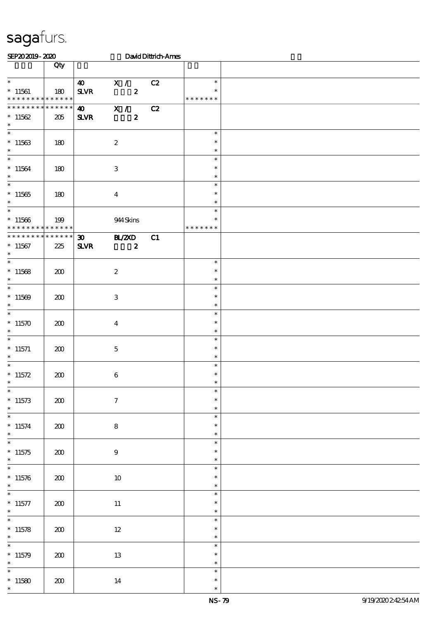| SEP202019-2020                                           |                        |                                                                                       | David Dittrich-Ames |                                      |  |
|----------------------------------------------------------|------------------------|---------------------------------------------------------------------------------------|---------------------|--------------------------------------|--|
|                                                          | Qty                    |                                                                                       |                     |                                      |  |
| $\ast$<br>$*11561$<br>* * * * * * * * * * * * * *        | 180                    | X /<br>$\boldsymbol{\omega}$<br>${\bf S\!L}\!{\bf V\!R}$<br>$\boldsymbol{z}$          | C2                  | $\ast$<br>$\ast$<br>* * * * * * *    |  |
| * * * * * * * * * * * * * *<br>$*11562$<br>$\ast$        | 205                    | $\overline{\mathbf{x}}$ /<br>$\boldsymbol{\omega}$<br>$\boldsymbol{z}$<br><b>SLVR</b> | C2                  |                                      |  |
| $\overline{\phantom{0}}$<br>$*11563$<br>$\ast$           | 180                    | $\boldsymbol{2}$                                                                      |                     | $\ast$<br>$\ast$<br>$\ast$           |  |
| $\overline{\ast}$<br>$*11564$<br>$\ast$                  | 180                    | $\ensuremath{\mathbf{3}}$                                                             |                     | $\ast$<br>$\ast$<br>$\ast$           |  |
| $\ast$<br>$*11565$<br>$\ast$                             | 180                    | $\boldsymbol{4}$                                                                      |                     | $\ast$<br>$\ast$<br>$\ast$           |  |
| $\overline{\ast}$<br>$*11566$<br>* * * * * * * *         | 199<br>$* * * * * * *$ | 944 Skins                                                                             |                     | $\ast$<br>$\ast$<br>* * * * * * *    |  |
| * * * * * * * * * * * * * *<br>$^\ast$ 11567<br>$\ast$   | 225                    | BLZAD<br>$\boldsymbol{\mathfrak{D}}$<br>$S\!L\!V\!R$<br>$\boldsymbol{z}$              | C1                  |                                      |  |
| $\ast$<br>$^*$ 11568 $\,$<br>$\ast$                      | 200                    | $\boldsymbol{2}$                                                                      |                     | $\ast$<br>$\ast$<br>$\ast$           |  |
| $\ast$<br>$*11569$<br>$\ast$                             | 200                    | $\ensuremath{\mathbf{3}}$                                                             |                     | $\ast$<br>$\ast$<br>$\ast$           |  |
| $\ast$<br>$*11570$<br>$\ast$                             | 200                    | $\boldsymbol{4}$                                                                      |                     | $\ast$<br>$\ast$<br>$\ast$           |  |
| $\ast$<br>$*$ 11571<br>$\ast$                            | 200                    | $\mathbf{5}$                                                                          |                     | $\ast$<br>$\ast$<br>$\ast$           |  |
| $\ast$<br>* $11572$<br>$*$                               | 200                    | $\boldsymbol{6}$                                                                      |                     | $\ast$<br>$\ast$<br>$\ast$           |  |
| $\ast$<br>$*11573$<br>$\ast$<br>$\overline{\phantom{0}}$ | 200                    | $\boldsymbol{7}$                                                                      |                     | $\ast$<br>$\ast$<br>$\ast$           |  |
| $*11574$<br>$\ast$<br>$\overline{\ast}$                  | 200                    | ${\bf 8}$                                                                             |                     | $\ast$<br>$\ast$<br>$\ast$           |  |
| $*11575$<br>$\ast$<br>$\overline{\ast}$                  | 200                    | $\boldsymbol{9}$                                                                      |                     | $\ast$<br>$\ast$<br>$\ast$<br>$\ast$ |  |
| $*11576$<br>$\ast$<br>$\overline{\phantom{0}}$           | 200                    | $10\,$                                                                                |                     | $\ast$<br>$\ast$                     |  |
| $*$ 11577<br>$\ast$                                      | 200                    | $11\,$                                                                                |                     | $\ast$<br>$\ast$<br>$\ast$           |  |
| $\ast$<br>$*11578$<br>$\ast$                             | 200                    | $12\,$                                                                                |                     | $\ast$<br>$\ast$<br>$\ast$           |  |
| $\ast$<br>$*11579$<br>$\ast$                             | 200                    | $13\,$                                                                                |                     | $\ast$<br>$\ast$<br>$\ast$           |  |
| $\ast$<br>$*11580$<br>$\ast$                             | 200                    | 14                                                                                    |                     | $\ast$<br>$\ast$<br>$\ast$           |  |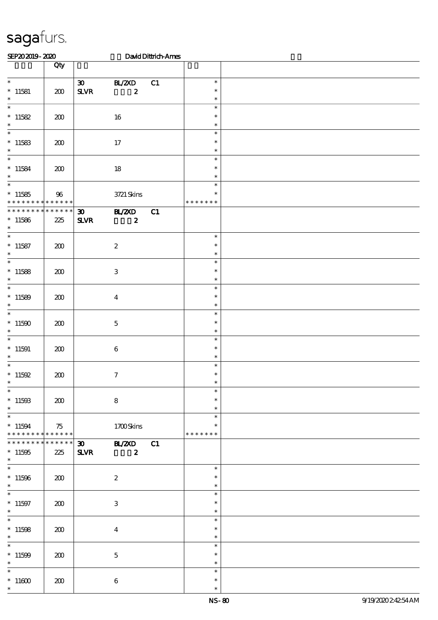| SEP202019-2020                                                         |                 |                                             |                                   | David Dittrich-Ames |                                   |  |
|------------------------------------------------------------------------|-----------------|---------------------------------------------|-----------------------------------|---------------------|-----------------------------------|--|
|                                                                        | Qty             |                                             |                                   |                     |                                   |  |
| $\overline{\ast}$<br>$*$ 11581<br>$\ast$                               | 200             | $\infty$<br>${\bf S\!L}\!{\bf V\!R}$        | <b>BL/2XD</b><br>$\boldsymbol{z}$ | C1                  | $\ast$<br>$\ast$<br>$\ast$        |  |
| $\ast$<br>* $11582$<br>$\ast$                                          | 200             |                                             | 16                                |                     | $\ast$<br>$\ast$<br>$\ast$        |  |
| $\ast$<br>$*11583$<br>$\ast$                                           | 200             |                                             | 17                                |                     | $\ast$<br>$\ast$<br>$\ast$        |  |
| $\ast$<br>$*11584$<br>$\ast$                                           | 200             |                                             | 18                                |                     | $\ast$<br>$\ast$<br>$\ast$        |  |
| $\ast$<br>$*11585$<br>* * * * * * * * * * * * * *                      | 96              |                                             | 3721 Skins                        |                     | $\ast$<br>$\ast$<br>* * * * * * * |  |
| * * * * * * * * * * * * * *<br>$*11586$<br>$\ast$                      | 225             | $\boldsymbol{\mathfrak{D}}$<br>$S\!L\!V\!R$ | <b>BL/2XD</b><br>$\boldsymbol{z}$ | C1                  |                                   |  |
| $\overline{\phantom{0}}$<br>$*11587$<br>$\ast$                         | 200             |                                             | $\boldsymbol{2}$                  |                     | $\ast$<br>$\ast$<br>$\ast$        |  |
| $\ast$<br>$*11588$<br>$\ast$                                           | 200             |                                             | $\ensuremath{\mathbf{3}}$         |                     | $\ast$<br>$\ast$<br>$\ast$        |  |
| $\ast$<br>$*11589$<br>$\ast$                                           | 200             |                                             | $\bf{4}$                          |                     | $\ast$<br>$\ast$<br>$\ast$        |  |
| $\ast$<br>$^*$ 11500 $\,$<br>$\ast$                                    | 200             |                                             | $\mathbf{5}$                      |                     | $\ast$<br>$\ast$<br>$\ast$        |  |
| $\ast$<br>$^*$ 11591<br>$\ast$                                         | 200             |                                             | $\boldsymbol{6}$                  |                     | $\ast$<br>$\ast$<br>$\ast$        |  |
| $\ast$<br>* $11592$<br>$\overline{\phantom{0}}$                        | 200             |                                             | $\tau$                            |                     | $\ast$<br>$\ast$                  |  |
| $*11593$<br>$\ast$                                                     | 200             |                                             | ${\bf 8}$                         |                     | $\ast$<br>$\ast$<br>$\ast$        |  |
| $\overline{\phantom{0}}$<br>$* 11594$<br>******** <mark>*******</mark> | 75              |                                             | 1700Skins                         |                     | $\ast$<br>$\ast$<br>* * * * * * * |  |
| * * * * * * * *<br>$^*$ 11595 $\,$<br>$\ast$                           | $******$<br>225 | $\boldsymbol{\mathfrak{D}}$<br><b>SLVR</b>  | <b>BL/ZXD</b><br>$\boldsymbol{z}$ | C1                  |                                   |  |
| $\overline{\phantom{0}}$<br>$*11596$<br>$\ast$                         | 200             |                                             | $\boldsymbol{2}$                  |                     | $\ast$<br>$\ast$<br>$\ast$        |  |
| $\overline{\phantom{0}}$<br>$* 11597$<br>$\ast$                        | 200             |                                             | 3                                 |                     | $\ast$<br>$\ast$<br>$\ast$        |  |
| $\ast$<br>$*11598$<br>$\ast$                                           | 200             |                                             | $\boldsymbol{4}$                  |                     | $\ast$<br>$\ast$<br>$\ast$        |  |
| $\overline{\phantom{0}}$<br>$*11509$<br>$\ast$                         | 200             |                                             | $\mathbf 5$                       |                     | $\ast$<br>$\ast$<br>$\ast$        |  |
| $\ast$<br>$^*$ 11600 $\,$<br>$\ast$                                    | 200             |                                             | $\bf 6$                           |                     | $\ast$<br>$\ast$<br>$\ast$        |  |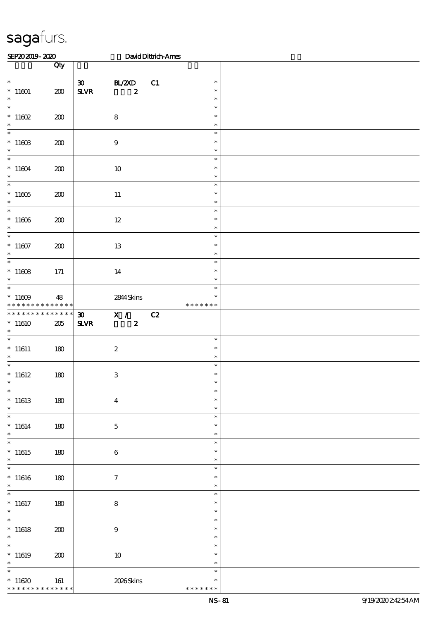| SEP202019-2020                                          |                       |                                                         |                            | David Dittrich-Ames |                                   |  |
|---------------------------------------------------------|-----------------------|---------------------------------------------------------|----------------------------|---------------------|-----------------------------------|--|
|                                                         | Qty                   |                                                         |                            |                     |                                   |  |
| $\overline{\ast}$<br>$*11601$<br>$\ast$                 | 200                   | $\boldsymbol{\mathfrak{D}}$<br>${\bf S\!L}\!{\bf V\!R}$ | BL/2XD<br>$\boldsymbol{z}$ | C1                  | $\ast$<br>$\ast$<br>$\ast$        |  |
| $\ast$<br>$*11602$<br>$\ast$                            | 200                   |                                                         | $\bf 8$                    |                     | $\ast$<br>$\ast$<br>$\ast$        |  |
| $\overline{\phantom{0}}$<br>$^*$ 11603 $\,$<br>$\ast$   | 200                   |                                                         | $\boldsymbol{9}$           |                     | $\ast$<br>$\ast$<br>$\ast$        |  |
| $\overline{\ast}$<br>$^*$ 11604 $\,$<br>$\ast$          | 200                   |                                                         | $10\,$                     |                     | $\ast$<br>$\ast$<br>$\ast$        |  |
| $\overline{\ast}$<br>$^*$ 11605 $\,$<br>$\ast$          | 200                   |                                                         | $11\,$                     |                     | $\ast$<br>$\ast$<br>$\ast$        |  |
| $\overline{\phantom{0}}$<br>$^*$ 11606 $\,$<br>$\ast$   | 200                   |                                                         | $12\,$                     |                     | $\ast$<br>$\ast$<br>$\ast$        |  |
| $\overline{\ast}$<br>$^*$ 11607 $\,$<br>$\ast$          | 200                   |                                                         | 13                         |                     | $\ast$<br>$\ast$<br>$\ast$        |  |
| $\overline{\ast}$<br>$^*$ 11608 $\,$<br>$\ast$          | 171                   |                                                         | 14                         |                     | $\ast$<br>$\ast$<br>$\ast$        |  |
| $\overline{\ast}$<br>$^*$ 11609 $\,$<br>* * * * * * * * | 48<br>$* * * * * * *$ |                                                         | 2844 Skins                 |                     | $\ast$<br>$\ast$<br>* * * * * * * |  |
| * * * * * * * *<br>$^*$ 11610 $\,$<br>$\ast$            | $******$<br>205       | $\boldsymbol{\mathfrak{D}}$<br>$S\!L\!VR$               | X /<br>$\boldsymbol{z}$    | $\overline{c}$      |                                   |  |
| $\ast$<br>$^*$ 11611<br>$\ast$                          | 180                   |                                                         | $\boldsymbol{2}$           |                     | $\ast$<br>$\ast$<br>$\ast$        |  |
| $\overline{\phantom{0}}$<br>$^*$ 11612<br>$\ast$        | 180                   |                                                         | $\mathbf{3}$               |                     | $\ast$<br>$\ast$<br>$\ast$        |  |
| $\ast$<br>$*11613$<br>$\ast$                            | 180                   |                                                         | $\boldsymbol{4}$           |                     | $\ast$<br>$\ast$<br>$\ast$        |  |
| $\ast$<br>$*11614$<br>$\ast$                            | 180                   |                                                         | $\mathbf 5$                |                     | $\ast$<br>$\ast$<br>$\ast$        |  |
| $\ast$<br>$*11615$<br>$\ast$                            | 180                   |                                                         | $\boldsymbol{6}$           |                     | $\ast$<br>$\ast$<br>$\ast$        |  |
| $\ast$<br>$^*$ 11616<br>$\ast$                          | 180                   |                                                         | $\tau$                     |                     | $\ast$<br>$\ast$<br>$\ast$        |  |
| $\ast$<br>$*11617$<br>$\ast$                            | 180                   |                                                         | ${\bf 8}$                  |                     | $\ast$<br>$\ast$<br>$\ast$        |  |
| $\ast$<br>$*11618$<br>$\ast$                            | 200                   |                                                         | $\boldsymbol{9}$           |                     | $\ast$<br>$\ast$<br>$\ast$        |  |
| $\overline{\ast}$<br>$*11619$<br>$\ast$                 | 200                   |                                                         | $10\,$                     |                     | $\ast$<br>$\ast$<br>$\ast$        |  |
| $\ast$<br>$*11620$<br>* * * * * * * *                   | 161<br>$******$       |                                                         | 2026Skins                  |                     | $\ast$<br>$\ast$<br>* * * * * * * |  |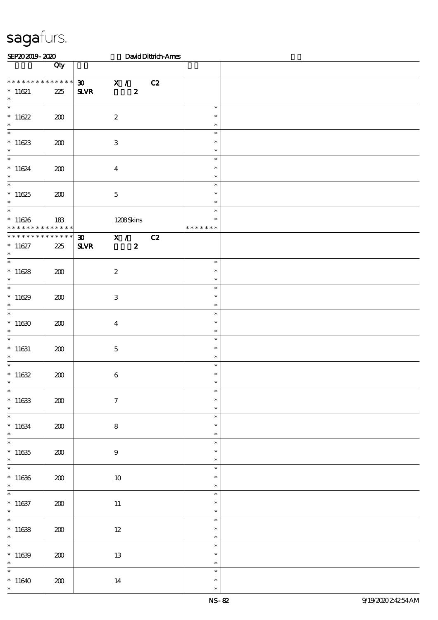| SEP202019-2020                                                      |                        |                                             |                                    | David Dittrich-Ames |                                   |  |
|---------------------------------------------------------------------|------------------------|---------------------------------------------|------------------------------------|---------------------|-----------------------------------|--|
|                                                                     | Qty                    |                                             |                                    |                     |                                   |  |
| * * * * * * * * * * * * * *<br>$*11621$<br>$\ast$                   | 225                    | 30 X / C2<br>$S\!L\!V\!R$                   | $\boldsymbol{z}$                   |                     |                                   |  |
| $\ast$<br>$*11622$<br>$\ast$                                        | 200                    | $\boldsymbol{2}$                            |                                    |                     | $\ast$<br>$\ast$<br>$\ast$        |  |
| $\ast$<br>$*11623$<br>$\ast$                                        | 200                    | $\ensuremath{\mathbf{3}}$                   |                                    |                     | $\ast$<br>$\ast$<br>$\ast$        |  |
| $\overline{\phantom{0}}$<br>$*11624$<br>$\ast$                      | 200                    | $\overline{4}$                              |                                    |                     | $\ast$<br>$\ast$<br>$\ast$        |  |
| $\overline{\ast}$<br>$*11625$<br>$\ast$                             | 200                    | $\mathbf 5$                                 |                                    |                     | $\ast$<br>$\ast$<br>$\ast$        |  |
| $\overline{\phantom{0}}$<br>$*11626$<br>* * * * * * * *             | 183<br>$* * * * * * *$ |                                             | 1208Skins                          |                     | $\ast$<br>$\ast$<br>* * * * * * * |  |
| * * * * * * * * * * * * * *<br>$* 11627$<br>$\ast$                  | 225                    | $\boldsymbol{\mathfrak{D}}$<br>$S\!L\!V\!R$ | $\mathbf{X}$ /<br>$\boldsymbol{z}$ | C2                  |                                   |  |
| $\ast$<br>$*11628$<br>$\ast$                                        | 200                    | $\boldsymbol{2}$                            |                                    |                     | $\ast$<br>$\ast$<br>$\ast$        |  |
| $\ast$<br>$*11629$<br>$\ast$                                        | 200                    | $\ensuremath{\mathbf{3}}$                   |                                    |                     | $\ast$<br>$\ast$<br>$\ast$        |  |
| $\overline{\ast}$<br>$*11630$<br>$\ast$                             | 200                    | $\bf{4}$                                    |                                    |                     | $\ast$<br>$\ast$<br>$\ast$        |  |
| $\ast$<br>$*11631$<br>$\ast$                                        | 200                    | $\mathbf 5$                                 |                                    |                     | $\ast$<br>$\ast$<br>$\ast$        |  |
| $\ast$<br>$*11632$<br>$\ast$                                        | 200                    | $\,6\,$                                     |                                    |                     | $\ast$<br>$\ast$<br>$\ast$        |  |
| $\ast$<br>$^\ast$ 11633<br>$\ast$                                   | 200                    | $\boldsymbol{7}$                            |                                    |                     | $\ast$<br>$\ast$<br>$\ast$        |  |
| $\overline{\ast}$<br>$*11634$<br>$\ast$<br>$\overline{\phantom{0}}$ | 200                    | ${\bf 8}$                                   |                                    |                     | $\ast$<br>$\ast$<br>$\ast$        |  |
| $^\ast$ 11635<br>$\ast$<br>$\overline{\phantom{0}}$                 | 200                    | $\boldsymbol{9}$                            |                                    |                     | $\ast$<br>$\ast$<br>$\ast$        |  |
| $*11636$<br>$\ast$                                                  | 200                    | $10\,$                                      |                                    |                     | $\ast$<br>$\ast$<br>$\ast$        |  |
| $\overline{\ast}$<br>$^\ast$ 11637<br>$\ast$                        | 200                    | $11\,$                                      |                                    |                     | $\ast$<br>$\ast$<br>$\ast$        |  |
| $\overline{\phantom{0}}$<br>$*11638$<br>$\ast$                      | 200                    | $12\,$                                      |                                    |                     | $\ast$<br>$\ast$<br>$\ast$        |  |
| $\overline{\ast}$<br>$*11639$<br>$\ast$                             | 200                    | $1\!3$                                      |                                    |                     | $\ast$<br>$\ast$<br>$\ast$        |  |
| $\ast$<br>$*11640$<br>$\ast$                                        | 200                    | $14\,$                                      |                                    |                     | $\ast$<br>$\ast$<br>$\ast$        |  |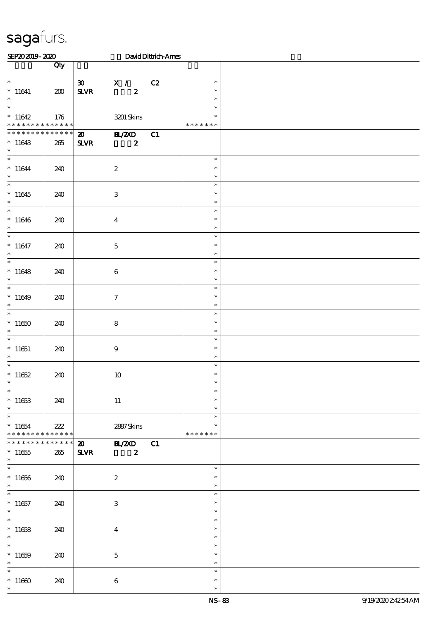| SEP202019-2020                       |                 |                             |                           | David Dittrich-Ames |               |  |
|--------------------------------------|-----------------|-----------------------------|---------------------------|---------------------|---------------|--|
|                                      | Qty             |                             |                           |                     |               |  |
|                                      |                 |                             |                           |                     |               |  |
| $\ast$                               |                 | 30                          | X /                       | C2                  | $\ast$        |  |
| $* 11641$                            | 200             | ${\bf S\!L}\!{\bf V\!R}$    | $\boldsymbol{z}$          |                     | $\ast$        |  |
| $\ast$<br>$\overline{\phantom{0}}$   |                 |                             |                           |                     | $\ast$        |  |
|                                      |                 |                             |                           |                     | $\ast$        |  |
| $*11642$                             | 176             |                             | 3201 Skins                |                     | $\ast$        |  |
| * * * * * * * * * * * * * *          |                 |                             |                           |                     | * * * * * * * |  |
| * * * * * * * *                      | $******$        | $\boldsymbol{\mathsf{20}}$  | <b>BL/2XD</b>             | C1                  |               |  |
| $*11643$                             | 265             | $S\!L\!VR$                  | $\boldsymbol{z}$          |                     |               |  |
| $\ast$<br>$\overline{\phantom{0}}$   |                 |                             |                           |                     | $\ast$        |  |
|                                      |                 |                             |                           |                     | $\ast$        |  |
| $*11644$<br>$\ast$                   | 240             |                             | $\boldsymbol{2}$          |                     | $\ast$        |  |
| $\ast$                               |                 |                             |                           |                     | $\ast$        |  |
|                                      |                 |                             |                           |                     | $\ast$        |  |
| $*11645$<br>$\ast$                   | 240             |                             | $\,3\,$                   |                     | $\ast$        |  |
| $\overline{\ast}$                    |                 |                             |                           |                     | $\ast$        |  |
| $*11646$                             | 240             |                             | $\bf{4}$                  |                     | $\ast$        |  |
| $\ast$                               |                 |                             |                           |                     | $\ast$        |  |
| $\overline{\ast}$                    |                 |                             |                           |                     | $\ast$        |  |
| $*11647$                             | 240             |                             | $\mathbf 5$               |                     | $\ast$        |  |
| $\ast$                               |                 |                             |                           |                     | $\ast$        |  |
| $\overline{\ast}$                    |                 |                             |                           |                     | $\ast$        |  |
| $*11648$                             | 240             |                             | $\bf 6$                   |                     | $\ast$        |  |
| $\ast$                               |                 |                             |                           |                     | $\ast$        |  |
| $\overline{\phantom{0}}$             |                 |                             |                           |                     | $\ast$        |  |
| $*11649$                             | 240             |                             | $\boldsymbol{\tau}$       |                     | $\ast$        |  |
| $\ast$                               |                 |                             |                           |                     | $\ast$        |  |
| $\overline{\ast}$                    |                 |                             |                           |                     | $\ast$        |  |
| $^*$ 11650 $\,$                      | 240             |                             | ${\bf 8}$                 |                     | $\ast$        |  |
| $\ast$                               |                 |                             |                           |                     | $\ast$        |  |
| $\ast$                               |                 |                             |                           |                     | $\ast$        |  |
| $*11651$                             | 240             |                             | 9                         |                     | $\ast$        |  |
| $\ast$                               |                 |                             |                           |                     | $\ast$        |  |
| $\ast$                               |                 |                             |                           |                     | $\ast$        |  |
| $*11652$                             | 240             |                             | $10\,$                    |                     | $\ast$        |  |
| $\ast$                               |                 |                             |                           |                     | $\ast$        |  |
| $_{*}^{-}$                           |                 |                             |                           |                     | $\ast$        |  |
| $*11653$                             | 240             |                             | $11\,$                    |                     | $\ast$        |  |
| $\ast$<br>$\overline{\phantom{a}^*}$ |                 |                             |                           |                     | $\ast$        |  |
|                                      |                 |                             |                           |                     | $\ast$        |  |
| $*11654$                             | 222             |                             | 2887Skins                 |                     | $\ast$        |  |
| * * * * * * * * * * * * * * *        |                 |                             |                           |                     | * * * * * * * |  |
| * * * * * * * *                      | $* * * * * * *$ | $\boldsymbol{\mathfrak{D}}$ | <b>BL/2XD</b>             | C1                  |               |  |
| $^*$ 11655<br>$\ast$                 | 265             | $S\!L\!V\!R$                | $\boldsymbol{z}$          |                     |               |  |
| $\overline{\ast}$                    |                 |                             |                           |                     | $\ast$        |  |
| $*11656$                             | 240             |                             | $\boldsymbol{2}$          |                     | $\ast$        |  |
| $\ast$                               |                 |                             |                           |                     | $\ast$        |  |
| $\overline{\phantom{a}^*}$           |                 |                             |                           |                     | $\ast$        |  |
| $*11657$                             | 240             |                             | $\ensuremath{\mathsf{3}}$ |                     | $\ast$        |  |
| $\ast$                               |                 |                             |                           |                     | $\ast$        |  |
| $\overline{\ast}$                    |                 |                             |                           |                     | $\ast$        |  |
| $*11658$                             | 240             |                             | $\overline{\mathbf{4}}$   |                     | $\ast$        |  |
| $\ast$                               |                 |                             |                           |                     | $\ast$        |  |
| $\ast$                               |                 |                             |                           |                     | $\ast$        |  |
| $*11659$                             | 240             |                             | $\mathbf 5$               |                     | $\ast$        |  |
| $\ast$                               |                 |                             |                           |                     | $\ast$        |  |
| $\ast$                               |                 |                             |                           |                     | $\ast$        |  |
| $^*$ 11660 $\,$                      | 240             |                             | $\,6\,$                   |                     | $\ast$        |  |
| $\ast$                               |                 |                             |                           |                     | $\ast$        |  |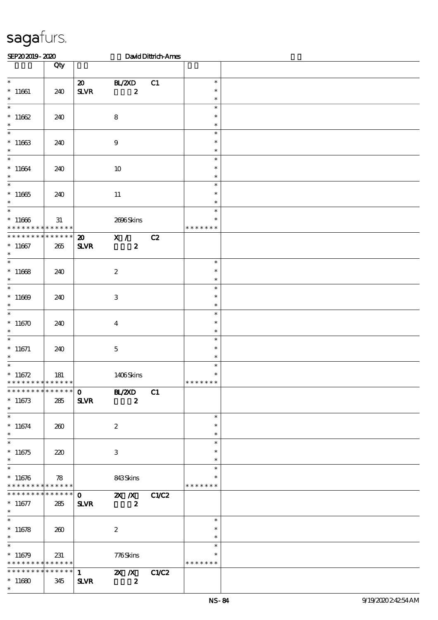| SEP202019-2020                                                                     |                       |                                             |                                                                                                           | David Dittrich-Ames |                                   |  |
|------------------------------------------------------------------------------------|-----------------------|---------------------------------------------|-----------------------------------------------------------------------------------------------------------|---------------------|-----------------------------------|--|
|                                                                                    | Qty                   |                                             |                                                                                                           |                     |                                   |  |
| $\ast$<br>$*11661$<br>$\ast$                                                       | 240                   | $\boldsymbol{\mathfrak{D}}$<br>$S\!L\!V\!R$ | BL/2XD<br>$\boldsymbol{z}$                                                                                | C1                  | $\ast$<br>$\ast$<br>$\ast$        |  |
| $\ast$<br>$*11662$<br>$\ast$                                                       | 240                   |                                             | $\bf 8$                                                                                                   |                     | $\ast$<br>$\ast$<br>$\ast$        |  |
| $\ast$<br>$*11663$<br>$\ast$                                                       | 240                   |                                             | $9$                                                                                                       |                     | $\ast$<br>$\ast$<br>$\ast$        |  |
| $\ast$<br>$*11664$<br>$\ast$                                                       | 240                   |                                             | 10                                                                                                        |                     | $\ast$<br>$\ast$<br>$\ast$        |  |
| $\ast$<br>$*11665$<br>$\ast$                                                       | 240                   |                                             | 11                                                                                                        |                     | $\ast$<br>$\ast$<br>$\ast$        |  |
| $\ast$<br>$*11666$<br>* * * * * * * *                                              | $3\!1$<br>* * * * * * |                                             | 2696Skins                                                                                                 |                     | $\ast$<br>$\ast$<br>* * * * * * * |  |
| * * * * * * * * * * * * * *<br>$*11667$<br>$\ast$                                  | 265                   | $\boldsymbol{\mathfrak{D}}$<br><b>SLVR</b>  | X / C2<br>$\boldsymbol{z}$                                                                                |                     |                                   |  |
| $\ast$<br>$*11668$<br>$\ast$                                                       | 240                   |                                             | $\boldsymbol{2}$                                                                                          |                     | $\ast$<br>$\ast$<br>$\ast$        |  |
| $\ast$<br>$*11609$<br>$\ast$                                                       | 240                   |                                             | $\ensuremath{\mathbf{3}}$                                                                                 |                     | $\ast$<br>$\ast$<br>$\ast$        |  |
| $\ast$<br>$*11670$<br>$\ast$                                                       | 240                   |                                             | $\bf{4}$                                                                                                  |                     | $\ast$<br>$\ast$<br>$\ast$        |  |
| $\ast$<br>$*11671$<br>$\ast$                                                       | 240                   |                                             | $\mathbf 5$                                                                                               |                     | $\ast$<br>$\ast$<br>$\ast$        |  |
| $\ast$<br>$*11672$<br>* * * * * * * *                                              | 181<br>* * * * * *    |                                             | 1406Skins                                                                                                 |                     | $\ast$<br>$\ast$<br>* * * * * * * |  |
| * * * * * * * * * * * * * * *<br>$*11673$<br>$\ast$                                | 285                   | <b>SLVR</b>                                 | $0$ BL/2XD<br>$\boldsymbol{z}$                                                                            | C1                  |                                   |  |
| $\ast$<br>$*11674$<br>$\ast$                                                       | 260                   |                                             | $\boldsymbol{2}$                                                                                          |                     | $\ast$<br>$\ast$<br>$\ast$        |  |
| $\ast$<br>$*11675$<br>$\ast$                                                       | 220                   |                                             | 3                                                                                                         |                     | $\ast$<br>$\ast$<br>$\ast$        |  |
| $\overline{\ast}$<br>$*11676$<br>* * * * * * * * * * * * * * *                     | 78                    |                                             | 843Skins                                                                                                  |                     | $\ast$<br>$\ast$<br>* * * * * * * |  |
| * * * * * * * * * * * * * * *<br>$*11677$<br>$\ast$                                | 285                   | $\mathbf{O}$<br><b>SLVR</b>                 | $\overline{\phantom{a}}$ 2X $\overline{\phantom{a}}$ X $\overline{\phantom{a}}$ C1/C2<br>$\boldsymbol{z}$ |                     |                                   |  |
| $\ast$<br>$*11678$<br>$\ast$                                                       | 260                   |                                             | $\boldsymbol{2}$                                                                                          |                     | $\ast$<br>$\ast$<br>$\ast$        |  |
| $\overline{\phantom{1}}$<br>$*11679$<br>* * * * * * * * <mark>* * * * * * *</mark> | 231                   |                                             | 776Skins                                                                                                  |                     | $\ast$<br>$\ast$<br>* * * * * * * |  |
| * * * * * * * * * * * * * * *<br>$*11680$<br>$\ast$                                | 345                   | $1 \quad$<br><b>SLVR</b>                    | <b>2X X</b> C1/C2<br>$\boldsymbol{z}$                                                                     |                     |                                   |  |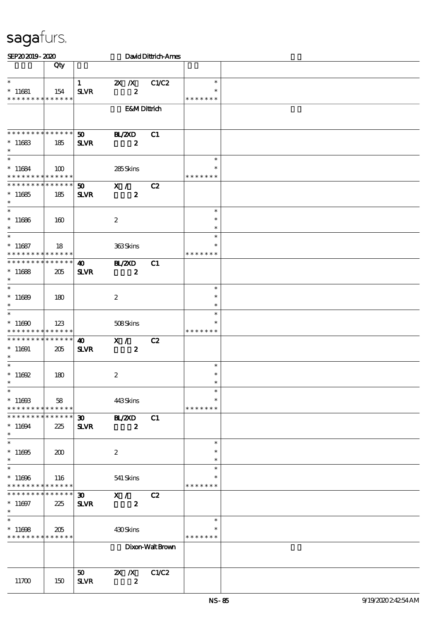| SEP202019-2020                             |     |                             |                           | David Dittrich-Ames |               |  |
|--------------------------------------------|-----|-----------------------------|---------------------------|---------------------|---------------|--|
|                                            | Qty |                             |                           |                     |               |  |
|                                            |     |                             |                           |                     |               |  |
| $\ast$                                     |     | $\mathbf{1}$                | $\mathbf{X}$ $\mathbf{X}$ | C1/C2               | $\ast$        |  |
| $*11681$                                   | 154 | <b>SLVR</b>                 | $\boldsymbol{z}$          |                     |               |  |
| * * * * * * * * * * * * * *                |     |                             |                           |                     | * * * * * * * |  |
|                                            |     |                             | <b>E&amp;MDittrich</b>    |                     |               |  |
|                                            |     |                             |                           |                     |               |  |
|                                            |     |                             |                           |                     |               |  |
| * * * * * * * * * * * * * *                |     | 50 <sub>o</sub>             | <b>H_/2XD</b>             | C1                  |               |  |
| $*11683$                                   | 185 | <b>SLVR</b>                 | $\boldsymbol{z}$          |                     |               |  |
| $\ast$                                     |     |                             |                           |                     |               |  |
| $\overline{\phantom{0}}$                   |     |                             |                           |                     | $\ast$        |  |
| $*11684$                                   | 100 |                             | 285Skins                  |                     |               |  |
| * * * * * * * * * * * * * *                |     |                             |                           |                     | * * * * * * * |  |
| * * * * * * * * * * * * * *                |     | $\boldsymbol{\mathfrak{D}}$ | $X / \sqrt{2}$            | C2                  |               |  |
| $*11685$                                   | 185 | <b>SLVR</b>                 | $\boldsymbol{z}$          |                     |               |  |
| $\ast$                                     |     |                             |                           |                     |               |  |
| $\overline{\phantom{0}}$                   |     |                             |                           |                     | $\ast$        |  |
| $*11686$                                   | 160 |                             | $\boldsymbol{2}$          |                     | $\ast$        |  |
| $\ast$                                     |     |                             |                           |                     | $\ast$        |  |
| $\overline{\phantom{0}}$                   |     |                             |                           |                     | $\ast$        |  |
| $*11687$                                   | 18  |                             | 363Skins                  |                     | $\ast$        |  |
| * * * * * * * * * * * * * *                |     |                             |                           |                     | * * * * * * * |  |
| * * * * * * * * * * * * * *                |     | $\boldsymbol{\omega}$       | <b>HL/2XD</b>             | C1                  |               |  |
| $*11688$                                   | 205 | <b>SLVR</b>                 | $\boldsymbol{z}$          |                     |               |  |
| $\ast$                                     |     |                             |                           |                     |               |  |
| $\ast$                                     |     |                             |                           |                     | $\ast$        |  |
| $*11689$                                   | 180 |                             | $\boldsymbol{2}$          |                     | $\ast$        |  |
| $\ast$                                     |     |                             |                           |                     | $\ast$        |  |
| $\ast$                                     |     |                             |                           |                     | $\ast$        |  |
| $*11690$                                   | 123 |                             | 508Skins                  |                     |               |  |
| * * * * * * * * <mark>* * * * * *</mark>   |     |                             |                           |                     | * * * * * * * |  |
| * * * * * * * * * * * * * *                |     | 40                          | X /                       | C2                  |               |  |
| $*11691$                                   | 205 | <b>SLVR</b>                 | $\boldsymbol{z}$          |                     |               |  |
| $\ast$                                     |     |                             |                           |                     |               |  |
| $\ast$                                     |     |                             |                           |                     | $\ast$        |  |
| $* 11692$                                  | 180 |                             | $\boldsymbol{2}$          |                     | $\ast$        |  |
| $\star$                                    |     |                             |                           |                     |               |  |
| $\ast$                                     |     |                             |                           |                     | $\ast$        |  |
| $*1100B$                                   | 58  |                             | 443Skins                  |                     | $\ast$        |  |
| * * * * * * * * * * * * * *                |     |                             |                           |                     | * * * * * * * |  |
| * * * * * * * * * * * * * *                |     | $\boldsymbol{\mathfrak{D}}$ | <b>H_/ZXD</b>             | C1                  |               |  |
| $*11694$                                   | 225 | <b>SLVR</b>                 | $\boldsymbol{z}$          |                     |               |  |
| $\ast$                                     |     |                             |                           |                     |               |  |
| $\ast$                                     |     |                             |                           |                     | $\ast$        |  |
| $^*$ 11695 $\,$                            | 200 |                             | $\boldsymbol{2}$          |                     | $\ast$        |  |
| $\ast$                                     |     |                             |                           |                     | $\ast$        |  |
| $\ast$                                     |     |                             |                           |                     | $\ast$        |  |
| $*11696$                                   | 116 |                             | 541 Skins                 |                     |               |  |
| * * * * * * * * * * * * * *                |     |                             |                           |                     | * * * * * * * |  |
| * * * * * * * * <mark>* * * * * * *</mark> |     | $\boldsymbol{\mathfrak{D}}$ | X /                       | C2                  |               |  |
| $*11697$                                   | 225 | <b>SLVR</b>                 | $\boldsymbol{z}$          |                     |               |  |
| $\ast$                                     |     |                             |                           |                     |               |  |
| $\ast$                                     |     |                             |                           |                     | $\ast$        |  |
| $*11698$                                   | 205 |                             | 430Skins                  |                     | ∗             |  |
| * * * * * * * * <mark>* * * * * *</mark>   |     |                             |                           |                     | * * * * * * * |  |
|                                            |     |                             |                           | Dixon-Walt Brown    |               |  |
|                                            |     |                             |                           |                     |               |  |
|                                            |     |                             |                           |                     |               |  |
|                                            |     | 50                          | $X$ $N$                   | C1/C2               |               |  |
| 11700                                      | 150 | <b>SLVR</b>                 | $\boldsymbol{z}$          |                     |               |  |
|                                            |     |                             |                           |                     |               |  |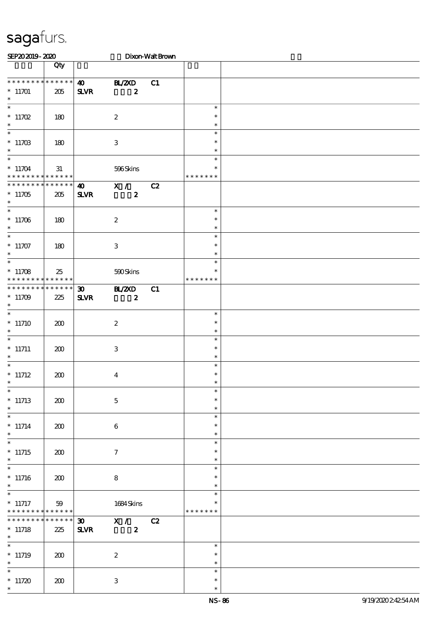| SEP202019-2020                                     |                       |                                             |                                    | Dixon-Walt Brown |                                   |  |
|----------------------------------------------------|-----------------------|---------------------------------------------|------------------------------------|------------------|-----------------------------------|--|
|                                                    | Qty                   |                                             |                                    |                  |                                   |  |
| * * * * * * * * * * * * * *<br>$*11701$<br>$\ast$  | 205                   | $\boldsymbol{\omega}$<br>$S\!L\!V\!R$       | B ZCD<br>$\boldsymbol{z}$          | C1               |                                   |  |
| $\overline{\ast}$<br>$*11702$<br>$\ast$            | 180                   |                                             | $\boldsymbol{2}$                   |                  | $\ast$<br>$\ast$<br>$\ast$        |  |
| $\ast$<br>* $11703$<br>$\ast$                      | 180                   |                                             | $\ensuremath{\mathbf{3}}$          |                  | $\ast$<br>$\ast$<br>$\ast$        |  |
| $\ast$<br>$* 11704$<br>* * * * * * * * * * * * * * | 31                    |                                             | 596Skins                           |                  | $\ast$<br>$\ast$<br>* * * * * * * |  |
| * * * * * * * * * * * * * *<br>$*11705$<br>$\ast$  | 205                   | $\boldsymbol{\omega}$<br><b>SLVR</b>        | X /<br>$\boldsymbol{z}$            | C2               |                                   |  |
| $\overline{\phantom{0}}$<br>$*11706$<br>$\ast$     | 180                   |                                             | $\boldsymbol{2}$                   |                  | $\ast$<br>$\ast$<br>$\ast$        |  |
| $\overline{\ast}$<br>$*11707$<br>$\ast$            | 180                   |                                             | $\ensuremath{\mathbf{3}}$          |                  | $\ast$<br>$\ast$<br>$\ast$        |  |
| $\overline{\ast}$<br>$*11708$<br>* * * * * * * *   | 25<br>$* * * * * * *$ |                                             | 590Skins                           |                  | $\ast$<br>$\ast$<br>* * * * * * * |  |
| * * * * * * * * * * * * * *<br>$*11709$<br>$\ast$  | 225                   | $\boldsymbol{\mathfrak{D}}$<br>$S\!L\!V\!R$ | <b>HAZXD</b><br>$\boldsymbol{z}$   | C1               |                                   |  |
| $\overline{\ast}$<br>$*11710$<br>$\ast$            | 200                   |                                             | $\boldsymbol{2}$                   |                  | $\ast$<br>$\ast$<br>$\ast$        |  |
| $\ast$<br>$*$ 11711<br>$\ast$                      | 200                   |                                             | $\ensuremath{\mathbf{3}}$          |                  | $\ast$<br>$\ast$<br>$\ast$        |  |
| $\ast$<br>$*11712$                                 | 200                   |                                             | $\boldsymbol{4}$                   |                  | $\ast$<br>$\ast$                  |  |
| $\ast$<br>$*11713$<br>$\ast$                       | 200                   |                                             | $\mathbf 5$                        |                  | $\ast$<br>$\ast$<br>$\ast$        |  |
| $\overline{\ast}$<br>$* 11714$<br>$\ast$           | 200                   |                                             | $\bf 6$                            |                  | $\ast$<br>$\ast$<br>$\ast$        |  |
| $\ast$<br>$*11715$<br>$\ast$                       | 200                   |                                             | $\tau$                             |                  | $\ast$<br>$\ast$<br>$\ast$        |  |
| $\ast$<br>$*11716$<br>$\ast$                       | 200                   |                                             | 8                                  |                  | $\ast$<br>$\ast$<br>$\ast$        |  |
| $\ast$<br>$*$ 11717<br>* * * * * * * *             | 59<br>* * * * * *     |                                             | 1684 Skins                         |                  | $\ast$<br>$\ast$<br>* * * * * * * |  |
| * * * * * * *<br>$*11718$<br>$\ast$                | * * * * * *<br>225    | $\boldsymbol{\mathfrak{D}}$<br><b>SLVR</b>  | $\mathbf{X}$ /<br>$\boldsymbol{z}$ | C2               |                                   |  |
| $\overline{\phantom{0}}$<br>$*11719$<br>$\ast$     | 200                   |                                             | $\boldsymbol{z}$                   |                  | $\ast$<br>$\ast$<br>$\ast$        |  |
| $\ast$<br>$*11720$<br>$\ast$                       | 200                   |                                             | $\ensuremath{\mathbf{3}}$          |                  | $\ast$<br>$\ast$<br>$\ast$        |  |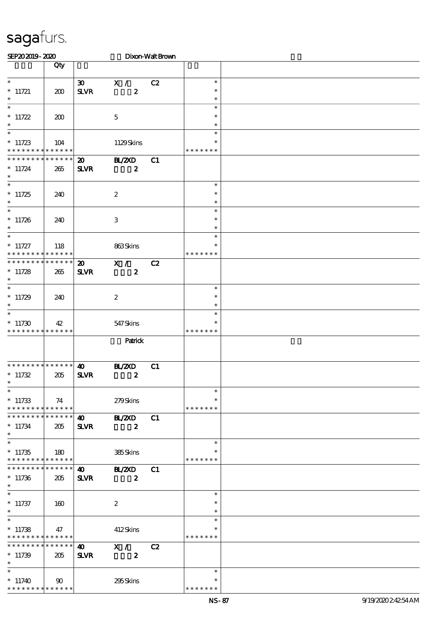| SEP202019-2020                                                                |              |                                            |                                    | Dixon-Walt Brown |                                      |  |
|-------------------------------------------------------------------------------|--------------|--------------------------------------------|------------------------------------|------------------|--------------------------------------|--|
|                                                                               | Qty          |                                            |                                    |                  |                                      |  |
| $\ast$<br>$*$ 11721<br>$\ast$                                                 | 200          | $\boldsymbol{\mathfrak{D}}$<br><b>SLVR</b> | X /<br>$\boldsymbol{z}$            | C2               | $\ast$<br>$\ast$<br>$\ast$           |  |
| $\overline{\phantom{0}}$<br>$* 11722$<br>$\ast$                               | 200          |                                            | $\mathbf 5$                        |                  | $\ast$<br>$\ast$<br>$\ast$           |  |
| $\ast$<br>$*11723$<br>* * * * * * * * * * * * * *                             | 104          |                                            | 1129Skins                          |                  | $\ast$<br>$\ast$<br>* * * * * * *    |  |
| * * * * * * * * * * * * * *<br>$* 11724$<br>$\ast$<br>$\overline{\ast}$       | 265          | $\boldsymbol{\mathfrak{D}}$<br><b>SLVR</b> | B ZCD<br>$\boldsymbol{z}$          | C1               |                                      |  |
| $*11725$<br>$\ast$<br>$\overline{\phantom{0}}$                                | 240          |                                            | $\boldsymbol{2}$                   |                  | $\ast$<br>$\ast$<br>$\ast$           |  |
| $*11726$<br>$\ast$<br>$\overline{\ast}$                                       | 240          |                                            | $\,3$                              |                  | $\ast$<br>$\ast$<br>$\ast$           |  |
| $* 11727$<br>* * * * * * * * <mark>* * * * * *</mark>                         | 118          |                                            | 863Skins                           |                  | $\ast$<br>∗<br>* * * * * * *         |  |
| * * * * * * * * * * * * * *<br>$*11728$<br>$\ast$<br>$\ast$                   | 265          | $\boldsymbol{\mathfrak{D}}$<br><b>SLVR</b> | $\mathbf{X}$ /<br>$\boldsymbol{z}$ | C2               |                                      |  |
| $*11729$<br>$\ast$<br>$\ast$                                                  | 240          |                                            | $\boldsymbol{2}$                   |                  | $\ast$<br>$\ast$<br>$\ast$<br>$\ast$ |  |
| $*11730$<br>* * * * * * * * * * * * * *                                       | 42           |                                            | 547Skins                           |                  | $\ast$<br>* * * * * * *              |  |
|                                                                               |              |                                            | Patrick                            |                  |                                      |  |
| * * * * * * * * * * * * * *<br>$*11732$<br>∗<br>$\ast$                        | 205          | $\boldsymbol{\omega}$<br><b>SLVR</b>       | <b>H_/2XD</b><br>$\boldsymbol{z}$  | C1               |                                      |  |
| $*11733$<br>* * * * * * * * * * * * * *                                       | 74           |                                            | 279Skins                           |                  | $\ast$<br>$\ast$<br>* * * * * * *    |  |
| * * * * * * * * * * * * * *<br>$*11734$<br>$*$<br>$\overline{\ast}$           | 205          | $\boldsymbol{\omega}$<br><b>SLVR</b>       | <b>H_/2XD</b><br>$\boldsymbol{z}$  | C1               |                                      |  |
| $*11735$<br>* * * * * * * * * * * * * *                                       | 180          |                                            | 385Skins                           |                  | $\ast$<br>$\ast$<br>* * * * * * *    |  |
| * * * * * * * * * * * * * *<br>$*11736$<br>$\ast$<br>$\overline{\phantom{0}}$ | 205          | $\boldsymbol{\omega}$<br><b>SLVR</b>       | B ZCD<br>$\boldsymbol{z}$          | C1               |                                      |  |
| $*$ 11737<br>$\ast$                                                           | 160          |                                            | $\boldsymbol{2}$                   |                  | $\ast$<br>$\ast$<br>$\ast$           |  |
| $\ast$<br>$*11738$<br>* * * * * * * * * * * * * *                             | 47           |                                            | 412Skins                           |                  | $\ast$<br>$\ast$<br>* * * * * * *    |  |
| * * * * * * * * * * * * * *<br>$*11739$<br>$\ast$                             | 205          | $\boldsymbol{\omega}$<br><b>SLVR</b>       | X /<br>$\boldsymbol{z}$            | C2               |                                      |  |
| $\overline{\ast}$<br>$*11740$<br>* * * * * * * * * * * * * *                  | $90^{\circ}$ |                                            | 295Skins                           |                  | $\ast$<br>∗<br>* * * * * * *         |  |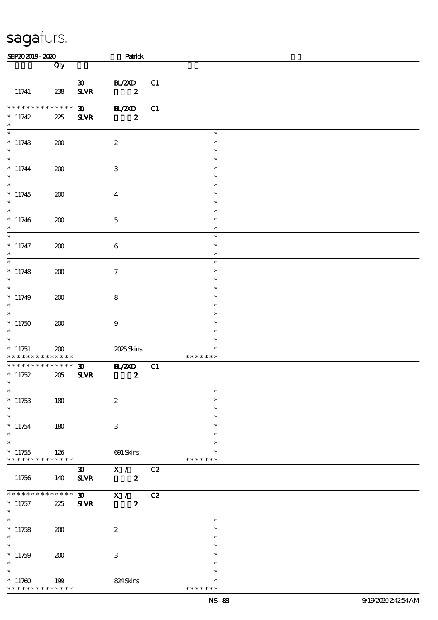| SEP202019-2020                                     |                 |                                             | Patrick                                           |    |                                   |  |
|----------------------------------------------------|-----------------|---------------------------------------------|---------------------------------------------------|----|-----------------------------------|--|
|                                                    | Qty             |                                             |                                                   |    |                                   |  |
| 11741                                              | 238             | $\infty$<br>$S\!L\!V\!R$                    | BL/2XD<br>$\overline{\mathbf{2}}$                 | C1 |                                   |  |
| $*********$<br>$*11742$<br>$\ast$                  | $******$<br>225 | $\boldsymbol{\mathfrak{D}}$<br><b>SLVR</b>  | <b>BL/2XD</b><br>$\boldsymbol{z}$                 | C1 |                                   |  |
| $\ast$<br>$*11743$<br>$\ast$                       | 200             |                                             | $\boldsymbol{2}$                                  |    | $\ast$<br>$\ast$<br>$\ast$        |  |
| $\overline{\ast}$<br>$* 11744$<br>$\ast$           | 200             |                                             | $\ensuremath{\mathbf{3}}$                         |    | $\ast$<br>$\ast$<br>$\ast$        |  |
| $\ast$<br>$*11745$<br>$\ast$                       | 200             |                                             | $\boldsymbol{4}$                                  |    | $\ast$<br>$\ast$<br>$\ast$        |  |
| $\overline{\phantom{a}^*}$<br>$*11746$<br>$\ast$   | 200             |                                             | $\mathbf{5}$                                      |    | $\ast$<br>$\ast$<br>$\ast$        |  |
| $\overline{\phantom{0}}$<br>$* 11747$<br>$\ast$    | 200             |                                             | $\boldsymbol{6}$                                  |    | $\ast$<br>$\ast$<br>$\ast$        |  |
| $\ast$<br>$*11748$<br>$\ast$                       | 200             |                                             | $\tau$                                            |    | $\ast$<br>$\ast$<br>$\ast$        |  |
| $\ast$<br>$*11749$<br>$\ast$                       | 200             |                                             | 8                                                 |    | $\ast$<br>$\ast$<br>$\ast$        |  |
| $\overline{\phantom{0}}$<br>$*11750$<br>$\ast$     | 200             |                                             | $\boldsymbol{9}$                                  |    | $\ast$<br>$\ast$<br>$\ast$        |  |
| $\ast$<br>$*11751$<br>* * * * * * * * * * * * * *  | 200             |                                             | 2025Skins                                         |    | $\ast$<br>$\ast$<br>* * * * * * * |  |
| **************<br>$*11752$                         | 205             | $\boldsymbol{\mathfrak{D}}$<br>$S\!L\!V\!R$ | <b>H_/2XD</b><br>$\overline{\mathbf{z}}$          | C1 |                                   |  |
| $\overline{\phantom{0}}$<br>$*11753$<br>$\ast$     | 180             |                                             | $\boldsymbol{2}$                                  |    | $\ast$<br>$\ast$<br>$\ast$        |  |
| $\overline{\phantom{0}}$<br>$*11754$<br>$\ast$     | 180             |                                             | $\ensuremath{\mathsf{3}}$                         |    | $\ast$<br>$\ast$<br>$\ast$        |  |
| $\ast$<br>$*11755$<br>******** <mark>******</mark> | 126             |                                             | 691 Skins                                         |    | $\ast$<br>$\ast$<br>* * * * * * * |  |
| 11756                                              | 140             | <b>SLVR</b>                                 | $\overline{30}$ X / C2<br>$\overline{\mathbf{2}}$ |    |                                   |  |
| * * * * * * * *<br>$*11757$<br>$\ast$              | ******<br>225   | <b>SLVR</b>                                 | $\overline{\textbf{30}}$ X /<br>$\boldsymbol{z}$  | C2 |                                   |  |
| $\ast$<br>$*11758$<br>$\ast$                       | 200             |                                             | $\boldsymbol{2}$                                  |    | $\ast$<br>$\ast$<br>$\ast$        |  |
| $\overline{\phantom{0}}$<br>$*11759$<br>$\ast$     | 200             |                                             | 3                                                 |    | $\ast$<br>$\ast$<br>$\ast$        |  |
| $\ast$<br>$*11700$<br>* * * * * * * * * * * * * *  | 199             |                                             | 824Skins                                          |    | $\ast$<br>$\ast$<br>* * * * * * * |  |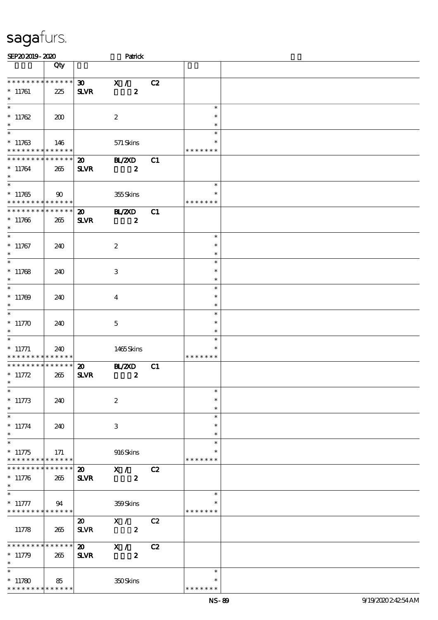| SEP202019-2020                                          |                 |                             | Patrick                 |    |                    |  |
|---------------------------------------------------------|-----------------|-----------------------------|-------------------------|----|--------------------|--|
|                                                         | Qty             |                             |                         |    |                    |  |
|                                                         |                 |                             |                         |    |                    |  |
| * * * * * * * * * * * * * *                             |                 | $\boldsymbol{\mathfrak{D}}$ | X /                     | C2 |                    |  |
| $*11761$                                                | 225             | <b>SLVR</b>                 | $\boldsymbol{z}$        |    |                    |  |
| $\ast$                                                  |                 |                             |                         |    |                    |  |
| $\overline{\ast}$                                       |                 |                             |                         |    | $\ast$             |  |
| * $11762$                                               | 200             |                             | $\boldsymbol{2}$        |    | $\ast$             |  |
| $\ast$<br>$\overline{\phantom{0}}$                      |                 |                             |                         |    | $\ast$             |  |
|                                                         |                 |                             |                         |    | $\ast$             |  |
| $*11763$<br>* * * * * * * * * * * * * *                 | 146             |                             | 571 Skins               |    | *<br>* * * * * * * |  |
| * * * * * * * * <mark>* * * * * * *</mark>              |                 |                             |                         |    |                    |  |
|                                                         |                 | $\boldsymbol{\mathfrak{D}}$ | $\mathbf{H}/\mathbf{Z}$ | C1 |                    |  |
| $*11764$<br>$\ast$                                      | 265             | <b>SLVR</b>                 | $\boldsymbol{z}$        |    |                    |  |
| $\overline{\phantom{0}}$                                |                 |                             |                         |    | $\ast$             |  |
| $*11765$                                                | $\infty$        |                             | 355Skins                |    | $\ast$             |  |
| * * * * * * * * <mark>* * * * * * *</mark>              |                 |                             |                         |    | * * * * * * *      |  |
| * * * * * * * * * * * * * *                             |                 | $\boldsymbol{\mathbf{z}}$   | <b>HAZXD</b>            | C1 |                    |  |
| $*11766$                                                | 265             | <b>SLVR</b>                 | $\boldsymbol{z}$        |    |                    |  |
| $\ast$                                                  |                 |                             |                         |    |                    |  |
| $\ast$                                                  |                 |                             |                         |    | $\ast$             |  |
| $*11767$                                                | 240             |                             | $\boldsymbol{2}$        |    | $\ast$             |  |
| $\ast$                                                  |                 |                             |                         |    | $\ast$             |  |
| $\ast$                                                  |                 |                             |                         |    | $\ast$             |  |
| $*11768$                                                | 240             |                             | 3                       |    | $\ast$             |  |
| $\ast$                                                  |                 |                             |                         |    | $\ast$             |  |
| $\ast$                                                  |                 |                             |                         |    | $\ast$             |  |
| $*11769$                                                | 240             |                             | $\overline{4}$          |    | $\ast$             |  |
| $\ast$                                                  |                 |                             |                         |    | $\ast$             |  |
| $\ast$                                                  |                 |                             |                         |    | $\ast$             |  |
| $*11770$                                                | 240             |                             | $\mathbf 5$             |    | $\ast$             |  |
| $\ast$                                                  |                 |                             |                         |    | $\ast$             |  |
| $\ast$                                                  |                 |                             |                         |    | $\ast$<br>$\ast$   |  |
| $*$ 11771<br>* * * * * * * * <mark>* * * * * * *</mark> | 240             |                             | 1465Skins               |    | * * * * * * *      |  |
| * * * * * * * * * * * * * *                             |                 | $\boldsymbol{\mathfrak{D}}$ | <b>HAZYD</b>            | C1 |                    |  |
| $* 11772$                                               | 265             | <b>SLVR</b>                 | $\boldsymbol{z}$        |    |                    |  |
| $*$                                                     |                 |                             |                         |    |                    |  |
| $\ast$                                                  |                 |                             |                         |    | $\ast$             |  |
| $*11773$                                                | 240             |                             | $\boldsymbol{2}$        |    | $\ast$             |  |
| $\ast$                                                  |                 |                             |                         |    | $\ast$             |  |
| $\ast$                                                  |                 |                             |                         |    | $\ast$             |  |
| $* 11774$                                               | 240             |                             | 3                       |    | $\ast$             |  |
| $\ast$                                                  |                 |                             |                         |    | $\ast$             |  |
| $\ast$                                                  |                 |                             |                         |    | $\ast$             |  |
| $*11775$                                                | 171             |                             | 916Skins                |    |                    |  |
| * * * * * * * * * * * * * *                             |                 |                             |                         |    | * * * * * * *      |  |
| * * * * * * * *                                         | * * * * * *     | $\boldsymbol{\mathfrak{D}}$ | X /                     | C2 |                    |  |
| $*11776$<br>$\ast$                                      | 265             | <b>SLVR</b>                 | $\boldsymbol{z}$        |    |                    |  |
|                                                         |                 |                             |                         |    | $\ast$             |  |
| $* 11777$                                               | 94              |                             | 359Skins                |    | $\ast$             |  |
| * * * * * * * * * * * * * *                             |                 |                             |                         |    | * * * * * * *      |  |
|                                                         |                 | $\boldsymbol{\mathfrak{D}}$ | X /                     | C2 |                    |  |
| 11778                                                   | 265             | <b>SLVR</b>                 | $\boldsymbol{z}$        |    |                    |  |
|                                                         |                 |                             |                         |    |                    |  |
| * * * * * * * *                                         | $* * * * * * *$ | $\boldsymbol{\mathsf{20}}$  | X /                     | C2 |                    |  |
| $*11779$                                                | 265             | <b>SLVR</b>                 | $\boldsymbol{z}$        |    |                    |  |
| $\ast$                                                  |                 |                             |                         |    |                    |  |
| $\ast$                                                  |                 |                             |                         |    | $\ast$             |  |
| $*11780$                                                | 85              |                             | 350Skins                |    | $\ast$             |  |
| * * * * * * * * * * * * * *                             |                 |                             |                         |    | * * * * * * *      |  |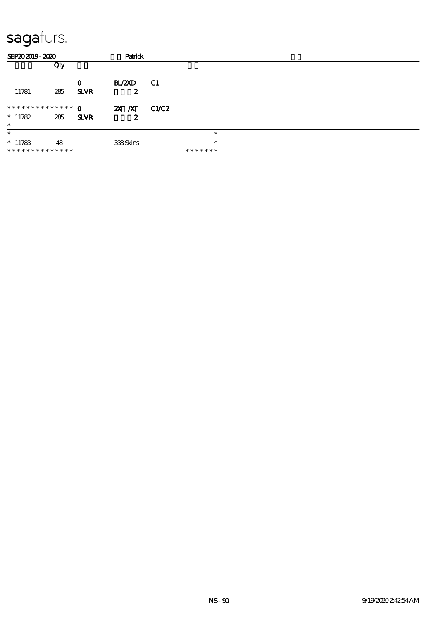| SEP202019-2020                |     |                  | Patrick         |           |         |  |
|-------------------------------|-----|------------------|-----------------|-----------|---------|--|
|                               | Qty |                  |                 |           |         |  |
| 11781                         | 285 | O<br><b>SLVR</b> | BL/2XD<br>2     | <b>C1</b> |         |  |
| * * * * * * * * * * * * * * * |     | $\mathbf{o}$     | ZX X            | C1/C2     |         |  |
| $*11782$<br>$\ast$            | 285 | <b>SLVR</b>      | 2               |           |         |  |
| $\ast$                        |     |                  |                 |           | *       |  |
| $*11783$                      | 48  |                  | <b>333Skins</b> |           | $\ast$  |  |
| **************                |     |                  |                 |           | ******* |  |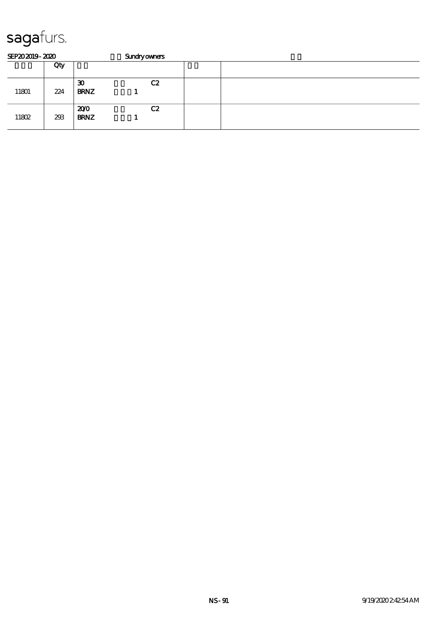| SEP202019-2020 |     |                                            | <b>Sundryowners</b> |  |  |  |  |  |  |  |
|----------------|-----|--------------------------------------------|---------------------|--|--|--|--|--|--|--|
|                | Qty |                                            |                     |  |  |  |  |  |  |  |
| 11801          | 224 | $\boldsymbol{\mathfrak{D}}$<br><b>BRNZ</b> | C2                  |  |  |  |  |  |  |  |
| 11802          | 293 | 200<br><b>BRNZ</b>                         | C2                  |  |  |  |  |  |  |  |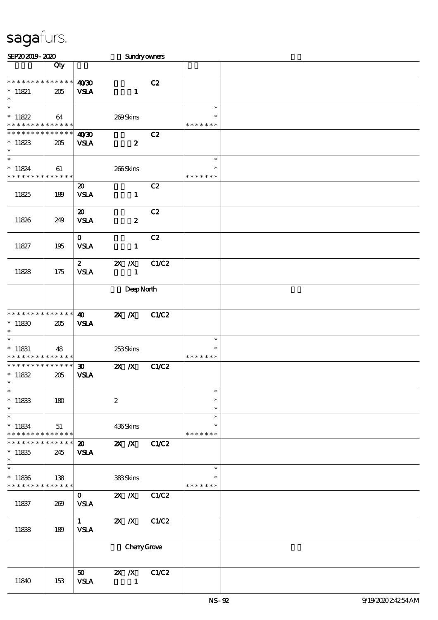| SEP202019-2020                                     |                    |                                            | Sundryowners                              |              |                                   |  |
|----------------------------------------------------|--------------------|--------------------------------------------|-------------------------------------------|--------------|-----------------------------------|--|
|                                                    | Qty                |                                            |                                           |              |                                   |  |
| * * * * * * * *<br>$* 11821$<br>$\ast$             | ******<br>205      | 40'30<br><b>VSLA</b>                       | $\mathbf{1}$                              | C2           |                                   |  |
| $\ast$<br>$*11822$<br>* * * * * * * * *            | 64<br>$******$     |                                            | 269Skins                                  |              | $\ast$<br>$\ast$<br>* * * * * * * |  |
| * * * * * * * *<br>$*11823$<br>$\ast$              | * * * * * *<br>205 | 40'30<br><b>VSLA</b>                       | $\boldsymbol{z}$                          | C2           |                                   |  |
| $\ast$<br>$* 11824$<br>* * * * * * * * * * * * * * | 61                 |                                            | 266Skins                                  |              | $\ast$<br>$\ast$<br>* * * * * * * |  |
| 11825                                              | 189                | $\boldsymbol{\mathfrak{D}}$<br><b>VSLA</b> | $\mathbf{1}$                              | C2           |                                   |  |
| 11826                                              | 249                | $\boldsymbol{\mathfrak{D}}$<br><b>VSLA</b> | $\boldsymbol{z}$                          | C2           |                                   |  |
| 11827                                              | 195                | $\mathbf{o}$<br><b>VSLA</b>                | $\mathbf{1}$                              | C2           |                                   |  |
| 11828                                              | 175                | $\boldsymbol{z}$<br><b>VSLA</b>            | $X$ $X$<br>$\mathbf{1}$                   | C1/C2        |                                   |  |
|                                                    | DeepNorth          |                                            |                                           |              |                                   |  |
| * * * * * * * * * * * * * *<br>$*11830$<br>$\ast$  | 205                | $\boldsymbol{\omega}$<br><b>VSLA</b>       | $X$ $N$                                   | <b>C1/C2</b> |                                   |  |
| $\ast$<br>$*$ 11831<br>* * * * * * * *             | 48<br>* * * * * *  |                                            | 253Skins                                  |              | $\ast$<br>$\ast$<br>* * * * * * * |  |
| * * * * * * * *<br>$*11832$<br>$\ast$              | * * * * * *<br>205 | $\boldsymbol{\mathfrak{D}}$<br><b>VSLA</b> | $\mathbf{X}$ $\mathbf{X}$                 | C1/C2        |                                   |  |
| $\ast$<br>$*11833$<br>$\ast$                       | 180                |                                            | $\boldsymbol{2}$                          |              | $\ast$<br>$\ast$<br>$\ast$        |  |
| $\ast$<br>$* 11834$<br>* * * * * * * *             | 51<br>* * * * * *  |                                            | 436Skins                                  |              | $\ast$<br>$\ast$<br>* * * * * * * |  |
| * * * * * * *<br>$*11835$<br>$\ast$                | * * * * * *<br>245 | $\boldsymbol{\mathfrak{D}}$<br><b>VSLA</b> | $\overline{\mathbf{z}}$ X                 | C1/C2        |                                   |  |
| $\ast$<br>$*11836$<br>* * * * * * * *              | 138<br>* * * * * * |                                            | 383Skins                                  |              | $\ast$<br>$\ast$<br>* * * * * * * |  |
| 11837                                              | 269                | $\mathbf{O}$<br><b>VSLA</b>                | $X$ $N$                                   | C1/C2        |                                   |  |
| 11838                                              | 189                | $1 \quad$<br><b>VSLA</b>                   | $X$ $X$                                   | C1/C2        |                                   |  |
|                                                    |                    |                                            | ChenyGrove                                |              |                                   |  |
| 11840                                              | 153                | 50<br><b>VSLA</b>                          | $\mathbf{X}$ $\mathbf{X}$<br>$\mathbf{1}$ | C1/C2        |                                   |  |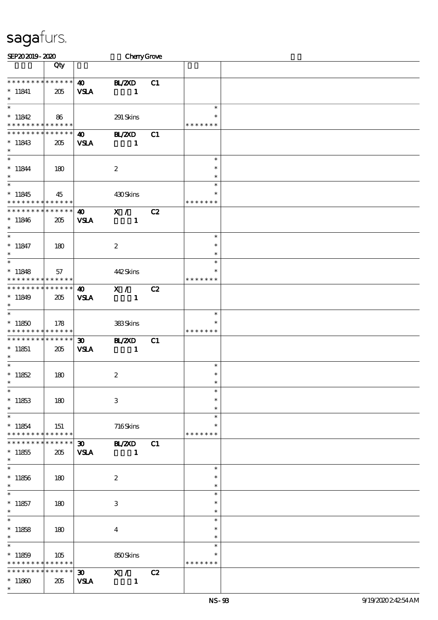| SEP202019-2020                             |                 |                             | CherryGrove      |    |                  |  |
|--------------------------------------------|-----------------|-----------------------------|------------------|----|------------------|--|
|                                            | Qty             |                             |                  |    |                  |  |
|                                            |                 |                             |                  |    |                  |  |
| * * * * * * * * * * * * * *                |                 | $\boldsymbol{\omega}$       | <b>H_/2XD</b>    | C1 |                  |  |
| $*$ 11841                                  | 205             | <b>VSLA</b>                 | $\mathbf{1}$     |    |                  |  |
| $\ast$                                     |                 |                             |                  |    |                  |  |
| $\ast$                                     |                 |                             |                  |    | $\ast$           |  |
| $*11842$                                   | 86              |                             | 291 Skins        |    |                  |  |
| * * * * * * * * * * * * * *                |                 |                             |                  |    | * * * * * * *    |  |
| * * * * * * * * * * * * * *                |                 | $\boldsymbol{\omega}$       | <b>H_/2XD</b>    | C1 |                  |  |
| $*11843$                                   | 205             | <b>VSLA</b>                 | $\mathbf{1}$     |    |                  |  |
| $\ast$                                     |                 |                             |                  |    |                  |  |
| $*$                                        |                 |                             |                  |    | $\ast$           |  |
| $* 11844$                                  | 180             |                             | $\boldsymbol{z}$ |    | $\ast$           |  |
| $\ast$                                     |                 |                             |                  |    | $\ast$           |  |
| $\overline{\ }$                            |                 |                             |                  |    | $\ast$           |  |
| $*11845$                                   |                 |                             |                  |    | $\ast$           |  |
| * * * * * * * * * * * * * *                | 45              |                             | 430Skins         |    | * * * * * * *    |  |
| * * * * * * * * * * * * * *                |                 |                             |                  |    |                  |  |
|                                            |                 | $\boldsymbol{\omega}$       | X /              | C2 |                  |  |
| $*11846$<br>$\ast$                         | 205             | <b>VSLA</b>                 | $\mathbf{1}$     |    |                  |  |
| $\overline{\phantom{0}}$                   |                 |                             |                  |    |                  |  |
|                                            |                 |                             |                  |    | $\ast$<br>$\ast$ |  |
| $* 11847$                                  | 180             |                             | $\boldsymbol{z}$ |    |                  |  |
| $\ast$<br>$\ast$                           |                 |                             |                  |    | $\ast$           |  |
|                                            |                 |                             |                  |    | $\ast$           |  |
| $*11848$                                   | 57              |                             | 442Skins         |    | $\ast$           |  |
| * * * * * * * * * * * * * *                |                 |                             |                  |    | * * * * * * *    |  |
| * * * * * * * * * * * * * *                |                 | $\boldsymbol{\omega}$       | X /              | C2 |                  |  |
| $*11849$                                   | 205             | <b>VSLA</b>                 | $\mathbf{1}$     |    |                  |  |
| $\ast$                                     |                 |                             |                  |    |                  |  |
| $\overline{\ast}$                          |                 |                             |                  |    | $\ast$           |  |
| $*11850$                                   | 178             |                             | 383Skins         |    | $\ast$           |  |
| * * * * * * * * <mark>* * * * * * *</mark> |                 |                             |                  |    | * * * * * * *    |  |
| * * * * * * * * * * * * * *                |                 | $\boldsymbol{\mathfrak{D}}$ | <b>H_/2XD</b>    | C1 |                  |  |
| $*11851$                                   | 205             | <b>VSLA</b>                 | $\mathbf{1}$     |    |                  |  |
| $\ast$                                     |                 |                             |                  |    |                  |  |
| $\overline{\ast}$                          |                 |                             |                  |    | $\ast$           |  |
| $*11852$                                   | 180             |                             | $\boldsymbol{2}$ |    | $\ast$           |  |
| $\star$                                    |                 |                             |                  |    | $\ast$           |  |
| $\ast$                                     |                 |                             |                  |    | $\ast$           |  |
| $*11853$                                   | 180             |                             | $\,3\,$          |    | $\ast$           |  |
| $\ast$                                     |                 |                             |                  |    | $\ast$           |  |
| $\ast$                                     |                 |                             |                  |    | $\ast$           |  |
| $*11854$                                   | 151             |                             | 716Skins         |    | $\ast$           |  |
| * * * * * * * * * * * * * * *              |                 |                             |                  |    | * * * * * * *    |  |
| * * * * * * *                              | $* * * * * * *$ | $\boldsymbol{\mathfrak{D}}$ | <b>H_/2XD</b>    | C1 |                  |  |
| $*11855$                                   | 205             | <b>VSLA</b>                 | $\blacksquare$   |    |                  |  |
| $\ast$                                     |                 |                             |                  |    |                  |  |
| $\overline{\ast}$                          |                 |                             |                  |    | $\ast$           |  |
| $*11856$                                   | 180             |                             | $\boldsymbol{2}$ |    | $\ast$           |  |
| $\ast$                                     |                 |                             |                  |    | $\ast$           |  |
| $\ast$                                     |                 |                             |                  |    | $\ast$           |  |
| $*11857$                                   | 180             |                             | $\,3$            |    | $\ast$           |  |
| $\ast$                                     |                 |                             |                  |    | $\ast$           |  |
| $\ast$                                     |                 |                             |                  |    | $\ast$           |  |
| $*11858$                                   | 180             |                             | $\boldsymbol{4}$ |    | $\ast$           |  |
| $\ast$                                     |                 |                             |                  |    | $\ast$           |  |
| $\ast$                                     |                 |                             |                  |    | $\ast$           |  |
| $*11859$                                   | 105             |                             | 850Skins         |    |                  |  |
| * * * * * * * * * * * * * *                |                 |                             |                  |    | * * * * * * *    |  |
| * * * * * * * *                            | $* * * * * * *$ | $\infty$                    | $\mathbf{X}$ /   | C2 |                  |  |
|                                            |                 |                             |                  |    |                  |  |
| $*11860$<br>$\ast$                         | 205             | <b>VSLA</b>                 | $\mathbf{1}$     |    |                  |  |
|                                            |                 |                             |                  |    |                  |  |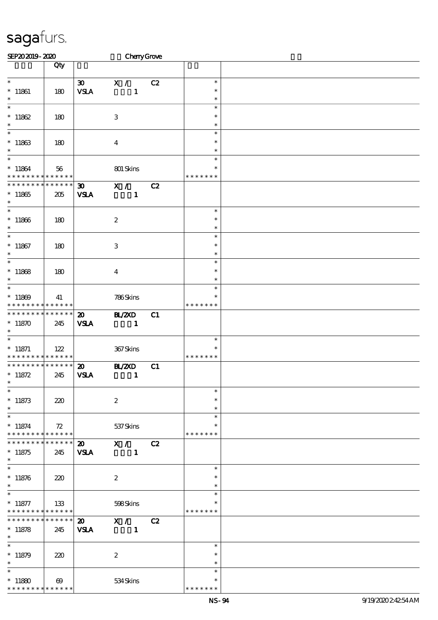| SEP202019-2020                                          |                       |                             | CherryGrove      |    |                  |  |
|---------------------------------------------------------|-----------------------|-----------------------------|------------------|----|------------------|--|
|                                                         | Qty                   |                             |                  |    |                  |  |
|                                                         |                       |                             |                  |    |                  |  |
| $\ast$                                                  |                       | $\boldsymbol{\mathfrak{D}}$ | X /              | C2 | $\ast$           |  |
| $*$ 11861                                               | 180                   | <b>VSLA</b>                 | $\mathbf{1}$     |    | $\ast$           |  |
| $\ast$                                                  |                       |                             |                  |    | $\ast$           |  |
| $\ast$                                                  |                       |                             |                  |    | $\ast$           |  |
| $*11862$                                                | 180                   |                             | $\,3$            |    | $\ast$           |  |
| $\ast$<br>$\overline{\phantom{0}}$                      |                       |                             |                  |    | $\ast$           |  |
|                                                         |                       |                             |                  |    | $\ast$           |  |
| $^*$ 11863 $\,$<br>$\ast$                               | 180                   |                             | $\boldsymbol{4}$ |    | $\ast$           |  |
| $\ast$                                                  |                       |                             |                  |    | $\ast$<br>$\ast$ |  |
| $*11864$                                                |                       |                             |                  |    | ∗                |  |
| * * * * * * * * <mark>* * * * * * *</mark>              | 56                    |                             | 801 Skins        |    | * * * * * * *    |  |
| * * * * * * * * * * * * * *                             |                       | $\boldsymbol{\mathfrak{D}}$ | X /              | C2 |                  |  |
| $*11865$                                                | 205                   | <b>VSLA</b>                 | $\mathbf{1}$     |    |                  |  |
| $\ast$                                                  |                       |                             |                  |    |                  |  |
| $\overline{\phantom{0}}$                                |                       |                             |                  |    | $\ast$           |  |
| $*11866$                                                | 180                   |                             | $\boldsymbol{2}$ |    | $\ast$           |  |
| $\ast$                                                  |                       |                             |                  |    | $\ast$           |  |
| $\overline{\ast}$                                       |                       |                             |                  |    | $\ast$           |  |
| $*11867$                                                | 180                   |                             | $\,3\,$          |    | $\ast$           |  |
| $\ast$                                                  |                       |                             |                  |    | $\ast$           |  |
| $\ast$                                                  |                       |                             |                  |    | $\ast$           |  |
| $*11868$<br>$\ast$                                      | 180                   |                             | $\boldsymbol{4}$ |    | $\ast$           |  |
| $\overline{\phantom{0}}$                                |                       |                             |                  |    | $\ast$<br>$\ast$ |  |
| $*11869$                                                |                       |                             |                  |    | $\ast$           |  |
| * * * * * * * * <mark>* * * * * *</mark>                | 41                    |                             | 786Skins         |    | * * * * * * *    |  |
| * * * * * * * * * * * * * *                             |                       | $\boldsymbol{\mathfrak{D}}$ | <b>BL/2XD</b>    | C1 |                  |  |
| $*11870$                                                | 245                   | <b>VSLA</b>                 | $\mathbf{1}$     |    |                  |  |
| $\ast$                                                  |                       |                             |                  |    |                  |  |
| $\ast$                                                  |                       |                             |                  |    | $\ast$           |  |
| $*$ 11871                                               | 122                   |                             | 367Skins         |    | ∗                |  |
| * * * * * * * * * * * * * *                             |                       |                             |                  |    | * * * * * * *    |  |
| * * * * * * * * * * * * * *                             |                       | $\boldsymbol{\mathfrak{D}}$ | <b>BL/2XD</b>    | C1 |                  |  |
| $* 11872$<br>$\ast$                                     | 245                   | <b>VSLA</b>                 | $\mathbf{1}$     |    |                  |  |
| $\ast$                                                  |                       |                             |                  |    | $\ast$           |  |
| $^\ast$ 11873                                           | 220                   |                             | $\boldsymbol{2}$ |    | $\ast$           |  |
| $\ast$                                                  |                       |                             |                  |    | $\ast$           |  |
| $\ast$                                                  |                       |                             |                  |    | $\ast$           |  |
| $*11874$                                                | 72                    |                             | 537 Skins        |    | $\ast$           |  |
| * * * * * * * * * * * * * *                             |                       |                             |                  |    | * * * * * * *    |  |
| * * * * * * * *                                         | * * * * * *           | $\boldsymbol{\mathsf{20}}$  | $\mathbf{X}$ /   | C2 |                  |  |
| $*11875$                                                | 245                   | <b>VSLA</b>                 | $\mathbf{1}$     |    |                  |  |
| $\ast$                                                  |                       |                             |                  |    |                  |  |
| $\overline{\phantom{a}^*}$                              |                       |                             |                  |    | $\ast$           |  |
| $*11876$                                                | 220                   |                             | $\boldsymbol{2}$ |    | ∗                |  |
| $\ast$<br>$\ast$                                        |                       |                             |                  |    | $\ast$<br>$\ast$ |  |
|                                                         |                       |                             |                  |    | $\ast$           |  |
| $* 11877$<br>* * * * * * * * <mark>* * * * * *</mark> * | 133                   |                             | 598Skins         |    | * * * * * * *    |  |
| * * * * * * * *                                         | $******$              | $\boldsymbol{\mathfrak{D}}$ | X / C2           |    |                  |  |
| $*11878$                                                | 245                   | <b>VSLA</b>                 | $\blacksquare$   |    |                  |  |
| $*$                                                     |                       |                             |                  |    |                  |  |
| $\overline{\phantom{0}}$                                |                       |                             |                  |    | $\ast$           |  |
| $*11879$                                                | 220                   |                             | $\boldsymbol{2}$ |    | $\ast$           |  |
| $\ast$                                                  |                       |                             |                  |    | $\ast$           |  |
| $\ast$                                                  |                       |                             |                  |    | $\ast$           |  |
| $*11880$                                                | $\boldsymbol{\omega}$ |                             | 534Skins         |    | $\ast$           |  |
| * * * * * * * * * * * * * *                             |                       |                             |                  |    | * * * * *        |  |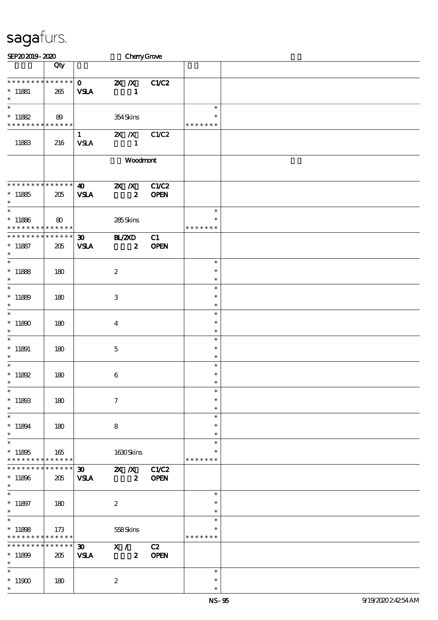| SEP202019-2020                             |                 |                             |                     | CherryGrove      |              |               |  |
|--------------------------------------------|-----------------|-----------------------------|---------------------|------------------|--------------|---------------|--|
|                                            | Qty             |                             |                     |                  |              |               |  |
|                                            |                 |                             |                     |                  |              |               |  |
| *************** 0                          |                 |                             | $X$ $N$             |                  | C1/C2        |               |  |
| $*$ 11881                                  | 265             | <b>VSLA</b>                 |                     | $\mathbf{1}$     |              |               |  |
| $\ast$                                     |                 |                             |                     |                  |              |               |  |
| $\ast$                                     |                 |                             |                     |                  |              | $\ast$        |  |
| $* 11882$                                  | 89              |                             | 354Skins            |                  |              |               |  |
| * * * * * * * * <mark>* * * * * * *</mark> |                 |                             |                     |                  |              | * * * * * * * |  |
|                                            |                 | $\mathbf{1}$                | $X$ $X$             |                  | C1/C2        |               |  |
| 11883                                      | 216             | <b>VSLA</b>                 |                     | $\mathbf{1}$     |              |               |  |
|                                            |                 |                             |                     |                  |              |               |  |
|                                            |                 |                             |                     | Woodmont         |              |               |  |
|                                            |                 |                             |                     |                  |              |               |  |
|                                            |                 |                             |                     |                  |              |               |  |
| * * * * * * * * * * * * * *                |                 | $\boldsymbol{\omega}$       | $X$ $X$             |                  | C1/C2        |               |  |
| $*11885$                                   | 205             | <b>VSLA</b>                 |                     | $\boldsymbol{z}$ | <b>OPEN</b>  |               |  |
| $\ast$                                     |                 |                             |                     |                  |              |               |  |
| $\overline{\phantom{0}}$                   |                 |                             |                     |                  |              | $\ast$        |  |
| $*11886$                                   | 80              |                             | 285Skins            |                  |              | $\ast$        |  |
| * * * * * * * * * * * * * *                |                 |                             |                     |                  |              | * * * * * * * |  |
| * * * * * * * * * * * * * *                |                 | $\boldsymbol{\mathfrak{D}}$ | <b>BL/2XD</b>       |                  | C1           |               |  |
| $* 11887$                                  | 205             | <b>VSLA</b>                 |                     | $\boldsymbol{z}$ | <b>OPEN</b>  |               |  |
| $\ast$                                     |                 |                             |                     |                  |              |               |  |
| $\ast$                                     |                 |                             |                     |                  |              | $\ast$        |  |
| $*11888$                                   | 180             |                             | $\boldsymbol{2}$    |                  |              | $\ast$        |  |
| $\ast$                                     |                 |                             |                     |                  |              | $\ast$        |  |
| $\ast$                                     |                 |                             |                     |                  |              | $\ast$        |  |
| $*11889$                                   | 180             |                             | 3                   |                  |              | $\ast$        |  |
| $\ast$                                     |                 |                             |                     |                  |              | $\ast$        |  |
| $\ast$                                     |                 |                             |                     |                  |              | $\ast$        |  |
| $*11890$                                   | 180             |                             | $\bf{4}$            |                  |              | $\ast$        |  |
| $\ast$                                     |                 |                             |                     |                  |              | $\ast$        |  |
| $\ast$                                     |                 |                             |                     |                  |              | $\ast$        |  |
| $*$ 11891                                  | 180             |                             | $\mathbf 5$         |                  |              | $\ast$        |  |
| $\ast$                                     |                 |                             |                     |                  |              | $\ast$        |  |
| $\ast$                                     |                 |                             |                     |                  |              | $\ast$        |  |
| $* 11892$                                  | 180             |                             | $\bf 6$             |                  |              | $\ast$        |  |
| $\ast$                                     |                 |                             |                     |                  |              | ж             |  |
| $\ast$                                     |                 |                             |                     |                  |              | $\ast$        |  |
| $^*$ 11893                                 | 180             |                             | $\boldsymbol{\tau}$ |                  |              | $\ast$        |  |
| $\ast$                                     |                 |                             |                     |                  |              | $\ast$        |  |
| $\ast$                                     |                 |                             |                     |                  |              | $\ast$        |  |
| $* 11894$                                  | 180             |                             | 8                   |                  |              | $\ast$        |  |
| $\ast$                                     |                 |                             |                     |                  |              | $\ast$        |  |
| $\ast$                                     |                 |                             |                     |                  |              | $\ast$        |  |
| $*11805$                                   | 165             |                             | 1630Skins           |                  |              | ∗             |  |
| * * * * * * * * <mark>* * * * * * *</mark> |                 |                             |                     |                  |              | * * * * * * * |  |
| * * * * * * *                              | $* * * * * * *$ | $30$ $2X$ $X$               |                     |                  | <b>C1/C2</b> |               |  |
| $*11896$                                   | 205             | <b>VSLA</b>                 |                     | $\boldsymbol{z}$ | <b>OPEN</b>  |               |  |
| $\ast$                                     |                 |                             |                     |                  |              |               |  |
| $\ast$                                     |                 |                             |                     |                  |              | $\ast$        |  |
| $* 11897$                                  | 180             |                             | $\boldsymbol{2}$    |                  |              | $\ast$        |  |
| $\ast$                                     |                 |                             |                     |                  |              | $\ast$        |  |
| $\overline{\ast}$                          |                 |                             |                     |                  |              | $\ast$        |  |
| $*11808$                                   | 173             |                             | 558Skins            |                  |              | ∗             |  |
| * * * * * * * * <mark>* * * * * * *</mark> |                 |                             |                     |                  |              | * * * * * * * |  |
| * * * * * * * *                            | ******          | $\boldsymbol{\mathfrak{D}}$ | X /                 |                  | C2           |               |  |
| $*11800$                                   | 205             | <b>VSLA</b>                 |                     | $\boldsymbol{z}$ | <b>OPEN</b>  |               |  |
| $\ast$                                     |                 |                             |                     |                  |              |               |  |
| $\ast$                                     |                 |                             |                     |                  |              | $\ast$        |  |
| $^*$ 11900 $\,$                            | 180             |                             | $\boldsymbol{2}$    |                  |              | $\ast$        |  |
| $\ast$                                     |                 |                             |                     |                  |              | $\ast$        |  |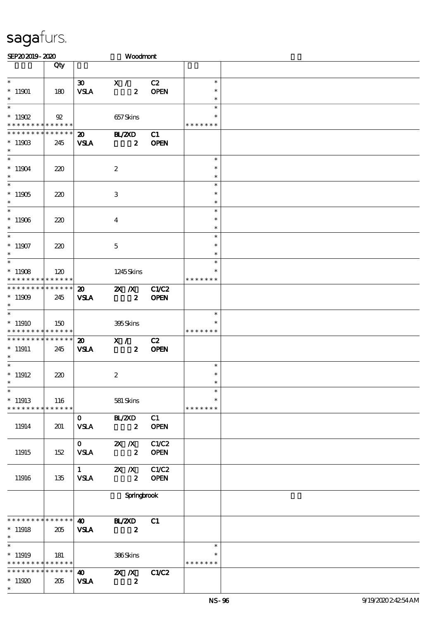| SEP202019-2020                             |                |                                      | Woodmont                                      |                      |                  |  |
|--------------------------------------------|----------------|--------------------------------------|-----------------------------------------------|----------------------|------------------|--|
|                                            | Qty            |                                      |                                               |                      |                  |  |
| $\overline{\ast}$                          |                |                                      |                                               |                      |                  |  |
|                                            |                | $\infty$                             | X /                                           | C2                   | $\ast$<br>$\ast$ |  |
| $^*$ 11901<br>$\ast$                       | 180            | <b>VSLA</b>                          | $\boldsymbol{z}$                              | <b>OPEN</b>          | $\ast$           |  |
| $\ast$                                     |                |                                      |                                               |                      | $\ast$           |  |
| $*$ 11902                                  | $\mathfrak{B}$ |                                      | 657Skins                                      |                      | $\ast$           |  |
| * * * * * * * * * * * * * *                |                |                                      |                                               |                      | * * * * * * *    |  |
| * * * * * * * * * * * * * *                |                | $\boldsymbol{\mathfrak{D}}$          | <b>HAZXD</b>                                  | C1                   |                  |  |
| $*1190B$                                   | 245            | <b>VSLA</b>                          | $\boldsymbol{z}$                              | <b>OPEN</b>          |                  |  |
| $\ast$                                     |                |                                      |                                               |                      |                  |  |
| $\overline{\ast}$                          |                |                                      |                                               |                      | $\ast$           |  |
| $^*$ 11904 $\,$<br>$\ast$                  | 220            |                                      | $\boldsymbol{2}$                              |                      | $\ast$           |  |
| $\ast$                                     |                |                                      |                                               |                      | $\ast$<br>$\ast$ |  |
| $*11905$                                   | 220            |                                      | $\ensuremath{\mathbf{3}}$                     |                      | $\ast$           |  |
| $\ast$                                     |                |                                      |                                               |                      | $\ast$           |  |
| $\ast$                                     |                |                                      |                                               |                      | $\ast$           |  |
| $*11906$                                   | 220            |                                      | $\bf{4}$                                      |                      | $\ast$           |  |
| $\ast$                                     |                |                                      |                                               |                      | $\ast$           |  |
| $\overline{\ast}$                          |                |                                      |                                               |                      | $\ast$           |  |
| $^*$ 11907                                 | 220            |                                      | $\mathbf 5$                                   |                      | $\ast$           |  |
| $\ast$<br>$\ast$                           |                |                                      |                                               |                      | $\ast$           |  |
|                                            |                |                                      |                                               |                      | $\ast$<br>∗      |  |
| $*11908$<br>* * * * * * * * * * * * * *    | 120            |                                      | 1245Skins                                     |                      | * * * * * * *    |  |
| * * * * * * * * * * * * * *                |                | $\boldsymbol{\mathfrak{D}}$          | $X$ $N$                                       | <b>C1/C2</b>         |                  |  |
| $^*$ 11909 $\,$                            | 245            | <b>VSLA</b>                          | $\boldsymbol{z}$                              | <b>OPEN</b>          |                  |  |
| $\ast$                                     |                |                                      |                                               |                      |                  |  |
| $\overline{\ast}$                          |                |                                      |                                               |                      | $\ast$           |  |
| $*11910$                                   | 150            |                                      | 395Skins                                      |                      | $\ast$           |  |
| * * * * * * * * <mark>* * * * * *</mark>   |                |                                      |                                               |                      | * * * * * * *    |  |
| * * * * * * * * * * * * * *                |                | $\boldsymbol{\mathsf{20}}$           | $\mathbf{X}$ /                                | C2                   |                  |  |
| $* 11911$<br>$\ast$                        | 245            | <b>VSLA</b>                          | $\boldsymbol{z}$                              | <b>OPEN</b>          |                  |  |
| $\ast$                                     |                |                                      |                                               |                      | $\ast$           |  |
| $*$ 11912                                  | 220            |                                      | $\boldsymbol{2}$                              |                      | $\ast$           |  |
|                                            |                |                                      |                                               |                      |                  |  |
| $\overline{\phantom{1}}$                   |                |                                      |                                               |                      | $\ast$           |  |
| $*$ 11913                                  | 116            |                                      | 581 Skins                                     |                      | $\ast$           |  |
| * * * * * * * * * * * * * *                |                |                                      |                                               |                      | * * * * * * *    |  |
|                                            |                | $\mathbf{O}$                         | BL/2XD                                        | C1                   |                  |  |
| 11914                                      | 201            | <b>VSLA</b>                          | $\boldsymbol{z}$                              | <b>OPEN</b>          |                  |  |
|                                            |                |                                      |                                               |                      |                  |  |
| 11915                                      | 152            | $\mathbf{O}$<br><b>VSLA</b>          | $\mathbf{X}$ $\mathbf{X}$<br>$\boldsymbol{z}$ | C1/C2<br><b>OPEN</b> |                  |  |
|                                            |                |                                      |                                               |                      |                  |  |
|                                            |                |                                      | 1 $\mathbb{Z} \times \mathbb{Z}$              | C1/C2                |                  |  |
| 11916                                      | 135            | <b>VSLA</b>                          | $\boldsymbol{z}$                              | <b>OPEN</b>          |                  |  |
|                                            |                |                                      |                                               |                      |                  |  |
|                                            |                |                                      | Springbrook                                   |                      |                  |  |
|                                            |                |                                      |                                               |                      |                  |  |
| * * * * * * * * <mark>* * * * * * *</mark> |                |                                      |                                               |                      |                  |  |
| $*11918$                                   | 205            | $\boldsymbol{\omega}$<br><b>VSLA</b> | <b>H_/2XD</b><br>$\boldsymbol{z}$             | C1                   |                  |  |
| $\ast$                                     |                |                                      |                                               |                      |                  |  |
| $\overline{\phantom{0}}$                   |                |                                      |                                               |                      | $\ast$           |  |
| $*11919$                                   | 181            |                                      | 386Skins                                      |                      | ∗                |  |
| * * * * * * * * <mark>* * * * * * *</mark> |                |                                      |                                               |                      | * * * * * * *    |  |
| * * * * * * * * * * * * * * *              |                | $\boldsymbol{\omega}$                | $X$ $N$                                       | C1/C2                |                  |  |
| $*11920$                                   | 205            | <b>VSLA</b>                          | $\boldsymbol{z}$                              |                      |                  |  |
| $\ast$                                     |                |                                      |                                               |                      |                  |  |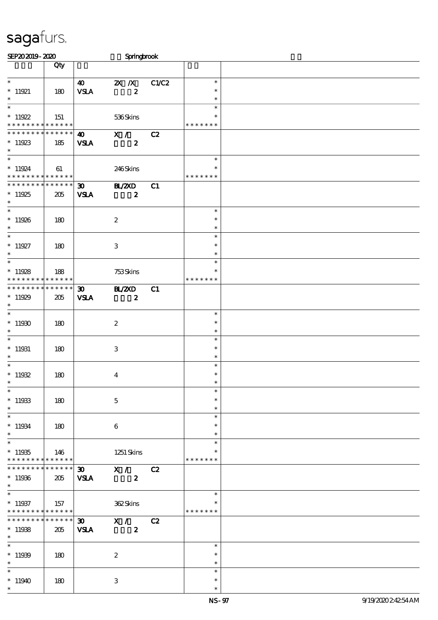| SEP202019-2020                                                                     |                    |                                            | Springbrook                                   |       |                                   |  |
|------------------------------------------------------------------------------------|--------------------|--------------------------------------------|-----------------------------------------------|-------|-----------------------------------|--|
|                                                                                    | Qty                |                                            |                                               |       |                                   |  |
| $\ast$<br>$*11921$<br>$\ast$                                                       | 180                | 40<br><b>VSLA</b>                          | $\mathbf{X}$ $\mathbf{X}$<br>$\boldsymbol{z}$ | C1/C2 | $\ast$<br>$\ast$<br>$\ast$        |  |
| $\overline{\phantom{0}}$<br>$*11922$<br>* * * * * * * * * * * * * *                | 151                |                                            | 536Skins                                      |       | $\ast$<br>* * * * * * *           |  |
| ******** <mark>******</mark><br>$*11923$<br>$\ast$                                 | 185                | $\boldsymbol{\omega}$<br><b>VSLA</b>       | X /<br>$\boldsymbol{z}$                       | C2    |                                   |  |
| $\overline{\ast}$<br>$*11924$<br>* * * * * * * * <mark>* * * * * * *</mark>        | 61                 |                                            | 246Skins                                      |       | $\ast$<br>∗<br>* * * * * * *      |  |
| * * * * * * * * * * * * * *<br>$*11925$<br>$\ast$                                  | 205                | $\boldsymbol{\mathfrak{D}}$<br><b>VSLA</b> | <b>HL/2XD</b><br>$\boldsymbol{z}$             | C1    |                                   |  |
| $\overline{\phantom{0}}$<br>$*11926$<br>$\ast$                                     | 180                |                                            | $\boldsymbol{2}$                              |       | $\ast$<br>$\ast$<br>$\ast$        |  |
| $\overline{\phantom{0}}$<br>$*11927$<br>$\ast$                                     | 180                |                                            | $\ensuremath{\mathbf{3}}$                     |       | $\ast$<br>$\ast$<br>$\ast$        |  |
| $\overline{\ast}$<br>$*11928$<br>* * * * * * * * <mark>* * * * * * *</mark>        | 188                |                                            | 753Skins                                      |       | $\ast$<br>$\ast$<br>* * * * * * * |  |
| * * * * * * * * * * * * * *<br>$*11929$<br>$\ast$                                  | 205                | $\boldsymbol{\mathfrak{D}}$<br><b>VSLA</b> | <b>HZZD</b><br>$\boldsymbol{z}$               | C1    |                                   |  |
| $\ast$<br>$*11930$<br>$\ast$                                                       | 180                |                                            | $\boldsymbol{2}$                              |       | $\ast$<br>$\ast$<br>$\ast$        |  |
| $\ast$<br>$*11931$<br>$\ast$                                                       | 180                |                                            | $\,3\,$                                       |       | $\ast$<br>$\ast$<br>$\ast$        |  |
| $\ast$<br>$*11932$<br>$\ast$                                                       | 180                |                                            | $\boldsymbol{4}$                              |       | $\ast$<br>$\ast$                  |  |
| $\ast$<br>$*11933$<br>$\ast$                                                       | 180                |                                            | $\mathbf 5$                                   |       | $\ast$<br>$\ast$<br>$\ast$        |  |
| $\overline{\phantom{0}}$<br>$* 11934$<br>$*$                                       | 180                |                                            | 6                                             |       | $\ast$<br>$\ast$<br>$\ast$        |  |
| $\overline{\ast}$<br>$^*$ 11935<br>* * * * * * * * * * * * * *                     | 146                |                                            | $1251$ Skins                                  |       | $\ast$<br>$\ast$<br>* * * * * * * |  |
| ********<br>$*11936$<br>$\ast$                                                     | * * * * * *<br>205 | $\boldsymbol{\mathfrak{D}}$<br><b>VSLA</b> | X /<br>$\boldsymbol{2}$                       | C2    |                                   |  |
| $\overline{\phantom{0}}$<br>$*11937$<br>* * * * * * * * <mark>* * * * * * *</mark> | 157                |                                            | 362Skins                                      |       | $\ast$<br>$\ast$<br>* * * * * * * |  |
| * * * * * * * *<br>$*11938$<br>$\ast$                                              | $******$<br>205    | $\infty$<br><b>VSLA</b>                    | X /<br>$\boldsymbol{z}$                       | C2    |                                   |  |
| $\overline{\phantom{a}^*}$<br>$*11939$<br>$\ast$                                   | 180                |                                            | $\boldsymbol{2}$                              |       | $\ast$<br>$\ast$<br>$\ast$        |  |
| $\overline{\ast}$<br>$*11940$<br>$\ast$                                            | 180                |                                            | 3                                             |       | $\ast$<br>$\ast$<br>$\ast$        |  |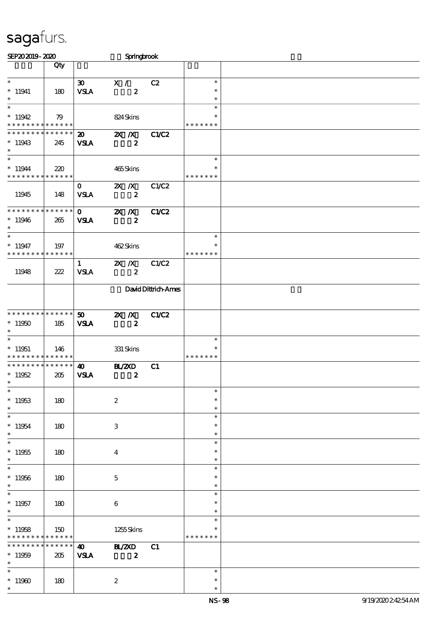| SEP202019-2020                                             |                    |                                      | Springbrook                       |                     |                                   |  |
|------------------------------------------------------------|--------------------|--------------------------------------|-----------------------------------|---------------------|-----------------------------------|--|
|                                                            | Qty                |                                      |                                   |                     |                                   |  |
| $\overline{\phantom{0}}$<br>$*11941$                       | 180                | $\infty$<br><b>VSLA</b>              | X /<br>$\boldsymbol{z}$           | C2                  | $\ast$<br>$\ast$                  |  |
| $\ast$<br>$\overline{\ast}$<br>$*11942$                    | 79                 |                                      | 824Skins                          |                     | $\ast$<br>$\ast$<br>$\ast$        |  |
| * * * * * * * * * * * * * *<br>* * * * * * * * * * * * * * |                    | $\boldsymbol{\omega}$                | $X$ $N$                           | C1/C2               | * * * * * * *                     |  |
| $*11943$<br>$\ast$<br>$\ast$                               | 245                | <b>VSLA</b>                          | $\boldsymbol{z}$                  |                     | $\ast$                            |  |
| $*11944$<br>* * * * * * * * <mark>* * * * * *</mark> *     | 220                |                                      | 465Skins                          |                     | $\ast$<br>* * * * * * *           |  |
| 11945                                                      | 148                | $\mathbf{O}$<br><b>VSLA</b>          | $X$ $X$<br>$\boldsymbol{z}$       | C1/C2               |                                   |  |
| * * * * * * * * * * * * * *<br>$*11946$<br>$\ast$          | 265                | $\mathbf{O}$<br><b>VSLA</b>          | $X$ $X$<br>$\boldsymbol{z}$       | C1/C2               |                                   |  |
| $\overline{\phantom{0}}$<br>$*11947$<br>* * * * * * * *    | 197<br>* * * * * * |                                      | 462Skins                          |                     | $\ast$<br>$\ast$<br>* * * * * * * |  |
| 11948                                                      | 222                | $\mathbf{1}$<br><b>VSLA</b>          | $X$ $N$<br>$\boldsymbol{z}$       | C1/C2               |                                   |  |
|                                                            |                    |                                      |                                   | David Dittrich-Ames |                                   |  |
| * * * * * * * * * * * * * *<br>$*11950$<br>$\ast$          | 185                | 50 <sub>2</sub><br><b>VSLA</b>       | $X$ $N$<br>$\boldsymbol{z}$       | C1/C2               |                                   |  |
| $\ast$<br>$*11951$<br>* * * * * * * * * * * * * *          | 146                |                                      | 331 Skins                         |                     | $\ast$<br>$\ast$<br>* * * * * * * |  |
| * * * * * * * * * * * * * *<br>$*11952$<br>∗               | 205                | $\boldsymbol{\omega}$<br><b>VSLA</b> | <b>HAZYD</b><br>$\boldsymbol{z}$  | C1                  |                                   |  |
| $\ast$<br>$*11953$<br>$\ast$                               | 180                |                                      | $\boldsymbol{2}$                  |                     | $\ast$<br>$\ast$<br>$\ast$        |  |
| $\ast$<br>$*11954$<br>$\ast$                               | 180                |                                      | $\,3$                             |                     | $\ast$<br>$\ast$<br>$\ast$        |  |
| $\ast$<br>$*11955$<br>$\ast$                               | 180                |                                      | $\overline{\mathbf{4}}$           |                     | $\ast$<br>$\ast$<br>$\ast$        |  |
| $\ast$<br>$*11956$<br>$\ast$                               | 180                |                                      | $\mathbf{5}$                      |                     | $\ast$<br>$\ast$<br>$\ast$        |  |
| $\ast$<br>$*11957$<br>$\ast$                               | 180                |                                      | 6                                 |                     | $\ast$<br>$\ast$<br>$\ast$        |  |
| $\ast$<br>$*11958$<br>* * * * * * * *                      | 150<br>* * * * * * |                                      | 1255Skins                         |                     | $\ast$<br>*<br>* * * * * * *      |  |
| * * * * * * *<br>$*11959$<br>$\ast$                        | * * * * * *<br>205 | $\boldsymbol{\omega}$<br><b>VSLA</b> | <b>BL/2XD</b><br>$\boldsymbol{z}$ | C1                  |                                   |  |
| $\ast$<br>$*11960$<br>$\ast$                               | 180                |                                      | $\boldsymbol{2}$                  |                     | $\ast$<br>$\ast$<br>$\ast$        |  |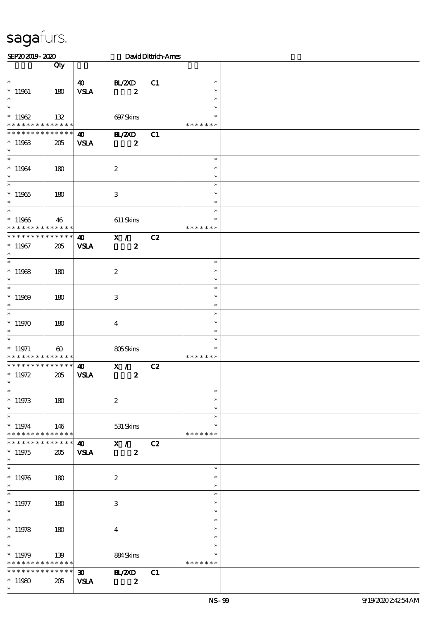| SEP202019-2020                                                      |                       |                                            |                                               | David Dittrich-Ames |                                   |  |
|---------------------------------------------------------------------|-----------------------|--------------------------------------------|-----------------------------------------------|---------------------|-----------------------------------|--|
|                                                                     | Qty                   |                                            |                                               |                     |                                   |  |
| $\ast$<br>$*11961$<br>$\ast$                                        | 180                   | 40<br><b>VSLA</b>                          | BL/2XD<br>$\boldsymbol{z}$                    | C1                  | $\ast$<br>$\ast$<br>$\ast$        |  |
| $\overline{\phantom{0}}$<br>$*11962$<br>* * * * * * * * * * * * * * | 132                   |                                            | 697Skins                                      |                     | $\ast$<br>* * * * * * *           |  |
| ******** <mark>******</mark><br>$*11963$<br>$\ast$                  | 205                   | $\boldsymbol{\omega}$<br><b>VSLA</b>       | B ZCD<br>$\boldsymbol{z}$                     | C1                  |                                   |  |
| $\overline{\ast}$<br>$^*$ 11964 $\,$<br>$\ast$                      | 180                   |                                            | $\boldsymbol{2}$                              |                     | $\ast$<br>$\ast$<br>$\ast$        |  |
| $\overline{\ast}$<br>$*11965$<br>$\ast$<br>$\overline{\phantom{0}}$ | 180                   |                                            | $\,3$                                         |                     | $\ast$<br>$\ast$<br>$\ast$        |  |
| $*11966$<br>* * * * * * * * * * * * * *                             | 46                    |                                            | $611$ Skins                                   |                     | $\ast$<br>∗<br>* * * * * * *      |  |
| * * * * * * * * * * * * * *<br>$*11967$<br>$\ast$                   | 205                   | $\boldsymbol{\omega}$<br><b>VSLA</b>       | X /<br>$\boldsymbol{z}$                       | C2                  |                                   |  |
| $*11968$<br>$\ast$                                                  | 180                   |                                            | $\boldsymbol{2}$                              |                     | $\ast$<br>$\ast$<br>$\ast$        |  |
| $\overline{\ast}$<br>$*11969$<br>$\ast$                             | 180                   |                                            | $\,3\,$                                       |                     | $\ast$<br>$\ast$<br>$\ast$        |  |
| $\overline{\ast}$<br>$*11970$<br>$\ast$                             | 180                   |                                            | $\boldsymbol{4}$                              |                     | $\ast$<br>$\ast$<br>$\ast$        |  |
| $\ast$<br>$*$ 11971<br>* * * * * * * * * * * * * *                  | $\boldsymbol{\omega}$ |                                            | 805Skins                                      |                     | $\ast$<br>$\ast$<br>* * * * * * * |  |
| * * * * * * * * * * * * * *<br>$*11972$<br>∗                        | 205                   | $\boldsymbol{\omega}$<br><b>VSLA</b>       | X /<br>$\boldsymbol{z}$                       | C2                  |                                   |  |
| $\ast$<br>$*11973$<br>$\ast$                                        | 180                   |                                            | $\boldsymbol{2}$                              |                     | $\ast$<br>$\ast$<br>$\ast$        |  |
| $\overline{\ast}$<br>$*11974$<br>* * * * * * * * * * * * * *        | 146                   |                                            | 531 Skins                                     |                     | $\ast$<br>$\ast$<br>* * * * * * * |  |
| ******** <mark>******</mark><br>$*11975$<br>$\ast$                  | 205                   | $\boldsymbol{\omega}$<br><b>VSLA</b>       | $\overline{\mathbf{x}}$ /<br>$\boldsymbol{z}$ | C2                  |                                   |  |
| $\ast$<br>$*11976$<br>$\ast$                                        | 180                   |                                            | $\boldsymbol{2}$                              |                     | $\ast$<br>$\ast$<br>$\ast$        |  |
| $\overline{\phantom{0}}$<br>$*$ 11977<br>$\ast$                     | 180                   |                                            | 3                                             |                     | $\ast$<br>$\ast$<br>$\ast$        |  |
| $\ast$<br>$*11978$<br>$\ast$                                        | 180                   |                                            | $\overline{4}$                                |                     | $\ast$<br>$\ast$<br>$\ast$        |  |
| $*11979$<br>* * * * * * * * * * * * * *                             | 139                   |                                            | 884Skins                                      |                     | $\ast$<br>* * * * * * *           |  |
| * * * * * * * * * * * * * * *<br>$*11980$<br>$\ast$                 | 205                   | $\boldsymbol{\mathfrak{D}}$<br><b>VSLA</b> | <b>H_/ZXD</b><br>$\boldsymbol{z}$             | C1                  |                                   |  |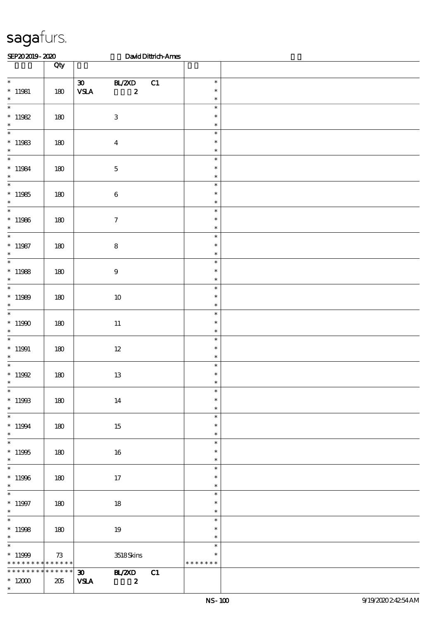| SEP202019-2020                                               |     |                                                            |                                   | David Dittrich-Ames |                                   |  |
|--------------------------------------------------------------|-----|------------------------------------------------------------|-----------------------------------|---------------------|-----------------------------------|--|
|                                                              | Qty |                                                            |                                   |                     |                                   |  |
| $\overline{\phantom{0}}$<br>$*11981$<br>$\ast$               | 180 | $\boldsymbol{\mathfrak{D}}$<br>$\ensuremath{\mathbf{VSA}}$ | BL/2XD<br>$\boldsymbol{z}$        | C1                  | $\ast$<br>$\ast$<br>$\ast$        |  |
| $\ast$<br>$*11982$<br>$\ast$                                 | 180 |                                                            | $\sqrt{3}$                        |                     | $\ast$<br>$\ast$<br>$\ast$        |  |
| $\overline{\phantom{0}}$<br>$*11983$<br>$\ast$               | 180 |                                                            | $\boldsymbol{4}$                  |                     | $\ast$<br>$\ast$<br>$\ast$        |  |
| $\ast$<br>$* 11984$<br>$\ast$                                | 180 |                                                            | $\mathbf 5$                       |                     | $\ast$<br>$\ast$<br>$\ast$        |  |
| $\overline{\phantom{0}}$<br>$*11985$<br>$\ast$               | 180 |                                                            | $\bf 6$                           |                     | $\ast$<br>$\ast$<br>$\ast$        |  |
| $\overline{\phantom{a}}$<br>$*11986$<br>$\ast$               | 180 |                                                            | $\boldsymbol{\tau}$               |                     | $\ast$<br>$\ast$<br>$\ast$        |  |
| $\overline{\phantom{0}}$<br>$*11987$<br>$\ast$               | 180 |                                                            | ${\bf 8}$                         |                     | $\ast$<br>$\ast$<br>$\ast$        |  |
| $\overline{\ast}$<br>$*11988$<br>$\ast$                      | 180 |                                                            | $\boldsymbol{9}$                  |                     | $\ast$<br>$\ast$<br>$\ast$        |  |
| $\overline{\phantom{0}}$<br>$*11989$<br>$\ast$               | 180 |                                                            | $10\,$                            |                     | $\ast$<br>$\ast$<br>$\ast$        |  |
| $\overline{\ast}$<br>$^*$ 11990 $\,$<br>$\ast$               | 180 |                                                            | $11\,$                            |                     | $\ast$<br>$\ast$<br>$\ast$        |  |
| $\ast$<br>$*11991$<br>$\ast$                                 | 180 |                                                            | $12\,$                            |                     | $\ast$<br>$\ast$<br>$\ast$        |  |
| $\ast$<br>$^*$ 11992<br>$*$                                  | 180 |                                                            | $13\,$                            |                     | $\ast$<br>$\ast$                  |  |
| $\overline{\ast}$<br>$*11993$<br>$\ast$                      | 180 |                                                            | 14                                |                     | $\ast$<br>$\ast$<br>$\ast$        |  |
| $\ast$<br>$*11994$<br>$\ast$                                 | 180 |                                                            | 15                                |                     | $\ast$<br>$\ast$<br>$\ast$        |  |
| $\ast$<br>$*11995$<br>$\ast$<br>$\overline{\phantom{a}^*}$   | 180 |                                                            | 16                                |                     | $\ast$<br>$\ast$<br>$\ast$        |  |
| $^*$ 11996 $\,$<br>$\ast$                                    | 180 |                                                            | 17                                |                     | $\ast$<br>$\ast$<br>$\ast$        |  |
| $\ast$<br>$* 11997$<br>$\ast$                                | 180 |                                                            | $18\,$                            |                     | $\ast$<br>$\ast$<br>$\ast$        |  |
| $\overline{\phantom{0}}$<br>$*11998$<br>$\ast$               | 180 |                                                            | 19                                |                     | $\ast$<br>$\ast$<br>$\ast$        |  |
| $\overline{\ast}$<br>$*11999$<br>* * * * * * * * * * * * * * | 73  |                                                            | $3518S\!$                         |                     | $\ast$<br>$\ast$<br>* * * * * * * |  |
| * * * * * * * * * * * * * * *<br>$*$ 12000<br>$\ast$         | 205 | $\infty$<br><b>VSLA</b>                                    | <b>BL/2XD</b><br>$\boldsymbol{z}$ | C1                  |                                   |  |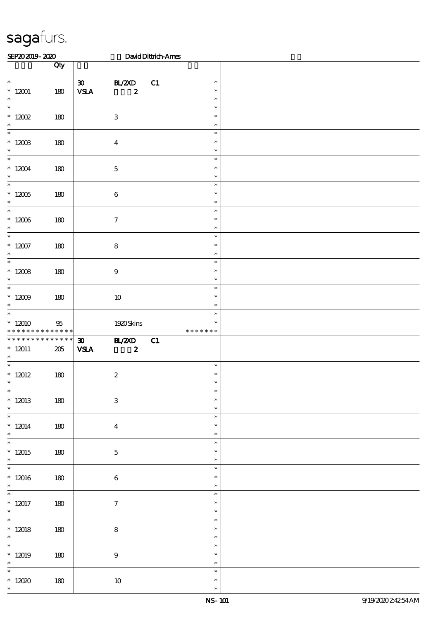| SEP202019-2020                                      |        |                                                                     |                                  | David Dittrich-Ames |                                   |  |
|-----------------------------------------------------|--------|---------------------------------------------------------------------|----------------------------------|---------------------|-----------------------------------|--|
|                                                     | Qty    |                                                                     |                                  |                     |                                   |  |
| $\ast$<br>$^*$ 12001<br>$\ast$                      | 180    | $\infty$<br>$\ensuremath{\mathbf{V}\mathbf{S}\mathbf{I}\mathbf{A}}$ | BL/2XD<br>$\boldsymbol{z}$       | C1                  | $\ast$<br>$\ast$<br>$\ast$        |  |
| $\overline{\ast}$<br>$^*$ 12002<br>$\ast$           | 180    |                                                                     | $\ensuremath{\mathbf{3}}$        |                     | $\ast$<br>$\ast$<br>$\ast$        |  |
| $\ast$<br>$*$ 12003<br>$\ast$                       | 180    |                                                                     | $\boldsymbol{4}$                 |                     | $\ast$<br>$\ast$<br>$\ast$        |  |
| $\ast$<br>$*12004$<br>$\ast$                        | 180    |                                                                     | $\mathbf 5$                      |                     | $\ast$<br>$\ast$<br>$\ast$        |  |
| $\overline{\phantom{a}}$<br>$^\ast$ 12005<br>$\ast$ | 180    |                                                                     | $\bf 6$                          |                     | $\ast$<br>$\ast$<br>$\ast$        |  |
| $\overline{\ast}$<br>$^\ast$ 12006<br>$\ast$        | 180    |                                                                     | $\boldsymbol{7}$                 |                     | $\ast$<br>$\ast$<br>$\ast$        |  |
| $\ast$<br>$^\ast$ 12007<br>$\ast$                   | 180    |                                                                     | ${\bf 8}$                        |                     | $\ast$<br>$\ast$<br>$\ast$        |  |
| $_{*}^{-}$<br>$^\ast$ 12008<br>$\ast$               | 180    |                                                                     | $\boldsymbol{9}$                 |                     | $\ast$<br>$\ast$<br>$\ast$        |  |
| $\overline{\ast}$<br>$^*$ 12009<br>$\ast$           | 180    |                                                                     | $10\,$                           |                     | $\ast$<br>$\ast$<br>$\ast$        |  |
| $\ast$<br>$*12010$<br>* * * * * * * * * * * * * *   | $95\,$ |                                                                     | 1920Skins                        |                     | $\ast$<br>$\ast$<br>* * * * * * * |  |
| * * * * * * * * * * * * * *<br>$* 12011$<br>$\ast$  | 205    | $\boldsymbol{\mathfrak{D}}$<br><b>VSLA</b>                          | <b>HAZYD</b><br>$\boldsymbol{z}$ | C1                  |                                   |  |
| $\overline{\phantom{0}}$<br>$* 12012$<br>$*$        | 180    |                                                                     | $\boldsymbol{z}$                 |                     | $\ast$<br>$\ast$<br>$\ast$        |  |
| $\ast$<br>$*12013$<br>$\ast$                        | 180    |                                                                     | $\bf 3$                          |                     | $\ast$<br>$\ast$<br>$\ast$        |  |
| $\overline{\phantom{0}}$<br>$* 12014$<br>$\ast$     | 180    |                                                                     | $\boldsymbol{4}$                 |                     | $\ast$<br>$\ast$<br>$\ast$        |  |
| $\overline{\phantom{a}^*}$<br>$*12015$<br>$\ast$    | 180    |                                                                     | $\mathbf 5$                      |                     | $\ast$<br>$\ast$<br>$\ast$        |  |
| $\overline{\phantom{0}}$<br>$*12016$<br>$\ast$      | 180    |                                                                     | $\bf 6$                          |                     | $\ast$<br>$\ast$<br>$\ast$        |  |
| $\ast$<br>$* 12017$<br>$\ast$                       | 180    |                                                                     | $\tau$                           |                     | $\ast$<br>$\ast$<br>$\ast$        |  |
| $\overline{\phantom{0}}$<br>$*12018$<br>$\ast$      | 180    |                                                                     | $\bf 8$                          |                     | $\ast$<br>$\ast$<br>$\ast$        |  |
| $\ast$<br>$*12019$<br>$\ast$                        | 180    |                                                                     | $\boldsymbol{9}$                 |                     | $\ast$<br>$\ast$<br>$\ast$        |  |
| $\ast$<br>$*12020$<br>$\ast$                        | 180    |                                                                     | $10\,$                           |                     | $\ast$<br>$\ast$<br>$\ast$        |  |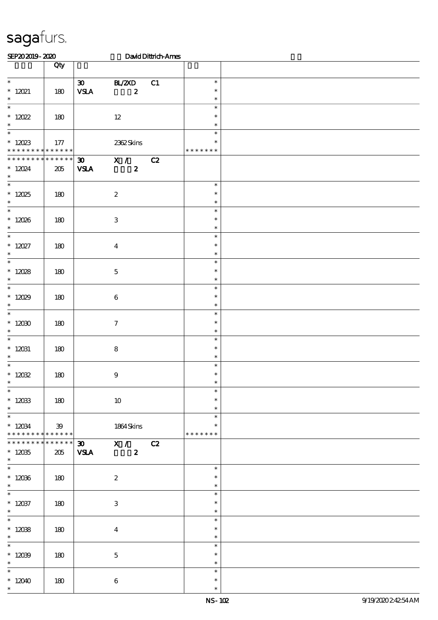| SEP202019-2020                                                           |                 |                                                                                  |                                 | David Dittrich-Ames |                                   |  |
|--------------------------------------------------------------------------|-----------------|----------------------------------------------------------------------------------|---------------------------------|---------------------|-----------------------------------|--|
|                                                                          | Qty             |                                                                                  |                                 |                     |                                   |  |
| $\overline{\phantom{a}}$<br>$*$ 12021<br>$\ast$                          | 180             | $\boldsymbol{\infty}$<br>$\ensuremath{\mathbf{V}\mathbf{S}\mathbf{I}\mathbf{A}}$ | BL/2XD<br>$\boldsymbol{z}$      | C1                  | $\ast$<br>$\ast$<br>$\ast$        |  |
| $\overline{\phantom{0}}$<br>$* 12022$<br>$\ast$                          | 180             |                                                                                  | $12\,$                          |                     | $\ast$<br>$\ast$<br>$\ast$        |  |
| $\ast$<br>$*$ 12023<br>* * * * * * * * * * * * * *                       | 177             |                                                                                  | 2362Skins                       |                     | $\ast$<br>$\ast$<br>* * * * * * * |  |
| * * * * * * * * * * * * * *<br>$* 12024$<br>$\ast$                       | 205             | <b>VSLA</b>                                                                      | $30$ X / C2<br>$\boldsymbol{z}$ |                     |                                   |  |
| $\overline{\ast}$<br>$* 12025$<br>$\ast$                                 | 180             |                                                                                  | $\boldsymbol{2}$                |                     | $\ast$<br>$\ast$<br>$\ast$        |  |
| $\overline{\phantom{0}}$<br>$*12026$<br>$\ast$                           | 180             |                                                                                  | $\,3$                           |                     | $\ast$<br>$\ast$<br>$\ast$        |  |
| $\overline{\ast}$<br>$* 12027$<br>$\ast$                                 | 180             |                                                                                  | $\boldsymbol{4}$                |                     | $\ast$<br>$\ast$<br>$\ast$        |  |
| $\overline{\ast}$<br>$* 12028$<br>$\ast$                                 | 180             |                                                                                  | $\mathbf 5$                     |                     | $\ast$<br>$\ast$<br>$\ast$        |  |
| $\overline{\phantom{0}}$<br>$* 12029$<br>$\ast$                          | 180             |                                                                                  | $\bf 6$                         |                     | $\ast$<br>$\ast$<br>$\ast$        |  |
| $\overline{\phantom{a}^*}$<br>$*12000$<br>$\ast$                         | 180             |                                                                                  | $\tau$                          |                     | $\ast$<br>$\ast$<br>$\ast$        |  |
| $\overline{\phantom{0}}$<br>$* 12031$<br>$\ast$                          | 180             |                                                                                  | $\bf 8$                         |                     | $\ast$<br>$\ast$<br>$\ast$        |  |
| $\ast$<br>$* 12032$<br>$\ast$                                            | 180             |                                                                                  | $\boldsymbol{9}$                |                     | $\ast$<br>$\ast$                  |  |
| $\overline{\phantom{a}^*}$<br>$* 12033$<br>$\ast$                        | 180             |                                                                                  | $10\,$                          |                     | $\ast$<br>$\ast$<br>$\ast$        |  |
| $\overline{\phantom{0}}$<br>$* 12034$<br>* * * * * * * *                 | 39<br>******    |                                                                                  | 1864 Skins                      |                     | $\ast$<br>$\ast$<br>* * * * * * * |  |
| * * * * * * * *<br>$^\ast$ 12035<br>$\ast$<br>$\overline{\phantom{a}^*}$ | $******$<br>205 | 30 <sub>o</sub><br><b>VSLA</b>                                                   | X / C2<br>$\boldsymbol{z}$      |                     |                                   |  |
| $*12036$<br>$\ast$                                                       | 180             |                                                                                  | $\boldsymbol{z}$                |                     | $\ast$<br>$\ast$<br>$\ast$        |  |
| $\overline{\phantom{0}}$<br>$* 12037$<br>$\ast$                          | 180             |                                                                                  | 3                               |                     | $\ast$<br>$\ast$<br>$\ast$        |  |
| $\ast$<br>$* 12038$<br>$\ast$                                            | 180             |                                                                                  | $\overline{4}$                  |                     | $\ast$<br>$\ast$<br>$\ast$        |  |
| $\overline{\phantom{0}}$<br>$*12039$<br>$\ast$                           | 180             |                                                                                  | $\mathbf 5$                     |                     | $\ast$<br>$\ast$<br>$\ast$        |  |
| $\overline{\phantom{0}}$<br>$*12040$<br>$\ast$                           | 180             |                                                                                  | $\bf 6$                         |                     | $\ast$<br>$\ast$<br>$\ast$        |  |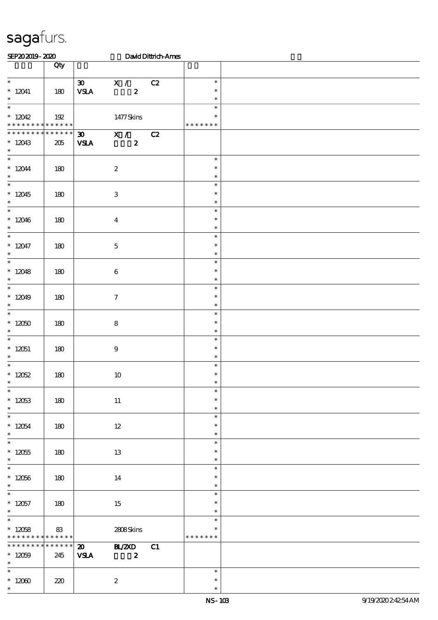| SEP202019-2020                                                         |                        | David Dittrich-Ames                                                                   |                                      |  |
|------------------------------------------------------------------------|------------------------|---------------------------------------------------------------------------------------|--------------------------------------|--|
|                                                                        | Qty                    |                                                                                       |                                      |  |
| $\ast$<br>$* 12041$                                                    | 180                    | $30 \times X$<br>C2<br><b>VSLA</b><br>$\boldsymbol{z}$                                | $\ast$<br>$\ast$                     |  |
| $\ast$<br>$\overline{\phantom{0}}$<br>$*12042$                         | 192                    | 1477Skins                                                                             | $\ast$<br>$\ast$<br>$\ast$           |  |
| * * * * * * * * * * * * * *<br>********<br>$*12043$<br>$\ast$          | $* * * * * * *$<br>205 | $X / \overline{C2}$<br>$\boldsymbol{\mathfrak{D}}$<br>$\boldsymbol{z}$<br><b>VSLA</b> | * * * * * * *                        |  |
| $\overline{\ast}$<br>$* 12044$<br>$\ast$                               | 180                    | $\boldsymbol{2}$                                                                      | $\ast$<br>$\ast$<br>$\ast$           |  |
| $\overline{\ast}$<br>$*12045$<br>$\ast$                                | 180                    | $\,3$                                                                                 | $\ast$<br>$\ast$<br>$\ast$           |  |
| $*12046$<br>$\ast$                                                     | 180                    | $\boldsymbol{4}$                                                                      | $\ast$<br>$\ast$<br>$\ast$           |  |
| $\overline{\ast}$<br>$* 12047$<br>$\ast$<br>$\overline{\phantom{a}^*}$ | 180                    | $\mathbf 5$                                                                           | $\ast$<br>$\ast$<br>$\ast$           |  |
| $*12048$<br>$\ast$<br>$\overline{\ast}$                                | 180                    | $\bf 6$                                                                               | $\ast$<br>$\ast$<br>$\ast$           |  |
| $*12049$<br>$\ast$<br>$\overline{\ast}$                                | 180                    | $\tau$                                                                                | $\ast$<br>$\ast$<br>$\ast$<br>$\ast$ |  |
| $^*$ 12050 $\,$<br>$\ast$<br>$\overline{\phantom{a}^*}$                | 180                    | ${\bf 8}$                                                                             | $\ast$<br>$\ast$<br>$\ast$           |  |
| $* 12051$<br>$\ast$<br>$\ast$                                          | 180                    | 9                                                                                     | $\ast$<br>$\ast$<br>$\ast$           |  |
| $*12052$<br>$\ast$<br>$\overline{\phantom{a}^*}$                       | 180                    | 10                                                                                    | $\ast$<br>∗<br>$\ast$                |  |
| $* 12053$<br>$\ast$<br>$\overline{\phantom{a}^*}$                      | 180                    | $11\,$                                                                                | $\ast$<br>$\ast$<br>$\ast$           |  |
| $* 12054$<br>$\ast$<br>$\overline{\ast}$                               | 180                    | $12\,$                                                                                | $\ast$<br>$\ast$<br>$\ast$           |  |
| $^\ast$ 12055<br>$\ast$<br>$\overline{\ast}$                           | 180                    | 13                                                                                    | $\ast$<br>$\ast$<br>$\ast$           |  |
| $* 12056$<br>$\ast$<br>$\overline{\phantom{0}}$                        | 180                    | 14                                                                                    | $\ast$<br>$\ast$<br>$\ast$           |  |
| $* 12057$<br>$\ast$<br>$\overline{\ast}$                               | 180                    | 15                                                                                    | $\ast$<br>$\ast$<br>$\ast$           |  |
| $*12058$<br>* * * * * * * * * * * * * *<br>* * * * * * * *             | 83<br>$* * * * * *$    | 2808Skins<br><b>BL/ZXD</b><br>$\boldsymbol{\mathfrak{D}}$<br>C1                       | ∗<br>* * * * * * *                   |  |
| $*12059$<br>$\ast$<br>$\overline{\phantom{0}}$                         | 245                    | <b>VSLA</b><br>$\boldsymbol{z}$                                                       | $\ast$                               |  |
| $*12000$<br>$\ast$                                                     | 220                    | $\boldsymbol{z}$                                                                      | $\ast$<br>$\ast$                     |  |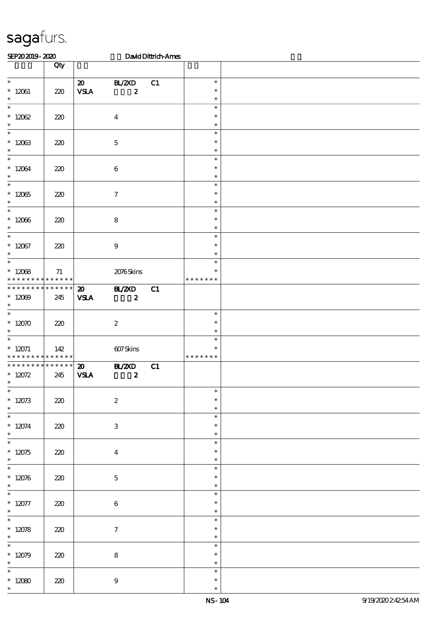| SEP202019-2020                                                         |     |                                            |                                   | David Dittrich-Ames |                                   |  |
|------------------------------------------------------------------------|-----|--------------------------------------------|-----------------------------------|---------------------|-----------------------------------|--|
|                                                                        | Qty |                                            |                                   |                     |                                   |  |
| $\ast$<br>$* 12061$<br>$\ast$                                          | 220 | $\boldsymbol{\mathfrak{D}}$<br>${\bf VSA}$ | BL/2XD<br>$\boldsymbol{z}$        | C1                  | $\ast$<br>$\ast$<br>$\ast$        |  |
| $\ast$<br>$* 12062$<br>$\ast$                                          | 220 |                                            | $\boldsymbol{4}$                  |                     | $\ast$<br>$\ast$<br>$\ast$        |  |
| $\ast$<br>$* 12063$<br>$\ast$                                          | 220 |                                            | $\mathbf 5$                       |                     | $\ast$<br>$\ast$<br>$\ast$        |  |
| $\overline{\ast}$<br>$* 12064$<br>$\ast$                               | 220 |                                            | $\bf 6$                           |                     | $\ast$<br>$\ast$<br>$\ast$        |  |
| $\overline{\ast}$<br>$*12065$<br>$\ast$<br>$\overline{\phantom{0}}$    | 220 |                                            | $\boldsymbol{\tau}$               |                     | $\ast$<br>$\ast$<br>$\ast$        |  |
| $* 12066$<br>$\ast$<br>$\overline{\ast}$                               | 220 |                                            | $\bf 8$                           |                     | $\ast$<br>$\ast$<br>$\ast$        |  |
| $* 12067$<br>$\ast$                                                    | 220 |                                            | $\boldsymbol{9}$                  |                     | $\ast$<br>$\ast$<br>$\ast$        |  |
| $\ast$<br>$* 12068$<br>* * * * * * * * * * * * * *                     | 71  |                                            | 2076Skins                         |                     | $\ast$<br>$\ast$<br>* * * * * * * |  |
| * * * * * * * * * * * * * *<br>$*12009$<br>$\ast$<br>$\overline{\ast}$ | 245 | $\boldsymbol{\mathfrak{D}}$<br><b>VSLA</b> | BL/2XD<br>$\boldsymbol{z}$        | C1                  |                                   |  |
| $*12070$<br>$\ast$                                                     | 220 |                                            | $\boldsymbol{2}$                  |                     | $\ast$<br>$\ast$<br>$\ast$        |  |
| $\ast$<br>$* 12071$<br>* * * * * * * * <mark>* * * * * * *</mark>      | 142 |                                            | 607Skins                          |                     | $\ast$<br>$\ast$<br>* * * * * * * |  |
| * * * * * * * * * * * * * *<br>$* 12072$<br>$\ast$                     | 245 | $\boldsymbol{\mathfrak{D}}$<br><b>VSLA</b> | <b>HL/2XD</b><br>$\boldsymbol{z}$ | C1                  |                                   |  |
| $\ast$<br>$* 12073$<br>$\ast$                                          | 220 |                                            | $\boldsymbol{2}$                  |                     | $\ast$<br>$\ast$<br>$\ast$        |  |
| $\overline{\ast}$<br>$* 12074$<br>$\ast$<br>$\overline{\phantom{0}}$   | 220 |                                            | 3                                 |                     | $\ast$<br>$\ast$<br>$\ast$        |  |
| $*12075$<br>$\ast$<br>$\overline{\phantom{0}}$                         | 220 |                                            | $\bf{4}$                          |                     | $\ast$<br>$\ast$<br>$\ast$        |  |
| $* 12076$<br>$\ast$                                                    | 220 |                                            | $\mathbf 5$                       |                     | $\ast$<br>$\ast$<br>$\ast$        |  |
| $\overline{\ast}$<br>$* 12077$<br>$\ast$<br>$\overline{\phantom{a}^*}$ | 220 |                                            | $\bf 6$                           |                     | $\ast$<br>$\ast$<br>$\ast$        |  |
| $* 12078$<br>$\ast$<br>$\overline{\phantom{0}}$                        | 220 |                                            | $\boldsymbol{7}$                  |                     | $\ast$<br>$\ast$<br>$\ast$        |  |
| $* 12079$<br>$\ast$                                                    | 220 |                                            | $\bf 8$                           |                     | $\ast$<br>$\ast$<br>$\ast$        |  |
| $\ast$<br>$^\ast$ 12080<br>$\ast$                                      | 220 |                                            | $\boldsymbol{9}$                  |                     | $\ast$<br>$\ast$<br>$\ast$        |  |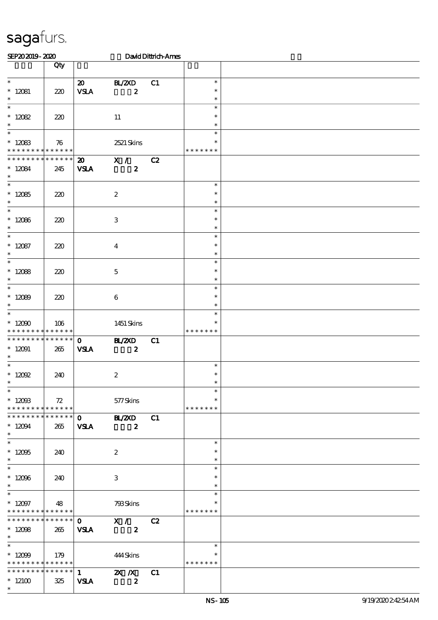| SEP202019-2020                             |     |                             |                  | David Dittrich-Ames |               |  |
|--------------------------------------------|-----|-----------------------------|------------------|---------------------|---------------|--|
|                                            | Qty |                             |                  |                     |               |  |
|                                            |     |                             |                  |                     |               |  |
| $\overline{\phantom{0}}$                   |     | $\boldsymbol{\mathfrak{D}}$ | BL/2XD           | C1                  | $\ast$        |  |
| $* 12081$                                  | 220 | <b>VSLA</b>                 | $\boldsymbol{z}$ |                     | $\ast$        |  |
| $\ast$                                     |     |                             |                  |                     | $\ast$        |  |
| $\overline{\phantom{0}}$                   |     |                             |                  |                     | $\ast$        |  |
| $* 12082$                                  | 220 |                             | $11\,$           |                     | $\ast$        |  |
| $\ast$                                     |     |                             |                  |                     | $\ast$        |  |
| $\ast$                                     |     |                             |                  |                     | $\ast$        |  |
| $* 12083$                                  | 76  |                             | 2521 Skins       |                     | $\ast$        |  |
| * * * * * * * * * * * * * *                |     |                             |                  |                     | * * * * * * * |  |
| * * * * * * * * * * * * * *                |     | $\boldsymbol{\mathsf{20}}$  | X /              | C2                  |               |  |
| $* 12084$                                  | 245 | <b>VSLA</b>                 | $\boldsymbol{z}$ |                     |               |  |
| $\ast$                                     |     |                             |                  |                     |               |  |
| $\overline{\phantom{0}}$                   |     |                             |                  |                     | $\ast$        |  |
| $*12085$                                   | 220 |                             | $\boldsymbol{2}$ |                     | $\ast$        |  |
| $\ast$                                     |     |                             |                  |                     | $\ast$        |  |
| $\ast$                                     |     |                             |                  |                     | $\ast$        |  |
| $*12086$                                   | 220 |                             | $\,3$            |                     | $\ast$        |  |
| $\ast$                                     |     |                             |                  |                     | $\ast$        |  |
| $\overline{\ast}$                          |     |                             |                  |                     | $\ast$        |  |
| $* 12087$                                  | 220 |                             | $\overline{4}$   |                     | $\ast$        |  |
| $\ast$                                     |     |                             |                  |                     | $\ast$        |  |
| $\overline{\phantom{0}}$                   |     |                             |                  |                     | $\ast$        |  |
| $* 12088$                                  | 220 |                             | $\mathbf 5$      |                     | $\ast$        |  |
| $\ast$                                     |     |                             |                  |                     | $\ast$        |  |
| $\ast$                                     |     |                             |                  |                     | $\ast$        |  |
| $*12089$                                   | 220 |                             | $\boldsymbol{6}$ |                     | $\ast$        |  |
| $\ast$                                     |     |                             |                  |                     | $\ast$        |  |
| $\ast$                                     |     |                             |                  |                     | $\ast$        |  |
| $^\ast$ 12090                              | 106 |                             | 1451 Skins       |                     | $\ast$        |  |
| * * * * * * * * <mark>* * * * * * *</mark> |     |                             |                  |                     | * * * * * * * |  |
| * * * * * * * * * * * * * *                |     | $\mathbf{O}$                | <b>HL/ZXD</b>    | C1                  |               |  |
| $* 12091$                                  | 265 | <b>VSIA</b>                 | $\boldsymbol{z}$ |                     |               |  |
| $\ast$                                     |     |                             |                  |                     |               |  |
| $\ast$                                     |     |                             |                  |                     | $\ast$        |  |
| $*$ 12092                                  | 240 |                             | $\boldsymbol{2}$ |                     | $\ast$        |  |
| $\ast$                                     |     |                             |                  |                     |               |  |
| $\overline{\phantom{0}}$                   |     |                             |                  |                     | $\ast$        |  |
| $^*$ 12003                                 | 72  |                             | 577Skins         |                     | $\ast$        |  |
| * * * * * * * * * * * * * *                |     |                             |                  |                     | * * * * * * * |  |
| ******** <mark>******</mark>               |     | $\mathbf{O}$                | <b>HL/2XD</b>    | C1                  |               |  |
| $* 12094$                                  | 265 | <b>VSLA</b>                 | $\boldsymbol{z}$ |                     |               |  |
| $*$                                        |     |                             |                  |                     |               |  |
| $\overline{\ast}$                          |     |                             |                  |                     | $\ast$        |  |
| $^\ast$ 12095                              | 240 |                             | $\boldsymbol{2}$ |                     | $\ast$        |  |
| $\ast$<br>$\overline{\phantom{0}}$         |     |                             |                  |                     | $\ast$        |  |
|                                            |     |                             |                  |                     | $\ast$        |  |
| $*12096$                                   | 240 |                             | 3                |                     | $\ast$        |  |
| $\ast$<br>$\overline{\phantom{0}}$         |     |                             |                  |                     | $\ast$        |  |
|                                            |     |                             |                  |                     | $\ast$        |  |
| $* 12097$                                  | 48  |                             | 793Skins         |                     | $\ast$        |  |
| * * * * * * * * * * * * * *                |     |                             |                  |                     | * * * * * * * |  |
| * * * * * * * * * * * * * * *              |     | $\mathbf{O}$                | X /              | C2                  |               |  |
| $* 12098$                                  | 265 | <b>VSLA</b>                 | $\boldsymbol{z}$ |                     |               |  |
| $\ast$<br>$\overline{\phantom{0}}$         |     |                             |                  |                     |               |  |
|                                            |     |                             |                  |                     | $\ast$        |  |
| $*12099$                                   | 179 |                             | 444Skins         |                     | ∗             |  |
| * * * * * * * * * * * * * *                |     |                             |                  |                     | * * * * * * * |  |
| ******** <mark>******</mark> 1             |     |                             | $X$ $N$          | C1                  |               |  |
| $^*$ 12100 $\,$                            | 325 | <b>VSLA</b>                 | $\boldsymbol{z}$ |                     |               |  |
| $\ast$                                     |     |                             |                  |                     |               |  |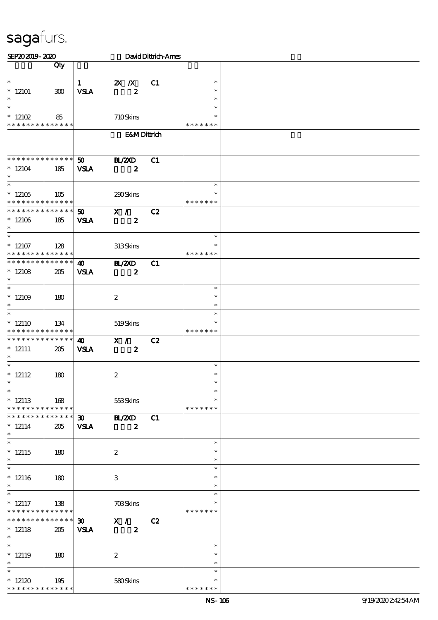| SEP202019-2020                                                         |     |                                            |                                   | David Dittrich-Ames |                                      |  |
|------------------------------------------------------------------------|-----|--------------------------------------------|-----------------------------------|---------------------|--------------------------------------|--|
|                                                                        | Qty |                                            |                                   |                     |                                      |  |
| $\ast$<br>$*12101$<br>$\ast$                                           | 300 | $\mathbf{1}$<br><b>VSLA</b>                | $X$ $N$<br>$\boldsymbol{z}$       | C1                  | $\ast$<br>$\ast$<br>$\ast$           |  |
| $\overline{\ast}$<br>$*12102$<br>* * * * * * * * * * * * * *           | 85  |                                            | 710Skins                          |                     | $\ast$<br>* * * * * * *              |  |
|                                                                        |     |                                            | <b>E&amp;MDittrich</b>            |                     |                                      |  |
| * * * * * * * * * * * * * *<br>$*12104$<br>$\ast$<br>$\overline{\ast}$ | 185 | 50<br><b>VSLA</b>                          | <b>H_/2XD</b><br>$\boldsymbol{z}$ | C1                  | $\ast$                               |  |
| $*12105$<br>* * * * * * * * <mark>* * * * * *</mark>                   | 105 |                                            | 290Skins                          |                     | $\ast$<br>* * * * * * *              |  |
| * * * * * * * * * * * * * *<br>$*12106$<br>$\ast$                      | 185 | 50<br><b>VSLA</b>                          | X /<br>$\boldsymbol{z}$           | C2                  |                                      |  |
| $\overline{\phantom{0}}$<br>$*12107$<br>* * * * * * * * * * * * * *    | 128 |                                            | 313Skins                          |                     | $\ast$<br>∗<br>* * * * * * *         |  |
| * * * * * * * * * * * * * *<br>$*12108$<br>$\ast$                      | 205 | $\boldsymbol{\omega}$<br><b>VSLA</b>       | <b>HL/2XD</b><br>$\boldsymbol{z}$ | C1                  |                                      |  |
| $\ast$<br>$*12109$<br>$\ast$<br>$\ast$                                 | 180 |                                            | $\boldsymbol{2}$                  |                     | $\ast$<br>$\ast$<br>$\ast$<br>$\ast$ |  |
| $*12110$<br>* * * * * * * * * * * * * *                                | 134 |                                            | 519Skins                          |                     | $\ast$<br>* * * * * * *              |  |
| * * * * * * * * * * * * * *<br>$* 12111$<br>$\ast$                     | 205 | $\boldsymbol{\omega}$<br><b>VSLA</b>       | X /<br>$\boldsymbol{z}$           | C2                  |                                      |  |
| $\ast$<br>$* 12112$<br>$\ast$<br>$\overline{\phantom{0}}$              | 180 |                                            | $\boldsymbol{2}$                  |                     | $\ast$<br>$\ast$                     |  |
| $*12113$<br>* * * * * * * * * * * * * *                                | 168 |                                            | 553Skins                          |                     | $\ast$<br>$\ast$<br>* * * * * * *    |  |
| * * * * * * * * * * * * * *<br>$* 12114$<br>$*$                        | 205 | $\boldsymbol{\mathfrak{D}}$<br><b>VSLA</b> | <b>HL/2XD</b><br>$\boldsymbol{z}$ | C1                  |                                      |  |
| $\overline{\phantom{0}}$<br>$*12115$<br>$\ast$                         | 180 |                                            | $\boldsymbol{2}$                  |                     | $\ast$<br>$\ast$<br>$\ast$           |  |
| $\ast$<br>$*12116$<br>$\ast$<br>$\overline{\phantom{0}}$               | 180 |                                            | $\,3$                             |                     | $\ast$<br>$\ast$<br>$\ast$           |  |
| $* 12117$<br>* * * * * * * * * * * * * *                               | 138 |                                            | <b>703Skins</b>                   |                     | $\ast$<br>$\ast$<br>* * * * * * *    |  |
| * * * * * * * * * * * * * * *<br>$* 12118$<br>$\ast$                   | 205 | $\infty$<br><b>VSLA</b>                    | X /<br>$\boldsymbol{z}$           | C2                  |                                      |  |
| $\overline{\phantom{a}^*}$<br>$*$ 12119<br>$\ast$                      | 180 |                                            | $\boldsymbol{2}$                  |                     | $\ast$<br>$\ast$<br>$\ast$           |  |
| $\overline{\ast}$<br>$*12120$<br>* * * * * * * * * * * * * *           | 195 |                                            | 580Skins                          |                     | $\ast$<br>$\ast$<br>* * * * *        |  |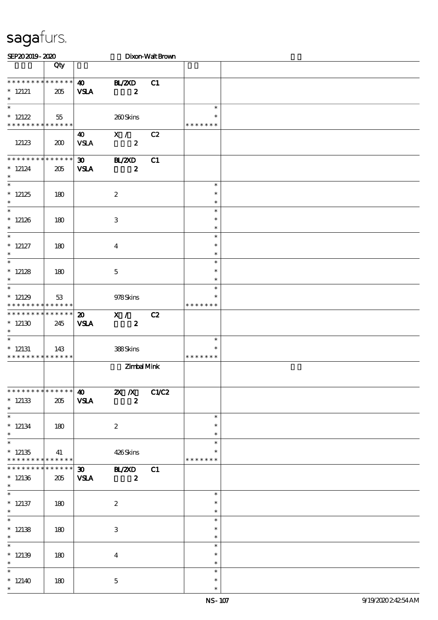| SEP202019-2020                                       |                       |                                            |                                      | Dixon-Walt Brown |                                   |  |
|------------------------------------------------------|-----------------------|--------------------------------------------|--------------------------------------|------------------|-----------------------------------|--|
|                                                      | Qty                   |                                            |                                      |                  |                                   |  |
| * * * * * * * * * * * * * * *<br>$*$ 12121<br>$\ast$ | 205                   | $\boldsymbol{\omega}$<br><b>VSLA</b>       | <b>HL/2XD</b><br>$\boldsymbol{z}$    | C1               |                                   |  |
| $\ast$<br>$* 12122$<br>* * * * * * * * * * * * * *   | 55                    |                                            | 260Skins                             |                  | $\ast$<br>* * * * * * *           |  |
| 12123                                                | 200                   | 40<br><b>VSLA</b>                          | X /<br>$\boldsymbol{z}$              | C2               |                                   |  |
| ********<br>$*12124$<br>$\ast$                       | * * * * * *<br>205    | $\boldsymbol{\mathfrak{D}}$<br><b>VSLA</b> | <b>BL/ZXD</b><br>$\boldsymbol{z}$    | C1               |                                   |  |
| $\ast$<br>$*12125$<br>$\ast$                         | 180                   |                                            | $\boldsymbol{2}$                     |                  | $\ast$<br>$\ast$<br>$\ast$        |  |
| $\overline{\phantom{0}}$<br>$*12126$<br>$\ast$       | 180                   |                                            | 3                                    |                  | $\ast$<br>$\ast$<br>$\ast$        |  |
| $\overline{\ast}$<br>$* 12127$<br>$\ast$             | 180                   |                                            | $\overline{4}$                       |                  | $\ast$<br>$\ast$<br>$\ast$        |  |
| $\overline{\phantom{a}^*}$<br>$*12128$<br>$\ast$     | 180                   |                                            | $\mathbf{5}$                         |                  | $\ast$<br>$\ast$<br>$\ast$        |  |
| $\ast$<br>$*12129$<br>* * * * * * * * * * * * * *    | 53                    |                                            | 978Skins                             |                  | $\ast$<br>$\ast$<br>* * * * * * * |  |
| ********<br>$*12130$<br>$\ast$                       | * * * * * *<br>245    | $\boldsymbol{\mathfrak{D}}$<br><b>VSLA</b> | X /<br>$\boldsymbol{z}$              | C2               |                                   |  |
| $\ast$<br>$*$ 12131<br>* * * * * * * * * * * * * *   | 143                   |                                            | 388Skins                             |                  | $\ast$<br>$\ast$<br>* * * * * * * |  |
|                                                      |                       |                                            | Zimbal Mink                          |                  |                                   |  |
| * * * * * * * * * * * * * *<br>$*12133$<br>$\ast$    | 205                   | $\boldsymbol{\omega}$<br><b>VSLA</b>       | $2X$ /X<br>$\boldsymbol{z}$          | C1/C2            |                                   |  |
| $\overline{\phantom{a}^*}$<br>$*12134$<br>$\ast$     | 180                   |                                            | $\boldsymbol{2}$                     |                  | $\ast$<br>$\ast$<br>$\ast$        |  |
| $\overline{\ast}$<br>$*12135$<br>* * * * * * * *     | 41<br>$* * * * * * *$ |                                            | 426Skins                             |                  | $\ast$<br>$\ast$<br>* * * * * * * |  |
| * * * * * * *<br>$*12136$<br>$\ast$                  | * * * * * *<br>205    | <b>VSLA</b>                                | 30 BL/2XD<br>$\overline{\mathbf{2}}$ | C1               |                                   |  |
| $\overline{\phantom{0}}$<br>$*12137$<br>$\ast$       | 180                   |                                            | $\boldsymbol{2}$                     |                  | $\ast$<br>$\ast$<br>$\ast$        |  |
| $\overline{\phantom{0}}$<br>$*12138$<br>$\ast$       | 180                   |                                            | 3                                    |                  | $\ast$<br>$\ast$<br>$\ast$        |  |
| $*12139$<br>$\ast$                                   | 180                   |                                            | $\bf{4}$                             |                  | $\ast$<br>$\ast$<br>$\ast$        |  |
| $\ast$<br>$*12140$<br>$\ast$                         | 180                   |                                            | $\mathbf{5}$                         |                  | $\ast$<br>$\ast$<br>$\ast$        |  |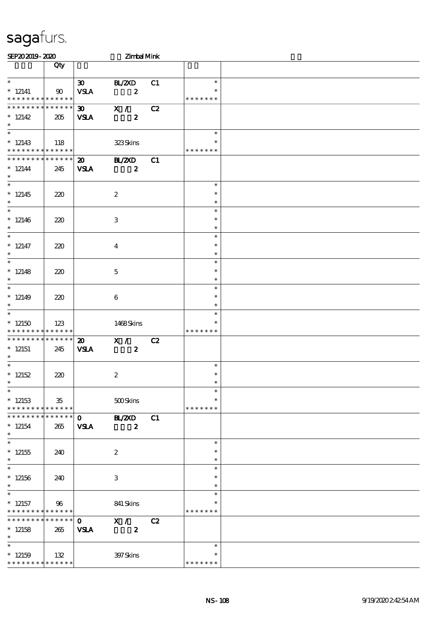| SEP202019-2020                                                   |     |                                            | Zimbal Mink                       |    |                                   |  |
|------------------------------------------------------------------|-----|--------------------------------------------|-----------------------------------|----|-----------------------------------|--|
|                                                                  | Qty |                                            |                                   |    |                                   |  |
| $\ast$<br>$*$ 12141<br>* * * * * * * * * * * * * *               | 90  | $\infty$<br><b>VSLA</b>                    | BL/2XD<br>$\boldsymbol{z}$        | C1 | $\ast$<br>$\ast$<br>* * * * * * * |  |
| * * * * * * * * * * * * * *<br>$*12142$<br>$\ast$                | 205 | $\boldsymbol{\mathfrak{D}}$<br><b>VSLA</b> | X /<br>$\boldsymbol{z}$           | C2 |                                   |  |
| $\ast$<br>$*12143$<br>* * * * * * * * <mark>* * * * * * *</mark> | 118 |                                            | 323Skins                          |    | $\ast$<br>$\ast$<br>* * * * * * * |  |
| * * * * * * * * * * * * * *<br>$* 12144$<br>$\ast$               | 245 | $\boldsymbol{\mathfrak{D}}$<br><b>VSLA</b> | <b>BL/2XD</b><br>$\boldsymbol{z}$ | C1 |                                   |  |
| $\overline{\phantom{a}^*}$<br>$*12145$<br>$\ast$                 | 220 |                                            | $\boldsymbol{2}$                  |    | $\ast$<br>$\ast$<br>$\ast$        |  |
| $\overline{\phantom{0}}$<br>$*12146$<br>$\ast$                   | 220 |                                            | 3                                 |    | $\ast$<br>$\ast$<br>$\ast$        |  |
| $\ast$<br>$* 12147$<br>$\ast$                                    | 220 |                                            | $\overline{4}$                    |    | $\ast$<br>$\ast$<br>$\ast$        |  |
| $\ast$<br>$*12148$<br>$\ast$                                     | 220 |                                            | $\mathbf{5}$                      |    | $\ast$<br>$\ast$<br>$\ast$        |  |
| $\ast$<br>$*12149$<br>$\ast$<br>$\ast$                           | 220 |                                            | 6                                 |    | $\ast$<br>$\ast$<br>$\ast$        |  |
| $*12150$<br>* * * * * * * * * * * * * *                          | 123 |                                            | 1468Skins                         |    | $\ast$<br>*<br>* * * * * * *      |  |
| * * * * * * * * * * * * * *<br>$*12151$<br>$\ast$                | 245 | $\boldsymbol{\mathfrak{D}}$<br><b>VSLA</b> | X /<br>$\boldsymbol{z}$           | C2 |                                   |  |
| $\ast$<br>$*12152$<br>$*$                                        | 220 |                                            | $\boldsymbol{2}$                  |    | $\ast$<br>$\ast$<br>$\ast$        |  |
| $\ast$<br>$*12153$<br>* * * * * * * * * * * * * * *              | 35  |                                            | 500Skins                          |    | $\ast$<br>$\ast$<br>* * * * * * * |  |
| * * * * * * * * * * * * * * *<br>$*12154$<br>$\ast$              | 265 | $\mathbf{O}$<br><b>VSLA</b>                | <b>HAZXD</b><br>$\boldsymbol{z}$  | C1 |                                   |  |
| $\ast$<br>$^*$ 12155<br>$\ast$                                   | 240 |                                            | $\boldsymbol{2}$                  |    | $\ast$<br>$\ast$<br>$\ast$        |  |
| $\ast$<br>$*12156$<br>$\ast$                                     | 240 |                                            | 3                                 |    | $\ast$<br>$\ast$<br>$\ast$        |  |
| $\ast$<br>$*$ 12157<br>* * * * * * * * * * * * * *               | 96  |                                            | 841 Skins                         |    | $\ast$<br>$\ast$<br>* * * * * * * |  |
| * * * * * * * * * * * * * * *<br>$*12158$<br>$*$                 | 265 | $\mathbf{O}$<br><b>VSLA</b>                | X /<br>$\boldsymbol{z}$           | C2 |                                   |  |
| $\ast$<br>$*12159$<br>* * * * * * * * * * * * * *                | 132 |                                            | 397Skins                          |    | $\ast$<br>∗<br>* * * * * * *      |  |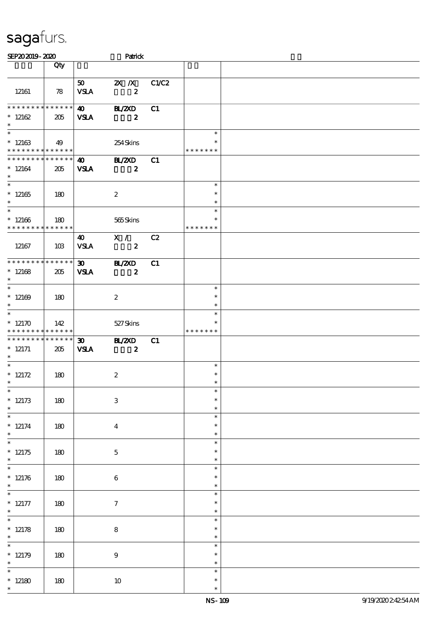| SEP202019-2020                                                        |                    |                                            | Patrick                                       |       |                                   |  |
|-----------------------------------------------------------------------|--------------------|--------------------------------------------|-----------------------------------------------|-------|-----------------------------------|--|
|                                                                       | Qty                |                                            |                                               |       |                                   |  |
| 12161                                                                 | 78                 | 50<br><b>VSLA</b>                          | $\mathbf{X}$ $\mathbf{X}$<br>$\boldsymbol{z}$ | C1/C2 |                                   |  |
| $*********$<br>$*12162$<br>$\ast$                                     | * * * * * *<br>205 | $\boldsymbol{\omega}$<br><b>VSLA</b>       | <b>HL/2XD</b><br>$\boldsymbol{z}$             | C1    |                                   |  |
| $\overline{\phantom{a}^*}$<br>$*12163$<br>* * * * * * * * * * * * * * | 49                 |                                            | 254Skins                                      |       | $\ast$<br>$\ast$<br>* * * * * * * |  |
| * * * * * * * * * * * * * *<br>$*12164$<br>$\ast$                     | 205                | 40<br><b>VSLA</b>                          | <b>BL/2XD</b><br>$\boldsymbol{z}$             | C1    |                                   |  |
| $\overline{\phantom{a}^*}$<br>$*12165$<br>$\ast$                      | 180                |                                            | $\boldsymbol{2}$                              |       | $\ast$<br>$\ast$<br>$\ast$        |  |
| $\overline{\ast}$<br>$*12166$<br>* * * * * * * *                      | 180<br>* * * * * * |                                            | 565Skins                                      |       | $\ast$<br>$\ast$<br>* * * * * * * |  |
| 12167                                                                 | 10B                | 40<br><b>VSLA</b>                          | X /<br>$\boldsymbol{z}$                       | C2    |                                   |  |
| ********<br>$*12168$<br>$\ast$                                        | * * * * * *<br>205 | $\boldsymbol{\mathfrak{D}}$<br><b>VSLA</b> | <b>HZZD</b><br>$\boldsymbol{z}$               | C1    |                                   |  |
| $\overline{\ast}$<br>$*12169$<br>$\ast$                               | 180                |                                            | $\boldsymbol{z}$                              |       | $\ast$<br>$\ast$<br>$\ast$        |  |
| $\overline{\ast}$<br>$*12170$<br>* * * * * * * * * * * * * *          | 142                |                                            | 527Skins                                      |       | $\ast$<br>$\ast$<br>* * * * * * * |  |
| * * * * * * * *<br>$* 12171$<br>$\ast$                                | * * * * * *<br>205 | $\boldsymbol{\mathfrak{D}}$<br><b>VSLA</b> | <b>BL/ZXD</b><br>$\boldsymbol{z}$             | C1    |                                   |  |
| $\ast$<br>* $12172$<br>$*$                                            | 180                |                                            | $\boldsymbol{2}$                              |       | $\ast$<br>$\ast$<br>$\ast$        |  |
| $\ast$<br>$* 12173$<br>$\ast$                                         | 180                |                                            | $\,3$                                         |       | $\ast$<br>$\ast$<br>$\ast$        |  |
| $\overline{\phantom{0}}$<br>$* 12174$<br>$\ast$                       | 180                |                                            | $\boldsymbol{4}$                              |       | $\ast$<br>$\ast$<br>$\ast$        |  |
| $\overline{\phantom{0}}$<br>$*12175$<br>$\ast$                        | 180                |                                            | $\mathbf 5$                                   |       | $\ast$<br>$\ast$<br>$\ast$        |  |
| $\overline{\phantom{0}}$<br>$*12176$<br>$*$                           | 180                |                                            | $\boldsymbol{6}$                              |       | $\ast$<br>$\ast$<br>$\ast$        |  |
| $\overline{\phantom{0}}$<br>$* 12177$<br>$\ast$                       | 180                |                                            | $\tau$                                        |       | $\ast$<br>$\ast$<br>$\ast$        |  |
| $\overline{\ast}$<br>* $12178$<br>$\ast$                              | 180                |                                            | ${\bf 8}$                                     |       | $\ast$<br>$\ast$<br>$\ast$        |  |
| $\overline{\ast}$<br>$*12179$<br>$\ast$                               | 180                |                                            | $\boldsymbol{9}$                              |       | $\ast$<br>$\ast$<br>$\ast$        |  |
| $\ast$<br>$*12180$<br>$\ast$                                          | 180                |                                            | $10\,$                                        |       | $\ast$<br>$\ast$<br>$\ast$        |  |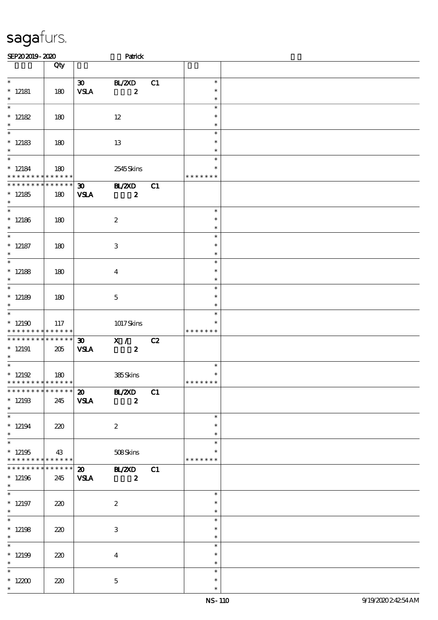| SEP202019-2020                                      |                 |                                            | Patrick                                                 |    |                                   |  |
|-----------------------------------------------------|-----------------|--------------------------------------------|---------------------------------------------------------|----|-----------------------------------|--|
|                                                     | Qty             |                                            |                                                         |    |                                   |  |
| $\overline{\ast}$<br>$*$ 12181<br>$\ast$            | 180             | $\infty$<br><b>VSLA</b>                    | BL/2XD<br>$\boldsymbol{z}$                              | C1 | $\ast$<br>$\ast$<br>$\ast$        |  |
| $\ast$<br>$* 12182$<br>$\ast$                       | 180             |                                            | $12 \,$                                                 |    | $\ast$<br>$\ast$<br>$\ast$        |  |
| $\ast$<br>$*12183$<br>$\ast$                        | 180             |                                            | 13                                                      |    | $\ast$<br>$\ast$<br>$\ast$        |  |
| $\ast$<br>$* 12184$<br>* * * * * * * * * * * * * *  | 180             |                                            | 2545Skins                                               |    | $\ast$<br>$\ast$<br>* * * * * * * |  |
| * * * * * * * * * * * * * *<br>$*12185$<br>$\ast$   | 180             | $\boldsymbol{\mathfrak{D}}$<br><b>VSLA</b> | BL/2XD<br>$\boldsymbol{z}$                              | C1 |                                   |  |
| $\overline{\phantom{0}}$<br>$*12186$<br>$\ast$      | 180             |                                            | $\boldsymbol{2}$                                        |    | $\ast$<br>$\ast$<br>$\ast$        |  |
| $\overline{\ast}$<br>$*$ 12187<br>$\ast$            | 180             |                                            | 3                                                       |    | $\ast$<br>$\ast$<br>$\ast$        |  |
| $\overline{\ast}$<br>$*$ 12188<br>$\ast$            | 180             |                                            | $\overline{4}$                                          |    | $\ast$<br>$\ast$<br>$\ast$        |  |
| $\ast$<br>$*12189$<br>$\ast$                        | 180             |                                            | $\mathbf{5}$                                            |    | $\ast$<br>$\ast$<br>$\ast$        |  |
| $\ast$<br>$*12190$<br>* * * * * * * *               | 117<br>******   |                                            | 1017Skins                                               |    | $\ast$<br>$\ast$<br>* * * * * * * |  |
| * * * * * * * * * * * * * *<br>$*12191$<br>$\ast$   | 205             | $\boldsymbol{\mathfrak{D}}$<br><b>VSLA</b> | X /<br>$\boldsymbol{z}$                                 | C2 |                                   |  |
| $\ast$<br>$^*$ 12192<br>* * * * * * * * * * * * * * | 180             |                                            | 385Skins                                                |    | $\ast$<br>$\ast$<br>* * * * * * * |  |
| $*12193$<br>$\ast$                                  | 245             | <b>VSLA</b>                                | *************** 20 BL/ZXD C1<br>$\overline{\mathbf{z}}$ |    |                                   |  |
| $\ast$<br>$*12194$<br>$\ast$<br>$\ast$              | 220             |                                            | $\boldsymbol{2}$                                        |    | $\ast$<br>$\ast$<br>$\ast$        |  |
| $*12195$<br>* * * * * * * * * * * * * * *           | 43              |                                            | 508Skins                                                |    | $\ast$<br>*<br>* * * * * * *      |  |
| * * * * * * * *<br>$*12196$<br>$\ast$               | $******$<br>245 | <b>VSLA</b>                                | 20 BL/2XD C1<br>$\overline{\mathbf{z}}$                 |    |                                   |  |
| $\ast$<br>$*12197$<br>$\ast$                        | 220             |                                            | $\boldsymbol{2}$                                        |    | $\ast$<br>$\ast$<br>$\ast$        |  |
| $\ast$<br>$*12198$<br>$*$                           | 220             |                                            | 3                                                       |    | $\ast$<br>$\ast$<br>$\ast$        |  |
| $\ast$<br>$*12199$<br>$\ast$                        | 220             |                                            | $\boldsymbol{4}$                                        |    | $\ast$<br>$\ast$<br>$\ast$        |  |
| $\ast$<br>$^*$ 12200 $\,$<br>$\ast$                 | 220             |                                            | $\mathbf{5}$                                            |    | $\ast$<br>$\ast$<br>$\ast$        |  |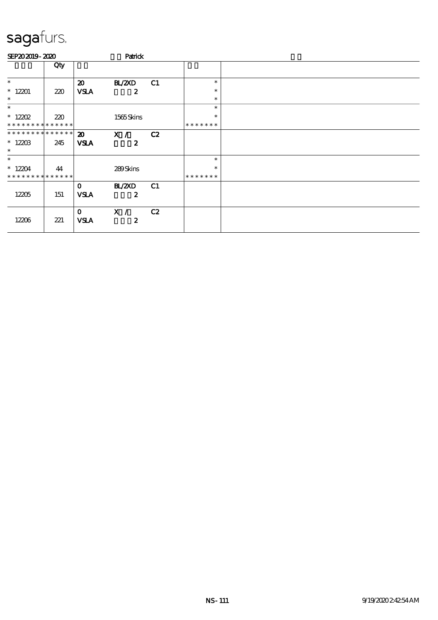| SEP202019-2020              |     | Parick                      |                         |    |               |  |
|-----------------------------|-----|-----------------------------|-------------------------|----|---------------|--|
|                             | Qty |                             |                         |    |               |  |
| $\ast$                      |     | $\boldsymbol{\mathfrak{D}}$ | BL/2XD                  | C1 | $\ast$        |  |
| $*12201$                    | 220 | <b>VSLA</b>                 | $\boldsymbol{z}$        |    | $\ast$        |  |
| $\ast$                      |     |                             |                         |    | $\ast$        |  |
| $\ast$                      |     |                             |                         |    | $\ast$        |  |
| $* 12202$                   | 220 |                             | 1565Skins               |    | $\ast$        |  |
| * * * * * * * * * * * * * * |     |                             |                         |    | * * * * * * * |  |
| **************              |     | $\boldsymbol{\mathfrak{D}}$ | X /                     | C2 |               |  |
| $*1220B$<br>$\ast$          | 245 | <b>VSLA</b>                 | $\boldsymbol{z}$        |    |               |  |
| $\ast$                      |     |                             |                         |    | $\ast$        |  |
| $*12204$                    | 44  |                             | 289Skins                |    | $\ast$        |  |
| * * * * * * * * * * * * * * |     |                             |                         |    | * * * * * * * |  |
|                             |     | $\mathbf 0$                 | <b>BL/ZXD</b>           | C1 |               |  |
| 12205                       | 151 | <b>VSLA</b>                 | $\boldsymbol{z}$        |    |               |  |
| 12206                       | 221 | $\mathbf{O}$<br><b>VSLA</b> | X /<br>$\boldsymbol{z}$ | C2 |               |  |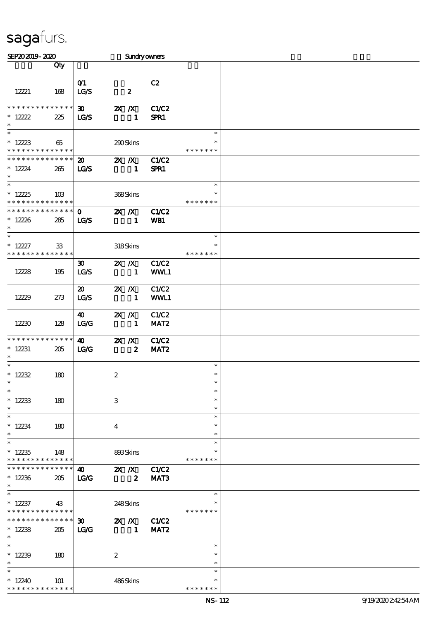| SEP202019-2020                                                        |                      |                                            | <b>Sundryowners</b>                                |                           |                                   |  |
|-----------------------------------------------------------------------|----------------------|--------------------------------------------|----------------------------------------------------|---------------------------|-----------------------------------|--|
|                                                                       | Qty                  |                                            |                                                    |                           |                                   |  |
| 12221                                                                 | 168                  | O(1)<br>LG/S                               | $\pmb{2}$                                          | C2                        |                                   |  |
| * * * * * * * * * * * * * *<br>$* 12222$<br>$\ast$                    | 225                  | $\boldsymbol{\mathfrak{D}}$<br><b>LG/S</b> | $X$ $X$<br>$\mathbf{1}$                            | <b>C1/C2</b><br>SPR1      |                                   |  |
| $\ast$<br>$*12223$<br>* * * * * * * * <mark>* * * * * * *</mark>      | 65                   |                                            | 290Skins                                           |                           | $\ast$<br>$\ast$<br>* * * * * * * |  |
| * * * * * * * * * * * * * * *<br>$* 12224$<br>$\ast$                  | 265                  | $\boldsymbol{\mathfrak{D}}$<br>LG/S        | $\mathbf{X}$ $\mathbf{X}$<br>$\mathbf{1}$          | <b>C1/C2</b><br>SPR1      |                                   |  |
| $\overline{\phantom{a}^*}$<br>$*12225$<br>* * * * * * * * * * * * * * | 10B                  |                                            | 368Skins                                           |                           | $\ast$<br>$\ast$<br>* * * * * * * |  |
| ******** <mark>******</mark><br>$*12226$<br>$\ast$                    | 285                  | $\mathbf{O}$<br>LGS                        | $\mathbf{X}$ $\mathbf{X}$<br>$\mathbf{1}$          | C1/C2<br>WB1              |                                   |  |
| $\ast$<br>$* 12227$<br>* * * * * * * * * * * * * *                    | 33                   |                                            | 318Skins                                           |                           | $\ast$<br>$\ast$<br>* * * * * * * |  |
| 12228                                                                 | 195                  | $\boldsymbol{\mathfrak{D}}$<br>LG/S        | $X$ $N$<br>$\sim$ 1                                | C1/C2<br>WWL1             |                                   |  |
| 12229                                                                 | 273                  | $\boldsymbol{\mathfrak{D}}$<br>LG/S        | $2X$ $X$<br>$\mathbf{1}$                           | C1/C2<br>WWL1             |                                   |  |
| 12230                                                                 | 128                  | $\boldsymbol{\omega}$<br>LG/G              | $X$ $N$<br>$\mathbf{1}$                            | C1/C2<br>MAT <sub>2</sub> |                                   |  |
| * * * * * * * * * * * * * *<br>$*12231$<br>$\ast$                     | 205                  | $\boldsymbol{\omega}$<br>LG                | $X$ $N$<br>$\boldsymbol{z}$                        | C1/C2<br>MAT <sub>2</sub> |                                   |  |
| $\ast$<br>$* 12232$<br>$\ast$                                         | 180                  |                                            | $\boldsymbol{2}$                                   |                           | $\ast$<br>$\ast$<br>$\ast$        |  |
| $\ast$<br>$*12233$<br>$\ast$                                          | 180                  |                                            | $\,3$                                              |                           | $\ast$<br>$\ast$<br>$\ast$        |  |
| $\ast$<br>$*12234$<br>$\ast$                                          | 180                  |                                            | $\overline{4}$                                     |                           | $\ast$<br>$\ast$<br>$\ast$        |  |
| $\ast$<br>$*12235$<br>* * * * * * * * * * * * * *                     | 148                  |                                            | 893Skins                                           |                           | $\ast$<br>$\ast$<br>* * * * * * * |  |
| * * * * * * * *<br>$*12236$<br>$\ast$                                 | * * * * * * *<br>205 | 40<br><b>LG/G</b>                          | $\mathbb{Z} \times \mathbb{Z}$<br>$\boldsymbol{z}$ | C1/C2<br>MAT3             |                                   |  |
| $\ast$<br>$*12237$<br>* * * * * * * * * * * * * *                     | 43                   |                                            | 248Skins                                           |                           | $\ast$<br>* * * * * * *           |  |
| * * * * * * * * * * * * * * *<br>$*12238$<br>$*$                      | 205                  | $\infty$<br>LG                             | 2X / X C1/C2<br>$\blacksquare$                     | MAT <sub>2</sub>          |                                   |  |
| $\ast$<br>$*12239$<br>$\ast$                                          | 180                  |                                            | $\boldsymbol{2}$                                   |                           | $\ast$<br>$\ast$<br>$\ast$        |  |
| $\ast$<br>$*12240$<br>* * * * * * * *                                 | 101<br>* * * * * *   |                                            | 486Skins                                           |                           | $\ast$<br>*<br>* * * * * * *      |  |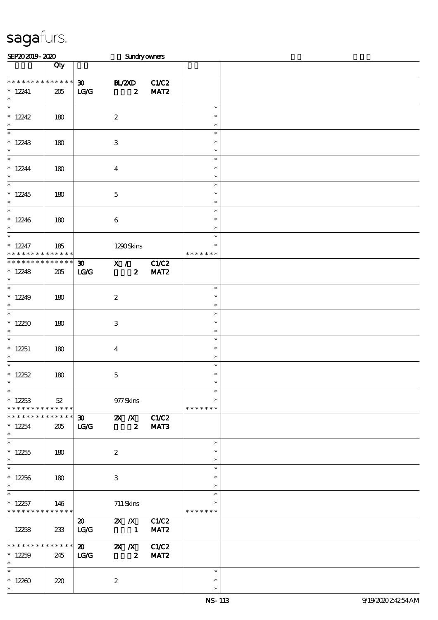| SEP202019-2020                                                      |                    |                                              |                                                                                                           | <b>Sundryowners</b>       |                                   |  |
|---------------------------------------------------------------------|--------------------|----------------------------------------------|-----------------------------------------------------------------------------------------------------------|---------------------------|-----------------------------------|--|
|                                                                     | Qty                |                                              |                                                                                                           |                           |                                   |  |
| * * * * * * * *<br>$*12241$<br>$\ast$                               | * * * * * *<br>205 | $\boldsymbol{\mathfrak{D}}$<br>$\mathbf{TC}$ | <b>H_/2XD</b><br>$\boldsymbol{z}$                                                                         | C1/C2<br>MAT <sub>2</sub> |                                   |  |
| $\ast$<br>$*12242$<br>$\ast$                                        | 180                |                                              | $\boldsymbol{2}$                                                                                          |                           | $\ast$<br>$\ast$<br>$\ast$        |  |
| $\overline{\phantom{0}}$<br>$*12243$<br>$\ast$                      | 180                |                                              | $\,3$                                                                                                     |                           | $\ast$<br>$\ast$<br>$\ast$        |  |
| $\overline{\ast}$<br>$*12244$<br>$\ast$                             | 180                |                                              | $\boldsymbol{4}$                                                                                          |                           | $\ast$<br>$\ast$<br>$\ast$        |  |
| $\overline{\phantom{a}^*}$<br>$*12245$<br>$\ast$                    | 180                |                                              | $\mathbf 5$                                                                                               |                           | $\ast$<br>$\ast$<br>$\ast$        |  |
| $\overline{\phantom{0}}$<br>$*12246$<br>$\ast$                      | 180                |                                              | $\bf 6$                                                                                                   |                           | $\ast$<br>$\ast$<br>$\ast$        |  |
| $\overline{\ast}$<br>$*12247$<br>* * * * * * * *                    | 185<br>* * * * * * |                                              | 1290Skins                                                                                                 |                           | $\ast$<br>$\ast$<br>* * * * * * * |  |
| * * * * * * * *<br>$*12248$<br>$\ast$                               | * * * * * *<br>205 | 30 <sub>1</sub><br>LG                        | $\overline{\mathbf{x}}$ /<br>$\boldsymbol{z}$                                                             | C1/C2<br>MAT <sub>2</sub> |                                   |  |
| $\overline{\phantom{0}}$<br>$*12249$<br>$\ast$<br>$\overline{\ast}$ | 180                |                                              | $\boldsymbol{2}$                                                                                          |                           | $\ast$<br>$\ast$<br>$\ast$        |  |
| $*12250$<br>$\ast$                                                  | 180                |                                              | $\ensuremath{\mathsf{3}}$                                                                                 |                           | $\ast$<br>$\ast$<br>$\ast$        |  |
| $\ast$<br>$*12251$<br>$\ast$                                        | 180                |                                              | $\boldsymbol{4}$                                                                                          |                           | $\ast$<br>$\ast$<br>$\ast$        |  |
| $\ast$<br>* $12252$<br>$*$                                          | 180                |                                              | $\mathbf 5$                                                                                               |                           | $\ast$<br>$\ast$<br>$\ast$        |  |
| $\ast$<br>$*12253$<br>* * * * * * * * <mark>* * * * * * *</mark>    | 52                 |                                              | 977Skins                                                                                                  |                           | $\ast$<br>$\ast$<br>* * * * * * * |  |
| * * * * * * * *<br>$* 12254$<br>$\ast$                              | * * * * * *<br>205 | LG/G                                         | $\overline{30}$ $\overline{2X}$ $\overline{X}$ $\overline{C1}$ $\overline{C2}$<br>$\overline{\mathbf{z}}$ | MAT3                      |                                   |  |
| $\ast$<br>$*12255$<br>$\ast$<br>$\overline{\phantom{1}}$            | 180                |                                              | $\boldsymbol{2}$                                                                                          |                           | $\ast$<br>$\ast$<br>$\ast$        |  |
| $*12256$<br>$\ast$                                                  | 180                |                                              | 3                                                                                                         |                           | $\ast$<br>$\ast$<br>$\ast$        |  |
| $*12257$<br>* * * * * * * * * * * * * *                             | 146                |                                              | 711 Skins                                                                                                 |                           | $\ast$<br>*<br>* * * * * * *      |  |
| 12258                                                               | 233                | $\boldsymbol{\mathfrak{D}}$<br>LG/G          | <b>2X X</b> C1/C2<br>$\mathbf{1}$                                                                         | MAT <sub>2</sub>          |                                   |  |
| **************<br>$*12259$<br>$\ast$                                | 245                | $\boldsymbol{\mathsf{20}}$<br>$\mathbf{LG}$  | <b>2X X</b> C1/C2<br>$\overline{\mathbf{2}}$                                                              | MAT <sub>2</sub>          |                                   |  |
| $\ast$<br>$*12200$<br>$\ast$                                        | 220                |                                              | $\boldsymbol{2}$                                                                                          |                           | $\ast$<br>$\ast$<br>$\ast$        |  |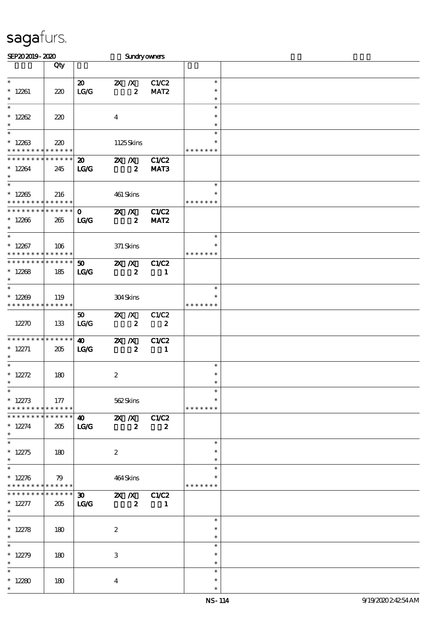| SEP202019-2020                           |          |                                  |                           |                  | <b>Sundryowners</b> |               |  |
|------------------------------------------|----------|----------------------------------|---------------------------|------------------|---------------------|---------------|--|
|                                          | Qty      |                                  |                           |                  |                     |               |  |
|                                          |          |                                  |                           |                  |                     |               |  |
| $\ast$                                   |          | $\boldsymbol{\mathfrak{D}}$      |                           | $X$ $N$          | C1/C2               | $\ast$        |  |
| $* 12261$                                | 220      | LG/G                             |                           | $\boldsymbol{z}$ | MAT <sub>2</sub>    | $\ast$        |  |
| $\ast$                                   |          |                                  |                           |                  |                     | $\ast$        |  |
| $\ast$                                   |          |                                  |                           |                  |                     | $\ast$        |  |
| $*12262$                                 | 220      |                                  | $\boldsymbol{4}$          |                  |                     | $\ast$        |  |
| $\ast$                                   |          |                                  |                           |                  |                     | $\ast$        |  |
| $\ast$                                   |          |                                  |                           |                  |                     | $\ast$        |  |
| $*12263$                                 | 220      |                                  |                           | 1125Skins        |                     | ∗             |  |
| * * * * * * * * <mark>* * * * * *</mark> |          |                                  |                           |                  |                     | * * * * * * * |  |
| * * * * * * * * * * * * * * *            |          | $\boldsymbol{\mathfrak{D}}$      | $X$ $N$                   |                  | <b>C1/C2</b>        |               |  |
| $*12264$                                 | 245      | $\mathbf{L}\mathbf{C}\mathbf{C}$ |                           | $\boldsymbol{z}$ | MAT3                |               |  |
| $\ast$                                   |          |                                  |                           |                  |                     |               |  |
| $\overline{\phantom{a}^*}$               |          |                                  |                           |                  |                     | $\ast$        |  |
| $*12265$                                 | 216      |                                  |                           | 461 Skins        |                     |               |  |
| * * * * * * * * * * * * * * *            |          |                                  |                           |                  |                     | * * * * * * * |  |
| * * * * * * * * * * * * * * *            |          | $\mathbf{O}$                     | $\mathbf{X}$ $\mathbf{X}$ |                  | C1/C2               |               |  |
| $*12266$                                 | 265      | LG                               |                           | $\boldsymbol{z}$ | MAT <sub>2</sub>    |               |  |
| $\ast$                                   |          |                                  |                           |                  |                     |               |  |
| $\ast$                                   |          |                                  |                           |                  |                     | $\ast$        |  |
| $*12267$                                 | 106      |                                  |                           | 371 Skins        |                     | $\ast$        |  |
| * * * * * * * * * * * * * * *            |          |                                  |                           |                  |                     | * * * * * * * |  |
| * * * * * * * * * * * * * *              |          | 50 <sub>o</sub>                  | $X$ $N$                   |                  | C1/C2               |               |  |
| $*12268$                                 | 185      | LG                               |                           | $\boldsymbol{z}$ | $\blacksquare$      |               |  |
| $\ast$                                   |          |                                  |                           |                  |                     |               |  |
| $\ast$                                   |          |                                  |                           |                  |                     | $\ast$        |  |
| $*12209$                                 | 119      |                                  |                           | 304Skins         |                     | ∗             |  |
| * * * * * * * * * * * * * *              |          |                                  |                           |                  |                     | * * * * * * * |  |
|                                          |          | 50 <sub>o</sub>                  | $X \, X$                  |                  | C1/C2               |               |  |
| 12270                                    | 133      | LG/G                             |                           | $\boldsymbol{z}$ | $\boldsymbol{z}$    |               |  |
|                                          |          |                                  |                           |                  |                     |               |  |
| ******** <mark>******</mark>             |          | $\boldsymbol{\omega}$            | $X$ $N$                   |                  | C1/C2               |               |  |
| $* 12271$                                | 205      | LG                               |                           | $\boldsymbol{z}$ | 1                   |               |  |
| $\ast$                                   |          |                                  |                           |                  |                     |               |  |
| $\ast$                                   |          |                                  |                           |                  |                     | $\ast$        |  |
| * $12272$                                | 180      |                                  | $\boldsymbol{z}$          |                  |                     | $\ast$        |  |
| $\ast$                                   |          |                                  |                           |                  |                     | $\ast$        |  |
| $\ast$                                   |          |                                  |                           |                  |                     | $\ast$        |  |
| $* 12273$                                | 177      |                                  |                           | 562Skins         |                     | $\ast$        |  |
| * * * * * * * * * * * * * * *            |          |                                  |                           |                  |                     | * * * * * * * |  |
| * * * * * * * * * * * * * * *            |          |                                  |                           |                  | 40 2X /X C1/C2      |               |  |
| $* 12274$                                | 205      | <b>LG/G</b>                      |                           | $\boldsymbol{z}$ | $\boldsymbol{z}$    |               |  |
| $\ast$                                   |          |                                  |                           |                  |                     |               |  |
| $\ast$                                   |          |                                  |                           |                  |                     | $\ast$        |  |
| $* 12275$                                | 180      |                                  | $\boldsymbol{2}$          |                  |                     | $\ast$        |  |
| $\ast$                                   |          |                                  |                           |                  |                     | $\ast$        |  |
| $\ast$                                   |          |                                  |                           |                  |                     | $\ast$        |  |
| $* 12276$                                | 79       |                                  |                           | 464Skins         |                     |               |  |
| * * * * * * * * * * * * * * *            |          |                                  |                           |                  |                     | * * * * * * * |  |
| * * * * * * * *                          | $******$ | $\boldsymbol{\mathfrak{D}}$      |                           |                  | <b>2X X</b> C1/C2   |               |  |
| $* 12277$                                | 205      | <b>LG/G</b>                      |                           | $\boldsymbol{2}$ | $\blacksquare$      |               |  |
| $\ast$<br>$\overline{\ast}$              |          |                                  |                           |                  |                     |               |  |
|                                          |          |                                  |                           |                  |                     | $\ast$        |  |
| $* 12278$<br>$\ast$                      | 180      |                                  | $\boldsymbol{2}$          |                  |                     | $\ast$        |  |
| $\ast$                                   |          |                                  |                           |                  |                     | $\ast$        |  |
|                                          |          |                                  |                           |                  |                     | $\ast$        |  |
| * $12279$                                | 180      |                                  | $\,3$                     |                  |                     | $\ast$        |  |
| $\ast$<br>$\ast$                         |          |                                  |                           |                  |                     | $\ast$        |  |
|                                          |          |                                  |                           |                  |                     | $\ast$        |  |
| $*12280$<br>$\ast$                       | 180      |                                  | $\overline{\mathbf{4}}$   |                  |                     | $\ast$        |  |
|                                          |          |                                  |                           |                  |                     | $\ast$        |  |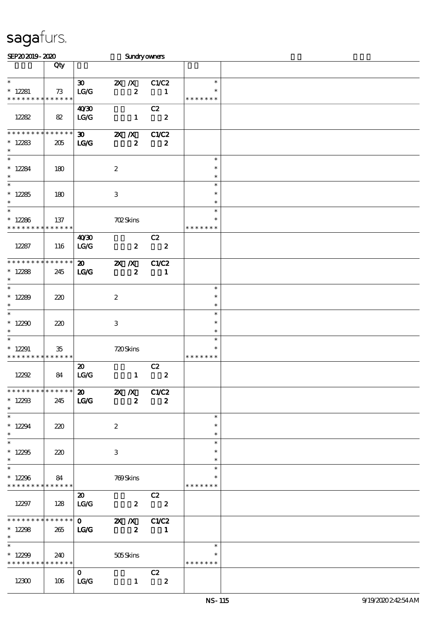| SEP202019-2020                            |             |                                     |                           |                         | Sundryowners                                                                                                                             |                  |  |
|-------------------------------------------|-------------|-------------------------------------|---------------------------|-------------------------|------------------------------------------------------------------------------------------------------------------------------------------|------------------|--|
|                                           | Qty         |                                     |                           |                         |                                                                                                                                          |                  |  |
| $\ast$                                    |             |                                     |                           |                         |                                                                                                                                          | $\ast$           |  |
| $* 12281$                                 | 73          | $\boldsymbol{\mathfrak{D}}$<br>LG/G | $X$ $N$                   | $\boldsymbol{z}$        | C1/C2<br>$\blacksquare$                                                                                                                  | $\ast$           |  |
| * * * * * * * * * * * * * *               |             |                                     |                           |                         |                                                                                                                                          | * * * * * * *    |  |
|                                           |             | 40'30                               |                           |                         | C2                                                                                                                                       |                  |  |
| 12282                                     | 82          | $\mathbf{LG}\mathbf{G}$             |                           | $\mathbf{1}$            | $\overline{\mathbf{2}}$                                                                                                                  |                  |  |
|                                           |             |                                     |                           |                         |                                                                                                                                          |                  |  |
| ***************                           |             | $\boldsymbol{\mathfrak{D}}$         | $\mathbb{Z}$ X            |                         | C1/C2                                                                                                                                    |                  |  |
| $*12283$                                  | 205         | $\mathbf{LG}$                       |                           | $\boldsymbol{z}$        | $\boldsymbol{z}$                                                                                                                         |                  |  |
| $\ast$                                    |             |                                     |                           |                         |                                                                                                                                          |                  |  |
| $\ast$                                    |             |                                     |                           |                         |                                                                                                                                          | $\ast$           |  |
| $*12284$                                  | 180         |                                     | $\boldsymbol{2}$          |                         |                                                                                                                                          | $\ast$           |  |
| $\ast$<br>$\overline{\phantom{a}^*}$      |             |                                     |                           |                         |                                                                                                                                          | $\ast$           |  |
|                                           |             |                                     |                           |                         |                                                                                                                                          | $\ast$<br>$\ast$ |  |
| $*12285$<br>$\ast$                        | 180         |                                     | $\,3$                     |                         |                                                                                                                                          | $\ast$           |  |
| $\ast$                                    |             |                                     |                           |                         |                                                                                                                                          | $\ast$           |  |
| $*12286$                                  | 137         |                                     | <b>702Skins</b>           |                         |                                                                                                                                          | $\ast$           |  |
| * * * * * * * *                           | * * * * * * |                                     |                           |                         |                                                                                                                                          | * * * * * * *    |  |
|                                           |             | 40 <sup>30</sup>                    |                           |                         | C2                                                                                                                                       |                  |  |
| 12287                                     | 116         | LG/G                                |                           | $\boldsymbol{z}$        | $\overline{\mathbf{2}}$                                                                                                                  |                  |  |
|                                           |             |                                     |                           |                         |                                                                                                                                          |                  |  |
| * * * * * * * * * * * * * *               |             | $\boldsymbol{\mathfrak{D}}$         | $\mathbf{X}$ $\mathbf{X}$ |                         | C1/C2                                                                                                                                    |                  |  |
| $*12288$                                  | 245         | LG                                  |                           | $\boldsymbol{z}$        | $\blacksquare$                                                                                                                           |                  |  |
| $\ast$<br>$\ast$                          |             |                                     |                           |                         |                                                                                                                                          |                  |  |
| $*12289$                                  | 220         |                                     | $\boldsymbol{2}$          |                         |                                                                                                                                          | $\ast$<br>$\ast$ |  |
| $\ast$                                    |             |                                     |                           |                         |                                                                                                                                          | $\ast$           |  |
| $\ast$                                    |             |                                     |                           |                         |                                                                                                                                          | $\ast$           |  |
| $*12290$                                  | 220         |                                     | $\,3$                     |                         |                                                                                                                                          | $\ast$           |  |
| $\ast$                                    |             |                                     |                           |                         |                                                                                                                                          | $\ast$           |  |
| $\ast$                                    |             |                                     |                           |                         |                                                                                                                                          | $\ast$           |  |
| $*12291$                                  | $35\,$      |                                     | 720Skins                  |                         |                                                                                                                                          |                  |  |
| * * * * * * * *                           | * * * * * * |                                     |                           |                         |                                                                                                                                          | * * * * * * *    |  |
|                                           |             | $\boldsymbol{\mathfrak{D}}$         |                           |                         | C2                                                                                                                                       |                  |  |
| 12292                                     | 84          | $\mathbf{LG}\mathbf{G}$             |                           | $\mathbf{1}$            | $\boldsymbol{z}$                                                                                                                         |                  |  |
| * * * * * * * * * * * * * * *             |             |                                     |                           |                         | $\overline{\text{20}}$ $\overline{\text{2X}}$ $\overline{\text{X}}$ $\overline{\text{C1}}$ $\overline{\text{C1}}$ $\overline{\text{C2}}$ |                  |  |
| $*12293$                                  | 245         | LG                                  |                           | $\boldsymbol{2}$        | $\boldsymbol{z}$                                                                                                                         |                  |  |
| $\ast$                                    |             |                                     |                           |                         |                                                                                                                                          |                  |  |
| $\ast$                                    |             |                                     |                           |                         |                                                                                                                                          | $\ast$           |  |
| $*12294$                                  | 220         |                                     | $\boldsymbol{2}$          |                         |                                                                                                                                          | $\ast$           |  |
| $\ast$<br>$\overline{\phantom{0}}$        |             |                                     |                           |                         |                                                                                                                                          | $\ast$           |  |
|                                           |             |                                     |                           |                         |                                                                                                                                          | $\ast$           |  |
| $*12295$<br>$\ast$                        | 220         |                                     | 3                         |                         |                                                                                                                                          | $\ast$<br>$\ast$ |  |
| $\ast$                                    |             |                                     |                           |                         |                                                                                                                                          | $\ast$           |  |
| $*12296$                                  | 84          |                                     | 769Skins                  |                         |                                                                                                                                          |                  |  |
| * * * * * * * * * * * * * * *             |             |                                     |                           |                         |                                                                                                                                          | * * * * * * *    |  |
|                                           |             | $\boldsymbol{\omega}$               |                           |                         | C2                                                                                                                                       |                  |  |
| 12297                                     | 128         | LG/G                                | $\overline{\mathbf{2}}$   |                         | $\overline{\mathbf{z}}$                                                                                                                  |                  |  |
|                                           |             |                                     |                           |                         |                                                                                                                                          |                  |  |
| ******** <mark>******</mark>              |             |                                     | $\overline{0}$ 2X X C1/C2 |                         |                                                                                                                                          |                  |  |
| $*12298$                                  | 265         | LG                                  |                           | $\overline{\mathbf{z}}$ | $\blacksquare$                                                                                                                           |                  |  |
| $*$ $-$<br>$\ast$                         |             |                                     |                           |                         |                                                                                                                                          |                  |  |
|                                           |             |                                     |                           |                         |                                                                                                                                          | $\ast$           |  |
| $*12299$<br>* * * * * * * * * * * * * * * | 240         |                                     | 505Skins                  |                         |                                                                                                                                          | * * * * * * *    |  |
|                                           |             | $\mathbf{O}$                        |                           |                         | C2                                                                                                                                       |                  |  |
| 12300                                     | 106         | LG/G                                |                           | $\mathbf{1}$            | $\overline{\mathbf{2}}$                                                                                                                  |                  |  |
|                                           |             |                                     |                           |                         |                                                                                                                                          |                  |  |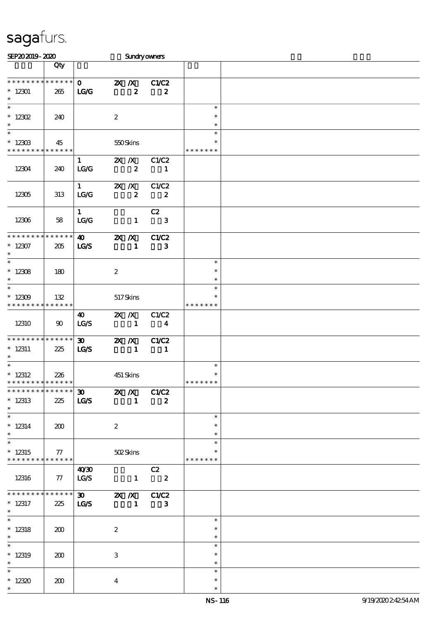| SEP202019-2020                                      |                    |                                                                |                   |                             | Sundryowners                     |                                   |  |
|-----------------------------------------------------|--------------------|----------------------------------------------------------------|-------------------|-----------------------------|----------------------------------|-----------------------------------|--|
|                                                     | Qty                |                                                                |                   |                             |                                  |                                   |  |
| * * * * * * * *<br>$*12301$<br>$\ast$               | ******<br>265      | $\mathbf{O}$<br>LG                                             |                   | $X$ $N$<br>$\boldsymbol{z}$ | C1/C2<br>$\boldsymbol{z}$        |                                   |  |
| $\ast$<br>$* 12302$<br>$\ast$                       | 240                |                                                                | $\boldsymbol{2}$  |                             |                                  | $\ast$<br>$\ast$<br>$\ast$        |  |
| $\ast$<br>$*12303$<br>* * * * * * * *               | 45<br>* * * * * *  |                                                                | 550Skins          |                             |                                  | $\ast$<br>$\ast$<br>* * * * * * * |  |
| 12304                                               | 240                | $\mathbf{1}$<br>LG/G                                           | $X$ $X$           | $\boldsymbol{z}$            | C1/C2<br>$\blacksquare$          |                                   |  |
| 12305                                               | 313                | $1 \quad \blacksquare$<br>LG/G                                 | $X$ $X$           | $\boldsymbol{z}$            | C1/C2<br>$\overline{\mathbf{2}}$ |                                   |  |
| 12306                                               | 58                 | $1 -$<br>LG/G                                                  |                   | $\mathbf{1}$                | C2<br>$\mathbf{3}$               |                                   |  |
| ********<br>$*12307$<br>$\ast$                      | * * * * * *<br>205 | $\boldsymbol{\omega}$<br>LGS                                   | $2X$ $X$          | $\mathbf{1}$                | C1/C2<br>3                       |                                   |  |
| $\ast$<br>$*12308$<br>$\ast$                        | 180                |                                                                | $\boldsymbol{z}$  |                             |                                  | $\ast$<br>$\ast$<br>$\ast$        |  |
| $\ast$<br>$*12309$<br>* * * * * * * * * * * * * *   | 132                |                                                                | $517\mbox{Skins}$ |                             |                                  | $\ast$<br>$\ast$<br>* * * * * * * |  |
| 12310                                               | 90                 | 40<br>LCS                                                      | $X$ $X$           | $\sim$ $\sim$ 1             | C1/C2<br>$\overline{\mathbf{4}}$ |                                   |  |
| * * * * * * * *<br>$* 12311$<br>$\ast$              | * * * * * *<br>225 | $\boldsymbol{\mathfrak{D}}$<br>LGS                             | $X$ $N$           | $\blacksquare$              | C1/C2<br>$\blacksquare$          |                                   |  |
| $\ast$<br>$*$ 12312<br>**************               | 226                |                                                                | 451 Skins         |                             |                                  | $\ast$<br>$\ast$<br>*******       |  |
| ******** <mark>*******</mark><br>$*12313$<br>$\ast$ | 225                | $\overline{30}$ $\overline{2X}$ $\overline{X}$ $C1/C2$<br>LG/S |                   | $\sim$ 1                    | $\boldsymbol{2}$                 |                                   |  |
| $\ast$<br>$* 12314$<br>$\ast$                       | 200                |                                                                | $\boldsymbol{2}$  |                             |                                  | $\ast$<br>$\ast$<br>$\ast$        |  |
| $\ast$<br>$*12315$<br>* * * * * * * * * * * * * * * | 77                 |                                                                |                   | 502Skins                    |                                  | $\ast$<br>* * * * * * *           |  |
| 12316                                               | $77$   LG/S        | 40'30                                                          |                   |                             | C2<br>$\overline{1}$ 2           |                                   |  |
| * * * * * * * *<br>$* 12317$<br>$\ast$              | ******<br>225      | LG/S                                                           |                   |                             | $1 \quad 3$                      |                                   |  |
| $\ast$<br>$*12318$<br>$\ast$                        | 200                |                                                                | $\boldsymbol{2}$  |                             |                                  | $\ast$<br>$\ast$<br>$\ast$        |  |
| $\ast$<br>$*12319$<br>$\ast$                        | 200                |                                                                | 3                 |                             |                                  | $\ast$<br>$\ast$<br>$\ast$        |  |
| $\ast$<br>$*12320$<br>$\ast$                        | 200                |                                                                | $\boldsymbol{4}$  |                             |                                  | $\ast$<br>$\ast$<br>$\ast$        |  |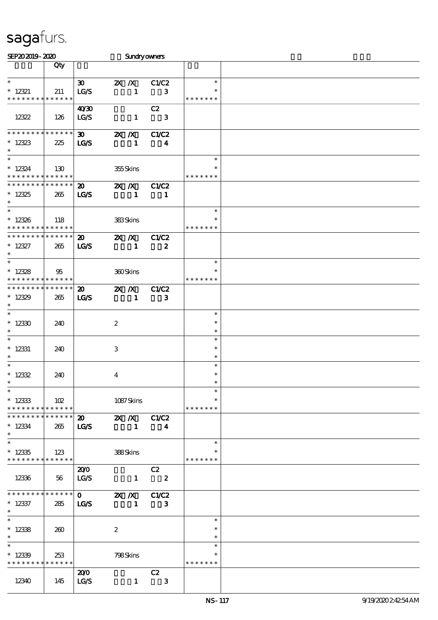| SEP202019-2020                             |             |                             |                           |                 | <b>Sundryowners</b>         |               |  |
|--------------------------------------------|-------------|-----------------------------|---------------------------|-----------------|-----------------------------|---------------|--|
|                                            | Qty         |                             |                           |                 |                             |               |  |
|                                            |             |                             |                           |                 |                             |               |  |
| $\ast$                                     |             | $\boldsymbol{\mathfrak{D}}$ | $X$ $X$                   |                 | C1/C2                       | $\ast$        |  |
| $* 12321$                                  | 211         | LG/S                        |                           | $\mathbf{1}$    | 3                           |               |  |
| * * * * * * * * * * * * * *                |             |                             |                           |                 |                             | * * * * * * * |  |
|                                            |             | 40'30                       |                           |                 | C2                          |               |  |
| 12322                                      | 126         | LG/S                        |                           | $\mathbf{1}$    | $\overline{\mathbf{3}}$     |               |  |
|                                            |             |                             |                           |                 |                             |               |  |
| * * * * * * * * * * * * * *                |             | $\boldsymbol{\mathfrak{D}}$ | $\mathbb{Z}$ X            |                 | C1/C2                       |               |  |
| $*12323$                                   | 225         | <b>LG/S</b>                 |                           | $\mathbf{1}$    | 4                           |               |  |
| $\ast$                                     |             |                             |                           |                 |                             |               |  |
| $\ast$                                     |             |                             |                           |                 |                             | $\ast$        |  |
| $* 12324$                                  | 130         |                             |                           | 355Skins        |                             |               |  |
| * * * * * * * * * * * * * *                |             |                             |                           |                 |                             | * * * * * * * |  |
| * * * * * * * * * * * * * *                |             | $\boldsymbol{\mathfrak{D}}$ | $\mathbf{X}$ $\mathbf{X}$ |                 | <b>C1/C2</b>                |               |  |
| $*12325$                                   | 265         | <b>LG/S</b>                 |                           | $\mathbf{1}$    | -1                          |               |  |
| $\ast$                                     |             |                             |                           |                 |                             |               |  |
| $\ast$                                     |             |                             |                           |                 |                             | $\ast$        |  |
| $*12326$                                   | 118         |                             |                           | <b>383Skins</b> |                             | $\ast$        |  |
| * * * * * * * * * * * * * *                |             |                             |                           |                 |                             | * * * * * * * |  |
| * * * * * * * * * * * * * *                |             | $\boldsymbol{\mathfrak{D}}$ | $\mathbf{X}$ $\mathbf{X}$ |                 | C1/C2                       |               |  |
| $* 12327$                                  | 265         | <b>LG/S</b>                 |                           | $\mathbf{1}$    | $\boldsymbol{z}$            |               |  |
| $\ast$                                     |             |                             |                           |                 |                             |               |  |
| $\ast$                                     |             |                             |                           |                 |                             | $\ast$        |  |
| $*12328$                                   | 95          |                             |                           | 360Skins        |                             | $\ast$        |  |
| * * * * * * * * <mark>* * * * * * *</mark> |             |                             |                           |                 |                             | * * * * * * * |  |
| * * * * * * * * * * * * * *                |             | $\boldsymbol{\mathfrak{D}}$ | $\mathbb{Z}$ $\mathbb{Z}$ |                 | C1/C2                       |               |  |
| $*12329$                                   |             | LG/S                        |                           |                 |                             |               |  |
| $\ast$                                     | 265         |                             |                           | $\mathbf{1}$    | 3                           |               |  |
| $\ast$                                     |             |                             |                           |                 |                             | $\ast$        |  |
|                                            |             |                             |                           |                 |                             | $\ast$        |  |
| $*12330$<br>$\ast$                         | 240         |                             | $\boldsymbol{2}$          |                 |                             | $\ast$        |  |
| $\ast$                                     |             |                             |                           |                 |                             | $\ast$        |  |
|                                            |             |                             |                           |                 |                             | $\ast$        |  |
| $*$ 12331<br>$\ast$                        | 240         |                             | 3                         |                 |                             | $\ast$        |  |
| $\ast$                                     |             |                             |                           |                 |                             | $\ast$        |  |
|                                            |             |                             |                           |                 |                             | $\ast$        |  |
| $* 12332$<br>$*$                           | 240         |                             | $\bf{4}$                  |                 |                             | $\ast$        |  |
| $\ast$                                     |             |                             |                           |                 |                             | $\ast$        |  |
|                                            |             |                             |                           |                 |                             |               |  |
| $*12333$                                   | 102         |                             |                           | 1087Skins       |                             |               |  |
| * * * * * * * * * * * * * * *              | * * * * * * |                             |                           |                 |                             | * * * * * * * |  |
| * * * * * * * *                            |             | 20 2X /X C1/C2              |                           |                 |                             |               |  |
| $* 12334$                                  | 265         | <b>LG/S</b>                 |                           | $\sim$ 1.       | $\overline{\mathbf{4}}$     |               |  |
| $\ast$                                     |             |                             |                           |                 |                             |               |  |
| $\overline{\ast}$                          |             |                             |                           |                 |                             | $\ast$        |  |
| $*12335$                                   | 123         |                             |                           | 388Skins        |                             |               |  |
| * * * * * * * * * * * * * *                |             |                             |                           |                 |                             | * * * * * * * |  |
|                                            |             | 200                         |                           |                 | C2                          |               |  |
| 12336                                      | 56          | LG/S                        |                           |                 | $\frac{1}{2}$ $\frac{2}{2}$ |               |  |
|                                            |             |                             |                           |                 |                             |               |  |
| * * * * * * * * * * * * * * *              |             | $\mathbf{0}$                |                           |                 | <b>2X X</b> C1C2            |               |  |
| $*12337$                                   | 285         | <b>LG/S</b>                 |                           | $\blacksquare$  | $\mathbf{3}$                |               |  |
| $*$                                        |             |                             |                           |                 |                             |               |  |
| $*$                                        |             |                             |                           |                 |                             | $\ast$        |  |
| $*12338$                                   | 260         |                             | $\boldsymbol{2}$          |                 |                             | $\ast$        |  |
| $\ast$                                     |             |                             |                           |                 |                             | $\ast$        |  |
| $\ast$                                     |             |                             |                           |                 |                             | $\ast$        |  |
| $*12339$                                   | 253         |                             |                           | 798Skins        |                             | $\ast$        |  |
| * * * * * * * * * * * * * *                |             |                             |                           |                 |                             | * * * * * * * |  |
|                                            |             | 200                         |                           |                 | C2                          |               |  |
| 12340                                      | 145         | LG/S                        |                           | $\mathbf{1}$    | $\mathbf{3}$                |               |  |
|                                            |             |                             |                           |                 |                             |               |  |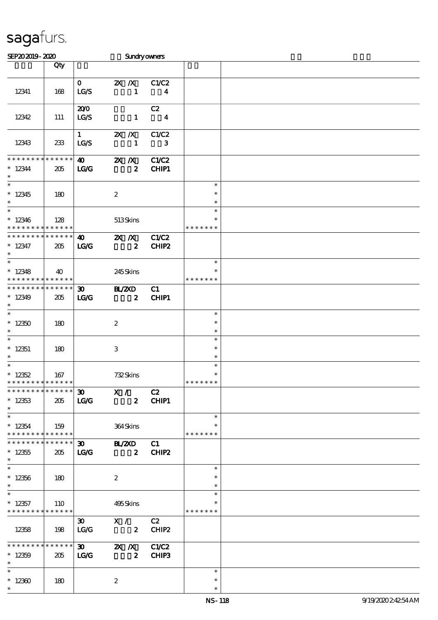| SEP202019-2020                                                      |                 |                              | Sundryowners                      |                                  |                                   |  |
|---------------------------------------------------------------------|-----------------|------------------------------|-----------------------------------|----------------------------------|-----------------------------------|--|
|                                                                     | Qty             |                              |                                   |                                  |                                   |  |
| 12341                                                               | 168             | $\mathbf{O}$<br>$_{\rm LGS}$ | $X \, X$<br>$\mathbf{1}$          | C1/C2<br>$\overline{\mathbf{4}}$ |                                   |  |
|                                                                     |                 |                              |                                   |                                  |                                   |  |
| 12342                                                               | 111             | 200<br>LG/S                  | $\mathbf{1}$                      | C2<br>$\overline{\mathbf{4}}$    |                                   |  |
| 12343                                                               | 233             | 1<br>LG/S                    | $X$ $X$<br>$\mathbf{1}$           | C1/C2<br>3                       |                                   |  |
| * * * * * * * *                                                     | $* * * * * * *$ | $\boldsymbol{\omega}$        | $X$ $N$                           | C1/C2                            |                                   |  |
| $*12344$<br>$\ast$<br>$\overline{\phantom{a}^*}$                    | 205             | LG                           | $\boldsymbol{z}$                  | CHIP1                            |                                   |  |
| $*12345$<br>$\ast$                                                  | 180             |                              | $\boldsymbol{z}$                  |                                  | $\ast$<br>$\ast$<br>$\ast$        |  |
| $\overline{\phantom{0}}$<br>$*12346$<br>* * * * * * * * * * * * * * | 128             |                              | 513Skins                          |                                  | $\ast$<br>∗<br>* * * * * * *      |  |
| **************                                                      |                 | $\boldsymbol{\omega}$        | $\mathbf{X}$ $\mathbf{X}$         | C1/C2                            |                                   |  |
| $* 12347$<br>$\ast$                                                 | 205             | LG                           | $\boldsymbol{z}$                  | CHIP2                            |                                   |  |
| $\ast$<br>$*12348$                                                  |                 |                              |                                   |                                  | $\ast$                            |  |
| * * * * * * * * * * * * * * *                                       | 40              |                              | 245Skins                          |                                  | * * * * * * *                     |  |
| * * * * * * * * * * * * * * *                                       |                 | $\boldsymbol{\mathfrak{D}}$  | <b>HAZXD</b>                      | C1                               |                                   |  |
| $*12349$<br>$\ast$                                                  | 205             | $\mathbf{LG}$                | $\boldsymbol{z}$                  | <b>CHIP1</b>                     |                                   |  |
| $\ast$<br>$*12350$                                                  | 180             |                              | $\boldsymbol{z}$                  |                                  | $\ast$<br>$\ast$                  |  |
| $\ast$                                                              |                 |                              |                                   |                                  | $\ast$                            |  |
| $\ast$<br>$*12351$                                                  | 180             |                              | 3                                 |                                  | $\ast$<br>$\ast$                  |  |
| $\ast$                                                              |                 |                              |                                   |                                  | $\ast$                            |  |
| $\overline{\ast}$<br>$* 12352$<br>* * * * * * * * * * * * * *       | 167             |                              | 732Skins                          |                                  | $\ast$<br>$\ast$<br>* * * * * * * |  |
| * * * * * * * * * * * * * * *                                       |                 |                              | $\overline{30}$ X /               | C2                               |                                   |  |
| $*12353$<br>$\ast$                                                  | 205             | LG/G                         | $\mathbf{2}$                      | CHIP1                            |                                   |  |
| $\ast$<br>$*12354$<br>* * * * * * * * * * * * * * *                 | 159             |                              | 364Skins                          |                                  | $\ast$<br>* * * * * * *           |  |
| * * * * * * * * * * * * * * *                                       |                 |                              | 30 BL/ZXD C1                      |                                  |                                   |  |
| $^\ast$ 12355<br>$\ast$                                             | 205             | $\mathbf{LG}$                | $\overline{\mathbf{z}}$           | CHIP2                            |                                   |  |
| $*12356$                                                            | 180             |                              | $\boldsymbol{2}$                  |                                  | $\ast$<br>∗                       |  |
| $\ast$                                                              |                 |                              |                                   |                                  | $\ast$                            |  |
| $\ast$<br>$*12357$<br>* * * * * * * * * * * * * *                   | <b>110</b>      |                              | 495Skins                          |                                  | $\ast$<br>* * * * * * *           |  |
| 12358                                                               | 198             | $\infty$<br>LC               | X / C2<br>$\overline{\mathbf{z}}$ | CHIP2                            |                                   |  |
| ***************                                                     |                 | $\infty$                     | <b>2X X</b> C1/C2                 |                                  |                                   |  |
| $*12359$<br>$\ast$                                                  | 205             | LG                           | $\mathbf{2}$                      | CHIP3                            |                                   |  |
| $\ast$                                                              |                 |                              |                                   |                                  | $\ast$                            |  |
| $*12300$<br>$\ast$                                                  | 180             |                              | $\boldsymbol{z}$                  |                                  | $\ast$<br>$\ast$                  |  |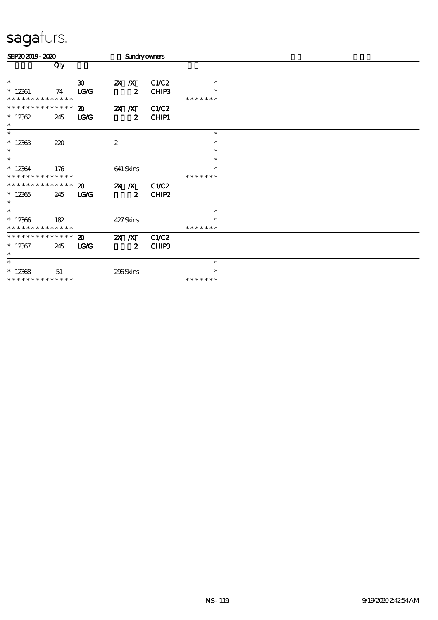| SEP202019-2020              |     |                             | <b>Sundryowners</b>       |              |               |  |
|-----------------------------|-----|-----------------------------|---------------------------|--------------|---------------|--|
|                             | Qty |                             |                           |              |               |  |
| $\ast$                      |     | $\boldsymbol{\mathfrak{D}}$ | $X$ $X$                   | C1/C2        | $\ast$        |  |
| $*$ 12361                   | 74  | LG/G                        | $\boldsymbol{z}$          | CHIP3        | $\ast$        |  |
| * * * * * * * * * * * * * * |     |                             |                           |              | * * * * * * * |  |
| * * * * * * * * * * * * * * |     | $\boldsymbol{\mathfrak{D}}$ | $X$ $N$                   | <b>C1/C2</b> |               |  |
| $*12362$<br>$\ast$          | 245 | <b>LG/G</b>                 | $\boldsymbol{z}$          | <b>CHIP1</b> |               |  |
| $\ast$                      |     |                             |                           |              | $\ast$        |  |
| $*12363$                    | 220 |                             | $\boldsymbol{z}$          |              | $\ast$        |  |
| $\ast$                      |     |                             |                           |              | $\ast$        |  |
| $\ast$                      |     |                             |                           |              | $\ast$        |  |
| $*12364$                    | 176 |                             | 641 Skins                 |              | $\ast$        |  |
| * * * * * * * * * * * * * * |     |                             |                           |              | * * * * * * * |  |
| * * * * * * * * * * * * * * |     | $\boldsymbol{\mathfrak{D}}$ | $X$ $N$                   | <b>C1/C2</b> |               |  |
| $*12365$                    | 245 | <b>LG/G</b>                 | $\boldsymbol{2}$          | CHIP2        |               |  |
| $\ast$                      |     |                             |                           |              |               |  |
| $\ast$                      |     |                             |                           |              | $\ast$        |  |
| $*12366$                    | 182 |                             | 427Skins                  |              | ∗             |  |
| * * * * * * * * * * * * * * |     |                             |                           |              | * * * * * * * |  |
| * * * * * * * * * * * * * * |     | $\boldsymbol{\mathfrak{D}}$ | $\mathbf{X}$ $\mathbf{X}$ | C1/C2        |               |  |
| $*12367$                    | 245 | LG                          | $\boldsymbol{z}$          | CHIP3        |               |  |
| $\ast$                      |     |                             |                           |              |               |  |
| $\ast$                      |     |                             |                           |              | $\ast$        |  |
| $*12368$                    | 51  |                             | 296Skins                  |              | $\ast$        |  |
| * * * * * * * * * * * * * * |     |                             |                           |              | * * * * * * * |  |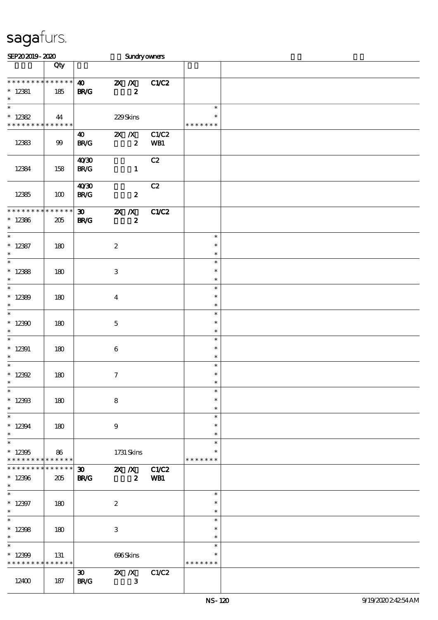| SEP202019-2020                                      |                        |                                            |                                        |                  | Sundryowners             |                                   |  |
|-----------------------------------------------------|------------------------|--------------------------------------------|----------------------------------------|------------------|--------------------------|-----------------------------------|--|
|                                                     | Qty                    |                                            |                                        |                  |                          |                                   |  |
| * * * * * * * * * * * * * *<br>$* 12381$<br>$\ast$  | 185                    | $\boldsymbol{\omega}$<br><b>BR/G</b>       |                                        | $\boldsymbol{z}$ | 2X / X C1/C2             |                                   |  |
| $\ast$<br>$* 12382$<br>* * * * * * * * * * * * * *  | 44                     |                                            | 229Skins                               |                  |                          | $\ast$<br>$\ast$<br>* * * * * * * |  |
| 12383                                               | 99                     | 40<br><b>BR/G</b>                          |                                        | $\boldsymbol{2}$ | <b>2X X</b> C1/C2<br>WB1 |                                   |  |
| 12384                                               | 158                    | 40'30<br><b>BR/G</b>                       |                                        | $\mathbf{1}$     | C2                       |                                   |  |
| 12385                                               | 100                    | 40'30<br><b>BR/G</b>                       |                                        | $\boldsymbol{z}$ | C2                       |                                   |  |
| * * * * * * * *<br>$*12386$<br>$\ast$               | * * * * * *<br>205     | $\boldsymbol{\mathfrak{D}}$<br><b>BR/G</b> | $\mathbb{Z}$ $\mathbb{Z}$ $\mathbb{Z}$ | $\boldsymbol{z}$ | C1/C2                    |                                   |  |
| $\overline{\ast}$<br>$*12387$<br>$\ast$             | 180                    |                                            | $\boldsymbol{2}$                       |                  |                          | $\ast$<br>$\ast$<br>$\ast$        |  |
| $\overline{\ast}$<br>$*12388$<br>$\ast$             | 180                    |                                            | $\,3\,$                                |                  |                          | $\ast$<br>$\ast$<br>$\ast$        |  |
| $\overline{\phantom{0}}$<br>$*12389$<br>$\ast$      | 180                    |                                            | $\bf{4}$                               |                  |                          | $\ast$<br>$\ast$<br>$\ast$        |  |
| $\ast$<br>$*12300$<br>$\ast$                        | 180                    |                                            | $\mathbf 5$                            |                  |                          | $\ast$<br>$\ast$<br>$\ast$        |  |
| $\overline{\phantom{a}^*}$<br>$* 12391$<br>$\ast$   | 180                    |                                            | 6                                      |                  |                          | $\ast$<br>$\ast$<br>$\ast$        |  |
| $\ast$<br>* $12392$                                 | 180                    |                                            | $\tau$                                 |                  |                          | $\ast$<br>$\ast$                  |  |
| $\overline{\ast}$<br>$*12393$<br>$\ast$             | 180                    |                                            | $\bf8$                                 |                  |                          | $\ast$<br>$\ast$<br>$\ast$        |  |
| $\ast$<br>$*12394$<br>$\ast$                        | 180                    |                                            | $\boldsymbol{9}$                       |                  |                          | $\ast$<br>$\ast$<br>$\ast$        |  |
| $\ast$<br>$*12395$<br>* * * * * * * * * * * * * * * | 86                     |                                            | 1731 Skins                             |                  |                          | $\ast$<br>$\ast$<br>* * * * * * * |  |
| * * * * * * *<br>$*12396$<br>$\ast$                 | $******$<br>205        | <b>BR/G</b>                                |                                        | $\boldsymbol{z}$ | WB1                      |                                   |  |
| $\ast$<br>$*12397$<br>$\ast$                        | 180                    |                                            | $\boldsymbol{2}$                       |                  |                          | $\ast$<br>$\ast$<br>$\ast$        |  |
| $\ast$<br>$*12398$<br>$\ast$                        | 180                    |                                            | 3                                      |                  |                          | $\ast$<br>$\ast$<br>$\ast$        |  |
| $\ast$<br>$*12399$<br>* * * * * * * *               | 131<br>$* * * * * * *$ |                                            | 696Skins                               |                  |                          | $\ast$<br>$\ast$<br>* * * * * * * |  |
| 12400                                               | 187                    | $\boldsymbol{\mathfrak{D}}$<br><b>BR/G</b> |                                        | $\mathbf{3}$     | 2X /X C1/C2              |                                   |  |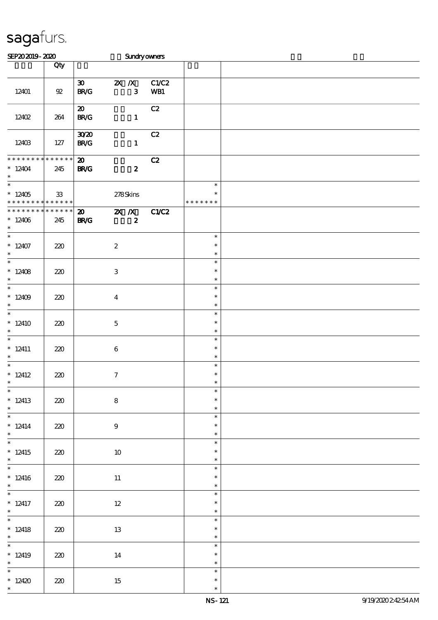| SEP202019-2020                                               |                    |                                                                  | Sundryowners                                  |              |                                   |  |
|--------------------------------------------------------------|--------------------|------------------------------------------------------------------|-----------------------------------------------|--------------|-----------------------------------|--|
|                                                              | Qty                |                                                                  |                                               |              |                                   |  |
| 12401                                                        | $92\,$             | $\boldsymbol{\mathfrak{D}}$<br>$\mathbf{B}\mathbf{R}/\mathbf{G}$ | $2X$ $\overline{X}$<br>$\mathbf{3}$           | C1/C2<br>WB1 |                                   |  |
| 1240 <sub>2</sub>                                            | 264                | $\boldsymbol{\mathfrak{D}}$<br><b>BR/G</b>                       | $\mathbf{1}$                                  | C2           |                                   |  |
| 12403                                                        | 127                | 3020<br><b>BR/G</b>                                              | $\mathbf{1}$                                  | C2           |                                   |  |
| * * * * * * * *<br>$*12404$<br>$\ast$                        | * * * * * *<br>245 | $\boldsymbol{\mathfrak{D}}$<br><b>BR/G</b>                       | $\boldsymbol{z}$                              | C2           |                                   |  |
| $\overline{\ast}$<br>$*12405$<br>* * * * * * * * * * * * * * | ${\bf 33}$         |                                                                  | 278Skins                                      |              | $\ast$<br>$\ast$<br>* * * * * * * |  |
| * * * * * * * *<br>$*12406$<br>$\ast$                        | * * * * * *<br>245 | $\boldsymbol{\mathfrak{D}}$<br><b>BR/G</b>                       | $\mathbf{X}$ $\mathbf{X}$<br>$\boldsymbol{z}$ | C1/C2        |                                   |  |
| $\overline{\ast}$<br>$*12407$<br>$\ast$                      | 220                |                                                                  | $\boldsymbol{z}$                              |              | $\ast$<br>$\ast$<br>$\ast$        |  |
| $\overline{\ast}$<br>* $12408$<br>$\ast$                     | 220                |                                                                  | $\ensuremath{\mathsf{3}}$                     |              | $\ast$<br>$\ast$<br>$\ast$        |  |
| $\overline{\ast}$<br>$*12409$<br>$\ast$                      | 220                |                                                                  | $\overline{\mathbf{4}}$                       |              | $\ast$<br>$\ast$<br>$\ast$        |  |
| $\ast$<br>$*12410$<br>$\ast$                                 | 220                |                                                                  | $\mathbf 5$                                   |              | $\ast$<br>$\ast$<br>$\ast$        |  |
| $\overline{\phantom{0}}$<br>$* 12411$<br>$\ast$              | 220                |                                                                  | $\bf 6$                                       |              | $\ast$<br>$\ast$<br>$\ast$        |  |
| $\ast$<br>$* 12412$<br>$*$                                   | 220                |                                                                  | $\tau$                                        |              | $\ast$<br>$\ast$<br>$\ast$        |  |
| $\ast$<br>$*12413$<br>$\ast$                                 | 220                |                                                                  | ${\bf 8}$                                     |              | $\ast$<br>$\ast$<br>$\ast$        |  |
| $\frac{1}{\ast}$<br>$* 12414$<br>$\ast$                      | 220                |                                                                  | $9\phantom{.0}$                               |              | $\ast$<br>$\ast$<br>$\ast$        |  |
| $\overline{\ast}$<br>$*12415$<br>$\ast$                      | 220                |                                                                  | 10                                            |              | $\ast$<br>$\ast$<br>$\ast$        |  |
| $\overline{\phantom{0}}$<br>$*12416$<br>$\ddot{\phantom{0}}$ | 220                |                                                                  | $11\,$                                        |              | $\ast$<br>$\ast$<br>$\ast$        |  |
| $\overline{\phantom{0}}$<br>$*$ 12417<br>$*$ and $*$         | 220                |                                                                  | $12\,$                                        |              | $\ast$<br>$\ast$<br>$\ast$        |  |
| $\overline{\phantom{0}}$<br>$*12418$<br>$\ast$               | 220                |                                                                  | 13                                            |              | $\ast$<br>$\ast$<br>$\ast$        |  |
| $\overline{\ast}$<br>$*12419$<br>$\ast$                      | 220                |                                                                  | 14                                            |              | $\ast$<br>$\ast$<br>$\ast$        |  |
| $\overline{\ast}$<br>$*12420$<br>$\ast$                      | 220                |                                                                  | 15                                            |              | $\ast$<br>$\ast$<br>$\ast$        |  |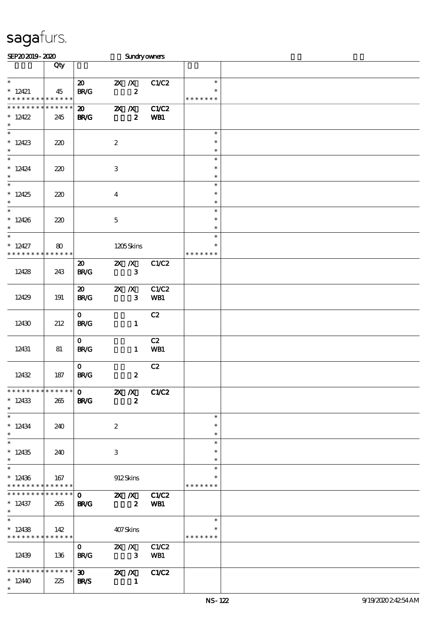| SEP202019-2020                                      |                    |                                                                                                                                                                                                                                                                                                                                                          |                           |                                               | Sundryowners               |                                   |  |
|-----------------------------------------------------|--------------------|----------------------------------------------------------------------------------------------------------------------------------------------------------------------------------------------------------------------------------------------------------------------------------------------------------------------------------------------------------|---------------------------|-----------------------------------------------|----------------------------|-----------------------------------|--|
|                                                     | Qty                |                                                                                                                                                                                                                                                                                                                                                          |                           |                                               |                            |                                   |  |
| $\ast$<br>$*12421$<br>* * * * * * * * * * * * * *   | 45                 | $\boldsymbol{\mathfrak{D}}$<br>BRC                                                                                                                                                                                                                                                                                                                       |                           | $\mathbf{X}$ $\mathbf{X}$<br>$\boldsymbol{z}$ | C1/C2                      | $\ast$<br>$\ast$<br>* * * * * * * |  |
| * * * * * * * *<br>$*12422$<br>$\ast$               | * * * * * *<br>245 | $\boldsymbol{\mathfrak{D}}$<br><b>BR/G</b>                                                                                                                                                                                                                                                                                                               | $\mathbf{X}$ $\mathbf{X}$ | $\boldsymbol{z}$                              | C1/C2<br>WB1               |                                   |  |
| $\overline{\phantom{0}}$<br>$*12423$<br>$\ast$      | 220                |                                                                                                                                                                                                                                                                                                                                                          | $\boldsymbol{2}$          |                                               |                            | $\ast$<br>$\ast$<br>$\ast$        |  |
| $\ast$<br>$*12424$<br>$\ast$                        | 220                |                                                                                                                                                                                                                                                                                                                                                          | 3                         |                                               |                            | $\ast$<br>$\ast$<br>$\ast$        |  |
| $\overline{\phantom{0}}$<br>$*12425$<br>$\ast$      | 220                |                                                                                                                                                                                                                                                                                                                                                          | $\boldsymbol{4}$          |                                               |                            | $\ast$<br>$\ast$<br>$\ast$        |  |
| $\overline{\phantom{0}}$<br>$*12426$<br>$\ast$      | 220                |                                                                                                                                                                                                                                                                                                                                                          | $\mathbf 5$               |                                               |                            | $\ast$<br>$\ast$<br>$\ast$        |  |
| $\ast$<br>$*12427$<br>* * * * * * * *               | 80<br>* * * * * *  |                                                                                                                                                                                                                                                                                                                                                          |                           | 1205Skins                                     |                            | $\ast$<br>$\ast$<br>* * * * * * * |  |
| 12428                                               | 243                | $\boldsymbol{\mathfrak{D}}$<br><b>BR/G</b>                                                                                                                                                                                                                                                                                                               | $X$ $X$                   | $\mathbf{3}$                                  | C1/C2                      |                                   |  |
| 12429                                               | 191                | $\boldsymbol{\mathfrak{D}}$<br><b>BR/G</b>                                                                                                                                                                                                                                                                                                               | $X$ $X$                   | $\mathbf{3}$                                  | C1/C2<br>WB1               |                                   |  |
| 12430                                               | 212                | $\mathbf{O}$<br><b>BR/G</b>                                                                                                                                                                                                                                                                                                                              |                           | $\mathbf{1}$                                  | C2                         |                                   |  |
| 12431                                               | 81                 | $\mathbf{O}$<br><b>BR/G</b>                                                                                                                                                                                                                                                                                                                              |                           | $\mathbf{1}$                                  | C2<br>WB1                  |                                   |  |
| 12432                                               | 187                | $\mathbf{O}$<br><b>BR/G</b>                                                                                                                                                                                                                                                                                                                              |                           | $\boldsymbol{z}$                              | C2                         |                                   |  |
| * * * * * * * * * * * * * * *<br>$*12433$<br>$\ast$ | 265                | $\overline{0}$ $\overline{z}$ $\overline{z}$ $\overline{z}$ $\overline{z}$ $\overline{z}$ $\overline{z}$ $\overline{z}$ $\overline{z}$ $\overline{z}$ $\overline{z}$ $\overline{z}$ $\overline{z}$ $\overline{z}$ $\overline{z}$ $\overline{z}$ $\overline{z}$ $\overline{z}$ $\overline{z}$ $\overline{z}$ $\overline{z}$ $\overline{z}$<br><b>BR/G</b> |                           | $\boldsymbol{z}$                              |                            |                                   |  |
| $\ast$<br>$* 12434$<br>$\ast$                       | 240                |                                                                                                                                                                                                                                                                                                                                                          | $\boldsymbol{2}$          |                                               |                            | $\ast$<br>$\ast$<br>$\ast$        |  |
| $\ast$<br>$*12435$<br>$\ast$<br>$\ast$              | 240                |                                                                                                                                                                                                                                                                                                                                                          | 3                         |                                               |                            | $\ast$<br>$\ast$<br>$\ast$        |  |
| $*12436$<br>* * * * * * * * * * * * * *             | 167                |                                                                                                                                                                                                                                                                                                                                                          |                           | 912Skins                                      |                            | $\ast$<br>∗<br>* * * * * * *      |  |
| * * * * * * * *<br>$*12437$<br>$\ast$               | * * * * * *<br>265 | $\mathbf{O}$<br><b>BR/G</b>                                                                                                                                                                                                                                                                                                                              |                           |                                               | <b>2X X</b> C1/C2<br>2 WB1 |                                   |  |
| $\ast$<br>$*12438$<br>* * * * * * * * * * * * * * * | 142                |                                                                                                                                                                                                                                                                                                                                                          | 407Skins                  |                                               |                            | $\ast$<br>$\ast$<br>* * * * * * * |  |
| 12439                                               | 136                | $\mathbf{0}$<br><b>BR/G</b>                                                                                                                                                                                                                                                                                                                              | $\overline{\mathbf{3}}$   |                                               | 2X /X C1/C2<br>WB1         |                                   |  |
| ********<br>$*12440$<br>$\ast$                      | * * * * * *<br>225 | 30 2X /X C1/C2<br><b>BR/S</b>                                                                                                                                                                                                                                                                                                                            |                           | $\sim$ 1                                      |                            |                                   |  |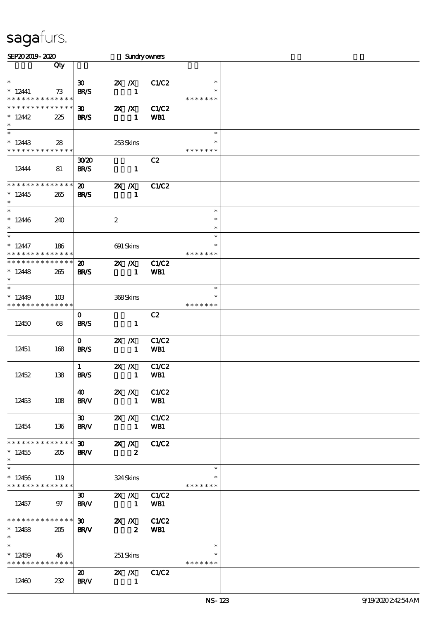| SEP202019-2020                                      |                    |                                            |                                                                           | Sundryowners        |                                   |  |
|-----------------------------------------------------|--------------------|--------------------------------------------|---------------------------------------------------------------------------|---------------------|-----------------------------------|--|
|                                                     | Qty                |                                            |                                                                           |                     |                                   |  |
| $\ast$<br>$* 12441$<br>* * * * * * * * * * * * * *  | 73                 | $\boldsymbol{\mathfrak{D}}$<br><b>BR/S</b> | $2X$ $\overline{X}$<br>$\mathbf{1}$                                       | C1/C2               | $\ast$<br>$\ast$<br>* * * * * * * |  |
| * * * * * * * * * * * * * *<br>$*12442$<br>$\ast$   | 225                | 30 <sub>o</sub><br><b>BR/S</b>             | $X$ $X$<br>$\mathbf{1}$                                                   | C1/C2<br>WB1        |                                   |  |
| $\ast$<br>$*12443$<br>* * * * * * * * * * * * * *   | 28                 |                                            | 253Skins                                                                  |                     | $\ast$<br>* * * * * * *           |  |
| 12444                                               | 81                 | 3020<br><b>BR/S</b>                        | $\mathbf{1}$                                                              | C2                  |                                   |  |
| * * * * * * * * * * * * * *<br>$*12445$<br>$\ast$   | 265                | $\boldsymbol{\mathfrak{D}}$<br><b>BR/S</b> | $X$ $N$<br>$\mathbf{1}$                                                   | <b>C1/C2</b>        |                                   |  |
| $\ast$<br>$*12446$<br>$\ast$                        | 240                |                                            | $\boldsymbol{z}$                                                          |                     | $\ast$<br>$\ast$<br>$\ast$        |  |
| $\ast$<br>$*12447$<br>* * * * * * * *               | 186<br>* * * * * * |                                            | $691$ Skins                                                               |                     | $\ast$<br>$\ast$<br>* * * * * * * |  |
| * * * * * * * * * * * * * *<br>$*12448$<br>$\ast$   | 265                | $\boldsymbol{\mathfrak{D}}$<br><b>BR/S</b> | $X$ $N$<br>$\mathbf{1}$                                                   | C1/C2<br>WB1        |                                   |  |
| $\ast$<br>$*1249$<br>* * * * * * * *                | 10B<br>* * * * * * |                                            | 368Skins                                                                  |                     | $\ast$<br>$\ast$<br>* * * * * * * |  |
| 12450                                               | 68                 | $\mathbf{o}$<br><b>BR/S</b>                | $\mathbf{1}$                                                              | C2                  |                                   |  |
| 12451                                               | 168                | $\mathbf{O}$<br><b>BR/S</b>                | $X$ $N$<br>$\mathbf{1}$                                                   | C1/C2<br>WB1        |                                   |  |
| 12452                                               | 138                | $\mathbf{1}$<br><b>BR/S</b>                | $X$ $N$<br>$\mathbf{1}$                                                   | C1/C2<br><b>WB1</b> |                                   |  |
| 12453                                               | 108                | <b>40</b><br><b>BR/V</b>                   | $\mathbb{Z} \times \mathbb{Z}$ C1/C2<br>$\blacksquare$                    | WB1                 |                                   |  |
| 12454                                               | 136                | $\boldsymbol{\mathfrak{D}}$<br><b>BR/V</b> | $2X$ $/ X$<br>$\blacksquare$                                              | C1/C2<br>WB1        |                                   |  |
| * * * * * * * * * * * * * * *<br>$*12455$<br>$\ast$ | 205                | <b>BRAV</b>                                | $\overline{30}$ $\overline{2X}$ $\overline{X}$<br>$\overline{\mathbf{z}}$ | C1/C2               |                                   |  |
| $\ast$<br>$*12456$<br>* * * * * * * * * * * * * * * | 119                |                                            | 324Skins                                                                  |                     | $\ast$<br>∗<br>* * * * * * *      |  |
| 12457                                               | 97                 | $BR$ $N$                                   | 30 <b>2X</b> <i>X</i> C1/C2<br>$\mathbf{1}$                               | WB1                 |                                   |  |
| * * * * * * * * * * * * * * *<br>$*12458$<br>$\ast$ | 205                | <b>BR/V</b>                                | 30 2X X C1/C2<br>$\overline{\mathbf{2}}$                                  | WB1                 |                                   |  |
| $*12459$<br>* * * * * * * * * * * * * * *           | 46                 |                                            | 251 Skins                                                                 |                     | $\ast$<br>∗<br>* * * * * * *      |  |
| 12460                                               | 232                | $\boldsymbol{\mathfrak{D}}$<br><b>BR/V</b> | 2X / X C1/C2<br>$\sim$ 1                                                  |                     |                                   |  |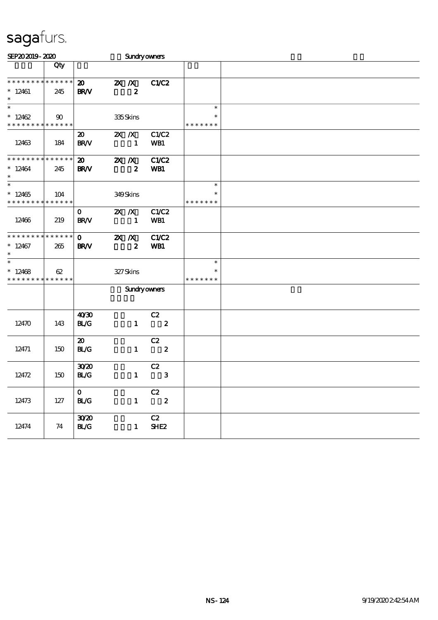| SEP202019-2020                           |     |                             |          |                           | Sundryowners               |               |  |
|------------------------------------------|-----|-----------------------------|----------|---------------------------|----------------------------|---------------|--|
|                                          | Qty |                             |          |                           |                            |               |  |
|                                          |     |                             |          |                           |                            |               |  |
| * * * * * * * * * * * * * *              |     | $\boldsymbol{\mathfrak{D}}$ |          | $\mathbf{X}$ $\mathbf{X}$ | C1/C2                      |               |  |
| $*12461$<br>$\ast$                       | 245 | <b>BR/V</b>                 |          | $\boldsymbol{z}$          |                            |               |  |
|                                          |     |                             |          |                           |                            | $\ast$        |  |
| $*12462$                                 | 90  |                             |          | 335Skins                  |                            | $\ast$        |  |
| * * * * * * * * * * * * * *              |     |                             |          |                           |                            | * * * * * * * |  |
|                                          |     | $\boldsymbol{\mathfrak{D}}$ |          | $\mathbf{X}$ $\mathbf{X}$ | C1/C2                      |               |  |
| 12463                                    | 184 | <b>BR/V</b>                 |          | $\mathbf{1}$              | WB1                        |               |  |
|                                          |     |                             |          |                           |                            |               |  |
| **************                           |     | $\boldsymbol{\mathfrak{D}}$ |          | XX                        | C1/C2                      |               |  |
| $*12464$                                 | 245 | <b>BR/V</b>                 |          | $\boldsymbol{z}$          | WB1                        |               |  |
| $\ast$                                   |     |                             |          |                           |                            |               |  |
| $\ast$                                   |     |                             |          |                           |                            | $\ast$        |  |
| $*12465$                                 | 104 |                             |          | 349Skins                  |                            | $\ast$        |  |
| * * * * * * * * <mark>* * * * * *</mark> |     |                             |          |                           |                            | * * * * * * * |  |
|                                          |     | $\mathbf{O}$                |          | $X$ $X$                   | C1/C2                      |               |  |
| 12466                                    | 219 | <b>BR/V</b>                 |          | $\mathbf{1}$              | WB1                        |               |  |
| **************                           |     |                             |          |                           |                            |               |  |
|                                          |     | $\mathbf{o}$                | $2X$ $X$ |                           | <b>C1/C2</b>               |               |  |
| $*12467$<br>$\ast$                       | 265 | <b>BR/V</b>                 |          | $\boldsymbol{z}$          | WB1                        |               |  |
| $\overline{\phantom{0}}$                 |     |                             |          |                           |                            | $\ast$        |  |
| $*12468$                                 | 62  |                             |          | 327Skins                  |                            | $\ast$        |  |
| * * * * * * * * <mark>* * * * * *</mark> |     |                             |          |                           |                            | * * * * * * * |  |
|                                          |     |                             |          |                           | <b>Sundryowners</b>        |               |  |
|                                          |     |                             |          |                           |                            |               |  |
|                                          |     |                             |          |                           |                            |               |  |
|                                          |     | 40'30                       |          |                           | C2                         |               |  |
| 12470                                    | 143 | <b>BL/G</b>                 |          | $\mathbf{1}$              | $\overline{\phantom{a}}$ 2 |               |  |
|                                          |     |                             |          |                           |                            |               |  |
|                                          |     | $\boldsymbol{\mathfrak{D}}$ |          |                           | C2                         |               |  |
| 12471                                    | 150 | <b>BL/G</b>                 |          | $\mathbf{1}$              | $\overline{\mathbf{2}}$    |               |  |
|                                          |     |                             |          |                           |                            |               |  |
|                                          |     | 3020                        |          |                           | C2                         |               |  |
| 12472                                    | 150 | <b>BL/G</b>                 |          | $\mathbf{1}$              | $\mathbf{3}$               |               |  |
|                                          |     |                             |          |                           |                            |               |  |
|                                          |     | $\mathbf{O}$                |          |                           | C2                         |               |  |
| 12473                                    | 127 | BLG                         |          | $\mathbf{1}$              | $\boldsymbol{2}$           |               |  |
|                                          |     | 3020                        |          |                           | C2                         |               |  |
| 12474                                    | 74  | <b>BL/G</b>                 |          | $\mathbf{1}$              | SHE <sub>2</sub>           |               |  |
|                                          |     |                             |          |                           |                            |               |  |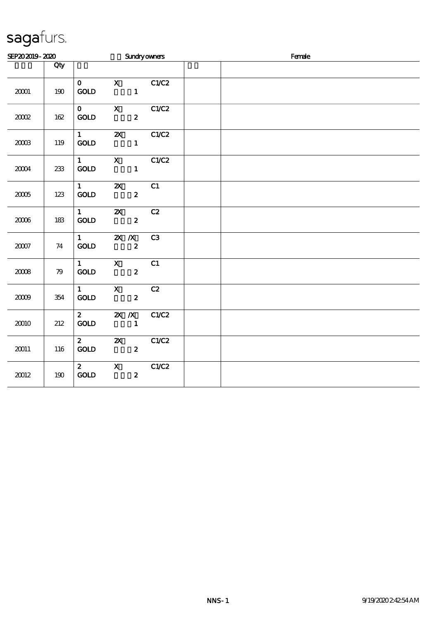| SEP202019-2020 |     |                                         | <b>Sundryowners</b>                                                                                                                                                                                                                                                                                                                             |       |  | Female |  |
|----------------|-----|-----------------------------------------|-------------------------------------------------------------------------------------------------------------------------------------------------------------------------------------------------------------------------------------------------------------------------------------------------------------------------------------------------|-------|--|--------|--|
|                | Qty |                                         |                                                                                                                                                                                                                                                                                                                                                 |       |  |        |  |
| 20001          | 190 | $\mathbf{o}$<br>GOLD                    | $\mathbf{X}$<br>$\mathbf{1}$                                                                                                                                                                                                                                                                                                                    | C1/C2 |  |        |  |
| 2002           | 162 | $\mathbf 0$<br><b>GOLD</b>              | $\mathbf x$ and $\mathbf x$ and $\mathbf x$ and $\mathbf x$ and $\mathbf x$ and $\mathbf x$ and $\mathbf x$ and $\mathbf x$ and $\mathbf x$ and $\mathbf x$ and $\mathbf x$ and $\mathbf x$ and $\mathbf x$ and $\mathbf x$ and $\mathbf x$ and $\mathbf x$ and $\mathbf x$ and $\mathbf x$ and $\mathbf x$ and $\mathbf x$ and<br>$\mathbf{2}$ | C1/C2 |  |        |  |
| 200B           | 119 | $1 \qquad \qquad$<br>$\mathbf{GOLD}$    | <b>2X</b> C1/C2<br>$\mathbf{1}$                                                                                                                                                                                                                                                                                                                 |       |  |        |  |
| 2004           | 233 | $1 \quad \blacksquare$<br>GOLD          | $\mathbf{x}$<br>$\mathbf{1}$                                                                                                                                                                                                                                                                                                                    | C1/C2 |  |        |  |
| 2005           | 123 | $1 \qquad \qquad$<br>$\mathop{\rm GOD}$ | $\boldsymbol{\mathsf{Z}}$<br>$\boldsymbol{z}$                                                                                                                                                                                                                                                                                                   | C1    |  |        |  |
| 2006           | 183 | $1 \qquad \qquad$<br>$\mathbf{GOLD}$    | $\mathbf{x}$<br>$\boldsymbol{2}$                                                                                                                                                                                                                                                                                                                | C2    |  |        |  |
| $2007\,$       | 74  | $1 \qquad \qquad$<br><b>GOLD</b>        | $X$ $X$<br>$\boldsymbol{z}$                                                                                                                                                                                                                                                                                                                     | C3    |  |        |  |
| 2008           | 79  | $1 \qquad \qquad$<br><b>GOLD</b>        | $\mathbf X$ and $\mathbf X$ and $\mathbf X$ and $\mathbf X$ and $\mathbf X$ and $\mathbf X$ and $\mathbf X$ and $\mathbf X$ and $\mathbf X$ and $\mathbf X$ and $\mathbf X$ and $\mathbf X$ and $\mathbf X$ and $\mathbf X$ and $\mathbf X$ and $\mathbf X$ and $\mathbf X$ and $\mathbf X$ and $\mathbf X$ and $\mathbf X$ and<br>$\mathbf{2}$ | C1    |  |        |  |
| 2009           | 354 | $1 \qquad \qquad$<br><b>GOLD</b>        | $\boldsymbol{\mathrm{X}}$<br>$\boldsymbol{2}$                                                                                                                                                                                                                                                                                                   | C2    |  |        |  |
| 20010          | 212 | $\boldsymbol{2}$<br>$\mathop{\rm GOD}$  | $\mathbf{X}$ $\mathbf{X}$<br>$\mathbf{1}$                                                                                                                                                                                                                                                                                                       | C1/C2 |  |        |  |
| 20011          | 116 | $2^{\circ}$<br><b>GOLD</b>              | $\mathbf{x}$<br>$\mathbf{2}$                                                                                                                                                                                                                                                                                                                    | C1/C2 |  |        |  |
| 20012          | 190 | $\mathbf{2}$<br>$\mathbf{GOLD}$         | $\boldsymbol{\mathrm{X}}$<br>$\boldsymbol{z}$                                                                                                                                                                                                                                                                                                   | C1/C2 |  |        |  |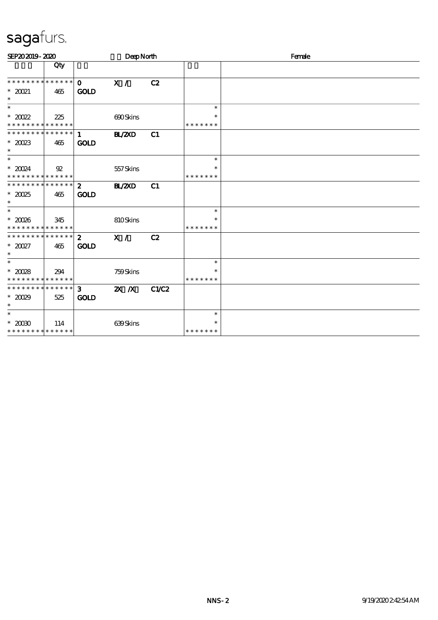| SEP202019-2020                                              |     |                               | DeepNorth     |              |                         | Female |
|-------------------------------------------------------------|-----|-------------------------------|---------------|--------------|-------------------------|--------|
|                                                             | Qty |                               |               |              |                         |        |
| * * * * * * * * * * * * * * *                               |     | $\mathbf{O}$                  | X /           | C2           |                         |        |
| $*2021$<br>$\ast$                                           | 465 | <b>GOLD</b>                   |               |              |                         |        |
| $\ast$                                                      |     |                               |               |              | $\ast$                  |        |
| $^*$ 2002<br>* * * * * * * * * * * * * *                    | 225 |                               | 690Skins      |              | $\ast$<br>* * * * * * * |        |
| ************** 1                                            |     |                               | <b>HL/2XD</b> | C1           |                         |        |
| $*20023$<br>$\ast$                                          | 465 | <b>GOLD</b>                   |               |              |                         |        |
| $\ast$                                                      |     |                               |               |              | $\ast$                  |        |
| $*20024$                                                    | 92  |                               | 557Skins      |              | $\ast$                  |        |
| * * * * * * * * * * * * * *<br>******** <mark>******</mark> |     | $\mathbf{2}$                  | <b>H_/2XD</b> | C1           | * * * * * * *           |        |
| $*2025$<br>$\ast$                                           | 465 | <b>GOLD</b>                   |               |              |                         |        |
| $\ast$                                                      |     |                               |               |              | $\ast$                  |        |
| $*2008$<br>* * * * * * * * * * * * * *                      | 345 |                               | 810Skins      |              | $\ast$<br>* * * * * * * |        |
| ******** <mark>******</mark>                                |     | $2^{\circ}$                   | X /           | C2           |                         |        |
| $*2027$<br>$\ast$                                           | 465 | <b>GOLD</b>                   |               |              |                         |        |
|                                                             |     |                               |               |              | $\ast$                  |        |
| $*20028$<br>******** <mark>******</mark>                    | 294 |                               | 759Skins      |              | $\ast$<br>* * * * * * * |        |
| ******** <mark>*******</mark><br>$*2029$<br>$\ast$          | 525 | 3 <sup>1</sup><br><b>GOLD</b> | $X$ $X$       | <b>C1/C2</b> |                         |        |
| $\ast$                                                      |     |                               |               |              | $\ast$                  |        |
| $^\ast$ 20090<br>* * * * * * * * * * * * * *                | 114 |                               | 639Skins      |              | $\ast$<br>* * * * * * * |        |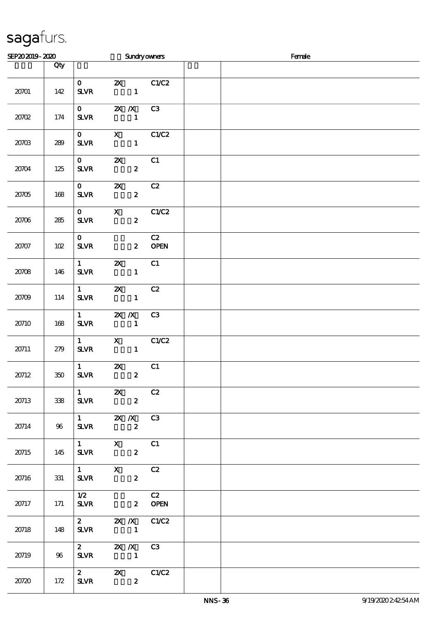| SEP202019-2020 |     |                                          |                                          | <b>Sundryowners</b>                                                                                                                                                                                                                                                                                                               | Female |
|----------------|-----|------------------------------------------|------------------------------------------|-----------------------------------------------------------------------------------------------------------------------------------------------------------------------------------------------------------------------------------------------------------------------------------------------------------------------------------|--------|
|                | Qty |                                          |                                          |                                                                                                                                                                                                                                                                                                                                   |        |
| 20701          | 142 | $\mathbf{O}$<br><b>SLVR</b>              |                                          | <b>2X</b> C1/C2<br>$\mathbf{1}$                                                                                                                                                                                                                                                                                                   |        |
| 2000           | 174 | $\mathbf{O}$<br><b>SLVR</b>              | $X \, X$                                 | C3<br>$\mathbf{1}$                                                                                                                                                                                                                                                                                                                |        |
| 20703          | 289 | $\mathbf{O}$<br><b>SLVR</b>              | $\blacksquare$                           | $X$ $C1/C2$                                                                                                                                                                                                                                                                                                                       |        |
| 20704          | 125 | $\mathbf{O}$<br><b>SLVR</b>              | $\boldsymbol{\mathsf{Z}}$                | C1<br>$\boldsymbol{z}$                                                                                                                                                                                                                                                                                                            |        |
| $20705\,$      | 168 | $\mathbf{O}$<br><b>SLVR</b>              | $\boldsymbol{\mathsf{Z}}$                | C2<br>$\boldsymbol{z}$                                                                                                                                                                                                                                                                                                            |        |
| 20706          | 285 | $\mathbf{O}$<br>${\bf S\!L}\!{\bf V\!R}$ | $\mathbf{X}$                             | C1/C2<br>$\boldsymbol{z}$                                                                                                                                                                                                                                                                                                         |        |
| 20707          | 102 | $\mathbf{O}$<br><b>SLVR</b>              |                                          | C2<br><b>OPEN</b><br>$\mathbf{z}$                                                                                                                                                                                                                                                                                                 |        |
| 20708          | 146 | $\mathbf{1}$<br><b>SLVR</b>              | $\boldsymbol{\mathsf{z}}$                | C1<br>$\mathbf{1}$                                                                                                                                                                                                                                                                                                                |        |
| 20709          | 114 | $1 \quad \blacksquare$<br><b>SLVR</b>    | $\mathbf{X}$<br>$\sim$ $\sim$ 1          | C2                                                                                                                                                                                                                                                                                                                                |        |
| 20710          | 168 | $\mathbf{1}$<br><b>SLVR</b>              | $X$ $X$<br>$\sim$ $\sim$ 1               | C <sub>3</sub>                                                                                                                                                                                                                                                                                                                    |        |
| 20711          | 279 | $1 \quad \blacksquare$<br><b>SLVR</b>    | $\mathbf{X}$                             | C1/C2<br>$\mathbf{1}$                                                                                                                                                                                                                                                                                                             |        |
| 20712          | 350 | $1 \qquad \qquad$<br><b>SLVR</b>         | $\boldsymbol{\mathsf{Z}}$                | C1<br>$\boldsymbol{z}$                                                                                                                                                                                                                                                                                                            |        |
| 20713          | 338 | $\mathbf{1}$<br><b>SLVR</b>              | $\mathbf{x}$<br>$\overline{\mathbf{z}}$  | C2                                                                                                                                                                                                                                                                                                                                |        |
| 20714          | 96  | <b>SLVR</b>                              | 1 $\mathbb{Z} \times \mathbb{Z}$ C3      | $\boldsymbol{2}$                                                                                                                                                                                                                                                                                                                  |        |
| 20715          | 145 | $1 \quad \blacksquare$<br><b>SLVR</b>    | $\mathbf X$                              | C1<br>$\boldsymbol{z}$                                                                                                                                                                                                                                                                                                            |        |
| 20716          | 331 | $1 \qquad \qquad$<br><b>SLVR</b>         | $\mathbf{X}$                             | C2<br>$\boldsymbol{2}$                                                                                                                                                                                                                                                                                                            |        |
| 20717          | 171 | 1/2<br><b>SLVR</b>                       |                                          | C2<br><b>OPEN</b><br>$\mathbf{2}$                                                                                                                                                                                                                                                                                                 |        |
| 20718          | 148 | <b>SLVR</b>                              |                                          | 2 $\mathbb{Z}$ $\mathbb{Z}$ $\mathbb{Z}$ $\mathbb{Z}$ $\mathbb{C}$ $\mathbb{C}$ $\mathbb{C}$ $\mathbb{C}$ $\mathbb{C}$ $\mathbb{C}$ $\mathbb{C}$ $\mathbb{C}$ $\mathbb{C}$ $\mathbb{C}$ $\mathbb{C}$ $\mathbb{C}$ $\mathbb{C}$ $\mathbb{C}$ $\mathbb{C}$ $\mathbb{C}$ $\mathbb{C}$ $\mathbb{C}$ $\mathbb{C}$ $\mathbb{C}$ $\math$ |        |
| 20719          | 96  | <b>SLVR</b>                              | 2 $\mathbb{Z}$ $\mathbb{Z}$ $\mathbb{Z}$ | C3                                                                                                                                                                                                                                                                                                                                |        |
| 20720          | 172 | $\mathbf{2}$<br><b>SLVR</b>              |                                          | 2X C1/C2<br>$\boldsymbol{2}$                                                                                                                                                                                                                                                                                                      |        |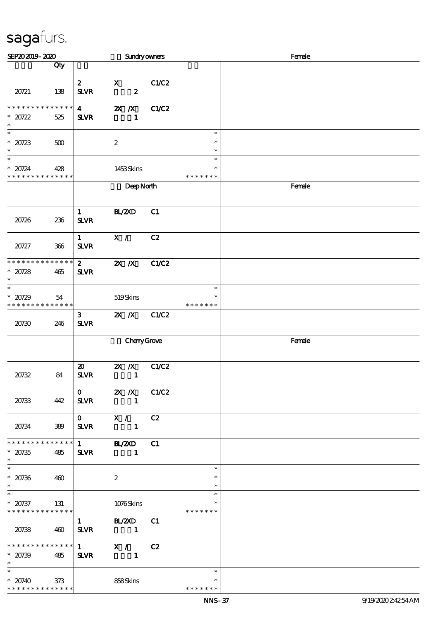| SEP202019-2020                                                                      |     |                                            | <b>Sundryowners</b>                        |              |                                   | Female |  |  |
|-------------------------------------------------------------------------------------|-----|--------------------------------------------|--------------------------------------------|--------------|-----------------------------------|--------|--|--|
|                                                                                     | Qty |                                            |                                            |              |                                   |        |  |  |
| 20721                                                                               | 138 | $\mathbf{z}$<br><b>SLVR</b>                | $\mathbf{x}$<br>$\boldsymbol{z}$           | C1/C2        |                                   |        |  |  |
| * * * * * * * * * * * * * *<br>$*20722$<br>$\ast$                                   | 525 | $\overline{\mathbf{4}}$<br><b>SLVR</b>     | $X$ $X$<br>1                               | <b>C1/C2</b> |                                   |        |  |  |
| $_*^-$<br>$*20723$<br>$\ast$                                                        | 500 |                                            | $\boldsymbol{z}$                           |              | $\ast$<br>$\ast$<br>$\ast$        |        |  |  |
| $\overline{\phantom{1}}$<br>$* 20724$<br>* * * * * * * * <mark>* * * * * * *</mark> | 428 |                                            | 1453Skins                                  |              | $\ast$<br>$\ast$<br>* * * * * * * |        |  |  |
|                                                                                     |     |                                            | DeepNorth                                  |              |                                   | Female |  |  |
| 20726                                                                               | 236 | $\mathbf{1}$<br>$S\!L\!V\!R$               | BL/2XD                                     | C1           |                                   |        |  |  |
| 20727                                                                               | 366 | $\mathbf{1}$<br><b>SLVR</b>                | $\mathbf{X}$ /                             | C2           |                                   |        |  |  |
| * * * * * * * * * * * * * *<br>$*20728$<br>$\ast$                                   | 465 | $\mathbf{z}$<br><b>SLVR</b>                | $X$ $N$                                    | C1/C2        |                                   |        |  |  |
| $\overline{\phantom{a}^*}$<br>$*20729$<br>* * * * * * * * * * * * * *               | 54  |                                            | 519Skins                                   |              | $\ast$<br>$\ast$<br>* * * * * * * |        |  |  |
| 20730                                                                               | 246 | $\mathbf{3}$<br><b>SLVR</b>                | $X$ $N$                                    | C1/C2        |                                   |        |  |  |
|                                                                                     |     |                                            | CharyGrove                                 |              |                                   | Female |  |  |
| 20732                                                                               | 84  | $\boldsymbol{\mathfrak{D}}$<br><b>SLVR</b> | $X$ $N$<br>$\mathbf{1}$                    | C1/C2        |                                   |        |  |  |
| 20733                                                                               | 442 | $\mathbf{O}$<br><b>SLVR</b>                | <b>2X</b> <i>X</i> C1/C2<br>$\blacksquare$ |              |                                   |        |  |  |
| 20734                                                                               | 389 | $\mathbf{O}$<br><b>SLVR</b>                | X / C2                                     |              |                                   |        |  |  |
| * * * * * * * * * * * * * *<br>$* 20735$<br>$\ast$                                  | 485 | <b>SLVR</b>                                | 1 BL/2XD C1<br>$\blacksquare$              |              |                                   |        |  |  |
| $\overline{\ast}$<br>$* 20736$<br>$\ast$                                            | 460 |                                            | $\boldsymbol{2}$                           |              | $\ast$<br>$\ast$<br>$\ast$        |        |  |  |
| $\ast$<br>$* 20737$<br>**************                                               | 131 |                                            | 1076Skins                                  |              | $\ast$<br>$\ast$<br>* * * * * * * |        |  |  |
| 20738                                                                               | 460 | <b>SLVR</b>                                | 1 BL/2XD C1<br>$\sim$ $\sim$ 1             |              |                                   |        |  |  |
| **************<br>$* 20739$<br>$\ast$                                               | 485 | <b>SLVR</b>                                | $\overline{1}$ X / C2                      |              |                                   |        |  |  |
| $\ast$<br>$* 20740$<br>* * * * * * * * * * * * * *                                  | 373 |                                            | 858Skins                                   |              | $\ast$<br>$\ast$<br>* * * * * * * |        |  |  |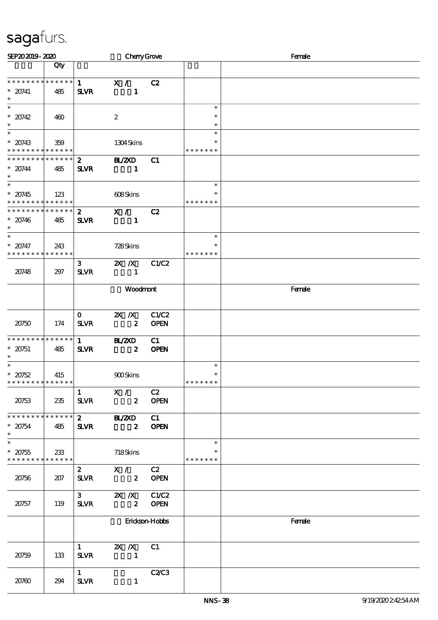| SEP202019-2020                                                                 |     |                               | CherryGrove                       |                      |                                   | Female |  |  |
|--------------------------------------------------------------------------------|-----|-------------------------------|-----------------------------------|----------------------|-----------------------------------|--------|--|--|
|                                                                                | Qty |                               |                                   |                      |                                   |        |  |  |
| * * * * * * * * * * * * * *<br>$* 20741$<br>$\ast$                             | 485 | $\mathbf{1}$<br><b>SLVR</b>   | $\mathbf{X}$ /<br>$\mathbf{1}$    | C2                   |                                   |        |  |  |
| $\overline{\phantom{0}}$<br>$* 20742$<br>$\ast$                                | 460 |                               | $\boldsymbol{2}$                  |                      | $\ast$<br>$\ast$<br>$\ast$        |        |  |  |
| $\ast$<br>$* 20743$<br>* * * * * * * * <mark>* * * * * * *</mark>              | 359 |                               | 1304Skins                         |                      | $\ast$<br>* * * * * * *           |        |  |  |
| * * * * * * * * * * * * * * *<br>$* 20744$<br>$\ast$                           | 485 | $2^{\circ}$<br><b>SLVR</b>    | <b>H_/2XD</b><br>$\blacksquare$   | C1                   |                                   |        |  |  |
| $\ast$<br>$* 20745$<br>* * * * * * * * * * * * * *                             | 123 |                               | 608Skins                          |                      | $\ast$<br>$\ast$<br>* * * * * * * |        |  |  |
| * * * * * * * * * * * * * *<br>$* 20746$<br>$\ast$                             | 485 | $\mathbf{2}$<br><b>SLVR</b>   | X /<br>$\mathbf{1}$               | C2                   |                                   |        |  |  |
| $\ast$<br>$* 20747$<br>* * * * * * * * * * * * * *                             | 243 |                               | 728Skins                          |                      | $\ast$<br>* * * * * * *           |        |  |  |
| 20748                                                                          | 297 | $\mathbf{3}$<br><b>SLVR</b>   | $X$ $X$<br>$\mathbf{1}$           | C1/C2                |                                   |        |  |  |
|                                                                                |     |                               | Woodmont                          |                      |                                   | Female |  |  |
| 20750                                                                          | 174 | $\mathbf{O}$<br><b>SLVR</b>   | $X$ $X$<br>$\boldsymbol{z}$       | C1/C2<br><b>OPEN</b> |                                   |        |  |  |
| * * * * * * * * * * * * * *<br>$* 20751$<br>$\ast$                             | 485 | $1 \quad$<br><b>SLVR</b>      | <b>H_/2XD</b><br>$\boldsymbol{z}$ | C1<br>OPEN           |                                   |        |  |  |
| $\ast$<br>$*20752$<br>* * * * * * * * <mark>* * * * * * *</mark>               | 415 |                               | 900Skins                          |                      | $\ast$<br>$\ast$<br>* * * * * * * |        |  |  |
| 20753                                                                          | 235 | $\mathbf{1}$<br><b>SLVR</b>   | X /<br>$\mathbf{2}$               | C2<br><b>OPEN</b>    |                                   |        |  |  |
| * * * * * * * * * * * * * *<br>$* 20754$<br>$\ast$<br>$\overline{\phantom{0}}$ | 485 | $2^{\circ}$<br><b>SLVR</b>    | <b>HL/2XD</b><br>$\boldsymbol{z}$ | C1<br><b>OPEN</b>    |                                   |        |  |  |
| $* 20755$<br>* * * * * * * * * * * * * *                                       | 233 |                               | 718Skins                          |                      | $\ast$<br>$\ast$<br>* * * * * * * |        |  |  |
| 20756                                                                          | 207 | $\mathbf{2}$<br>$S\!L\!V\!R$  | X /<br>$\mathbf{2}$               | C2<br><b>OPEN</b>    |                                   |        |  |  |
| 20757                                                                          | 119 | 3 <sub>1</sub><br><b>SLVR</b> | $X$ $X$<br>$\boldsymbol{2}$       | C1/C2<br><b>OPEN</b> |                                   |        |  |  |
|                                                                                |     |                               |                                   | Erickson-Hobbs       |                                   | Female |  |  |
| 20759                                                                          | 133 | $\mathbf{1}$<br><b>SLVR</b>   | $X \, X$<br>$\mathbf{1}$          | C1                   |                                   |        |  |  |
| 20760                                                                          | 294 | $\mathbf{1}$<br><b>SLVR</b>   | $\mathbf{1}$                      | <b>C2/C3</b>         |                                   |        |  |  |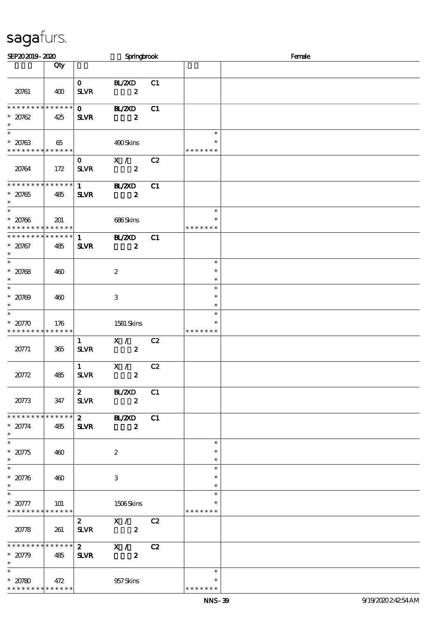| SEP202019-2020                                       |                    |                              | Springbrook                        |    |                                   | Female |  |  |  |
|------------------------------------------------------|--------------------|------------------------------|------------------------------------|----|-----------------------------------|--------|--|--|--|
|                                                      | Qty                |                              |                                    |    |                                   |        |  |  |  |
| 20761                                                | 400                | $\mathbf{O}$<br><b>SLVR</b>  | BL/2XD<br>$\overline{\mathbf{z}}$  | C1 |                                   |        |  |  |  |
| * * * * * * * * * * * * * *<br>$* 20762$<br>$\ast$   | 425                | $\mathbf{0}$<br><b>SLVR</b>  | <b>HL/ZXD</b><br>$\boldsymbol{z}$  | C1 |                                   |        |  |  |  |
| $\ast$<br>$* 20763$<br>* * * * * * * * * * * * * *   | 65                 |                              | 490Skins                           |    | $\ast$<br>∗<br>* * * * * * *      |        |  |  |  |
| 20764                                                | 172                | $\mathbf{O}$<br><b>SLVR</b>  | X / C2<br>$\overline{\mathbf{2}}$  |    |                                   |        |  |  |  |
| **************<br>$* 20765$<br>$\ast$                | 485                | $\mathbf{1}$<br><b>SLVR</b>  | <b>HL/ZXD</b><br>$\boldsymbol{z}$  | C1 |                                   |        |  |  |  |
| $\ast$<br>$* 20766$<br>* * * * * * * * * * * * * * * | 201                |                              | 686Skins                           |    | $\ast$<br>$\ast$<br>* * * * * * * |        |  |  |  |
| ******** <mark>******</mark><br>$* 20767$<br>$\ast$  | 485                | <b>SLVR</b>                  | 1 BL/2XD<br>$\boldsymbol{z}$       | C1 |                                   |        |  |  |  |
| $_{*}^{-}$<br>$* 20768$<br>$\ast$                    | 460                |                              | $\boldsymbol{2}$                   |    | $\ast$<br>$\ast$<br>$\ast$        |        |  |  |  |
| $\overline{\phantom{a}^*}$<br>$* 20709$<br>$\ast$    | 460                |                              | 3                                  |    | $\ast$<br>$\ast$<br>$\ast$        |        |  |  |  |
| $\overline{\ast}$<br>$* 2070$<br>* * * * * * * *     | 176<br>* * * * * * |                              | 1581 Skins                         |    | $\ast$<br>$\ast$<br>* * * * * * * |        |  |  |  |
| 20771                                                | 365                | $\mathbf{1}$<br>$S\!L\!V\!R$ | X /<br>$\overline{\mathbf{2}}$     | C2 |                                   |        |  |  |  |
| 20772                                                | 485                | $\mathbf{1}$<br><b>SLVR</b>  | $\mathbf{x}$<br>$\boldsymbol{z}$   | C2 |                                   |        |  |  |  |
| 20773                                                | 347                | $2^{\circ}$<br><b>SLVR</b>   | BL/2XD<br>$\boldsymbol{2}$         | C1 |                                   |        |  |  |  |
| * * * * * * * * * * * * * *<br>$* 20774$<br>$\ast$   | 485                | $2^{\circ}$<br><b>SLVR</b>   | BL/2XD<br>$\boldsymbol{z}$         | C1 |                                   |        |  |  |  |
| $\ast$<br>$* 20775$<br>$\ast$                        | 460                |                              | $\boldsymbol{2}$                   |    | $\ast$<br>$\ast$<br>$\ast$        |        |  |  |  |
| $\overline{\phantom{0}}$<br>$* 20776$<br>$\ast$      | 460                |                              | 3                                  |    | $\ast$<br>$\ast$<br>$\ast$        |        |  |  |  |
| $\ast$<br>$* 20777$<br>* * * * * * * * * * * * * *   | 101                |                              | 1506Skins                          |    | $\ast$<br>$\ast$<br>* * * * * * * |        |  |  |  |
| 20778                                                | 261                | $2^{\circ}$<br><b>SLVR</b>   | X / C2<br>$\overline{\mathbf{2}}$  |    |                                   |        |  |  |  |
| * * * * * * * * * * * * * *<br>$* 20779$<br>$\ast$   | 485                | <b>SLVR</b>                  | $2$ $X /$ $C2$<br>$\boldsymbol{z}$ |    |                                   |        |  |  |  |
| $\ast$<br>$* 20780$<br>* * * * * * * * * * * * * *   | 472                |                              | 957Skins                           |    | $\ast$<br>$\ast$<br>* * * * * * * |        |  |  |  |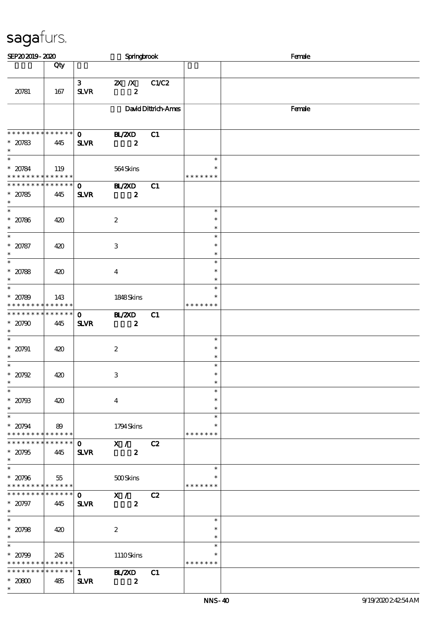| SEP202019-2020                                                       |                    |                               | Springbrook                                         |                     |                                   | Female |  |  |
|----------------------------------------------------------------------|--------------------|-------------------------------|-----------------------------------------------------|---------------------|-----------------------------------|--------|--|--|
|                                                                      | Qty                |                               |                                                     |                     |                                   |        |  |  |
| 20781                                                                | 167                | 3 <sup>7</sup><br><b>SLVR</b> | 2X / X C1/C2<br>$\boldsymbol{z}$                    |                     |                                   |        |  |  |
|                                                                      |                    |                               |                                                     | David Dittrich-Ames |                                   | Female |  |  |
| * * * * * * * * * * * * * * *<br>$* 20783$<br>$\ast$                 | 445                | $\mathbf{O}$<br><b>SLVR</b>   | <b>HAZXD</b><br>$\boldsymbol{z}$                    | C1                  |                                   |        |  |  |
| $\ast$<br>$* 20784$<br>* * * * * * * * * * * * * *                   | 119                |                               | 564Skins                                            |                     | $\ast$<br>$\ast$<br>* * * * * * * |        |  |  |
| * * * * * * * * * * * * * *<br>$* 20785$<br>$\ast$                   | 445                | $\mathbf{O}$<br><b>SLVR</b>   | <b>BL/ZXD</b><br>$\boldsymbol{z}$                   | C1                  |                                   |        |  |  |
| $\overline{\phantom{a}^*}$<br>$* 20786$<br>$\ast$                    | 420                |                               | $\boldsymbol{2}$                                    |                     | $\ast$<br>$\ast$<br>$\ast$        |        |  |  |
| $\ast$<br>$* 20787$<br>$\ast$                                        | 420                |                               | $\,3$                                               |                     | $\ast$<br>$\ast$<br>$\ast$        |        |  |  |
| $\overline{\phantom{0}}$<br>$* 20788$<br>$\ast$                      | 420                |                               | $\bf{4}$                                            |                     | $\ast$<br>$\ast$<br>$\ast$        |        |  |  |
| $\ast$<br>$* 20789$<br>* * * * * * * *                               | 143<br>* * * * * * |                               | 1848Skins                                           |                     | $\ast$<br>$\ast$<br>* * * * * * * |        |  |  |
| * * * * * * * * * * * * * *<br>$* 20790$<br>$\ast$                   | 445                | $\mathbf 0$<br><b>SLVR</b>    | <b>BL/2XD</b><br>$\boldsymbol{z}$                   | C1                  |                                   |        |  |  |
| $\ast$<br>$* 20791$<br>$\ast$                                        | 420                |                               | $\boldsymbol{z}$                                    |                     | $\ast$<br>$\ast$<br>$\ast$        |        |  |  |
| $\ast$<br>$*20792$<br>$\ast$                                         | 420                |                               | $\ensuremath{\mathbf{3}}$                           |                     | $\ast$<br>$\ast$                  |        |  |  |
| $\overline{\ast}$<br>$* 20793$<br>$\ast$                             | 420                |                               | $\overline{4}$                                      |                     | $\ast$<br>$\ast$<br>$\ast$        |        |  |  |
| $\overline{\phantom{0}}$<br>$* 20794$<br>* * * * * * * * * * * * * * | 89                 |                               | 1794Skins                                           |                     | $\ast$<br>$\ast$<br>* * * * * * * |        |  |  |
| * * * * * * * *<br>$* 20795$<br>$\ast$                               | * * * * * *<br>445 | $\mathbf{O}$<br><b>SLVR</b>   | X / C2<br>$\boldsymbol{z}$                          |                     |                                   |        |  |  |
| $\ast$<br>$* 20796$<br>******** <mark>******</mark>                  | 55                 |                               | 500Skins                                            |                     | $\ast$<br>$\ast$<br>* * * * * * * |        |  |  |
| * * * * * * * *<br>$* 20797$<br>$\ast$                               | * * * * * *<br>445 | <b>SLVR</b>                   | $\overline{0}$ $\overline{X}$ /<br>$\boldsymbol{z}$ | C2                  |                                   |        |  |  |
| $\overline{\ast}$<br>$* 20798$<br>$\ast$                             | 420                |                               | $\boldsymbol{2}$                                    |                     | $\ast$<br>$\ast$<br>$\ast$        |        |  |  |
| $\ast$<br>$* 20799$<br>* * * * * * * * * * * * * *                   | 245                |                               | 1110Skins                                           |                     | $\ast$<br>$\ast$<br>* * * * * * * |        |  |  |
| * * * * * * * *<br>$*2000$<br>$\ast$                                 | * * * * * *<br>485 | $\mathbf{1}$<br><b>SLVR</b>   | <b>BL/2XD</b><br>$\boldsymbol{z}$                   | C1                  |                                   |        |  |  |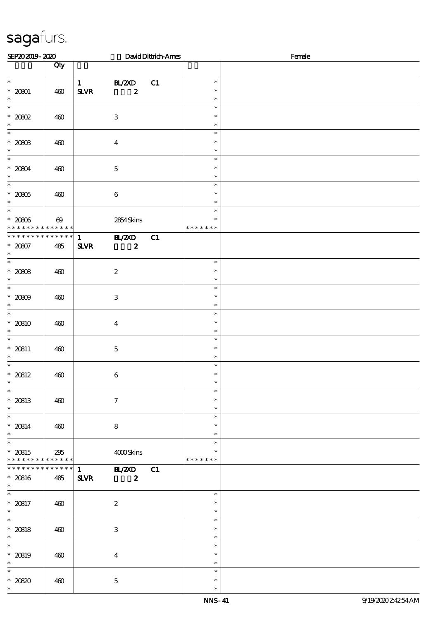| SEP202019-2020                                             |                       |                              |                                   | David Dittrich-Ames |                                   | Female |  |
|------------------------------------------------------------|-----------------------|------------------------------|-----------------------------------|---------------------|-----------------------------------|--------|--|
|                                                            | Qty                   |                              |                                   |                     |                                   |        |  |
| $\ast$<br>$* 20001$<br>$\ast$                              | 460                   | $\mathbf{1}$<br><b>SLVR</b>  | BL/2XD<br>$\boldsymbol{z}$        | C1                  | $\ast$<br>$\ast$<br>$\ast$        |        |  |
| $\ast$<br>$^*$ 2002<br>$\ast$                              | 460                   |                              | $\ensuremath{\mathbf{3}}$         |                     | $\ast$<br>$\ast$<br>$\ast$        |        |  |
| $\overline{\phantom{a}^*}$<br>$^*$ 20803 $\,$<br>$\ast$    | 460                   |                              | $\boldsymbol{4}$                  |                     | $\ast$<br>$\ast$<br>$\ast$        |        |  |
| $\ast$<br>$* 20804$<br>$\ast$                              | 460                   |                              | $\mathbf 5$                       |                     | $\ast$<br>$\ast$<br>$\ast$        |        |  |
| $\overline{\ast}$<br>$^\ast$ 2005<br>$\ast$                | 460                   |                              | $\bf 6$                           |                     | $\ast$<br>$\ast$<br>$\ast$        |        |  |
| $\ast$<br>$^\ast$ 2006<br>* * * * * * * * * * * * * *      | $\boldsymbol{\omega}$ |                              | 2854 Skins                        |                     | $\ast$<br>$\ast$<br>* * * * * * * |        |  |
| * * * * * * * *<br>$* 20007$<br>$\ast$                     | ******<br>485         | $\mathbf{1}$<br>$S\!L\!V\!R$ | B ZCD<br>$\boldsymbol{z}$         | C1                  |                                   |        |  |
| $\overline{\ast}$<br>$* 20008$<br>$\ast$                   | 460                   |                              | $\boldsymbol{2}$                  |                     | $\ast$<br>$\ast$<br>$\ast$        |        |  |
| $\overline{\phantom{0}}$<br>$* 20009$<br>$\ast$            | 460                   |                              | $\ensuremath{\mathbf{3}}$         |                     | $\ast$<br>$\ast$<br>$\ast$        |        |  |
| $\overline{\ast}$<br>$* 20810$<br>$\ast$                   | 460                   |                              | $\boldsymbol{4}$                  |                     | $\ast$<br>$\ast$<br>$\ast$        |        |  |
| $\ast$<br>$* 20811$<br>$\ast$                              | 460                   |                              | $\mathbf 5$                       |                     | $\ast$<br>$\ast$<br>$\ast$        |        |  |
| $\ast$<br>$* 20812$<br>$\ast$                              | 460                   |                              | $\boldsymbol{6}$                  |                     | $\ast$<br>$\ast$<br>$\ast$        |        |  |
| $\ast$<br>$* 20813$<br>$\ast$                              | 460                   |                              | $\boldsymbol{\tau}$               |                     | $\ast$<br>$\ast$<br>$\ast$        |        |  |
| $\ast$<br>$* 20814$<br>$\ast$                              | 460                   |                              | ${\bf 8}$                         |                     | $\ast$<br>$\ast$<br>$\ast$        |        |  |
| $\overline{\phantom{a}^*}$<br>$* 20815$<br>* * * * * * * * | 295<br>******         |                              | 4000Skins                         |                     | $\ast$<br>$\ast$<br>* * * * * * * |        |  |
| ******** <mark>*******</mark><br>$* 20816$<br>$\ast$       | 485                   | $\mathbf{1}$<br><b>SLVR</b>  | <b>HL/2XD</b><br>$\boldsymbol{2}$ | C1                  |                                   |        |  |
| $\overline{\ast}$<br>$* 20817$<br>$\ast$                   | 460                   |                              | $\boldsymbol{2}$                  |                     | $\ast$<br>$\ast$<br>$\ast$        |        |  |
| $\ast$<br>$* 20818$<br>$\ast$                              | 460                   |                              | $\ensuremath{\mathbf{3}}$         |                     | $\ast$<br>$\ast$<br>$\ast$        |        |  |
| $\ast$<br>$* 20819$<br>$\ast$                              | 460                   |                              | $\boldsymbol{4}$                  |                     | $\ast$<br>$\ast$<br>$\ast$        |        |  |
| $\ast$<br>$* 20820$<br>$\ast$                              | 460                   |                              | $\mathbf 5$                       |                     | $\ast$<br>$\ast$<br>$\ast$        |        |  |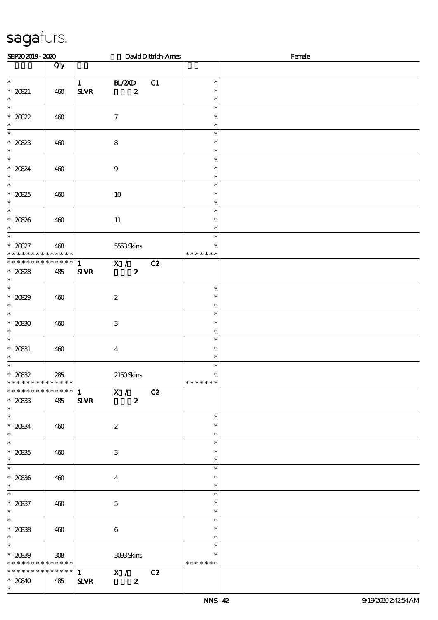| SEP202019-2020                                                                          |                    |                                          |                                               | David Dittrich-Ames | Female                            |  |  |  |  |
|-----------------------------------------------------------------------------------------|--------------------|------------------------------------------|-----------------------------------------------|---------------------|-----------------------------------|--|--|--|--|
|                                                                                         | Qty                |                                          |                                               |                     |                                   |  |  |  |  |
| $\ast$<br>$* 20821$<br>$\ast$                                                           | 460                | $\mathbf{1}$<br>${\bf S\!L}\!{\bf V\!R}$ | BL/2XD<br>$\boldsymbol{z}$                    | C1                  | $\ast$<br>$\ast$<br>$\ast$        |  |  |  |  |
| $\ast$<br>$* 20822$<br>$\ast$                                                           | 460                |                                          | $\boldsymbol{7}$                              |                     | $\ast$<br>$\ast$<br>$\ast$        |  |  |  |  |
| $\overline{\phantom{0}}$<br>$* 20823$<br>$\ast$                                         | 460                |                                          | $\bf 8$                                       |                     | $\ast$<br>$\ast$<br>$\ast$        |  |  |  |  |
| $\overline{\ast}$<br>$* 20824$<br>$\ast$                                                | 460                |                                          | $\boldsymbol{9}$                              |                     | $\ast$<br>$\ast$<br>$\ast$        |  |  |  |  |
| $\ast$<br>$* 20825$<br>$\ast$                                                           | 460                |                                          | 10                                            |                     | $\ast$<br>$\ast$<br>$\ast$        |  |  |  |  |
| $\overline{\phantom{0}}$<br>* 20826 *<br>$\overline{\ast}$                              | 460                |                                          | $11\,$                                        |                     | $\ast$<br>$\ast$<br>$\ast$        |  |  |  |  |
| * $20827$<br>* * * * * * * *                                                            | 468<br>* * * * * * |                                          | 5553Skins                                     |                     | $\ast$<br>$\ast$<br>* * * * * * * |  |  |  |  |
| * * * * * * * *<br>$* 20828$<br>$\ast$<br>$\overline{\phantom{0}}$                      | * * * * * *<br>485 | $\mathbf{1}$<br>$S\!L\!VR$               | X /<br>$\boldsymbol{z}$                       | C2                  |                                   |  |  |  |  |
| $* 20829$<br>$\ast$<br>$\overline{\phantom{0}}$                                         | 460                |                                          | $\boldsymbol{2}$                              |                     | $\ast$<br>$\ast$<br>$\ast$        |  |  |  |  |
| $* 20800$<br>$\ast$<br>$\ast$                                                           | 460                |                                          | $\,3$                                         |                     | $\ast$<br>$\ast$<br>$\ast$        |  |  |  |  |
| $^\ast$ 20831<br>$\ast$<br>$\ast$                                                       | 460                |                                          | $\boldsymbol{4}$                              |                     | $\ast$<br>$\ast$<br>$\ast$        |  |  |  |  |
| $* 2082$<br>* * * * * * * * <mark>* * * * * * *</mark><br>* * * * * * * * * * * * * * * | 285                |                                          | 2150Skins                                     |                     | $\ast$<br>$\ast$<br>* * * * * * * |  |  |  |  |
| $^\ast$ 2083<br>$\ast$                                                                  | 485                | $\mathbf{1}$<br><b>SLVR</b>              | $\overline{\mathbf{x}}$ /<br>$\boldsymbol{z}$ | C2                  |                                   |  |  |  |  |
| $^\ast$ 2084<br>$\ast$<br>$\overline{\phantom{0}}$                                      | 460                |                                          | $\boldsymbol{2}$                              |                     | $\ast$<br>$\ast$<br>$\ast$        |  |  |  |  |
| $^\ast$ 20835<br>$\ast$<br>$\overline{\phantom{0}}$                                     | 460                |                                          | $\ensuremath{\mathbf{3}}$                     |                     | $\ast$<br>$\ast$<br>$\ast$        |  |  |  |  |
| $^\ast$ 20836<br>$\ast$                                                                 | 460                |                                          | $\bf{4}$                                      |                     | $\ast$<br>$\ast$<br>$\ast$        |  |  |  |  |
| $\overline{\ast}$<br>$* 20837$<br>$\ast$                                                | 460                |                                          | $\mathbf 5$                                   |                     | $\ast$<br>$\ast$<br>$\ast$        |  |  |  |  |
| $\ast$<br>$^\ast$ 2088<br>$\ast$<br>$\overline{\phantom{0}}$                            | 460                |                                          | $\boldsymbol{6}$                              |                     | $\ast$<br>$\ast$<br>$\ast$        |  |  |  |  |
| $* 20899$<br>* * * * * * * * * * * * * *                                                | 308                |                                          | 308Skins                                      |                     | $\ast$<br>∗<br>* * * * * * *      |  |  |  |  |
| * * * * * * * * * * * * * * *<br>$* 20840$<br>$\ast$                                    | 485                | $\mathbf{1}$<br>$S\!L\!V\!R$             | X /<br>$\boldsymbol{z}$                       | C2                  |                                   |  |  |  |  |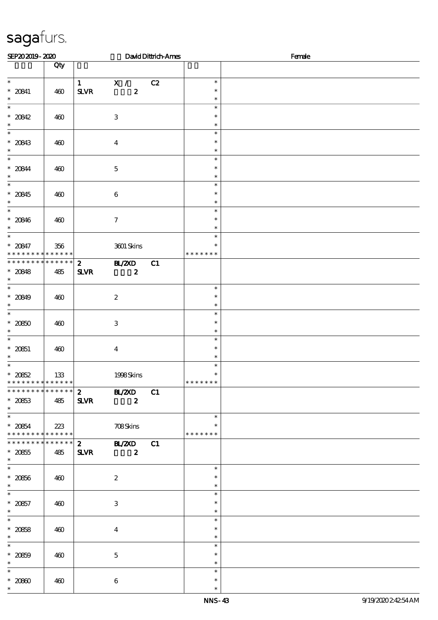| SEP202019-2020                                                                     |                    |                                          |                                   | David Dittrich-Ames |                                   | Female |  |  |
|------------------------------------------------------------------------------------|--------------------|------------------------------------------|-----------------------------------|---------------------|-----------------------------------|--------|--|--|
|                                                                                    | Qty                |                                          |                                   |                     |                                   |        |  |  |
| $\ast$<br>$* 20841$<br>$\ast$                                                      | 460                | $\mathbf{1}$<br>${\bf S\!L}\!{\bf V\!R}$ | X /<br>$\boldsymbol{z}$           | C2                  | $\ast$<br>$\ast$<br>$\ast$        |        |  |  |
| $\overline{\ast}$<br>$* 20842$<br>$\ast$                                           | 460                |                                          | $\ensuremath{\mathbf{3}}$         |                     | $\ast$<br>$\ast$<br>$\ast$        |        |  |  |
| $\ast$<br>$* 20843$<br>$\ast$                                                      | 460                |                                          | $\boldsymbol{4}$                  |                     | $\ast$<br>$\ast$<br>$\ast$        |        |  |  |
| $\overline{\ast}$<br>$* 20844$<br>$\ast$                                           | 460                |                                          | $\mathbf 5$                       |                     | $\ast$<br>$\ast$<br>$\ast$        |        |  |  |
| $\overline{\ast}$<br>$* 20845$<br>$\ast$                                           | 460                |                                          | $\,6\,$                           |                     | $\ast$<br>$\ast$<br>$\ast$        |        |  |  |
| $\ast$<br>$* 20846$<br>$\ast$                                                      | 460                |                                          | $\boldsymbol{\tau}$               |                     | $\ast$<br>$\ast$<br>$\ast$        |        |  |  |
| $\overline{\ast}$<br>$* 20847$<br>* * *                                            | 356<br>* * * * * * |                                          | 3601 Skins                        |                     | $\ast$<br>∗<br>* * * * * * *      |        |  |  |
| * * * * * * * * * * * * * *<br>$* 20848$<br>$\ast$                                 | 485                | $\boldsymbol{z}$<br><b>SLVR</b>          | <b>HL/2XD</b><br>$\boldsymbol{z}$ | C1                  |                                   |        |  |  |
| $\overline{\ast}$<br>$* 20849$<br>$\ast$                                           | 460                |                                          | $\boldsymbol{2}$                  |                     | $\ast$<br>$\ast$<br>$\ast$        |        |  |  |
| $\overline{\ast}$<br>$* 2080$<br>$\ast$                                            | 460                |                                          | $\,3$                             |                     | $\ast$<br>$\ast$<br>$\ast$        |        |  |  |
| $\ast$<br>$* 20851$<br>$\ast$                                                      | 460                |                                          | $\boldsymbol{4}$                  |                     | $\ast$<br>$\ast$<br>$\ast$        |        |  |  |
| $\ast$<br>$* 2062$<br>* * * * * * * * <mark>* * * * * * *</mark>                   | 133                |                                          | 1998Skins                         |                     | $\ast$<br>$\ast$<br>* * * * * * * |        |  |  |
| * * * * * * * * * * * * * *<br>$* 2063$<br>$\ast$                                  | 485                | $\mathbf{2}$<br><b>SLVR</b>              | <b>HL/2XD</b><br>$\boldsymbol{z}$ | C1                  |                                   |        |  |  |
| $\overline{\phantom{0}}$<br>$* 2064$<br>* * * * * * * * <mark>* * * * * * *</mark> | 223                |                                          | 708Skins                          |                     | $\ast$<br>$\ast$<br>* * * * * * * |        |  |  |
| * * * * * * * * * * * * * *<br>$^\ast$ 20855<br>$\ast$                             | 485                | $\boldsymbol{z}$<br><b>SLVR</b>          | <b>HL/ZXD</b><br>$\boldsymbol{z}$ | C1                  |                                   |        |  |  |
| $\overline{\phantom{0}}$<br>$^\ast$ 20856<br>$\ast$                                | 460                |                                          | $\boldsymbol{2}$                  |                     | $\ast$<br>$\ast$<br>$\ast$        |        |  |  |
| $\overline{\phantom{0}}$<br>$* 20857$<br>$\ast$                                    | 460                |                                          | $\,3$                             |                     | $\ast$<br>$\ast$<br>$\ast$        |        |  |  |
| $\ast$<br>$* 2068$<br>$\ast$                                                       | 460                |                                          | $\boldsymbol{4}$                  |                     | $\ast$<br>$\ast$<br>$\ast$        |        |  |  |
| $\ast$<br>$* 2069$<br>$\ast$                                                       | 460                |                                          | $\mathbf 5$                       |                     | $\ast$<br>$\ast$<br>$\ast$        |        |  |  |
| $\ast$<br>$\,^*$ 2080<br>$\ast$                                                    | 460                |                                          | $\boldsymbol{6}$                  |                     | $\ast$<br>$\ast$<br>$\ast$        |        |  |  |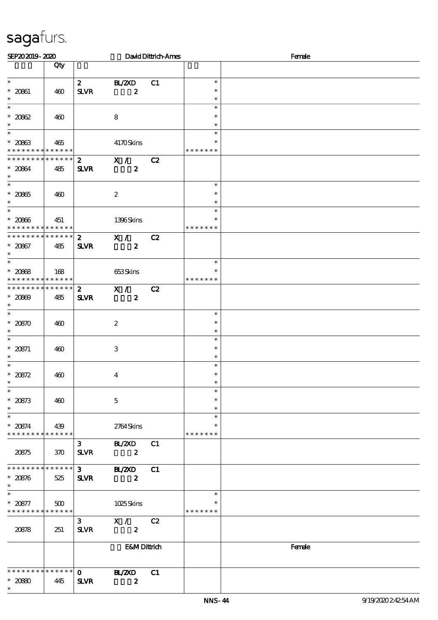| SEP202019-2020                                                                     |     |                              |                                    | David Dittrich-Ames |                                   | Female |
|------------------------------------------------------------------------------------|-----|------------------------------|------------------------------------|---------------------|-----------------------------------|--------|
|                                                                                    | Qty |                              |                                    |                     |                                   |        |
| $\ast$<br>$* 20801$<br>$\ast$                                                      | 460 | $\mathbf{z}$<br><b>SLVR</b>  | BL/2XD<br>$\boldsymbol{z}$         | C1                  | $\ast$<br>$\ast$<br>$\ast$        |        |
| $\ast$<br>$* 20862$<br>$\ast$                                                      | 460 |                              | 8                                  |                     | $\ast$<br>$\ast$<br>$\ast$        |        |
| $\ast$<br>$* 2063$<br>* * * * * * * * * * * * * *                                  | 465 |                              | 4170Skins                          |                     | $\ast$<br>*<br>* * * * * * *      |        |
| * * * * * * * * * * * * * * *<br>$* 20864$<br>$\ast$                               | 485 | $2^{\circ}$<br><b>SLVR</b>   | $\mathbf{x}$ /<br>$\boldsymbol{z}$ | C2                  |                                   |        |
| $\overline{\ast}$<br>$* 20865$<br>$\ast$                                           | 460 |                              | $\boldsymbol{2}$                   |                     | $\ast$<br>$\ast$<br>$\ast$        |        |
| $\ast$<br>$* 20006$<br>* * * * * * * * * * * * * * *                               | 451 |                              | 1396Skins                          |                     | $\ast$<br>*<br>* * * * * * *      |        |
| * * * * * * * * * * * * * * *<br>$* 20867$<br>$\ast$                               | 485 | $\mathbf{2}$<br><b>SLVR</b>  | X /<br>$\boldsymbol{z}$            | C2                  |                                   |        |
| $\overline{\phantom{0}}$<br>$* 2068$<br>* * * * * * * * <mark>* * * * * * *</mark> | 168 |                              | 653Skins                           |                     | $\ast$<br>$\ast$<br>* * * * * * * |        |
| * * * * * * * * * * * * * *<br>$* 20809$<br>$\ast$                                 | 485 | $2^{\circ}$<br><b>SLVR</b>   | X /<br>$\boldsymbol{z}$            | C2                  |                                   |        |
| $\overline{\ast}$<br>$* 20870$<br>$\ast$                                           | 460 |                              | $\boldsymbol{2}$                   |                     | $\ast$<br>$\ast$<br>$\ast$        |        |
| $\ast$<br>* 20871<br>$\ast$                                                        | 460 |                              | $\,3$                              |                     | $\ast$<br>$\ast$<br>$\ast$        |        |
| $\ast$<br>$* 20872$<br>$\ast$                                                      | 460 |                              | $\boldsymbol{4}$                   |                     | $\ast$<br>$\ast$<br>$\ast$        |        |
| $\overline{\ast}$<br>$* 20873$<br>$\ast$                                           | 460 |                              | $\mathbf 5$                        |                     | $\ast$<br>$\ast$<br>$\ast$        |        |
| $\ast$<br>$* 20874$<br>* * * * * * * * * * * * * *                                 | 439 |                              | 2764Skins                          |                     | $\ast$<br>$\ast$<br>* * * * * * * |        |
| 20875                                                                              | 370 | $\mathbf{3}$<br><b>SLVR</b>  | <b>BL/ZXD</b><br>$\boldsymbol{z}$  | C1                  |                                   |        |
| * * * * * * * * * * * * * * *<br>$* 20876$<br>$\ast$                               | 525 | $3 -$<br><b>SLVR</b>         | <b>BL/ZXD</b><br>$\boldsymbol{z}$  | C1                  |                                   |        |
| $\ast$<br>$* 20877$<br>* * * * * * * * * * * * * *                                 | 500 |                              | 1025Skins                          |                     | $\ast$<br>$\ast$<br>* * * * * * * |        |
| 20878                                                                              | 251 | $\mathbf{3}$<br><b>SLVR</b>  | X /<br>$\boldsymbol{z}$            | C2                  |                                   |        |
|                                                                                    |     |                              | <b>E&amp;MDittrich</b>             |                     |                                   | Female |
| * * * * * * * * * * * * * *<br>$* 2080$<br>$\ast$                                  | 445 | $\mathbf{o}$<br>$S\!L\!V\!R$ | <b>HAZXD</b><br>$\boldsymbol{z}$   | C1                  |                                   |        |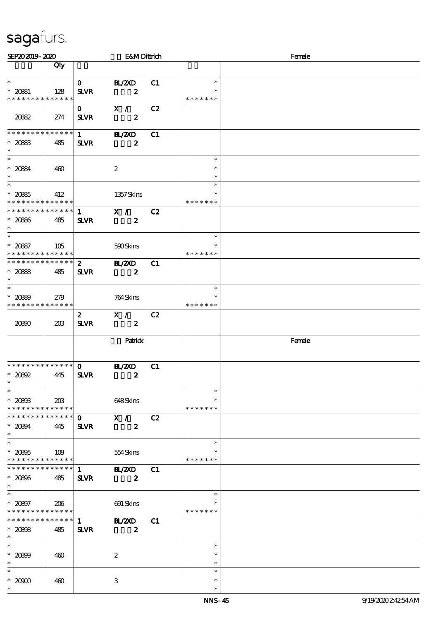| SEP202019-2020                                                                 |     |                                       | <b>E&amp;MDittrich</b>             |    |                                   | Female |
|--------------------------------------------------------------------------------|-----|---------------------------------------|------------------------------------|----|-----------------------------------|--------|
|                                                                                | Qty |                                       |                                    |    |                                   |        |
| $\ast$<br>$* 20881$<br>* * * * * * * * * * * * * *                             | 128 | $\mathbf{O}$<br>$S\!L\!V\!R$          | <b>H_/2XD</b><br>$\boldsymbol{z}$  | C1 | $\ast$<br>$\ast$<br>* * * * * * * |        |
| 2082                                                                           | 274 | $\mathbf{O}$<br><b>SLVR</b>           | X /<br>$\boldsymbol{z}$            | C2 |                                   |        |
| ******** <mark>******</mark><br>$* 2083$<br>$\ast$                             | 485 | $1 \quad \blacksquare$<br><b>SLVR</b> | <b>HZZD</b><br>$\boldsymbol{z}$    | C1 |                                   |        |
| $\overline{\ast}$<br>$* 2084$<br>$\ast$                                        | 460 |                                       | $\boldsymbol{2}$                   |    | $\ast$<br>$\ast$<br>$\ast$        |        |
| $\overline{\phantom{0}}$<br>$* 2085$<br>* * * * * * * * * * * * * *            | 412 |                                       | 1357Skins                          |    | $\ast$<br>$\ast$<br>* * * * * * * |        |
| *************** 1<br>$^\ast$ 2086<br>$\ast$                                    | 485 | <b>SLVR</b>                           | $\mathbf{X}$ /<br>$\boldsymbol{z}$ | C2 |                                   |        |
| $\ast$<br>$* 2087$<br>* * * * * * * * * * * * * *                              | 105 |                                       | 590Skins                           |    | $\ast$<br>$\ast$<br>* * * * * * * |        |
| ******** <mark>******</mark><br>$* 2088$<br>$\ast$                             | 485 | $\mathbf{2}$<br><b>SLVR</b>           | B ZCD<br>$\boldsymbol{z}$          | C1 |                                   |        |
| $*$<br>$* 2089$<br>* * * * * * * * * * * * * *                                 | 279 |                                       | 764 Skins                          |    | $\ast$<br>$\ast$<br>* * * * * * * |        |
| 20800                                                                          | 20B | $\mathbf{z}$<br><b>SLVR</b>           | X /<br>$\boldsymbol{z}$            | C2 |                                   |        |
|                                                                                |     |                                       | Panick                             |    |                                   | Female |
| * * * * * * * * * * * * * * *<br>$*20892$<br>$\ast$                            | 445 | $\mathbf{O}$<br><b>SLVR</b>           | <b>H_/2XD</b><br>$\boldsymbol{z}$  | C1 |                                   |        |
| $\ast$<br>$\hspace{0.1cm}^*$ 20803<br>* * * * * * * * <mark>* * * * * *</mark> | 20B |                                       | 648Skins                           |    | $\ast$<br>$\ast$<br>* * * * * * * |        |
| * * * * * * * * * * * * * * *<br>$* 20894$<br>$\ast$                           | 445 | $\mathbf{O}$<br><b>SLVR</b>           | X /<br>$\boldsymbol{z}$            | C2 |                                   |        |
| $\overline{\ast}$<br>$* 20805$<br>* * * * * * * * * * * * * *                  | 109 |                                       | 554Skins                           |    | $\ast$<br>$\ast$<br>* * * * * * * |        |
| * * * * * * * * * * * * * *<br>$* 20806$<br>$\ast$                             | 485 | 1<br><b>SLVR</b>                      | <b>HAZXD</b><br>$\boldsymbol{z}$   | C1 |                                   |        |
| $\overline{\phantom{0}}$<br>$* 20807$<br>* * * * * * * * * * * * * *           | 206 |                                       | 691 Skins                          |    | $\ast$<br>$\ast$<br>* * * * * * * |        |
| * * * * * * * * * * * * * *<br>$* 20008$<br>$\ast$                             | 485 | $\mathbf{1}$<br><b>SLVR</b>           | <b>H_/2XD</b><br>$\boldsymbol{z}$  | C1 |                                   |        |
| $\ast$<br>$* 20809$<br>$\ast$                                                  | 460 |                                       | $\boldsymbol{2}$                   |    | $\ast$<br>$\ast$<br>$\ast$        |        |
| $\ast$<br>$*2000$<br>$\ast$                                                    | 460 |                                       | $\,3$                              |    | $\ast$<br>$\ast$<br>$\ast$        |        |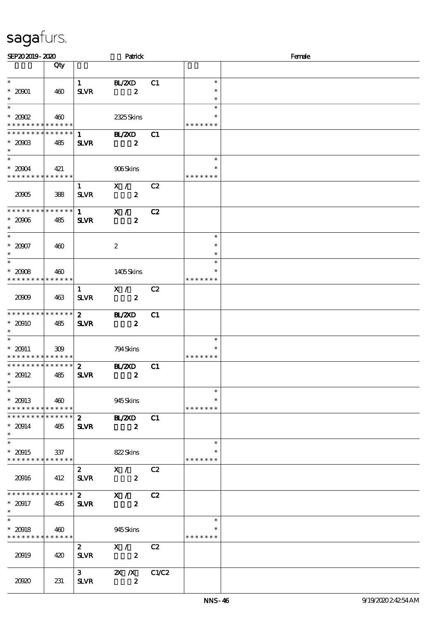| SEP202019-2020                             |                    |                             | Patrick                                   |       | Female                  |  |  |  |
|--------------------------------------------|--------------------|-----------------------------|-------------------------------------------|-------|-------------------------|--|--|--|
|                                            | Qty                |                             |                                           |       |                         |  |  |  |
| $\ast$                                     |                    | $\mathbf{1}$                | BL/2XD                                    | C1    | $\ast$                  |  |  |  |
| $*20001$                                   | 460                | <b>SLVR</b>                 | $\boldsymbol{z}$                          |       | $\ast$                  |  |  |  |
| $\ast$                                     |                    |                             |                                           |       | $\ast$                  |  |  |  |
| $\ast$                                     |                    |                             |                                           |       | $\ast$                  |  |  |  |
| $*20002$<br>* * * * * * * * * * * * * *    | 460                |                             | 2325Skins                                 |       | *<br>* * * * * * *      |  |  |  |
| * * * * * * * *                            | * * * * * *        | $\mathbf{1}$                | <b>BL/2XD</b>                             | C1    |                         |  |  |  |
| $*20003$                                   | 485                | <b>SLVR</b>                 | $\boldsymbol{z}$                          |       |                         |  |  |  |
| $\ast$<br>$\ast$                           |                    |                             |                                           |       | $\ast$                  |  |  |  |
| $*20004$                                   | 421                |                             | 906Skins                                  |       |                         |  |  |  |
| * * * * * * * * * * * * * *                |                    |                             |                                           |       | * * * * * * *           |  |  |  |
|                                            |                    | $\mathbf{1}$                | X /                                       | C2    |                         |  |  |  |
| 20005                                      | 388                | $S\!L\!V\!R$                | $\boldsymbol{z}$                          |       |                         |  |  |  |
| * * * * * * * * * * * * * *                |                    | $1 \quad \blacksquare$      | X /                                       | C2    |                         |  |  |  |
| $*20006$                                   | 485                | <b>SLVR</b>                 | $\boldsymbol{z}$                          |       |                         |  |  |  |
| $\ast$<br>$\overline{\ast}$                |                    |                             |                                           |       | $\ast$                  |  |  |  |
| $* 20007$                                  | 460                |                             | $\boldsymbol{z}$                          |       | $\ast$                  |  |  |  |
| $\ast$                                     |                    |                             |                                           |       | $\ast$                  |  |  |  |
| $\overline{\ast}$                          |                    |                             |                                           |       | $\ast$                  |  |  |  |
| $* 20008$<br>* * * * * * * *               | 460<br>* * * * * * |                             | 1405Skins                                 |       | $\ast$<br>* * * * * * * |  |  |  |
|                                            |                    | $\mathbf{1}$                | $X / \sqrt{2}$                            | C2    |                         |  |  |  |
| 20009                                      | 463                | <b>SLVR</b>                 | $\boldsymbol{z}$                          |       |                         |  |  |  |
|                                            |                    |                             |                                           |       |                         |  |  |  |
| **************<br>$* 20910$                | 485                | $\mathbf{2}$<br><b>SLVR</b> | <b>BL/ZXD</b><br>$\boldsymbol{z}$         | C1    |                         |  |  |  |
| $\ast$                                     |                    |                             |                                           |       |                         |  |  |  |
| $\ast$                                     |                    |                             |                                           |       | $\ast$                  |  |  |  |
| $* 20911$<br>* * * * * * * * * * * * * * * | 309                |                             | 794 Skins                                 |       | $\ast$<br>* * * * * * * |  |  |  |
| * * * * * * * * * * * * * *                |                    | $\mathbf{z}$                | <b>H_/2XD</b>                             | C1    |                         |  |  |  |
| $* 20912$                                  | 485                | <b>SLVR</b>                 | $\boldsymbol{z}$                          |       |                         |  |  |  |
| $\ast$<br>$\overline{\ast}$                |                    |                             |                                           |       |                         |  |  |  |
| $* 20913$                                  | 460                |                             | 945Skins                                  |       | $\ast$<br>∗             |  |  |  |
| * * * * * * * * * * * * * *                |                    |                             |                                           |       | * * * * * * *           |  |  |  |
| * * * * * * * * * * * * * *                |                    | $\mathbf{2}$                | <b>HL/2XD</b>                             | C1    |                         |  |  |  |
| $* 20914$<br>$\ast$                        | 485                | <b>SLVR</b>                 | $\boldsymbol{z}$                          |       |                         |  |  |  |
| $\ast$                                     |                    |                             |                                           |       | $\ast$                  |  |  |  |
| $* 20915$                                  | 337                |                             | 822Skins                                  |       | $\ast$                  |  |  |  |
| * * * * * * * * * * * * * *                |                    |                             |                                           |       | * * * * * * *           |  |  |  |
| 20916                                      | 412                | $\mathbf{2}$<br><b>SLVR</b> | $\mathbf{X}$ /<br>$\overline{\mathbf{2}}$ | C2    |                         |  |  |  |
|                                            |                    |                             |                                           |       |                         |  |  |  |
| * * * * * * * * * * * * * *                |                    | $\mathbf{2}$                | $\bar{X}$ /                               | C2    |                         |  |  |  |
| $* 20917$                                  | 485                | <b>SLVR</b>                 | $\boldsymbol{z}$                          |       |                         |  |  |  |
| $\ast$<br>$\ast$                           |                    |                             |                                           |       | $\ast$                  |  |  |  |
| $* 20918$                                  | 460                |                             | 945Skins                                  |       | $\ast$                  |  |  |  |
| * * * * * * * * * * * * * * *              |                    |                             |                                           |       | * * * * * * *           |  |  |  |
|                                            |                    | $2^{\circ}$                 | X /                                       | C2    |                         |  |  |  |
| 20919                                      | 420                | <b>SLVR</b>                 | $\boldsymbol{z}$                          |       |                         |  |  |  |
|                                            |                    | $3^{\circ}$                 | $X$ $X$                                   | C1/C2 |                         |  |  |  |
| 2020                                       | 231                | ${\bf S\!L}\!{\bf V\!R}$    | $\boldsymbol{z}$                          |       |                         |  |  |  |
|                                            |                    |                             |                                           |       |                         |  |  |  |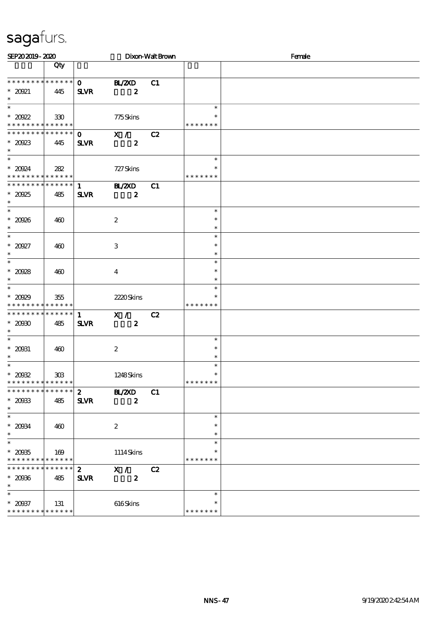| SEP202019-2020                                                         |                        |                                 |                                   | Dixon-Walt Brown |                                   | Female |  |  |  |
|------------------------------------------------------------------------|------------------------|---------------------------------|-----------------------------------|------------------|-----------------------------------|--------|--|--|--|
|                                                                        | Qty                    |                                 |                                   |                  |                                   |        |  |  |  |
| * * * * * * * * * * * * * *<br>$*20921$<br>$\ast$                      | 445                    | $\mathbf{o}$<br><b>SLVR</b>     | <b>HAZXD</b><br>$\boldsymbol{z}$  | C1               |                                   |        |  |  |  |
| $\overline{\phantom{1}}$<br>$*20922$<br>* * * * * * * * * * * * * * *  | 330                    |                                 | 775Skins                          |                  | $\ast$<br>$\ast$<br>* * * * * * * |        |  |  |  |
| * * * * * * * *<br>$*20023$<br>$\ast$                                  | $* * * * * * *$<br>445 | $\mathbf{o}$<br><b>SLVR</b>     | X /<br>$\boldsymbol{z}$           | C2               |                                   |        |  |  |  |
| $\ast$<br>$*20024$<br>* * * * * * * * * * * * * *                      | 282                    |                                 | 727 Skins                         |                  | $\ast$<br>$\ast$<br>* * * * * * * |        |  |  |  |
| * * * * * * * *<br>$*20925$<br>$\ast$                                  | $* * * * * * *$<br>485 | 1<br><b>SLVR</b>                | <b>BL/ZXD</b><br>$\boldsymbol{z}$ | C1               |                                   |        |  |  |  |
| $\ast$<br>$* 20926$<br>$\ast$                                          | 460                    |                                 | $\boldsymbol{2}$                  |                  | $\ast$<br>$\ast$<br>$\ast$        |        |  |  |  |
| $\ast$<br>$*20927$<br>$\ast$                                           | 460                    |                                 | 3                                 |                  | $\ast$<br>$\ast$<br>$\ast$        |        |  |  |  |
| $\overline{\ast}$<br>$* 20028$<br>$\ast$                               | 460                    |                                 | $\bf{4}$                          |                  | $\ast$<br>$\ast$<br>$\ast$        |        |  |  |  |
| $\ast$<br>$* 20029$<br>* * * * * * * * * * * * * *                     | 355                    |                                 | 2220Skins                         |                  | $\ast$<br>$\ast$<br>* * * * * * * |        |  |  |  |
| * * * * * * * * * * * * * *<br>$*2000$<br>$\ast$                       | 485                    | $\mathbf{1}$<br><b>SLVR</b>     | X /<br>$\boldsymbol{z}$           | C2               |                                   |        |  |  |  |
| $\overline{\phantom{a}^*}$<br>$* 20031$<br>$\ast$                      | 460                    |                                 | $\boldsymbol{2}$                  |                  | $\ast$<br>$\ast$<br>$\ast$        |        |  |  |  |
| $\ast$<br>$*2002$<br>* * * * * * * * <mark>* * * * * * *</mark>        | 303                    |                                 | 1248Skins                         |                  | $\ast$<br>$\ast$<br>* * * * * * * |        |  |  |  |
| * * * * * * * *<br>$*20033$<br>$\ast$                                  | * * * * * *<br>485     | $\mathbf{z}$<br><b>SLVR</b>     | BL/2XD<br>$\boldsymbol{2}$        | C1               |                                   |        |  |  |  |
| $\ast$<br>$* 20034$<br>$\ast$                                          | 460                    |                                 | $\boldsymbol{2}$                  |                  | $\ast$<br>$\ast$<br>$\ast$        |        |  |  |  |
| $\ast$<br>$* 20035$<br>* * * * * * * *                                 | 169<br>* * * * * *     |                                 | 1114Skins                         |                  | $\ast$<br>$\ast$<br>* * * * * * * |        |  |  |  |
| * * * * * * * *<br>$* 2006$<br>$\ast$                                  | * * * * * *<br>485     | $\boldsymbol{z}$<br><b>SLVR</b> | X /<br>$\boldsymbol{z}$           | C2               |                                   |        |  |  |  |
| $\overline{\phantom{a}^*}$<br>$* 20037$<br>* * * * * * * * * * * * * * | 131                    |                                 | 616Skins                          |                  | $\ast$<br>$\ast$<br>* * * * * * * |        |  |  |  |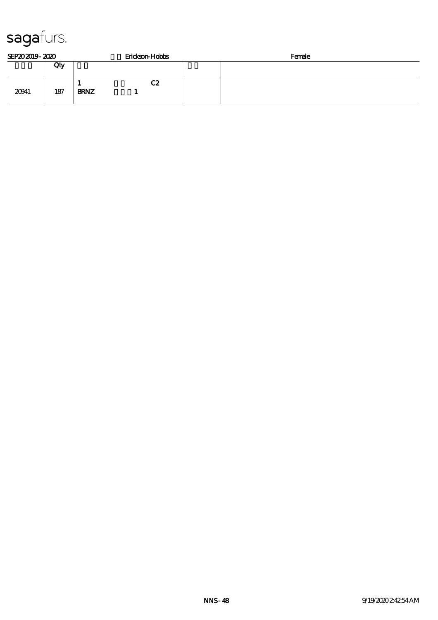| SEP202019-2020 |     |             | Erickson-Hobbs | Female |
|----------------|-----|-------------|----------------|--------|
|                | Qty |             |                |        |
| 20041          | 187 | <b>BRNZ</b> | C2             |        |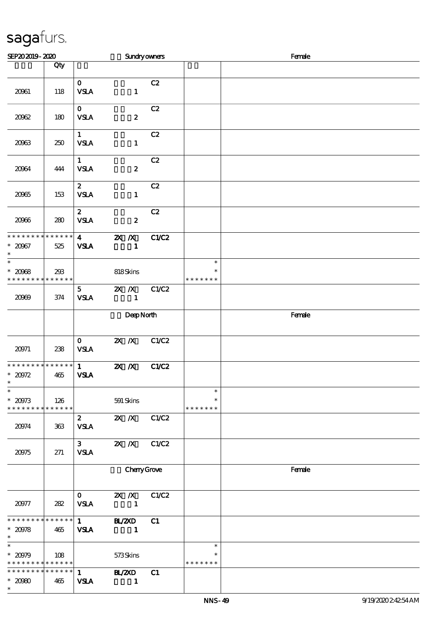| SEP202019-2020                                                       |     |                                        | <b>Sundryowners</b>                        |       |                                   | Female |  |  |  |
|----------------------------------------------------------------------|-----|----------------------------------------|--------------------------------------------|-------|-----------------------------------|--------|--|--|--|
|                                                                      | Qty |                                        |                                            |       |                                   |        |  |  |  |
| 20061                                                                | 118 | $\mathbf{O}$<br><b>VSLA</b>            | $\mathbf{1}$                               | C2    |                                   |        |  |  |  |
| 20062                                                                | 180 | $\mathbf{O}$<br><b>VSLA</b>            | $\boldsymbol{z}$                           | C2    |                                   |        |  |  |  |
| 20063                                                                | 250 | 1<br>${\bf VSA}$                       | $\mathbf{1}$                               | C2    |                                   |        |  |  |  |
| 20064                                                                | 444 | $\mathbf{1}$<br><b>VSLA</b>            | $\boldsymbol{z}$                           | C2    |                                   |        |  |  |  |
| 20065                                                                | 153 | $\mathbf{z}$<br><b>VSLA</b>            | $\mathbf{1}$                               | C2    |                                   |        |  |  |  |
| 2006                                                                 | 280 | $\mathbf{2}$<br><b>VSLA</b>            | $\boldsymbol{z}$                           | C2    |                                   |        |  |  |  |
| **************<br>$* 20067$<br>$\ast$                                | 525 | $\overline{\mathbf{4}}$<br><b>VSLA</b> | $2X$ $X$<br>$\mathbf{1}$                   | C1/C2 |                                   |        |  |  |  |
| $_{*}^{-}$<br>$* 2008$<br>* * * * * * * * <mark>* * * * * * *</mark> | 293 |                                        | 818Skins                                   |       | $\ast$<br>$\ast$<br>* * * * * * * |        |  |  |  |
| 2009                                                                 | 374 | 5 <sub>5</sub><br>${\bf VSA}$          | 2X / X C1/C2<br>$\overline{\phantom{0}}$ 1 |       |                                   |        |  |  |  |
|                                                                      |     |                                        | DeepNorth                                  |       |                                   | Female |  |  |  |
| 20971                                                                | 238 | $\mathbf{O}$<br><b>VSLA</b>            | $X$ $N$                                    | C1/C2 |                                   |        |  |  |  |
| * * * * * * * * * * * * * *<br>$* 20972$<br>$\ast$                   | 465 | $1 \quad \blacksquare$<br><b>VSLA</b>  | $\overline{\mathbf{X} \mathbf{X}}$         | C1/C2 |                                   |        |  |  |  |
| $\overline{\ast}$<br>$* 20973$<br>* * * * * * * * * * * * * *        | 126 |                                        | 591 Skins                                  |       | $\ast$<br>$\ast$<br>* * * * * * * |        |  |  |  |
| 20974                                                                | 363 | $\boldsymbol{z}$<br><b>VSLA</b>        | $X$ $X$                                    | C1/C2 |                                   |        |  |  |  |
| 20975                                                                | 271 | 3 <sup>1</sup><br><b>VSLA</b>          | $X$ $N$                                    | C1/C2 |                                   |        |  |  |  |
|                                                                      |     |                                        | ChanyGrove                                 |       |                                   | Female |  |  |  |
| 20977                                                                | 282 | $\mathbf{O}$<br><b>VSLA</b>            | $X$ $X$<br>$\mathbf{1}$                    | C1/C2 |                                   |        |  |  |  |
| * * * * * * * * * * * * * *<br>$* 20978$<br>$\ast$                   | 465 | $\mathbf{1}$<br><b>VSLA</b>            | B ZCD<br>$\mathbf{1}$                      | C1    |                                   |        |  |  |  |
| $\ast$<br>$* 20979$<br>* * * * * * * * * * * * * *                   | 108 |                                        | 573Skins                                   |       | $\ast$<br>$\ast$<br>* * * * * * * |        |  |  |  |
| * * * * * * * * * * * * * * *<br>$* 2090$<br>$\ast$                  | 465 | $\mathbf{1}$<br><b>VSLA</b>            | B ZCD<br>$\mathbf{1}$                      | C1    |                                   |        |  |  |  |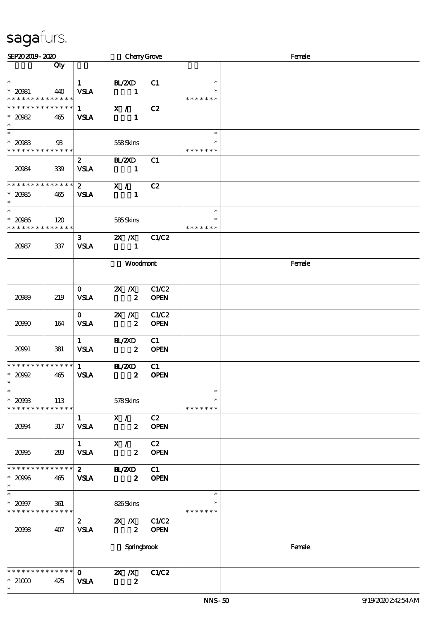| SEP202019-2020                                                                      |                |                                       | <b>Cheny Grove</b>                  |                      |                                   | Female |
|-------------------------------------------------------------------------------------|----------------|---------------------------------------|-------------------------------------|----------------------|-----------------------------------|--------|
|                                                                                     | Qty            |                                       |                                     |                      |                                   |        |
| $\ast$<br>$* 20081$<br>* * * * * * * * * * * * * *                                  | 440            | $1 \quad \blacksquare$<br><b>VSLA</b> | <b>BL/2XD</b><br>$\sim$ $\sim$ 1    | C1                   | $\ast$<br>* * * * * * *           |        |
| * * * * * * * * * * * * * * *<br>$* 20082$<br>$\ast$                                | 465            | $1 \quad$<br><b>VSLA</b>              | X / C2<br>$\blacksquare$            |                      |                                   |        |
| $\overline{\phantom{0}}$<br>$* 20983$<br>* * * * * * * * <mark>* * * * * * *</mark> | $\mathfrak{B}$ |                                       | 558Skins                            |                      | $\ast$<br>∗<br>* * * * * * *      |        |
| 20084                                                                               | 339            | $\mathbf{2}$<br><b>VSLA</b>           | <b>BL/2XD</b><br>$\blacksquare$     | C1                   |                                   |        |
| **************<br>$* 20965$<br>$\ast$                                               | 465            | $\mathbf{2}$<br><b>VSLA</b>           | X /<br>$\mathbf{1}$                 | C2                   |                                   |        |
| $\ast$<br>$* 2096$<br>* * * * * * * * * * * * * *                                   | 120            |                                       | 585Skins                            |                      | $\ast$<br>$\ast$<br>* * * * * * * |        |
| 20087                                                                               | 337            | 3 <sup>1</sup><br><b>VSLA</b>         | $2X$ $\overline{X}$<br>-1           | C1/C2                |                                   |        |
|                                                                                     |                |                                       | Woodmont                            |                      |                                   | Female |
| 2099                                                                                | 219            | $\mathbf{O}$<br><b>VSLA</b>           | $X$ $X$<br>$\boldsymbol{z}$         | C1/C2<br><b>OPEN</b> |                                   |        |
| 20900                                                                               | 164            | $\mathbf{O}$<br><b>VSLA</b>           | $X$ $N$<br>$\boldsymbol{z}$         | C1/C2<br><b>OPEN</b> |                                   |        |
| 20091                                                                               | 381            | 1<br><b>VSLA</b>                      | BL/2XD<br>$\overline{\mathbf{2}}$   | C1<br><b>OPEN</b>    |                                   |        |
| * * * * * * * * * * * * * * *<br>$*20002$<br>$\ast$                                 | 465            | <b>VSLA</b>                           | 1 BL/2XD<br>$\overline{\mathbf{z}}$ | C1<br><b>OPEN</b>    |                                   |        |
| $\ast$<br>$* 20903$<br>* * * * * * * * * * * * * *                                  | 113            |                                       | 578Skins                            |                      | $\ast$<br>* * * * * * *           |        |
| 20094                                                                               | 317            | $\mathbf{1}$<br><b>VSLA</b>           | X /<br>$\mathbf{2}$                 | C2<br><b>OPEN</b>    |                                   |        |
| 20965                                                                               | 283            | $\mathbf{1}$<br><b>VSLA</b>           | X /<br>$\boldsymbol{z}$             | C2<br><b>OPEN</b>    |                                   |        |
| * * * * * * * * * * * * * * *<br>$* 2096$<br>$\ast$                                 | 465            | $\mathbf{2}$<br><b>VSLA</b>           | <b>H_/2XD</b><br>$\boldsymbol{z}$   | C1<br><b>OPEN</b>    |                                   |        |
| $\ast$<br>$* 20007$<br>* * * * * * * * * * * * * * *                                | 361            |                                       | 826Skins                            |                      | $\ast$<br>$\ast$<br>* * * * * * * |        |
| 2008                                                                                | 407            | $\mathbf{z}$<br><b>VSLA</b>           | $ZX$ $/ X$<br>$\boldsymbol{z}$      | C1/C2<br><b>OPEN</b> |                                   |        |
|                                                                                     |                |                                       | <b>Springbrook</b>                  |                      |                                   | Female |
| * * * * * * * * * * * * * * *<br>$*21000$<br>$\ast$                                 | 425            | $\mathbf{o}$<br><b>VSLA</b>           | $ZX$ /X<br>$\boldsymbol{z}$         | C1/C2                |                                   |        |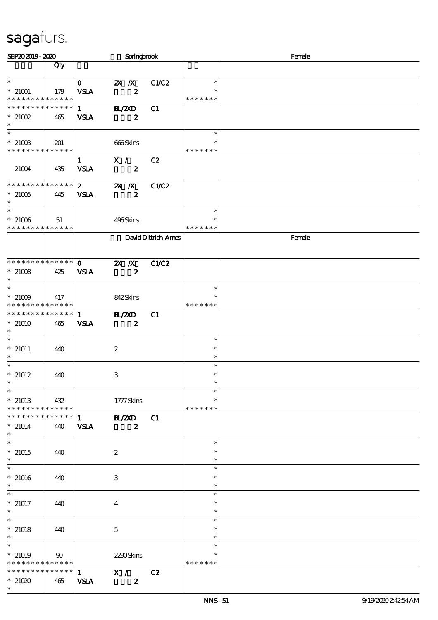| SEP202019-2020                                             |                    |                             | Springbrook                       |                     |                         | Female |
|------------------------------------------------------------|--------------------|-----------------------------|-----------------------------------|---------------------|-------------------------|--------|
|                                                            | Qty                |                             |                                   |                     |                         |        |
| $\ast$                                                     |                    | $\mathbf{O}$                | $2X$ $\overline{X}$               | C1/C2               | $\ast$                  |        |
| $*21001$                                                   | 179                | <b>VSLA</b>                 | $\boldsymbol{z}$                  |                     | $\ast$                  |        |
| * * * * * * * *                                            | * * * * * *        |                             |                                   |                     | * * * * * * *           |        |
| * * * * * * *<br>$*21002$                                  | * * * * * *<br>465 | $\mathbf{1}$                | <b>HL/ZXD</b><br>$\boldsymbol{z}$ | C1                  |                         |        |
| $\ast$                                                     |                    | <b>VSLA</b>                 |                                   |                     |                         |        |
| $\ast$                                                     |                    |                             |                                   |                     | $\ast$                  |        |
| $*21003$<br>* * * * * * * * * * * * * *                    | 201                |                             | 666Skins                          |                     | * * * * * * *           |        |
|                                                            |                    | $\mathbf{1}$                | $\mathbf{X}$ /                    | C2                  |                         |        |
| 21004                                                      | 435                | <b>VSLA</b>                 | $\boldsymbol{z}$                  |                     |                         |        |
| **************                                             |                    |                             |                                   |                     |                         |        |
| $^*$ 21005 $\,$                                            | 445                | $\mathbf{2}$<br><b>VSIA</b> | $X$ $N$<br>$\boldsymbol{z}$       | C1/C2               |                         |        |
| $\ast$                                                     |                    |                             |                                   |                     |                         |        |
| $\ast$                                                     |                    |                             |                                   |                     | $\ast$                  |        |
| $*21006$<br>* * * * * * * * * * * * * *                    | 51                 |                             | 496Skins                          |                     | * * * * * * *           |        |
|                                                            |                    |                             |                                   | David Dittrich-Ames |                         | Female |
|                                                            |                    |                             |                                   |                     |                         |        |
| * * * * * * * * * * * * * * *                              |                    | $\mathbf{o}$                | $X$ $N$                           | C1/C2               |                         |        |
| $*21008$                                                   | 425                | <b>VSLA</b>                 | $\boldsymbol{z}$                  |                     |                         |        |
| $\ast$                                                     |                    |                             |                                   |                     |                         |        |
| $\overline{\phantom{0}}$                                   |                    |                             |                                   |                     | $\ast$                  |        |
| $*$ 21009 $\,$<br>* * * * * * * * <mark>* * * * * *</mark> | 417                |                             | 842Skins                          |                     | * * * * * * *           |        |
| ******** <mark>*******</mark>                              |                    | $\mathbf{1}$                | <b>BL/2XD</b>                     | C1                  |                         |        |
| $*21010$                                                   | 465                | <b>VSLA</b>                 | $\boldsymbol{z}$                  |                     |                         |        |
| $\ast$<br>$\ast$                                           |                    |                             |                                   |                     | $\ast$                  |        |
| $*21011$                                                   | 440                |                             | $\boldsymbol{2}$                  |                     | $\ast$                  |        |
| $\ast$                                                     |                    |                             |                                   |                     | $\ast$                  |        |
| $\ast$<br>$*21012$                                         |                    |                             |                                   |                     | $\ast$<br>$\ast$        |        |
| $\ast$                                                     | 440                |                             | $\ensuremath{\mathbf{3}}$         |                     | $\ast$                  |        |
| $\overline{\phantom{0}}$                                   |                    |                             |                                   |                     | $\ast$                  |        |
| $*21013$<br>******** <mark>******</mark>                   | $\vert$ 432        |                             | 1777Skins                         |                     | $\ast$<br>* * * * * * * |        |
| * * * * * * * *                                            | $* * * * * * *$    | $1 \quad \blacksquare$      | <b>BL/2XD</b>                     | C1                  |                         |        |
| $* 21014$                                                  | 440                | <b>VSLA</b>                 | $\boldsymbol{z}$                  |                     |                         |        |
| $\ast$<br>$\ast$                                           |                    |                             |                                   |                     |                         |        |
| $*$ 21015                                                  | 440                |                             | $\boldsymbol{2}$                  |                     | $\ast$<br>$\ast$        |        |
| $\ast$                                                     |                    |                             |                                   |                     | $\ast$                  |        |
| $\overline{\phantom{0}}$                                   |                    |                             |                                   |                     | $\ast$                  |        |
| $*21016$<br>$\ast$                                         | 440                |                             | 3                                 |                     | $\ast$<br>$\ast$        |        |
| $*$                                                        |                    |                             |                                   |                     | $\ast$                  |        |
| $*$ 21017                                                  | 440                |                             | $\overline{4}$                    |                     | $\ast$                  |        |
| $\ast$<br>$\ast$                                           |                    |                             |                                   |                     | $\ast$<br>$\ast$        |        |
| $*$ 21018                                                  | 440                |                             | $\mathbf{5}$                      |                     | $\ast$                  |        |
| $\ast$                                                     |                    |                             |                                   |                     | $\ast$                  |        |
| $\overline{\ast}$                                          |                    |                             |                                   |                     | $\ast$                  |        |
| $*21019$<br>******** <mark>******</mark>                   | $90^{\circ}$       |                             | 2290Skins                         |                     | $\ast$<br>* * * * * * * |        |
| * * * * * * * *                                            |                    |                             | ******   1 $X / C2$               |                     |                         |        |
| $*21020$                                                   | 465                | <b>VSLA</b>                 | $\boldsymbol{z}$                  |                     |                         |        |
| $\ast$                                                     |                    |                             |                                   |                     |                         |        |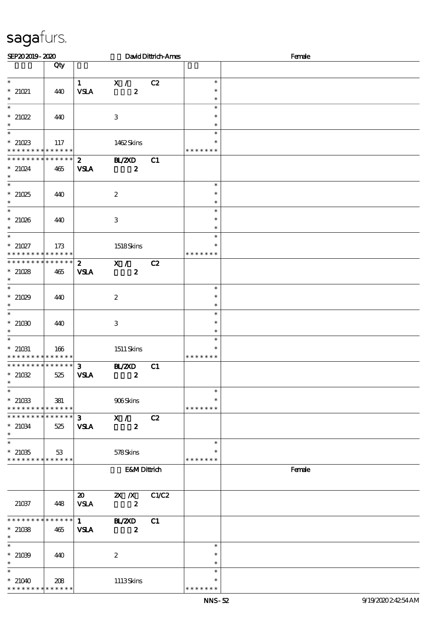| SEP202019-2020                                                                 |     |                                            |                                   | David Dittrich-Ames |                                   | Female |
|--------------------------------------------------------------------------------|-----|--------------------------------------------|-----------------------------------|---------------------|-----------------------------------|--------|
|                                                                                | Qty |                                            |                                   |                     |                                   |        |
| $\ast$<br>$*$ 21021<br>$\ast$                                                  | 440 | $\mathbf{1}$<br><b>VSLA</b>                | X /<br>$\boldsymbol{z}$           | C2                  | $\ast$<br>$\ast$<br>$\ast$        |        |
| $\overline{\phantom{0}}$<br>$*21022$<br>$\ast$                                 | 440 |                                            | 3                                 |                     | $\ast$<br>$\ast$<br>$\ast$        |        |
| $\ast$<br>$*21023$<br>* * * * * * * * * * * * * *                              | 117 |                                            | 1462Skins                         |                     | $\ast$<br>∗<br>* * * * * * *      |        |
| * * * * * * * * * * * * * * *<br>$*$ 21024<br>$*$                              | 465 | $2^{\circ}$<br><b>VSLA</b>                 | <b>BL/ZXD</b><br>$\boldsymbol{z}$ | C1                  |                                   |        |
| $\ast$<br>$*21025$<br>$\ast$                                                   | 440 |                                            | $\boldsymbol{2}$                  |                     | $\ast$<br>$\ast$<br>$\ast$        |        |
| $\ast$<br>$*21026$<br>$\ast$                                                   | 440 |                                            | $\ensuremath{\mathbf{3}}$         |                     | $\ast$<br>$\ast$<br>$\ast$        |        |
| $\overline{\ast}$<br>$* 21027$<br>* * * * * * * * <mark>* * * * * *</mark>     | 173 |                                            | 1518Skins                         |                     | $\ast$<br>* * * * * * *           |        |
| * * * * * * * * * * * * * *<br>$*21028$<br>$\ast$                              | 465 | $\mathbf{2}$<br><b>VSLA</b>                | X /<br>$\boldsymbol{z}$           | C2                  |                                   |        |
| $*21029$<br>$\ast$                                                             | 440 |                                            | $\boldsymbol{2}$                  |                     | $\ast$<br>$\ast$<br>$\ast$        |        |
| $*21030$<br>$\ast$                                                             | 440 |                                            | $\,3\,$                           |                     | $\ast$<br>$\ast$<br>$\ast$        |        |
| $\ast$<br>$^\ast$ 21031<br>* * * * * * * * * * * * * *                         | 166 |                                            | $1511$ Skins                      |                     | $\ast$<br>$\ast$<br>* * * * * * * |        |
| * * * * * * * * * * * * * *<br>$^\ast$ 21032<br>$\ast$                         | 525 | $\mathbf{3}$<br><b>VSLA</b>                | <b>H_/2XD</b><br>$\boldsymbol{z}$ | C1                  |                                   |        |
| $\ast$<br>$^\ast$ 21033<br>* * * * * * * * <mark>* * * * * *</mark>            | 381 |                                            | 906Skins                          |                     | $\ast$<br>∗<br>* * * * * * *      |        |
| * * * * * * * * * * * * * *<br>$* 21034$<br>$\ast$<br>$\overline{\phantom{0}}$ | 525 | $\mathbf{3}$<br><b>VSLA</b>                | X /<br>$\boldsymbol{z}$           | C2                  |                                   |        |
| $^\ast$ 21035<br>* * * * * * * * * * * * * *                                   | 53  |                                            | 578Skins                          |                     | $\ast$<br>$\ast$<br>* * * * * * * |        |
|                                                                                |     |                                            | <b>E&amp;MDittrich</b>            |                     |                                   | Female |
| 21037                                                                          | 448 | $\boldsymbol{\mathfrak{D}}$<br><b>VSLA</b> | $X$ $N$<br>$\boldsymbol{z}$       | C1/C2               |                                   |        |
| * * * * * * * * * * * * * *<br>$*21038$<br>$\ast$                              | 465 | $\mathbf{1}$<br><b>VSLA</b>                | <b>HL/2XD</b><br>$\boldsymbol{z}$ | C1                  |                                   |        |
| $\ast$<br>$*21039$<br>$\ast$                                                   | 440 |                                            | $\boldsymbol{2}$                  |                     | $\ast$<br>$\ast$<br>$\ast$        |        |
| $\ast$<br>$*21040$<br>* * * * * * * * * * * * * *                              | 208 |                                            | 1113Skins                         |                     | $\ast$<br>∗<br>* * * * * * *      |        |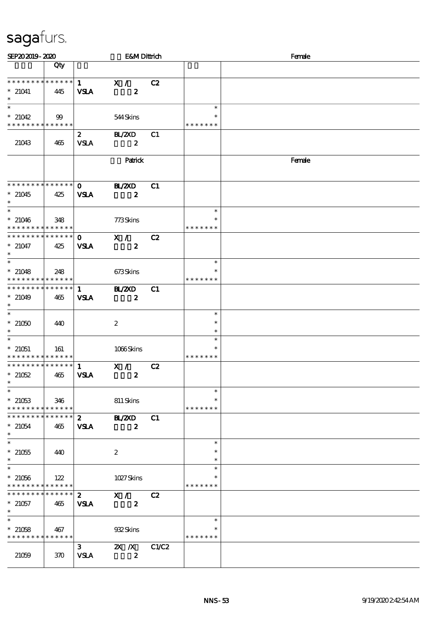| SEP202019-2020                                                    |                    |                             | <b>E&amp;MDittrich</b>      |       |                         | Female |
|-------------------------------------------------------------------|--------------------|-----------------------------|-----------------------------|-------|-------------------------|--------|
|                                                                   | Qty                |                             |                             |       |                         |        |
| * * * * * * * * * * * * * *                                       |                    | $\mathbf{1}$                | X /                         | C2    |                         |        |
| $*$ 21041<br>$\ast$                                               | 445                | <b>VSLA</b>                 | $\boldsymbol{z}$            |       |                         |        |
| $\ast$                                                            |                    |                             |                             |       | $\ast$<br>$\ast$        |        |
| $*21042$<br>* * * * * * * * <mark>* * * * * *</mark>              | 99                 |                             | 544Skins                    |       | * * * * * * *           |        |
| 21043                                                             | 465                | $\mathbf{2}$<br><b>VSLA</b> | BL/2XD<br>$\boldsymbol{z}$  | C1    |                         |        |
|                                                                   |                    |                             | Patrick                     |       |                         | Female |
| * * * * * * * * * * * * * * *                                     |                    | $\mathbf{O}$                | <b>HL/ZXD</b>               | C1    |                         |        |
| $*21045$<br>$*$                                                   | 425                | <b>VSLA</b>                 | $\boldsymbol{z}$            |       |                         |        |
| $\ast$<br>$* 21046$<br>* * * * * * * * <mark>* * * * * * *</mark> | 348                |                             | 773Skins                    |       | $\ast$<br>* * * * * * * |        |
| * * * * * * * * * * * * * * *                                     |                    | $\mathbf{O}$                | X /                         | C2    |                         |        |
| $* 21047$<br>$\ast$                                               | 425                | <b>VSLA</b>                 | $\boldsymbol{z}$            |       |                         |        |
| $\overline{\phantom{0}}$                                          |                    |                             |                             |       | $\ast$                  |        |
| $* 21048$<br>* * * * * * * * <mark>* * * * * * *</mark>           | 248                |                             | 673Skins                    |       | $\ast$<br>* * * * * * * |        |
| * * * * * * * * * * * * * * *                                     |                    | $\mathbf{1}$                | <b>HAZD</b>                 | C1    |                         |        |
| $*21049$<br>$\ast$                                                | 465                | <b>VSLA</b>                 | $\boldsymbol{z}$            |       |                         |        |
| $*21050$                                                          | 440                |                             | $\boldsymbol{2}$            |       | $\ast$<br>$\ast$        |        |
| $\ast$<br>$\overline{\phantom{0}}$                                |                    |                             |                             |       | $\ast$                  |        |
| $*$ 21051                                                         | 161                |                             | 1066Skins                   |       | $\ast$<br>$\ast$        |        |
| * * * * * * * * * * * * * *                                       |                    |                             |                             |       | * * * * * * *           |        |
| * * * * * * * * * * * * * * *<br>$*21052$<br>$\ast$               | 465                | $\mathbf{1}$<br><b>VSLA</b> | X /<br>$\boldsymbol{z}$     | C2    |                         |        |
| $\ast$                                                            |                    |                             |                             |       | $\ast$                  |        |
| $*21053$<br>* * * * * * * *                                       | 346<br>* * * * * * |                             | 811 Skins                   |       | $\ast$<br>* * * * * * * |        |
| * * * * * * * *                                                   | * * * * * *        | $\mathbf{z}$                | <b>HAZXD</b>                | C1    |                         |        |
| $*21054$<br>$\ast$                                                | 465                | <b>VSLA</b>                 | $\boldsymbol{z}$            |       |                         |        |
| $\ast$                                                            |                    |                             |                             |       | $\ast$                  |        |
| $*21055$<br>$\ast$                                                | 440                |                             | $\boldsymbol{2}$            |       | $\ast$<br>$\ast$        |        |
| $\overline{\ast}$                                                 |                    |                             |                             |       | $\ast$                  |        |
| $*21056$<br>* * * * * * * *                                       | 122<br>* * * * * * |                             | 1027Skins                   |       | $\ast$<br>* * * * * * * |        |
| * * * * * * * *                                                   | * * * * * *        | $\boldsymbol{z}$            | X / C                       | C2    |                         |        |
| $* 21057$<br>$\ast$                                               | 465                | <b>VSLA</b>                 | $\boldsymbol{z}$            |       |                         |        |
| $\overline{\ast}$                                                 |                    |                             |                             |       | $\ast$                  |        |
| $*21058$<br>* * * * * * * *                                       | 467<br>* * * * * * |                             | 932Skins                    |       | $\ast$<br>* * * * * * * |        |
| 21059                                                             | 370                | $\mathbf{3}$<br><b>VSLA</b> | $X$ $N$<br>$\boldsymbol{z}$ | C1/C2 |                         |        |
|                                                                   |                    |                             |                             |       |                         |        |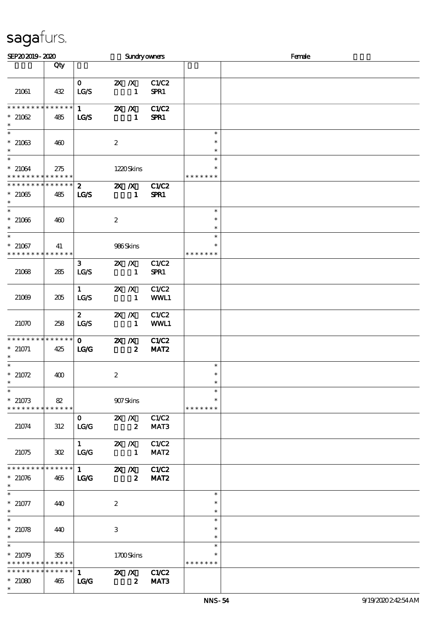| SEP202019-2020                                               |                        |                                         |                         |                                           | <b>Sundryowners</b>              |                                   | Female |
|--------------------------------------------------------------|------------------------|-----------------------------------------|-------------------------|-------------------------------------------|----------------------------------|-----------------------------------|--------|
|                                                              | Qty                    |                                         |                         |                                           |                                  |                                   |        |
| 21061                                                        | 432                    | $\mathbf{O}$<br>LG/S                    | $X$ $X$                 | $\mathbf{1}$                              | C1/C2<br>SPR1                    |                                   |        |
| * * * * * * * *<br>$*21062$<br>$\ast$                        | $* * * * * * *$<br>485 | $1 \quad$<br><b>LG/S</b>                | $X$ $N$                 | $\mathbf{1}$                              | C1/C2<br>SPR1                    |                                   |        |
| $\ast$<br>$*21063$<br>$\ast$                                 | 460                    |                                         | $\boldsymbol{z}$        |                                           |                                  | $\ast$<br>$\ast$<br>$\ast$        |        |
| $\ast$<br>$*21064$<br>* * * * * * * * * * * * * *            | 275                    |                                         |                         | 1220Skins                                 |                                  | $\ast$<br>$\ast$<br>* * * * * * * |        |
| * * * * * * * * * * * * * *<br>$*21065$<br>$\ast$            | 485                    | $2^{\circ}$<br><b>LG/S</b>              |                         | $X$ $N$<br>$\mathbf{1}$                   | C1/C2<br>SPR1                    |                                   |        |
| $\ast$<br>$*21066$<br>$\ast$                                 | 460                    |                                         | $\boldsymbol{2}$        |                                           |                                  | $\ast$<br>$\ast$<br>$\ast$        |        |
| $\overline{\ast}$<br>$*21067$<br>* * * * * * * * * * * * * * | 41                     |                                         | 986Skins                |                                           |                                  | $\ast$<br>$\ast$<br>* * * * * * * |        |
| 21068                                                        | 285                    | $\mathbf{3}$<br>LG/S                    | $X$ $N$                 | $\mathbf{1}$                              | C1/C2<br>SPR1                    |                                   |        |
| 21069                                                        | 205                    | $\mathbf{1}$<br>LG/S                    | $X$ $N$                 | $\mathbf{1}$                              | C1/C2<br>WWL1                    |                                   |        |
| 21070                                                        | 258                    | $\mathbf{z}$<br>LCS                     | $X$ $N$                 | $\sim$ 1                                  | C1/C2<br>WWL1                    |                                   |        |
| * * * * * * * * * * * * * *<br>$* 21071$<br>$\ast$           | 425                    | $\mathbf{O}$<br>LG                      | $X$ $N$                 | $\overline{\mathbf{2}}$                   | C1/C2<br>MAT <sub>2</sub>        |                                   |        |
| $\ast$<br>$*21072$<br>$\ast$                                 | 400                    |                                         | $\boldsymbol{2}$        |                                           |                                  | $\ast$<br>$\ast$                  |        |
| $\overline{\phantom{0}}$<br>$*21073$<br>**************       | 82                     |                                         | 907Skins                |                                           |                                  | $\ast$<br>$\ast$<br>* * * * * * * |        |
| 21074                                                        | 312                    | $\mathbf{0}$<br>LG/G                    | $\overline{\mathbf{2}}$ |                                           | 2X / X C1/C2<br>MAT3             |                                   |        |
| 21075                                                        | 302                    | $\mathbf{1}$<br>LG/G                    |                         | $\blacksquare$                            | 2X / X C1/C2<br>MAT <sub>2</sub> |                                   |        |
| **************<br>$*21076$<br>$\ast$                         | 465                    | $1 \quad \blacksquare$<br>$\mathbf{LG}$ |                         | $\mathbb{Z}$ X<br>$\overline{\mathbf{2}}$ | C1/C2<br>MAT <sub>2</sub>        |                                   |        |
| $\ast$<br>$*21077$<br>$\ast$                                 | 440                    |                                         | $\boldsymbol{2}$        |                                           |                                  | $\ast$<br>$\ast$<br>$\ast$        |        |
| $\ast$<br>$*21078$<br>$\ast$                                 | 440                    |                                         | 3                       |                                           |                                  | $\ast$<br>$\ast$<br>$\ast$        |        |
| $\ast$<br>$*21079$<br>* * * * * * * * * * * * * *            | 355                    |                                         |                         | 1700Skins                                 |                                  | $\ast$<br>∗<br>* * * * * * *      |        |
| * * * * * * * * * * * * * * *<br>$*21080$<br>$\ast$          | 465                    | $\mathbf{1}$<br>LG                      | $\overline{\mathbf{z}}$ |                                           | 2X / X C1/C2<br>MAT3             |                                   |        |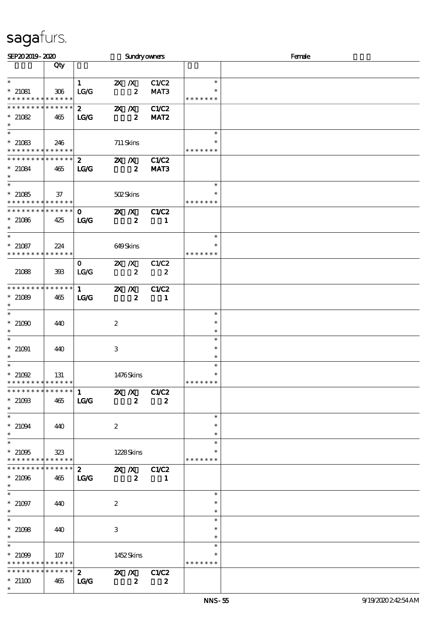| SEP202019-2020                             |             |               |                                        |                           | Sundryowners     |                         | Female |  |  |  |
|--------------------------------------------|-------------|---------------|----------------------------------------|---------------------------|------------------|-------------------------|--------|--|--|--|
|                                            | Qty         |               |                                        |                           |                  |                         |        |  |  |  |
| $\ast$                                     |             | $\mathbf{1}$  | $\mathbf{X}$ $\mathbf{X}$              |                           | C1/C2            | $\ast$                  |        |  |  |  |
| $* 21081$                                  | 306         | LG/G          |                                        | $\boldsymbol{z}$          | MAT3             |                         |        |  |  |  |
| * * * * * * * * * * * * * *                |             |               |                                        |                           |                  | * * * * * * *           |        |  |  |  |
| * * * * * * * *                            | * * * * * * | $\mathbf{2}$  | $X$ $N$                                |                           | C1/C2            |                         |        |  |  |  |
| $*21082$<br>$\ast$                         | 465         | TCC           |                                        | $\boldsymbol{z}$          | MAT <sub>2</sub> |                         |        |  |  |  |
| $\ast$                                     |             |               |                                        |                           |                  | $\ast$                  |        |  |  |  |
| $*21083$                                   | 246         |               |                                        | 711 Skins                 |                  |                         |        |  |  |  |
| * * * * * * * * <mark>* * * * * * *</mark> |             |               |                                        |                           |                  | * * * * * * *           |        |  |  |  |
| * * * * * * * * * * * * * * *              |             | $2^{\circ}$   |                                        | $X$ $N$                   | C1/C2            |                         |        |  |  |  |
| $* 21084$<br>$\ast$                        | 465         | LG            |                                        | $\boldsymbol{z}$          | MAT3             |                         |        |  |  |  |
| $\ast$                                     |             |               |                                        |                           |                  | $\ast$                  |        |  |  |  |
| $*21085$                                   | 37          |               |                                        | 502Skins                  |                  | ∗                       |        |  |  |  |
| * * * * * * * * <mark>* * * * * * *</mark> |             |               |                                        |                           |                  | * * * * * * *           |        |  |  |  |
| ******** <mark>******</mark>               |             | $\mathbf{O}$  | $\mathbf{X}$ $\mathbf{X}$              |                           | C1/C2            |                         |        |  |  |  |
| $*21086$                                   | 425         | $\mathbf{LG}$ |                                        | $\boldsymbol{z}$          | 1                |                         |        |  |  |  |
| $\ast$                                     |             |               |                                        |                           |                  | $\ast$                  |        |  |  |  |
| $*21087$                                   | 224         |               |                                        | 649Skins                  |                  |                         |        |  |  |  |
| * * * * * * * * * * * * * *                |             |               |                                        |                           |                  | * * * * * * *           |        |  |  |  |
|                                            |             | $\mathbf{0}$  | $X$ $N$                                |                           | C1/C2            |                         |        |  |  |  |
| 21088                                      | 393         | LG/G          |                                        | $\boldsymbol{z}$          | $\boldsymbol{z}$ |                         |        |  |  |  |
| **************                             |             |               |                                        |                           |                  |                         |        |  |  |  |
|                                            |             | $1 \quad$     | $X$ $N$                                |                           | C1/C2            |                         |        |  |  |  |
| $*21089$<br>$\ast$                         | 465         | LG            |                                        | $\boldsymbol{z}$          | -1               |                         |        |  |  |  |
| $\overline{\ast}$                          |             |               |                                        |                           |                  | $\ast$                  |        |  |  |  |
| $^*$ 21000 $^{\circ}$                      | 440         |               | $\boldsymbol{2}$                       |                           |                  | $\ast$                  |        |  |  |  |
| $\ast$                                     |             |               |                                        |                           |                  | $\ast$                  |        |  |  |  |
| $\ast$                                     |             |               |                                        |                           |                  | $\ast$                  |        |  |  |  |
| $*$ 21091<br>$\ast$                        | 440         |               | $\,3$                                  |                           |                  | $\ast$<br>$\ast$        |        |  |  |  |
| $\ast$                                     |             |               |                                        |                           |                  | $\ast$                  |        |  |  |  |
| $*21092$                                   | 131         |               |                                        | 1476Skins                 |                  | $\ast$                  |        |  |  |  |
| * * * * * * * * <mark>* * * * * *</mark>   |             |               |                                        |                           |                  | * * * * * * *           |        |  |  |  |
| ************** 1                           |             |               | $\mathbb{Z}$ $\mathbb{Z}$ $\mathbb{Z}$ |                           | C1/C2            |                         |        |  |  |  |
| $*21003$<br>$\ast$                         | 465         | <b>LG/G</b>   |                                        | $\boldsymbol{z}$          | $\boldsymbol{z}$ |                         |        |  |  |  |
| $\ast$                                     |             |               |                                        |                           |                  | $\ast$                  |        |  |  |  |
| $* 21094$                                  | 440         |               | $\boldsymbol{z}$                       |                           |                  | $\ast$                  |        |  |  |  |
| $\ast$                                     |             |               |                                        |                           |                  | $\ast$                  |        |  |  |  |
| $\overline{\phantom{0}}$                   |             |               |                                        |                           |                  | $\ast$                  |        |  |  |  |
| $*21095$<br>* * * * * * * * * * * * * *    | 323         |               |                                        | 1228Skins                 |                  | $\ast$<br>* * * * * * * |        |  |  |  |
| * * * * * * * * * * * * * * *              |             | $\mathbf{z}$  |                                        | $\mathbf{X}$ $\mathbf{X}$ | C1/C2            |                         |        |  |  |  |
| $*21096$                                   | 465         | LG            |                                        | $\boldsymbol{2}$          | 1                |                         |        |  |  |  |
| $\ast$                                     |             |               |                                        |                           |                  |                         |        |  |  |  |
| $\ast$                                     |             |               |                                        |                           |                  | $\ast$                  |        |  |  |  |
| $* 21097$                                  | 440         |               | $\boldsymbol{z}$                       |                           |                  | $\ast$                  |        |  |  |  |
| $\ast$<br>$\ast$                           |             |               |                                        |                           |                  | $\ast$<br>$\ast$        |        |  |  |  |
| $*21098$                                   | 440         |               | 3                                      |                           |                  | $\ast$                  |        |  |  |  |
| $\ast$                                     |             |               |                                        |                           |                  | $\ast$                  |        |  |  |  |
| $\ast$                                     |             |               |                                        |                           |                  | $\ast$                  |        |  |  |  |
| $*21099$                                   | 107         |               |                                        | 1452Skins                 |                  |                         |        |  |  |  |
| * * * * * * * * <mark>* * * * * * *</mark> |             |               |                                        |                           |                  | * * * * * * *           |        |  |  |  |
| * * * * * * * * * * * * * * *              |             | $\mathbf{2}$  |                                        | $X$ $N$                   | C1/C2            |                         |        |  |  |  |
| $*21100$<br>$\ast$                         | 465         | TC            |                                        | $\boldsymbol{z}$          | $\boldsymbol{z}$ |                         |        |  |  |  |
|                                            |             |               |                                        |                           |                  |                         |        |  |  |  |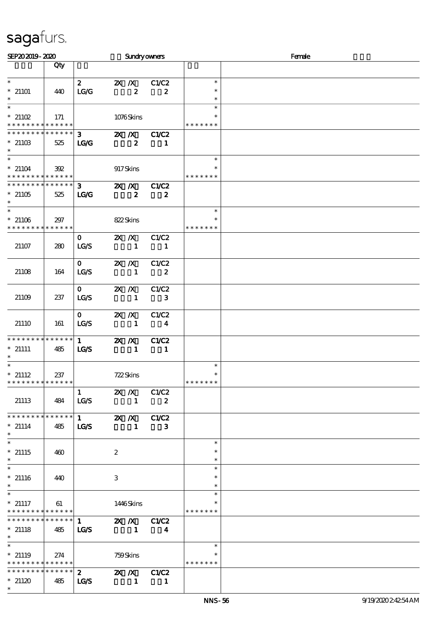| SEP202019-2020                                                 |                    |                                 |                           |                                               | <b>Sundryowners</b>              |                                   | Female |
|----------------------------------------------------------------|--------------------|---------------------------------|---------------------------|-----------------------------------------------|----------------------------------|-----------------------------------|--------|
|                                                                | Qty                |                                 |                           |                                               |                                  |                                   |        |
| $\ast$<br>$*21101$<br>$\ast$                                   | 440                | $\mathbf{2}$<br>TC              | $\mathbf{X}$ $\mathbf{X}$ | $\boldsymbol{z}$                              | C1/C2<br>$\boldsymbol{z}$        | $\ast$<br>$\ast$<br>$\ast$        |        |
| $\ast$<br>$*21102$<br>* * * * * * * * * * * * * *              | 171                |                                 |                           | 1076Skins                                     |                                  | $\ast$<br>$\ast$<br>* * * * * * * |        |
| * * * * * * *<br>$*21103$<br>$\ast$                            | * * * * * *<br>525 | 3 <sup>7</sup><br>$\mathbf{LG}$ |                           | $\mathbf{X}$ $\mathbf{X}$<br>$\boldsymbol{z}$ | C1/C2<br>1                       |                                   |        |
| $\ast$<br>$* 21104$<br>* * * * * * * * * * * * * *             | 392                |                                 | 917Skins                  |                                               |                                  | $\ast$<br>∗<br>* * * * * * *      |        |
| * * * * * * * * * * * * * *<br>$*21105$<br>$\ast$              | 525                | $3 -$<br>LG                     | $X$ $X$                   | $\boldsymbol{z}$                              | C1/C2<br>$\boldsymbol{z}$        |                                   |        |
| $\ast$<br>$*21106$<br>* * * * * * * * <mark>* * * * * *</mark> | 297                |                                 | 822Skins                  |                                               |                                  | $\ast$<br>$\ast$<br>* * * * * * * |        |
| 21107                                                          | 280                | $\mathbf{O}$<br><b>LC/S</b>     | $X$ $N$                   | $\mathbf{1}$                                  | C1/C2<br>-1                      |                                   |        |
| 21108                                                          | 164                | $\mathbf{O}$<br>LG/S            | $X$ $N$                   | $\mathbf{1}$                                  | C1/C2<br>$\boldsymbol{2}$        |                                   |        |
| 21109                                                          | 237                | $\mathbf{O}$<br>LG/S            | $X$ $X$                   | $\mathbf{1}$                                  | C1/C2<br>$\mathbf{3}$            |                                   |        |
| 21110                                                          | 161                | $\mathbf{O}$<br>LG/S            | $X$ $X$                   | $\mathbf{1}$                                  | C1/C2<br>$\overline{\mathbf{4}}$ |                                   |        |
| * * * * * * * * * * * * * *<br>$*$ 21111<br>$\ast$             | 485                | 1<br>LGS                        | $X$ $N$                   | $\blacksquare$                                | C1/C2<br>$\blacksquare$          |                                   |        |
| $\ast$<br>$*$ 21112<br>* * * * * * * * * * * * * *             | 237                |                                 | 722Skins                  |                                               |                                  | $\ast$<br>$\ast$<br>* * * * * * * |        |
| 21113                                                          | 484                | $\mathbf{1}$<br>LG/S            | $X$ $N$                   | $\mathbf{1}$                                  | C1/C2<br>$\boldsymbol{2}$        |                                   |        |
| **************<br>$*$ 21114<br>$\ast$                          | 485                | $\mathbf{1}$<br><b>LG/S</b>     | $X$ $N$                   | $\mathbf{1}$                                  | C1/C2<br>3                       |                                   |        |
| $\ast$<br>$*$ 21115<br>$\ast$                                  | 460                |                                 | $\boldsymbol{2}$          |                                               |                                  | $\ast$<br>$\ast$<br>$\ast$        |        |
| $\overline{\phantom{0}}$<br>$*$ 21116<br>$\ast$                | 440                |                                 | 3                         |                                               |                                  | $\ast$<br>$\ast$<br>$\ast$        |        |
| $\ast$<br>$*$ 21117<br>* * * * * * * * * * * * * * *           | 61                 |                                 |                           | 1446Skins                                     |                                  | $\ast$<br>$\ast$<br>* * * * * * * |        |
| * * * * * * * *<br>$*$ 21118<br>$\ast$                         | * * * * * *<br>485 | 1<br><b>LG/S</b>                |                           | $\blacksquare$                                | 2X / X C1/C2<br>4                |                                   |        |
| $\ast$<br>$*$ 21119<br>* * * * * * * * * * * * * * *           | 274                |                                 | 759Skins                  |                                               |                                  | $\ast$<br>$\ast$<br>* * * * * * * |        |
| ******** <mark>******</mark><br>$*21120$<br>$\ast$             | 485                | $2^{\circ}$<br><b>LG/S</b>      |                           | $\mathbb{Z}$ $\mathbb{Z}$<br>$\blacksquare$   | C1/C2<br>-1                      |                                   |        |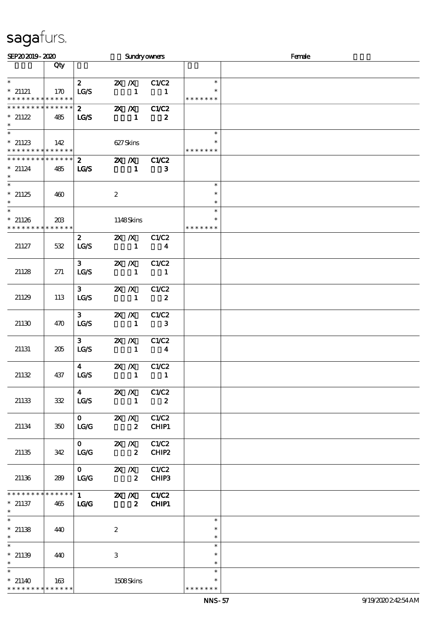| SEP202019-2020                |                    |                         |                  |                                     | <b>Sundryowners</b>                  |               | Female |
|-------------------------------|--------------------|-------------------------|------------------|-------------------------------------|--------------------------------------|---------------|--------|
|                               | Qty                |                         |                  |                                     |                                      |               |        |
|                               |                    |                         |                  |                                     |                                      |               |        |
| $\ast$                        |                    | $\mathbf{2}$            |                  |                                     | <b>2X</b> <i>X</i> C1/C2             | $\ast$        |        |
| $*$ 21121                     | 170                | LG/S                    |                  | $\blacksquare$                      | $\blacksquare$                       | $\ast$        |        |
| * * * * * * * * * * * * * *   |                    |                         |                  |                                     |                                      | * * * * * * * |        |
| * * * * * * * *               | * * * * * *        | $\mathbf{2}$            |                  |                                     | <b>2X X</b> C1/C2                    |               |        |
| $*21122$                      | 485                | <b>LG/S</b>             |                  | $\blacksquare$                      | $\boldsymbol{z}$                     |               |        |
| $\ast$<br>$\ast$              |                    |                         |                  |                                     |                                      | $\ast$        |        |
| $*21123$                      | 142                |                         |                  | 627Skins                            |                                      |               |        |
| * * * * * * * * * * * * * *   |                    |                         |                  |                                     |                                      | * * * * * * * |        |
| ******** <mark>*******</mark> |                    | $\mathbf{2}$            |                  | $\mathbf{X}$ $\mathbf{X}$           | C1/C2                                |               |        |
| $*$ 21124                     | 485                | <b>LG/S</b>             |                  | $\blacksquare$                      | 3                                    |               |        |
| $\ast$                        |                    |                         |                  |                                     |                                      |               |        |
| $\ast$                        |                    |                         |                  |                                     |                                      | $\ast$        |        |
| $*21125$                      | 460                |                         | $\boldsymbol{2}$ |                                     |                                      | $\ast$        |        |
| $\ast$                        |                    |                         |                  |                                     |                                      | $\ast$        |        |
| $\ast$                        |                    |                         |                  |                                     |                                      | $\ast$        |        |
| $*21126$<br>* * * * * * * *   | 203<br>* * * * * * |                         |                  | 1148Skins                           |                                      | * * * * * * * |        |
|                               |                    |                         |                  | $X$ $X$                             | C1/C2                                |               |        |
| 21127                         | 532                | $\boldsymbol{z}$<br>LCS |                  | $\sim$ 1                            | $\overline{\mathbf{4}}$              |               |        |
|                               |                    |                         |                  |                                     |                                      |               |        |
|                               |                    | 3 <sup>1</sup>          | $X$ $N$          |                                     | C1/C2                                |               |        |
| 21128                         | 271                | LG/S                    |                  | $\sim$ 1                            | $\blacksquare$                       |               |        |
|                               |                    |                         |                  |                                     |                                      |               |        |
|                               |                    | $3 -$                   |                  | $X$ $N$                             | C1/C2                                |               |        |
| 21129                         | 113                | LG/S                    |                  | $\overline{\phantom{a}}$ 1          | $\overline{\mathbf{z}}$              |               |        |
|                               |                    |                         |                  |                                     |                                      |               |        |
|                               |                    | $3 -$                   |                  | $X$ $X$                             | C1/C2                                |               |        |
| 21130                         | 470                | LCS                     |                  | $\sim$ 1                            | $\overline{\mathbf{3}}$              |               |        |
|                               |                    | 3 <sup>1</sup>          |                  | $X$ $N$                             | C1/C2                                |               |        |
| 21131                         | 205                | LG/S                    |                  | $\sim$ 1                            | $\overline{\mathbf{4}}$              |               |        |
|                               |                    |                         |                  |                                     |                                      |               |        |
|                               |                    | $\overline{\mathbf{4}}$ |                  | $\mathbb{Z}$ X                      | C1/C2                                |               |        |
| 21132                         | 437                | LG/S                    |                  | $\mathbf{1}$                        | $\overline{\phantom{a}}$             |               |        |
|                               |                    |                         |                  |                                     |                                      |               |        |
|                               |                    | $\overline{\mathbf{4}}$ |                  |                                     | $\mathbb{Z} \times \mathbb{Z}$ C1/C2 |               |        |
| 21133                         | 332                | LG/S                    |                  | $\sim$ 1                            | $\overline{\phantom{a}}$ 2           |               |        |
|                               |                    | $\mathbf{O}$            |                  |                                     |                                      |               |        |
| 21134                         | 350                | LG                      |                  | $X \, X$<br>$\overline{\mathbf{2}}$ | C1/C2<br>CHIP1                       |               |        |
|                               |                    |                         |                  |                                     |                                      |               |        |
|                               |                    | $\mathbf{0}$            |                  | $X$ $N$                             | C1/C2                                |               |        |
| 21135                         | 342                | LG/G                    |                  | $\overline{\mathbf{2}}$             | CHIP <sub>2</sub>                    |               |        |
|                               |                    |                         |                  |                                     |                                      |               |        |
|                               |                    | $\mathbf{O}$            |                  | $X$ $N$                             | C1/C2                                |               |        |
| 21136                         | 289                | <b>LG/G</b>             |                  | $\overline{\mathbf{z}}$             | CHIP3                                |               |        |
| ********                      | * * * * * *        |                         |                  |                                     |                                      |               |        |
| $*$ 21137                     |                    |                         |                  |                                     | $\overline{1}$ 2X X C1/C2            |               |        |
| $\ast$                        | 465                | LG                      |                  | $\overline{\mathbf{2}}$             | CHIP1                                |               |        |
| $\overline{\ast}$             |                    |                         |                  |                                     |                                      | $\ast$        |        |
| $*21138$                      | 440                |                         | $\boldsymbol{2}$ |                                     |                                      | $\ast$        |        |
| $\ast$                        |                    |                         |                  |                                     |                                      | $\ast$        |        |
| $\overline{\ast}$             |                    |                         |                  |                                     |                                      | $\ast$        |        |
| $*21139$                      | 440                |                         | 3                |                                     |                                      | $\ast$        |        |
| $\ast$                        |                    |                         |                  |                                     |                                      | $\ast$        |        |
|                               |                    |                         |                  |                                     |                                      | $\ast$        |        |
| $*21140$<br>* * * * * * * *   | 163<br>* * * * * * |                         |                  | 1508Skins                           |                                      | * * * * * * * |        |
|                               |                    |                         |                  |                                     |                                      |               |        |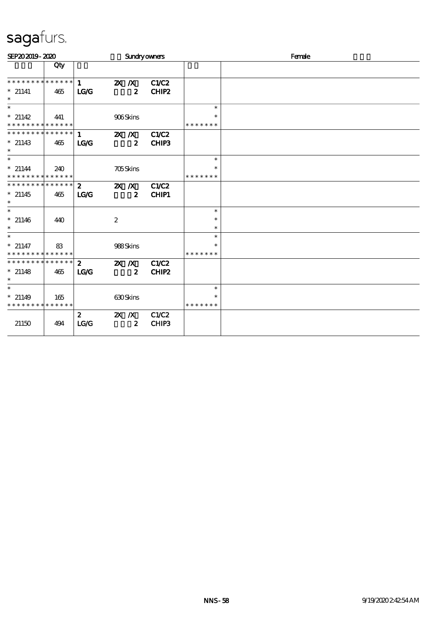| SEP202019-2020                                     |     |                          | <b>Sundryowners</b>         |                |                         | Female |
|----------------------------------------------------|-----|--------------------------|-----------------------------|----------------|-------------------------|--------|
|                                                    | Qty |                          |                             |                |                         |        |
| **************                                     |     | 1                        | $X$ $N$                     | C1/C2          |                         |        |
| $*$ 21141<br>$\ast$                                | 465 | LG                       | $\boldsymbol{z}$            | CHIP2          |                         |        |
| $\ast$                                             |     |                          |                             |                | $\ast$                  |        |
| $*21142$<br>* * * * * * * * * * * * * *            | 441 |                          | 906Skins                    |                | $\ast$<br>* * * * * * * |        |
| * * * * * * * * * * * * * *<br>$*$ 21143<br>$\ast$ | 465 | $\mathbf 1$<br>LG/G      | $X$ $X$<br>$\boldsymbol{z}$ | C1/C2<br>CHIP3 |                         |        |
| $\overline{\phantom{0}}$                           |     |                          |                             |                | $\ast$                  |        |
| $* 21144$<br>* * * * * * * * * * * * * *           | 240 |                          | <b>705Skins</b>             |                | $\ast$<br>* * * * * * * |        |
| * * * * * * * * * * * * * *                        |     | $\mathbf{2}$             | $X$ $X$                     | <b>C1/C2</b>   |                         |        |
| $*21145$<br>$\ast$                                 | 465 | LG                       | $\boldsymbol{z}$            | <b>CHIP1</b>   |                         |        |
| $\ast$                                             |     |                          |                             |                | $\ast$                  |        |
| $*$ 21146<br>$\ast$                                | 440 |                          | $\boldsymbol{2}$            |                | $\ast$<br>$\ast$        |        |
| $\ast$                                             |     |                          |                             |                | $\ast$                  |        |
| $*$ 21147<br>* * * * * * * * * * * * * *           | 83  |                          | 988Skins                    |                | $\ast$<br>* * * * * * * |        |
| * * * * * * * * * * * * * *                        |     | $\mathbf{2}$             | $X$ $X$                     | <b>C1/C2</b>   |                         |        |
| $*$ 21148<br>$\ast$                                | 465 | LG                       | $\boldsymbol{z}$            | CHIP2          |                         |        |
| $\ast$                                             |     |                          |                             |                | $\ast$                  |        |
| $*21149$<br>* * * * * * * * * * * * * *            | 165 |                          | 630Skins                    |                | $\ast$<br>* * * * * * * |        |
| 21150                                              | 494 | $\boldsymbol{z}$<br>LG/G | $X$ $N$<br>$\boldsymbol{z}$ | C1/C2<br>CHIP3 |                         |        |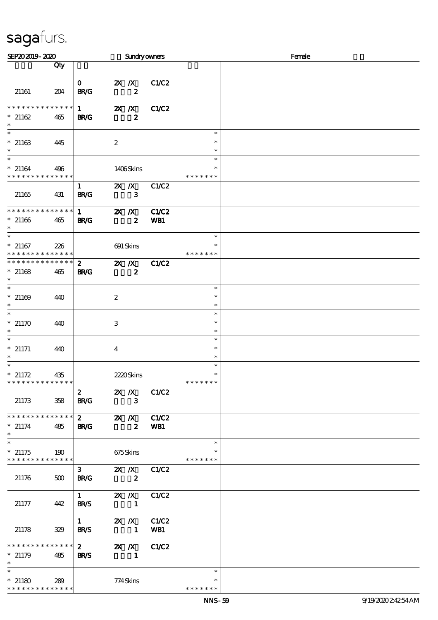| SEP202019-2020                           |     |                             |                           |                  | <b>Sundryowners</b> |                         | Female |
|------------------------------------------|-----|-----------------------------|---------------------------|------------------|---------------------|-------------------------|--------|
|                                          | Qty |                             |                           |                  |                     |                         |        |
| 21161                                    | 204 | $\mathbf{o}$<br><b>BR/G</b> | $\mathbf{X}$ $\mathbf{X}$ | $\boldsymbol{z}$ | C1/C2               |                         |        |
|                                          |     |                             |                           |                  |                     |                         |        |
| * * * * * * * * * * * * * *              |     | $1 \quad \blacksquare$      | $X$ $N$                   |                  | C1/C2               |                         |        |
| $*21162$<br>$\ast$                       | 465 | <b>BR/G</b>                 |                           | $\boldsymbol{z}$ |                     |                         |        |
| $\ast$<br>$*21163$                       |     |                             |                           |                  |                     | $\ast$<br>$\ast$        |        |
| $\ast$                                   | 445 |                             | $\boldsymbol{z}$          |                  |                     | $\ast$                  |        |
| $\ast$<br>$*21164$                       | 496 |                             | 1406Skins                 |                  |                     | $\ast$<br>$\ast$        |        |
| * * * * * * * * * * * * * *              |     |                             |                           |                  |                     | * * * * * * *           |        |
|                                          |     | $\mathbf{1}$                | $X$ $X$                   |                  | C1/C2               |                         |        |
| 21165                                    | 431 | <b>BR/G</b>                 |                           | $\mathbf{3}$     |                     |                         |        |
| * * * * * * * * * * * * * *              |     | $1 \quad$                   | $X$ $N$                   |                  | <b>C1/C2</b>        |                         |        |
| $*21166$<br>$\ast$                       | 465 | <b>BR/G</b>                 |                           | $\boldsymbol{z}$ | WB1                 |                         |        |
| $\overline{\ast}$                        |     |                             |                           |                  |                     | $\ast$                  |        |
| $*21167$<br>* * * * * * * * * * * * * *  | 226 |                             | 691 Skins                 |                  |                     | *<br>* * * * * * *      |        |
| * * * * * * * * * * * * * *              |     | $\mathbf{2}$                | $X$ $N$                   |                  | <b>C1/C2</b>        |                         |        |
| $*21168$<br>$\ast$                       | 465 | <b>BR/G</b>                 |                           | $\boldsymbol{z}$ |                     |                         |        |
| $\ast$                                   |     |                             |                           |                  |                     | $\ast$                  |        |
| $* 21169$                                | 440 |                             | $\boldsymbol{2}$          |                  |                     | $\ast$                  |        |
| $\ast$<br>$\overline{\ast}$              |     |                             |                           |                  |                     | $\ast$<br>$\ast$        |        |
| $*21170$                                 | 440 |                             | 3                         |                  |                     | $\ast$                  |        |
| $\ast$<br>$\ast$                         |     |                             |                           |                  |                     | $\ast$                  |        |
| $*$ 21171                                | 440 |                             | $\bf{4}$                  |                  |                     | $\ast$<br>$\ast$        |        |
| $\ast$                                   |     |                             |                           |                  |                     | $\ast$                  |        |
| $\ast$<br>$*21172$                       | 435 |                             | 2220Skins                 |                  |                     | $\ast$<br>$\ast$        |        |
| * * * * * * * * * * * * * * *            |     |                             |                           |                  |                     | * * * * * * *           |        |
|                                          |     | $\mathbf{z}$                | $X$ $X$                   |                  | C1/C2               |                         |        |
| 21173                                    | 358 | <b>BR/G</b>                 |                           | $\mathbf{3}$     |                     |                         |        |
| * * * * * * * * * * * * * *              |     | $\mathbf{2}$                | $\mathbf{X}$ $\mathbf{X}$ |                  | C1/C2               |                         |        |
| $*$ 21174<br>$\ast$                      | 485 | <b>BR/G</b>                 |                           | $\mathbf{2}$     | WB1                 |                         |        |
| $\ast$                                   |     |                             |                           |                  |                     | $\ast$                  |        |
| $*21175$<br>******** <mark>******</mark> | 190 |                             | 675Skins                  |                  |                     | $\ast$<br>* * * * * * * |        |
|                                          |     | 3 <sup>7</sup>              | $X$ $X$                   |                  | C1/C2               |                         |        |
| 21176                                    | 500 | <b>BR/G</b>                 |                           | $\boldsymbol{z}$ |                     |                         |        |
|                                          |     | $1 \quad \blacksquare$      | $\mathbf{X}$ $\mathbf{X}$ |                  | C1/C2               |                         |        |
| 21177                                    | 442 | <b>BR/S</b>                 | $\blacksquare$            |                  |                     |                         |        |
|                                          |     | $1 \quad \blacksquare$      | $X \, X$                  |                  | C1/C2               |                         |        |
| 21178                                    | 329 | <b>BR/S</b>                 | $\blacksquare$            |                  | WB1                 |                         |        |
| * * * * * * * * * * * * * *              |     | $2^{\circ}$                 | $X$ $X$                   |                  | C1/C2               |                         |        |
| $*21179$                                 | 485 | <b>BR/S</b>                 | $\blacksquare$            |                  |                     |                         |        |
| $\ast$                                   |     |                             |                           |                  |                     | $\ast$                  |        |
| $*21180$                                 | 289 |                             | 774Skins                  |                  |                     |                         |        |
| * * * * * * * * * * * * * *              |     |                             |                           |                  |                     | * * * * * * *           |        |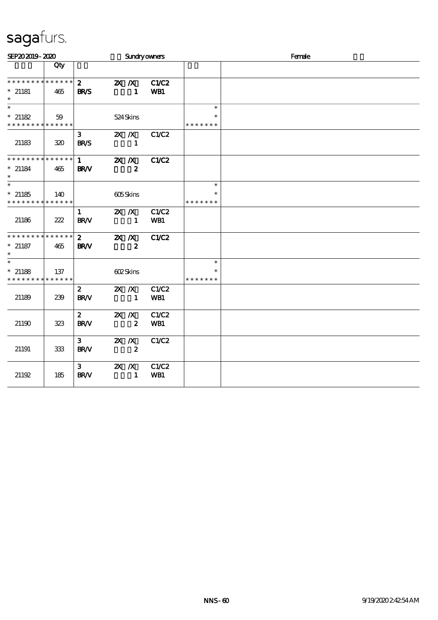| SEP202019-2020                                               |     |                                       |                           | <b>Sundryowners</b>       |              | Female                            |  |
|--------------------------------------------------------------|-----|---------------------------------------|---------------------------|---------------------------|--------------|-----------------------------------|--|
|                                                              | Qty |                                       |                           |                           |              |                                   |  |
| * * * * * * * * * * * * * *<br>$*$ 21181<br>$\ast$           | 465 | $\mathbf{z}$<br><b>BR/S</b>           |                           | $X$ $N$<br>$\blacksquare$ | C1/C2<br>WB1 |                                   |  |
| $\ast$<br>$*21182$                                           | 59  |                                       |                           | 524Skins                  |              | $\ast$<br>$\ast$                  |  |
| * * * * * * * * * * * * * *<br>21183                         | 320 | 3 <sup>1</sup><br><b>BR/S</b>         |                           | $\blacksquare$            | 2X / X C1/C2 | * * * * * * *                     |  |
| * * * * * * * * * * * * * *<br>$*$ 21184<br>$\ast$           | 465 | $1 \quad \blacksquare$<br><b>BR/V</b> | $\mathbf{X}$ $\mathbf{X}$ | $\boldsymbol{z}$          | <b>C1/C2</b> |                                   |  |
| $\overline{\ast}$<br>$*21185$<br>* * * * * * * * * * * * * * | 140 |                                       | 605Skins                  |                           |              | $\ast$<br>$\ast$<br>* * * * * * * |  |
| 21186                                                        | 222 | $\mathbf{1}$<br><b>BR/V</b>           | $X$ $N$                   | 1                         | C1/C2<br>WB1 |                                   |  |
| * * * * * * * * * * * * * *<br>$*$ 21187<br>$\ast$           | 465 | $2^{\circ}$<br><b>BR/V</b>            | $X$ $N$                   | $\boldsymbol{z}$          | C1/C2        |                                   |  |
| $\ast$<br>$*$ 21188<br>* * * * * * * * * * * * * *           | 137 |                                       | 602Skins                  |                           |              | $\ast$<br>$\ast$<br>* * * * * * * |  |
| 21189                                                        | 239 | $\mathbf{2}$<br><b>BR/V</b>           | $X$ $X$                   | $\sim$ 1                  | C1/C2<br>WB1 |                                   |  |
| 21190                                                        | 323 | $\mathbf{z}$<br><b>BR/V</b>           | $X$ $X$                   | $\boldsymbol{z}$          | C1/C2<br>WB1 |                                   |  |
| 21191                                                        | 333 | 3 <sup>1</sup><br><b>BR/V</b>         | $X$ $N$                   | $\boldsymbol{z}$          | C1/C2        |                                   |  |
| 21192                                                        | 185 | 3 <sub>1</sub><br><b>BR/V</b>         | $X$ $X$                   | $\mathbf{1}$              | C1/C2<br>WB1 |                                   |  |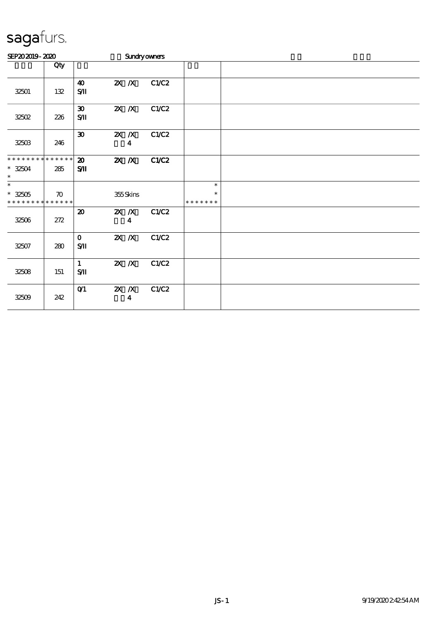| SEP202019-2020                                                      |                    |                                          |                           |                  | <b>Sundryowners</b> |                              |  |  |  |  |  |
|---------------------------------------------------------------------|--------------------|------------------------------------------|---------------------------|------------------|---------------------|------------------------------|--|--|--|--|--|
|                                                                     | Qty                |                                          |                           |                  |                     |                              |  |  |  |  |  |
| 32501                                                               | 132                | $\boldsymbol{\omega}$<br>S/I             |                           | $X$ $X$          | C1/C2               |                              |  |  |  |  |  |
| 32502                                                               | 226                | $\boldsymbol{\mathfrak{D}}$<br>$S$ $\Pi$ | $X$ $X$                   |                  | C1/C2               |                              |  |  |  |  |  |
| 32503                                                               | 246                | $\boldsymbol{\mathfrak{D}}$              | $X$ $N$                   | $\boldsymbol{4}$ | C1/C2               |                              |  |  |  |  |  |
| * * * * * * * * * * * * * *<br>$* 32504$<br>$\ast$                  | 285                | $\boldsymbol{\mathfrak{D}}$<br>$S$ $I$   | $\mathbf{X}$ $\mathbf{X}$ |                  | C1/C2               |                              |  |  |  |  |  |
| $\overline{\ast}$<br>$^*$ 32505 $\,$<br>* * * * * * * * * * * * * * | $\boldsymbol{\pi}$ |                                          |                           | 355Skins         |                     | $\ast$<br>*<br>* * * * * * * |  |  |  |  |  |
| 32506                                                               | 272                | $\boldsymbol{\mathfrak{D}}$              | $X$ $X$                   | $\boldsymbol{4}$ | C1/C2               |                              |  |  |  |  |  |
| 32507                                                               | 280                | $\mathbf{O}$<br>$S/\mathbf{I}$           | $X$ $X$                   |                  | C1/C2               |                              |  |  |  |  |  |
| 32508                                                               | 151                | $\mathbf{1}$<br>$S/\mathbf{I}$           |                           | $X$ $N$          | C1/C2               |                              |  |  |  |  |  |
| 32509                                                               | 242                | O(1)                                     | $X$ $X$                   | $\boldsymbol{4}$ | C1/C2               |                              |  |  |  |  |  |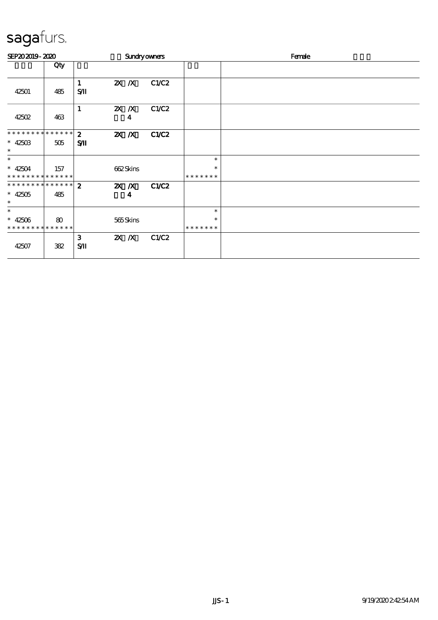| SEP202019-2020                                     |          |                    |          |          | <b>Sundryowners</b> |                                   | Female |
|----------------------------------------------------|----------|--------------------|----------|----------|---------------------|-----------------------------------|--------|
|                                                    | Qty      |                    |          |          |                     |                                   |        |
| 42501                                              | 485      | 1<br>$S$ $I$       | $2X$ $X$ |          | C1/C2               |                                   |        |
| 42502                                              | 463      | 1                  | $X$ $N$  | 4        | C1/C2               |                                   |        |
| * * * * * * * * * * * * * *<br>$* 4250B$<br>$\ast$ | 505      | $\mathbf{z}$<br>SЛ | $X$ $N$  |          | C1/C2               |                                   |        |
| $\ast$<br>$* 42504$<br>* * * * * * * * * * * * * * | 157      |                    |          | 662Skins |                     | $\ast$<br>$\ast$<br>* * * * * * * |        |
| ************** 2<br>$* 42505$<br>$\ast$            | 485      |                    | $X$ $N$  | 4        | C1/C2               |                                   |        |
| $\ast$<br>$* 42506$<br>* * * * * * * * * * * * * * | $\bf{8}$ |                    |          | 565Skins |                     | $\ast$<br>$\ast$<br>* * * * * * * |        |
| 42507                                              | 382      | 3<br>$S$ $\Pi$     | $X$ $N$  |          | C1/C2               |                                   |        |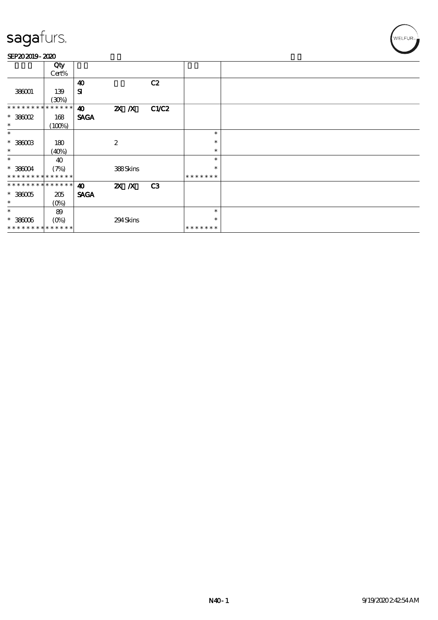### SEP202019-2020

|                             | Qty           |                       |                  |       |               |  |
|-----------------------------|---------------|-----------------------|------------------|-------|---------------|--|
|                             | Cert%         |                       |                  |       |               |  |
|                             |               | $\boldsymbol{\omega}$ |                  | C2    |               |  |
| 386001                      | 139           | ${\bf s}$             |                  |       |               |  |
|                             | (30%)         |                       |                  |       |               |  |
| * * * * * * * *             | $***$ * * * * | $\boldsymbol{\omega}$ | $X$ $X$          | C1/C2 |               |  |
| $*38002$                    | 168           | <b>SAGA</b>           |                  |       |               |  |
| $\ast$                      |               |                       |                  |       |               |  |
|                             | (100%)        |                       |                  |       |               |  |
| $\ast$                      |               |                       |                  |       | $\ast$        |  |
| $^\ast$ 386003              | 180           |                       | $\boldsymbol{z}$ |       | $\ast$        |  |
| $\ast$                      | (40%)         |                       |                  |       | $\ast$        |  |
| $\ast$                      | 40            |                       |                  |       | $\ast$        |  |
| $*38004$                    | (7%)          |                       | 388Skins         |       | $\ast$        |  |
| * * * * * * * * * * * * * * |               |                       |                  |       | * * * * * * * |  |
| * * * * * * * * * * * * * * |               | $\boldsymbol{\omega}$ | $X$ $N$          | C3    |               |  |
| $*38005$                    | 205           | <b>SAGA</b>           |                  |       |               |  |
| $\ast$                      | $(O\%)$       |                       |                  |       |               |  |
| $\ast$                      | 89            |                       |                  |       | $\ast$        |  |
| $* 38006$                   | $(O\%)$       |                       | 294Skins         |       | $\ast$        |  |
| * * * * * * * * * * * * * * |               |                       |                  |       | * * * * * * * |  |
|                             |               |                       |                  |       |               |  |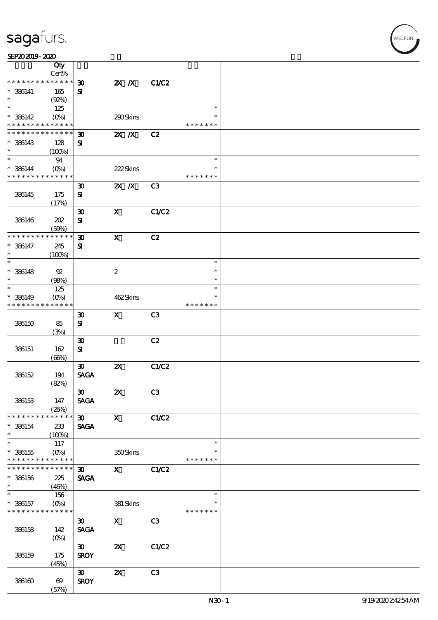| SEP202019-2020 |  |  |  |
|----------------|--|--|--|
|                |  |  |  |

|                                          | Qty<br>Cert%              |                             |                           |                |               |  |
|------------------------------------------|---------------------------|-----------------------------|---------------------------|----------------|---------------|--|
| * * * * * * * *                          | * * * * * *               | $\boldsymbol{\mathfrak{D}}$ | $X$ $N$                   | C1/C2          |               |  |
| $* 386141$                               | 165                       | ${\bf s}$                   |                           |                |               |  |
| $\ast$                                   | (Q2%)                     |                             |                           |                |               |  |
| $\ast$                                   | 125                       |                             |                           |                | $\ast$        |  |
| $* 386142$                               | $(0\%)$                   |                             | 290Skins                  |                | $\ast$        |  |
| * * * * * * * * <mark>* * * * * *</mark> |                           |                             |                           |                | * * * * * * * |  |
| * * * * * * * *                          | * * * * * *               | 30                          | $X$ $N$                   | C2             |               |  |
| $* 386143$                               | 128                       | ${\bf s}$                   |                           |                |               |  |
| $\ast$                                   | (100%)                    |                             |                           |                |               |  |
| $\ast$                                   | 94                        |                             |                           |                | $\ast$        |  |
| $* 386144$                               | $(O\%)$                   |                             | 222Skins                  |                | $\ast$        |  |
| * * * * * * * *                          | * * * * * *               |                             |                           |                | * * * * * * * |  |
|                                          |                           | $\boldsymbol{\mathfrak{D}}$ | $X$ $N$                   | C <sub>3</sub> |               |  |
| 386145                                   | 175                       | ${\bf s}$                   |                           |                |               |  |
|                                          | (17%)                     |                             |                           |                |               |  |
|                                          |                           | $\boldsymbol{\mathfrak{D}}$ | $\boldsymbol{\mathrm{X}}$ | C1/C2          |               |  |
| 386146                                   | 202                       | $\mathbf{S}$                |                           |                |               |  |
|                                          | (50%)                     |                             |                           |                |               |  |
| * * * * * * * *                          | * * * * * *               | $\boldsymbol{\mathfrak{D}}$ | $\mathbf X$               | C2             |               |  |
| $* 386147$                               | 245                       | $\mathbf{S}$                |                           |                |               |  |
| $\ast$<br>$\ast$                         | (100%)                    |                             |                           |                | $\ast$        |  |
|                                          |                           |                             |                           |                | $\ast$        |  |
| $* 386148$<br>$\ast$                     | 92                        |                             | $\boldsymbol{2}$          |                | $\ast$        |  |
| $\ast$                                   | (98%)                     |                             |                           |                | $\ast$        |  |
|                                          | 125                       |                             |                           |                | ∗             |  |
| $* 386149$<br>* * * * * * * *            | $(O\%)$<br>* * * * * *    |                             | 462Skins                  |                | * * * * * * * |  |
|                                          |                           |                             | $\mathbf{x}$              | C <sub>3</sub> |               |  |
| 386150                                   |                           | $\boldsymbol{\mathfrak{D}}$ |                           |                |               |  |
|                                          | 85                        | ${\bf s}$                   |                           |                |               |  |
|                                          | (3%)                      | $\boldsymbol{\mathfrak{D}}$ |                           | C2             |               |  |
| 386151                                   | 162                       | ${\bf s}$                   |                           |                |               |  |
|                                          | (66%)                     |                             |                           |                |               |  |
|                                          |                           | $\boldsymbol{\mathfrak{D}}$ | $\boldsymbol{\mathsf{z}}$ | C1/C2          |               |  |
| 386152                                   | 194                       | <b>SAGA</b>                 |                           |                |               |  |
|                                          | (82%)                     |                             |                           |                |               |  |
|                                          |                           | $\infty$                    | $\boldsymbol{\mathsf{z}}$ | C3             |               |  |
| 386153                                   | 147                       | <b>SAGA</b>                 |                           |                |               |  |
|                                          | (20%)                     |                             |                           |                |               |  |
| * * * * * * * *                          | * * * * * *               | 30 <sub>2</sub>             | $\mathbf{x}$              | C1/C2          |               |  |
| $* 386154$                               | 233                       | <b>SAGA</b>                 |                           |                |               |  |
| $\ast$                                   | (100%)                    |                             |                           |                |               |  |
| $\ast$                                   | 117                       |                             |                           |                | $\ast$        |  |
| $* 386155$                               | $(O\%)$                   |                             | 350Skins                  |                | ∗             |  |
| * * * * * * * *                          | * * * * * *               |                             |                           |                | * * * * * * * |  |
| * * * * * * * *                          | * * * * * *               | $\boldsymbol{\mathfrak{D}}$ | $\mathbf{x}$              | C1/C2          |               |  |
| $*$ 386156                               | 225                       | <b>SAGA</b>                 |                           |                |               |  |
| $\ast$                                   | (46%)                     |                             |                           |                |               |  |
| $\overline{\ast}$                        | 156                       |                             |                           |                | $\ast$        |  |
| $* 386157$                               | $(O\!\!\!\!\!\!\!/\,\!o)$ |                             | 381 Skins                 |                | $\ast$        |  |
| * * * * * * * * <mark>* * * * * *</mark> |                           |                             |                           |                | * * * * * * * |  |
|                                          |                           | $\boldsymbol{\mathfrak{D}}$ | $\mathbf X$               | C <sub>3</sub> |               |  |
| 386158                                   | 142                       | <b>SAGA</b>                 |                           |                |               |  |
|                                          | $(O\%)$                   |                             |                           |                |               |  |
|                                          |                           | $\boldsymbol{\mathfrak{D}}$ | $\boldsymbol{\mathsf{z}}$ | C1/C2          |               |  |
| 386159                                   | 175                       | <b>SROY</b>                 |                           |                |               |  |
|                                          | (45%)                     |                             |                           |                |               |  |
|                                          |                           | $\boldsymbol{\mathfrak{D}}$ | $\boldsymbol{\mathsf{z}}$ | C3             |               |  |
| 386160                                   | $\boldsymbol{\omega}$     | <b>SROY</b>                 |                           |                |               |  |
|                                          | (57%)                     |                             |                           |                |               |  |

,<br>WELFUR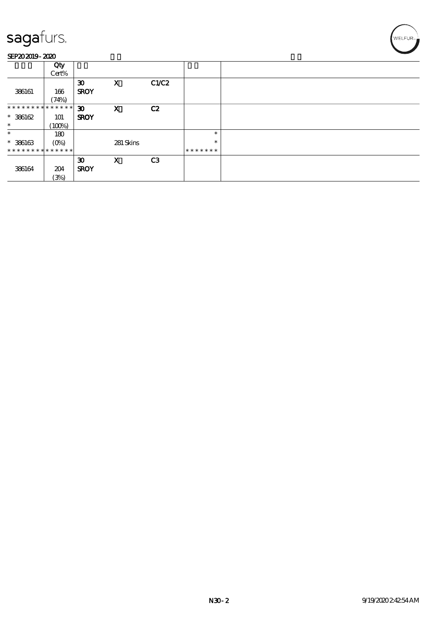### SEP202019-2020

|                               | Qty<br>Cert% |                                            |              |                |               |  |
|-------------------------------|--------------|--------------------------------------------|--------------|----------------|---------------|--|
| 386161                        | 166<br>(74%) | $\boldsymbol{\mathfrak{D}}$<br><b>SROY</b> | $\mathbf{x}$ | C1/C2          |               |  |
| * * * * * * * * * * * * * * * |              | $\boldsymbol{\mathfrak{D}}$                | $\mathbf X$  | C2             |               |  |
| $*386162$                     | 101          | <b>SROY</b>                                |              |                |               |  |
| $\ast$                        | (100%)       |                                            |              |                |               |  |
| $\ast$                        | 180          |                                            |              |                | $\ast$        |  |
| $* 386163$                    | $(O\%)$      |                                            | 281 Skins    |                | $\ast$        |  |
| * * * * * * * * * * * * * *   |              |                                            |              |                | * * * * * * * |  |
|                               |              | $\boldsymbol{\mathfrak{D}}$                | X            | C <sub>3</sub> |               |  |
| 386164                        | 204          | <b>SROY</b>                                |              |                |               |  |
|                               | (3%)         |                                            |              |                |               |  |

WELFUR<sub>"</sub>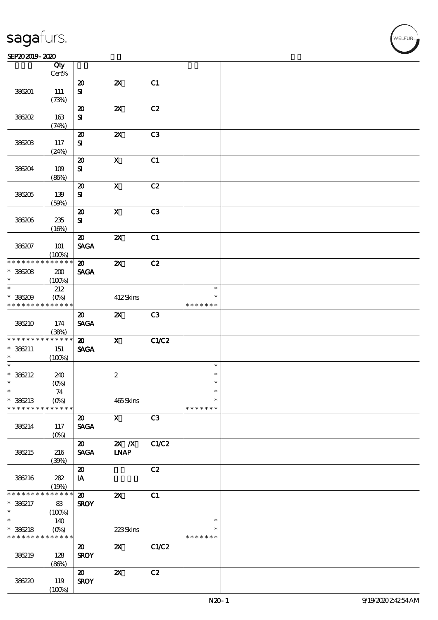#### $SEP202019 - 2020$  $\overline{\phantom{a}}$  Qty  $\overline{\phantom{a}}$

|                 | Qty<br>Cert%      |                             |                           |       |               |  |
|-----------------|-------------------|-----------------------------|---------------------------|-------|---------------|--|
|                 |                   |                             |                           |       |               |  |
|                 |                   | $\boldsymbol{\mathsf{20}}$  | $\boldsymbol{\mathsf{Z}}$ | C1    |               |  |
| 386201          | $111\,$           | ${\bf s}$                   |                           |       |               |  |
|                 | (73%)             |                             |                           |       |               |  |
|                 |                   | $\boldsymbol{\mathfrak{D}}$ | $\boldsymbol{\mathsf{z}}$ | C2    |               |  |
| 386202          | 163               | ${\bf s}$                   |                           |       |               |  |
|                 | (74%)             |                             |                           |       |               |  |
|                 |                   |                             |                           |       |               |  |
|                 |                   | $\boldsymbol{\mathbf{z}}$   | $\boldsymbol{\mathsf{z}}$ | C3    |               |  |
| 386203          | 117               | ${\bf s}$                   |                           |       |               |  |
|                 | (24%)             |                             |                           |       |               |  |
|                 |                   | $\boldsymbol{\mathsf{20}}$  | $\mathbf X$               | C1    |               |  |
| 386204          | 109               | ${\bf s}$                   |                           |       |               |  |
|                 | (80%)             |                             |                           |       |               |  |
|                 |                   | $\boldsymbol{\mathfrak{D}}$ | $\boldsymbol{\mathrm{X}}$ | C2    |               |  |
|                 |                   |                             |                           |       |               |  |
| 386205          | 139               | ${\bf S}$                   |                           |       |               |  |
|                 | (50%)             |                             |                           |       |               |  |
|                 |                   | $\boldsymbol{\mathfrak{D}}$ | $\boldsymbol{\mathrm{X}}$ | C3    |               |  |
| 386206          | $235\,$           | ${\bf s}$                   |                           |       |               |  |
|                 | (16%)             |                             |                           |       |               |  |
|                 |                   | $\boldsymbol{\mathfrak{D}}$ | $\boldsymbol{\mathsf{z}}$ | C1    |               |  |
| 386207          | <b>101</b>        | <b>SAGA</b>                 |                           |       |               |  |
|                 | (100%)            |                             |                           |       |               |  |
| * * * * * * * * | * * * * * *       |                             |                           |       |               |  |
|                 |                   | $\boldsymbol{\mathfrak{D}}$ | $\boldsymbol{\mathsf{z}}$ | C2    |               |  |
| $* 36208$       | 200               | <b>SAGA</b>                 |                           |       |               |  |
| $\ast$          | (100%)            |                             |                           |       |               |  |
| $\ast$          | 212               |                             |                           |       | $\ast$        |  |
| $* 36209$       | $(0\%)$           |                             | 412Skins                  |       | $\ast$        |  |
| * * * * * * * * | * * * * * *       |                             |                           |       | * * * * * * * |  |
|                 |                   | $\boldsymbol{\mathfrak{D}}$ | $\boldsymbol{\mathsf{z}}$ | C3    |               |  |
| 386210          |                   |                             |                           |       |               |  |
|                 | 174               | <b>SAGA</b>                 |                           |       |               |  |
|                 | (38%)             |                             |                           |       |               |  |
| * * * * * * * * | * * * * * *       | $\boldsymbol{\mathfrak{D}}$ | $\mathbf{x}$              | C1/C2 |               |  |
| $* 36211$       | 151               | <b>SAGA</b>                 |                           |       |               |  |
| $\ast$          | (100%)            |                             |                           |       |               |  |
| $\ast$          |                   |                             |                           |       | $\ast$        |  |
| $* 386212$      | 240               |                             | $\boldsymbol{2}$          |       | $\ast$        |  |
| $\ast$          | $(0\%)$           |                             |                           |       | $\ast$        |  |
| $\ast$          |                   |                             |                           |       |               |  |
|                 | 74                |                             |                           |       | $\ast$        |  |
| $* 386213$      | (O <sub>0</sub> ) |                             | $465$ Skins               |       |               |  |
| * * * * * * * * | * * * * * *       |                             |                           |       | * * * * * * * |  |
|                 |                   | $\boldsymbol{\mathfrak{D}}$ | $\mathbf{x}$              | C3    |               |  |
| 386214          | 117               | <b>SAGA</b>                 |                           |       |               |  |
|                 | (O <sub>0</sub> ) |                             |                           |       |               |  |
|                 |                   | $\boldsymbol{\mathfrak{D}}$ | $X$ $N$                   | C1/C2 |               |  |
| 386215          | 216               | <b>SAGA</b>                 | <b>INAP</b>               |       |               |  |
|                 |                   |                             |                           |       |               |  |
|                 | (39%)             |                             |                           |       |               |  |
|                 |                   | $\boldsymbol{\mathfrak{D}}$ |                           | C2    |               |  |
| 386216          | 282               | IA                          |                           |       |               |  |
|                 | (19%)             |                             |                           |       |               |  |
| * * * * * * * * | * * * * * *       | $\boldsymbol{\mathbf{z}}$   | $\boldsymbol{\alpha}$     | C1    |               |  |
| $* 386217$      | 83                | <b>SROY</b>                 |                           |       |               |  |
| $\ast$          | (100%)            |                             |                           |       |               |  |
| $\ast$          | 140               |                             |                           |       | $\ast$        |  |
| $* 386218$      | $(O\%)$           |                             |                           |       | *             |  |
| * * * * * * * * | * * * * * *       |                             | 223Skins                  |       | * * * * * * * |  |
|                 |                   |                             |                           |       |               |  |
|                 |                   | $\boldsymbol{\mathfrak{D}}$ | $\boldsymbol{\mathsf{z}}$ | C1/C2 |               |  |
| 386219          | 128               | <b>SROY</b>                 |                           |       |               |  |
|                 | (80%)             |                             |                           |       |               |  |
|                 |                   | $\boldsymbol{\mathfrak{D}}$ | $\boldsymbol{\mathsf{z}}$ | C2    |               |  |
| 386220          | 119               | <b>SROY</b>                 |                           |       |               |  |
|                 | (100%)            |                             |                           |       |               |  |
|                 |                   |                             |                           |       |               |  |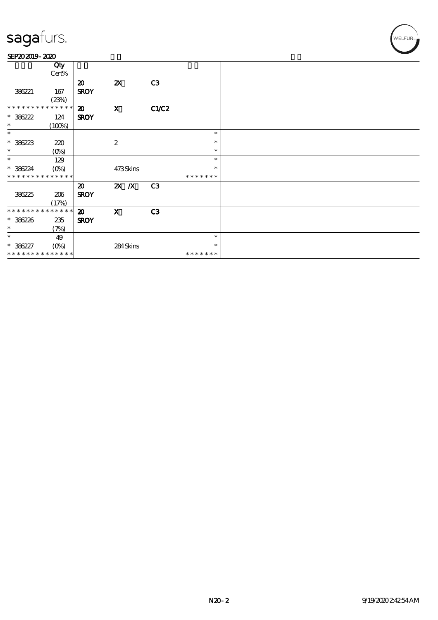### SEP202019-2020

|                             | Qty         |                             |                           |                |               |  |
|-----------------------------|-------------|-----------------------------|---------------------------|----------------|---------------|--|
|                             | Cert%       |                             |                           |                |               |  |
|                             |             | $\boldsymbol{\mathfrak{D}}$ | $\boldsymbol{\mathsf{Z}}$ | C3             |               |  |
| 386221                      | 167         | <b>SROY</b>                 |                           |                |               |  |
|                             | (23%)       |                             |                           |                |               |  |
| * * * * * * * *             | * * * * * * | $\boldsymbol{\mathfrak{D}}$ | $\mathbf x$               | C1/C2          |               |  |
| $* 386222$                  | 124         | <b>SROY</b>                 |                           |                |               |  |
| $\ast$                      | (100%)      |                             |                           |                |               |  |
| $\ast$                      |             |                             |                           |                | $\ast$        |  |
| $* 386223$                  | 220         |                             | $\boldsymbol{2}$          |                | $\ast$        |  |
| $\ast$                      | (0%)        |                             |                           |                | $\ast$        |  |
| $\ast$                      | 129         |                             |                           |                | $\ast$        |  |
| $* 386224$                  | $(O\!/\!o)$ |                             | 473Skins                  |                | $\ast$        |  |
| * * * * * * * *             | * * * * * * |                             |                           |                | * * * * * * * |  |
|                             |             | $\boldsymbol{\mathfrak{D}}$ | $X$ $N$                   | C <sub>3</sub> |               |  |
| 386225                      | 206         | <b>SROY</b>                 |                           |                |               |  |
|                             | (17%)       |                             |                           |                |               |  |
| * * * * * * * * * * * * * * |             | $\boldsymbol{\mathfrak{D}}$ | $\boldsymbol{\mathrm{X}}$ | C <sub>3</sub> |               |  |
| $* 386226$                  | 235         | <b>SROY</b>                 |                           |                |               |  |
| $\ast$                      | (7%)        |                             |                           |                |               |  |
| $\ast$                      | 49          |                             |                           |                | $\ast$        |  |
| $* 386227$                  | $(O\%)$     |                             | 284Skins                  |                | ∗             |  |
| * * * * * * * * * * * * * * |             |                             |                           |                | *******       |  |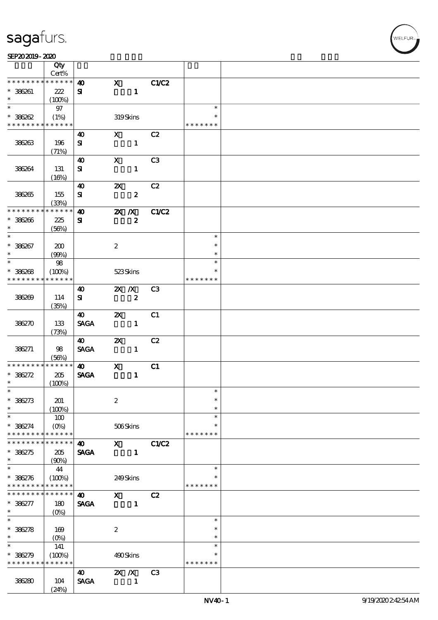|                                          | Qty                        |                       |                           |                              |                |                  |  |
|------------------------------------------|----------------------------|-----------------------|---------------------------|------------------------------|----------------|------------------|--|
|                                          | Cert%<br>* * * * * *       |                       |                           |                              |                |                  |  |
| * * * * * * * *                          |                            | $\boldsymbol{\omega}$ | $\mathbf{x}$              |                              | C1/C2          |                  |  |
| $* 386261$<br>$\ast$                     | 222<br>(100%)              | ${\bf s}$             |                           | $\mathbf{1}$                 |                |                  |  |
| $\overline{\ast}$                        | $97$                       |                       |                           |                              |                | $\ast$           |  |
| $* 386002$                               | (1%)                       |                       |                           | 319Skins                     |                |                  |  |
| * * * * * * * * <mark>* * * * * *</mark> |                            |                       |                           |                              |                | * * * * * * *    |  |
|                                          |                            | 40                    | $\mathbf{X}$              |                              | C2             |                  |  |
| 386263                                   | 196                        | ${\bf s}$             |                           | $\mathbf{1}$                 |                |                  |  |
|                                          | (71%)                      |                       |                           |                              |                |                  |  |
|                                          |                            | $\boldsymbol{\omega}$ | $\mathbf{x}$              |                              | C3             |                  |  |
| 386264                                   | 131                        | ${\bf s}$             |                           | $\mathbf{1}$                 |                |                  |  |
|                                          | (16%)                      |                       |                           |                              |                |                  |  |
|                                          |                            | 40                    | $\mathbf{x}$              |                              | C2             |                  |  |
| 386265                                   | 155                        | ${\bf s}$             |                           | $\boldsymbol{z}$             |                |                  |  |
| * * * * * * * *                          | (33%)<br>$+ * * * * * *$   | $\boldsymbol{\omega}$ | $\mathbf{X}$ $\mathbf{X}$ |                              | C1/C2          |                  |  |
| $* 386266$                               | 225                        | ${\bf s}$             |                           | $\boldsymbol{z}$             |                |                  |  |
| $\ast$                                   | (56%)                      |                       |                           |                              |                |                  |  |
| $\overline{\ast}$                        |                            |                       |                           |                              |                | $\ast$           |  |
| $* 386267$                               | 200                        |                       | $\boldsymbol{2}$          |                              |                | $\ast$           |  |
| $\ast$                                   | (90%)                      |                       |                           |                              |                | $\ast$           |  |
| $\ast$                                   | 98                         |                       |                           |                              |                | $\ast$           |  |
| $* 386268$                               | (100%)                     |                       | 523Skins                  |                              |                | $\ast$           |  |
| * * * * * * * *                          | * * * * * *                |                       |                           |                              |                | * * * * * * *    |  |
|                                          |                            | $\boldsymbol{\omega}$ | $\mathbf{X}$ $\mathbf{X}$ |                              | C <sub>3</sub> |                  |  |
| 386269                                   | 114                        | ${\bf s}$             |                           | $\boldsymbol{z}$             |                |                  |  |
|                                          | (35%)                      |                       |                           |                              | C1             |                  |  |
| 386270                                   | 133                        | 40<br><b>SAGA</b>     |                           | $\mathbf{x}$<br>$\mathbf{1}$ |                |                  |  |
|                                          | (73%)                      |                       |                           |                              |                |                  |  |
|                                          |                            | $\boldsymbol{\omega}$ | $\boldsymbol{\alpha}$     |                              | C2             |                  |  |
| 386271                                   | 98                         | <b>SAGA</b>           |                           | $\mathbf{1}$                 |                |                  |  |
|                                          | (56%)                      |                       |                           |                              |                |                  |  |
| * * * * * * * *                          | * * * * * *                | $\boldsymbol{\omega}$ | $\mathbf{x}$              |                              | C1             |                  |  |
| $* 386272$                               | 205                        | <b>SAGA</b>           |                           | $\mathbf{1}$                 |                |                  |  |
| $\ast$                                   | (100%)                     |                       |                           |                              |                |                  |  |
| $\ast$                                   |                            |                       |                           |                              |                | $\ast$<br>$\ast$ |  |
| $* 386273$<br>$\ast$                     | 201                        |                       | $\boldsymbol{2}$          |                              |                | $\ast$           |  |
| $\ast$                                   | (100%)<br>100              |                       |                           |                              |                | $\ast$           |  |
| * 386274                                 | $(0\%)$                    |                       |                           | 506Skins                     |                | $\ast$           |  |
| * * * * * * * *                          | * * * * * *                |                       |                           |                              |                | * * * * * * *    |  |
| * * * * * * *                            | * * * * * *                | $\boldsymbol{\omega}$ | $\mathbf{x}$              |                              | C1/C2          |                  |  |
| $* 386275$                               | 205                        | <b>SAGA</b>           |                           | $\mathbf{1}$                 |                |                  |  |
| $\ast$                                   | (90%)                      |                       |                           |                              |                |                  |  |
| $\ast$                                   | 44                         |                       |                           |                              |                | $\ast$           |  |
| $* 38276$                                | (100%)                     |                       | 249Skins                  |                              |                | *                |  |
| * * * * * * * *                          | * * * * * *                |                       |                           |                              |                | * * * * * * *    |  |
| * * * * * * *                            | $\ast\ast\ast\ast\ast\ast$ | $\boldsymbol{\omega}$ | $\mathbf{x}$              |                              | C2             |                  |  |
| $* 386277$<br>$\ast$                     | 180                        | <b>SAGA</b>           |                           | $\mathbf{1}$                 |                |                  |  |
| $\overline{\ast}$                        | $(0\%)$                    |                       |                           |                              |                | $\ast$           |  |
| $* 38278$                                | 169                        |                       | $\boldsymbol{2}$          |                              |                | $\ast$           |  |
| $\ast$                                   | $(0\%)$                    |                       |                           |                              |                | $\ast$           |  |
| $\ast$                                   | 141                        |                       |                           |                              |                | $\ast$           |  |
| $* 386279$                               | (100%)                     |                       | 490Skins                  |                              |                | $\ast$           |  |
| * * * * * * * *                          | * * * * * *                |                       |                           |                              |                | * * * * * * *    |  |
|                                          |                            | 40                    | $X$ $N$                   |                              | C <sub>3</sub> |                  |  |
| 386280                                   | 104                        | <b>SAGA</b>           |                           | $\mathbf{1}$                 |                |                  |  |
|                                          | (24%)                      |                       |                           |                              |                |                  |  |

.<br>VELFUR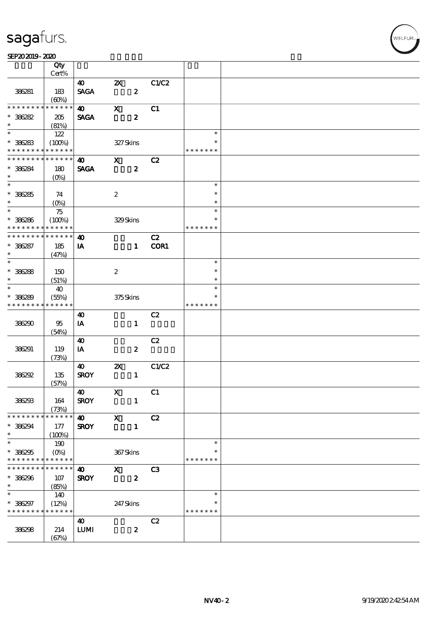### SEP202019-2020

|                             | Qty             |                                  |                           |                           |               |  |
|-----------------------------|-----------------|----------------------------------|---------------------------|---------------------------|---------------|--|
|                             | Cert%           |                                  |                           |                           |               |  |
|                             |                 | 40                               | $\boldsymbol{\mathsf{Z}}$ | C1/C2<br>$\boldsymbol{z}$ |               |  |
| 386281                      | 183<br>(60%)    | <b>SAGA</b>                      |                           |                           |               |  |
| * * * * * * * *             | * * * * * *     | $\boldsymbol{\omega}$            | $\mathbf x$               | C1                        |               |  |
| $* 36282$                   | 205             | <b>SAGA</b>                      |                           | $\boldsymbol{z}$          |               |  |
| $\ast$                      | (81%)           |                                  |                           |                           |               |  |
| $\overline{\ast}$           | 122             |                                  |                           |                           | $\ast$        |  |
| $* 36283$                   | (100%)          |                                  | 327Skins                  |                           |               |  |
| * * * * * * * * * * * * * * |                 |                                  |                           |                           | * * * * * * * |  |
| * * * * * * * *             | $* * * * * * *$ | $\boldsymbol{\omega}$            | $\mathbf{x}$              | C2                        |               |  |
| $* 36284$                   | 180             | <b>SAGA</b>                      |                           | $\boldsymbol{z}$          |               |  |
| $\ast$                      | $(O_0)$         |                                  |                           |                           |               |  |
| $\overline{\phantom{0}}$    |                 |                                  |                           |                           | $\ast$        |  |
| $* 36285$                   | 74              |                                  | $\boldsymbol{2}$          |                           | $\ast$        |  |
| $\ast$                      | $(0\%)$         |                                  |                           |                           | $\ast$        |  |
| $*$                         | 75              |                                  |                           |                           | $\ast$        |  |
| $* 36286$                   | (100%)          |                                  | 329Skins                  |                           | $\ast$        |  |
| * * * * * * * *             | * * * * * *     |                                  |                           |                           | * * * * * * * |  |
| * * * * * * * *             | * * * * * *     | $\boldsymbol{\omega}$            |                           | C2                        |               |  |
| $* 36287$                   | 185             | IA                               |                           | COR1<br>$\mathbf{1}$      |               |  |
| $\ast$                      | (47%)           |                                  |                           |                           |               |  |
| $\overline{\phantom{0}}$    |                 |                                  |                           |                           | $\ast$        |  |
| $* 36288$                   | 150             |                                  | $\boldsymbol{2}$          |                           | $\ast$        |  |
| $\ast$                      | (51%)           |                                  |                           |                           | $\ast$        |  |
| $\ast$                      | 40              |                                  |                           |                           | $\ast$        |  |
| $* 386289$                  | (55%)           |                                  | 375Skins                  |                           | ∗             |  |
| * * * * * * * *             | * * * * * *     |                                  |                           |                           | * * * * * * * |  |
|                             |                 | 40                               |                           | C2                        |               |  |
| 386290                      | 95              | IA                               |                           | $\mathbf{1}$              |               |  |
|                             | (54%)           |                                  |                           |                           |               |  |
|                             |                 | $\boldsymbol{\omega}$            |                           | C2                        |               |  |
| 386291                      | 119             | IA                               |                           | $\boldsymbol{2}$          |               |  |
|                             | (73%)           | 40                               | $\boldsymbol{\mathsf{Z}}$ | C1/C2                     |               |  |
| 386292                      | 135             | <b>SROY</b>                      |                           | $\mathbf{1}$              |               |  |
|                             | (57%)           |                                  |                           |                           |               |  |
|                             |                 | 40                               | $\mathbf{X}$              | C1                        |               |  |
| 386293                      | 164             | <b>SROY</b>                      |                           | $\mathbf{1}$              |               |  |
|                             | (73%)           |                                  |                           |                           |               |  |
| * * * * * * * *             | * * * * * *     | $\boldsymbol{\omega}$            | $\mathbf{X}$              | C2                        |               |  |
| * 386294                    | 177             | <b>SROY</b>                      |                           | $\mathbf{1}$              |               |  |
| $\ast$                      | (100%)          |                                  |                           |                           |               |  |
| $\ast$                      | 190             |                                  |                           |                           | $\ast$        |  |
| $* 386295$                  | $(O\%)$         |                                  | 367Skins                  |                           |               |  |
| * * * * * * * *             | * * * * * *     |                                  |                           |                           | * * * * * * * |  |
| * * * * * * * *             | * * * * * *     | 40                               | $\mathbf{X}$              | C <sub>3</sub>            |               |  |
| $* 386296$                  | 107             | <b>SROY</b>                      |                           | $\boldsymbol{z}$          |               |  |
| $\ast$                      | (85%)           |                                  |                           |                           |               |  |
| $\ast$                      | 140             |                                  |                           |                           | $\ast$        |  |
| $* 386297$                  | (12%)           |                                  | 247 Skins                 |                           | ∗             |  |
| * * * * * * * * * * * * * * |                 |                                  |                           |                           | * * * * * * * |  |
|                             |                 | $\boldsymbol{\omega}$            |                           | C2                        |               |  |
| 386298                      | 214             | $\textbf{L}\textbf{U}\textbf{M}$ |                           | $\boldsymbol{z}$          |               |  |
|                             | (67%)           |                                  |                           |                           |               |  |

WELFUR-<br>NELFUR-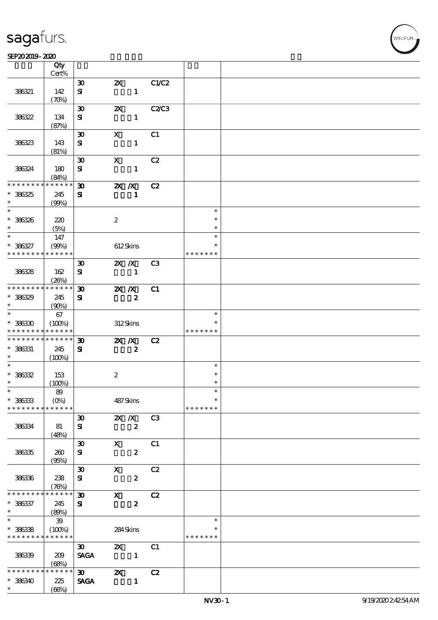$\overline{\mathsf{T}}$ 

#### $SEP202019 - 2020$

|                          | Qty<br>Cert%                       |                             |                           |                  |                |               |  |
|--------------------------|------------------------------------|-----------------------------|---------------------------|------------------|----------------|---------------|--|
|                          |                                    |                             |                           |                  |                |               |  |
|                          |                                    | $\boldsymbol{\mathfrak{D}}$ | $\boldsymbol{\mathsf{Z}}$ |                  | C1/C2          |               |  |
| 386321                   | 142                                | ${\bf s}$                   |                           | $\mathbf{1}$     |                |               |  |
|                          | $(\mathcal{X}\mathcal{Y})$         |                             |                           |                  |                |               |  |
|                          |                                    | $\boldsymbol{\mathfrak{D}}$ | $\boldsymbol{\mathsf{Z}}$ |                  | <b>C2/C3</b>   |               |  |
| 386322                   | 134                                | ${\bf s}$                   |                           | $\mathbf{1}$     |                |               |  |
|                          | (87%)                              |                             |                           |                  |                |               |  |
|                          |                                    | $\boldsymbol{\mathfrak{D}}$ | $\mathbf x$               |                  | C1             |               |  |
| 386323                   | 143                                | ${\bf s}$                   |                           | $\mathbf{1}$     |                |               |  |
|                          | (81%)                              |                             |                           |                  |                |               |  |
|                          |                                    | $\boldsymbol{\mathfrak{D}}$ | $\mathbf{x}$              |                  | C2             |               |  |
| 386324                   | 180                                | ${\bf s}$                   |                           | $\mathbf{1}$     |                |               |  |
| * * * * * * * *          | (84%)<br>* * * * * *               |                             |                           |                  |                |               |  |
|                          |                                    | $\boldsymbol{\mathfrak{D}}$ | $X$ $N$                   |                  | C2             |               |  |
| $* 386325$<br>$\ast$     | 245                                | ${\bf s}$                   |                           | $\mathbf{1}$     |                |               |  |
|                          | $(QO\%)$                           |                             |                           |                  |                | $\ast$        |  |
|                          |                                    |                             |                           |                  |                | $\ast$        |  |
| $* 36326$<br>$\ast$      | 220                                |                             | $\boldsymbol{2}$          |                  |                | $\ast$        |  |
| $\ast$                   | (5%)                               |                             |                           |                  |                | $\ast$        |  |
| $* 386327$               | 147<br>$(QO\%)$                    |                             |                           | 612Skins         |                | $\ast$        |  |
| * * * * * * * *          | * * * * * *                        |                             |                           |                  |                | * * * * * * * |  |
|                          |                                    | $\boldsymbol{\mathfrak{D}}$ |                           | $X$ $X$          | C <sub>3</sub> |               |  |
| 386328                   |                                    | ${\bf s}$                   |                           | $\mathbf{1}$     |                |               |  |
|                          | 162<br>(20%)                       |                             |                           |                  |                |               |  |
| * * * * * * * *          | * * * * * *                        | $\boldsymbol{\mathfrak{D}}$ | $\mathbf{X}$ $\mathbf{X}$ |                  | C1             |               |  |
| $* 36329$                | 245                                | ${\bf s}$                   |                           | $\boldsymbol{z}$ |                |               |  |
| $\ast$                   | (90%)                              |                             |                           |                  |                |               |  |
| $\ast$                   | 67                                 |                             |                           |                  |                | $\ast$        |  |
| $* 386330$               | (100%)                             |                             |                           | 312Skins         |                |               |  |
| * * * * * * * *          | * * * * * *                        |                             |                           |                  |                | * * * * * * * |  |
| * * * * * * * *          | * * * * * *                        | $\boldsymbol{\mathfrak{D}}$ |                           | $X$ $N$          | C2             |               |  |
| $* 386331$               | 245                                | ${\bf s}$                   |                           | $\boldsymbol{z}$ |                |               |  |
| $\ast$                   | (100%)                             |                             |                           |                  |                |               |  |
| $\ast$                   |                                    |                             |                           |                  |                | $\ast$        |  |
| $* 36332$                | 153                                |                             | $\boldsymbol{2}$          |                  |                | $\ast$        |  |
| $\ast$                   | (100%)                             |                             |                           |                  |                | $\ast$        |  |
| $*$                      | $8\!9$                             |                             |                           |                  |                | $\ast$        |  |
| $* 386333$               | $(O\!\!\!\!\!\!/\,\!\!\!\!\!/\,0)$ |                             |                           | 487Skins         |                | $\ast$        |  |
| * * * * * * * *          | * * * * * *                        |                             |                           |                  |                | * * * * * * * |  |
|                          |                                    | $\boldsymbol{\mathfrak{D}}$ |                           | $X$ $X$          | C3             |               |  |
| 386334                   | 81                                 | ${\bf s}$                   |                           | $\boldsymbol{z}$ |                |               |  |
|                          | (48%)                              |                             |                           |                  |                |               |  |
|                          |                                    | $\pmb{\mathfrak{D}}$        | $\mathbf{x}$              |                  | C1             |               |  |
| 38635                    | 260                                | ${\bf s}$                   |                           | $\boldsymbol{z}$ |                |               |  |
|                          | (95%)                              |                             |                           |                  |                |               |  |
|                          |                                    | $\boldsymbol{\mathfrak{D}}$ | $\mathbf{x}$              |                  | C2             |               |  |
| 38636                    | 238                                | ${\bf s}$                   |                           | $\boldsymbol{z}$ |                |               |  |
|                          | (76%)                              |                             |                           |                  |                |               |  |
| * * * * * * *            | $* * * * * *$<br>$\ast$            | $\boldsymbol{\mathfrak{D}}$ | $\mathbf{x}$              |                  | C2             |               |  |
| $* 386337$               | 245                                | ${\bf s}$                   |                           | $\pmb{2}$        |                |               |  |
| $\ast$                   | (80%)                              |                             |                           |                  |                |               |  |
| $\overline{\phantom{0}}$ | $\mathbf{39}$                      |                             |                           |                  |                | $\ast$        |  |
| $* 36338$                | (100%)                             |                             |                           | 284Skins         |                |               |  |
| * * * * * * * *          | * * * * * *                        |                             |                           |                  |                | * * * * * * * |  |
|                          |                                    | $\boldsymbol{\mathfrak{D}}$ | $\boldsymbol{\mathsf{Z}}$ |                  | C1             |               |  |
| 386339                   | 209                                | <b>SAGA</b>                 | $\sim$ $\sim$ 1           |                  |                |               |  |
|                          | (68%)                              |                             |                           |                  |                |               |  |
| * * * * * * *            | * * * * * *                        | $\infty$                    | $\boldsymbol{\alpha}$     |                  | C2             |               |  |
| $* 386340$               | 225                                | <b>SAGA</b>                 |                           | $\mathbf{1}$     |                |               |  |
| $\ast$                   | (66%)                              |                             |                           |                  |                |               |  |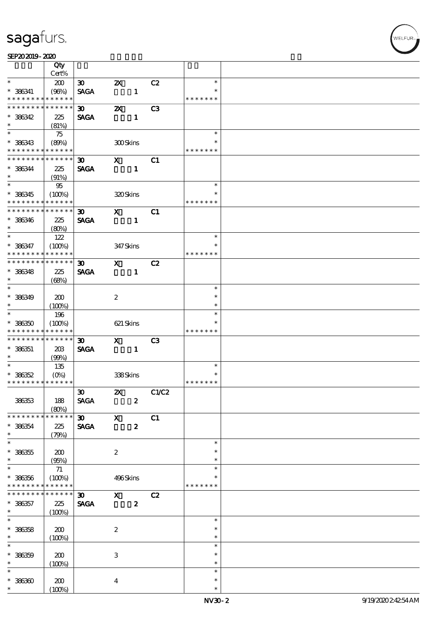### SEP202019-2020

|                                            | Qty<br>Cert%               |                             |                           |                  |                 |               |  |
|--------------------------------------------|----------------------------|-----------------------------|---------------------------|------------------|-----------------|---------------|--|
| $\ast$                                     | 200                        | $\infty$                    | $\boldsymbol{\mathsf{Z}}$ |                  | C2              | $\ast$        |  |
|                                            |                            |                             |                           |                  |                 | $\ast$        |  |
| $* 386341$<br>* * * * * * * *              | (90%)<br>* * * * * *       | <b>SAGA</b>                 |                           | $\mathbf{1}$     |                 | * * * * * * * |  |
|                                            |                            |                             |                           |                  |                 |               |  |
| * * * * * * * *                            | * * * * * *                | $\boldsymbol{\mathfrak{D}}$ | $\boldsymbol{\mathsf{z}}$ |                  | C3              |               |  |
| $* 386342$                                 | 225                        | <b>SAGA</b>                 |                           | $\mathbf{1}$     |                 |               |  |
| $\ast$                                     | (81%)                      |                             |                           |                  |                 |               |  |
|                                            | 75                         |                             |                           |                  |                 | $\ast$        |  |
| $* 386343$                                 | (80%)                      |                             | 300Skins                  |                  |                 | $\ast$        |  |
| * * * * * * * *                            | * * * * * *                |                             |                           |                  |                 | * * * * * * * |  |
| * * * * * * * *                            | $\ast\ast\ast\ast\ast\ast$ | $\boldsymbol{\mathfrak{D}}$ | $\mathbf{x}$              |                  | C1              |               |  |
|                                            |                            |                             |                           |                  |                 |               |  |
| $* 386344$                                 | 225                        | <b>SAGA</b>                 |                           | $\mathbf{1}$     |                 |               |  |
| $\ast$                                     | (91%)                      |                             |                           |                  |                 |               |  |
|                                            | 95                         |                             |                           |                  |                 | $\ast$        |  |
| $* 36345$                                  | (100%)                     |                             | 320Skins                  |                  |                 | $\ast$        |  |
| * * * * * * * *                            | $***$ * * * *              |                             |                           |                  |                 | * * * * * * * |  |
| * * * * * * * * <mark>*</mark>             | $* * * * * * *$            | 30 <sub>o</sub>             | $\mathbf{X}$              |                  | C1              |               |  |
| $* 386346$                                 | 225                        | <b>SAGA</b>                 |                           | $\mathbf{1}$     |                 |               |  |
| $\ast$                                     | (80%)                      |                             |                           |                  |                 |               |  |
| $\ast$                                     | 122                        |                             |                           |                  |                 | $\ast$        |  |
| * 386347                                   | (100%)                     |                             | 347 Skins                 |                  |                 | $\ast$        |  |
| * * * * * * * *                            | * * * * * *                |                             |                           |                  |                 | * * * * * * * |  |
| * * * * * * * * * * * * * * *              |                            |                             |                           |                  |                 |               |  |
|                                            |                            | $\boldsymbol{\mathfrak{D}}$ | $\mathbf{x}$              |                  | C2              |               |  |
| $* 36348$                                  | 225                        | <b>SAGA</b>                 |                           | $\mathbf{1}$     |                 |               |  |
| $\ast$                                     | (68%)                      |                             |                           |                  |                 |               |  |
| $\overline{\ast}$                          |                            |                             |                           |                  |                 | $\ast$        |  |
| $* 386349$                                 | 200                        |                             | $\boldsymbol{2}$          |                  |                 | $\ast$        |  |
| $\ast$                                     | (100%)                     |                             |                           |                  |                 | $\ast$        |  |
| $\overline{\phantom{0}}$                   | 196                        |                             |                           |                  |                 | $\ast$        |  |
| $* 386350$                                 | (100%)                     |                             | 621 Skins                 |                  |                 |               |  |
| * * * * * * * *                            | * * * * * *                |                             |                           |                  |                 | * * * * * * * |  |
| * * * * * * * *                            | ******                     | $\boldsymbol{\mathfrak{D}}$ | $\mathbf{x}$              |                  | C <sub>3</sub>  |               |  |
| $* 386351$                                 | 203                        | <b>SAGA</b>                 |                           | $\mathbf{1}$     |                 |               |  |
| $\ast$                                     | (90%)                      |                             |                           |                  |                 |               |  |
| $\overline{\phantom{0}}$                   | 135                        |                             |                           |                  |                 | $\ast$        |  |
| $* 36352$                                  | $(O\%)$                    |                             | 338Skins                  |                  |                 | $\ast$        |  |
| * * * * * * * * <mark>* * * * * * *</mark> |                            |                             |                           |                  |                 | * * * * * * * |  |
|                                            |                            | $\boldsymbol{\mathfrak{D}}$ |                           |                  |                 |               |  |
|                                            |                            |                             |                           |                  | <b>2X</b> C1/C2 |               |  |
| 386353                                     | 188                        | <b>SAGA</b>                 |                           | $\boldsymbol{z}$ |                 |               |  |
|                                            | (80%)                      |                             |                           |                  |                 |               |  |
| * * * * * * * *                            | * * * * * *                | 30 X                        |                           |                  | C1              |               |  |
| $* 386354$                                 | 225                        | <b>SAGA</b>                 |                           | $\boldsymbol{z}$ |                 |               |  |
| $\ast$                                     | (79%)                      |                             |                           |                  |                 |               |  |
| $\overline{\ast}$                          |                            |                             |                           |                  |                 | $\ast$        |  |
| $* 386355$                                 | 200                        |                             | $\boldsymbol{2}$          |                  |                 | *             |  |
| $\ast$                                     | (95%)                      |                             |                           |                  |                 | $\ast$        |  |
| $\overline{\ast}$                          | 71                         |                             |                           |                  |                 | $\ast$        |  |
| $* 386356$                                 | (100%)                     |                             | 496Skins                  |                  |                 |               |  |
| * * * * * * * *                            | * * * * * *                |                             |                           |                  |                 | * * * * * * * |  |
| * * * * * * * *                            | $* * * * * * *$            | $\boldsymbol{\mathfrak{D}}$ | $\boldsymbol{\mathrm{X}}$ |                  | C2              |               |  |
| $* 386357$                                 | 225                        | <b>SAGA</b>                 |                           | $\boldsymbol{z}$ |                 |               |  |
| $\ast$                                     |                            |                             |                           |                  |                 |               |  |
| $\overline{\ast}$                          | (100%)                     |                             |                           |                  |                 | $\ast$        |  |
|                                            |                            |                             |                           |                  |                 |               |  |
| $* 386358$                                 | 200                        |                             | $\boldsymbol{2}$          |                  |                 | $\ast$        |  |
| $\ast$                                     | (100%)                     |                             |                           |                  |                 | $\ast$        |  |
| $\ast$                                     |                            |                             |                           |                  |                 | $\ast$        |  |
| $* 36359$                                  | 200                        |                             | $\ensuremath{\mathbf{3}}$ |                  |                 | $\ast$        |  |
| $\ast$                                     | (100%)                     |                             |                           |                  |                 | $\ast$        |  |
| $\ast$                                     |                            |                             |                           |                  |                 | $\ast$        |  |
|                                            |                            |                             |                           |                  |                 |               |  |
| $* 36300$                                  | 200                        |                             | $\overline{4}$            |                  |                 | $\ast$        |  |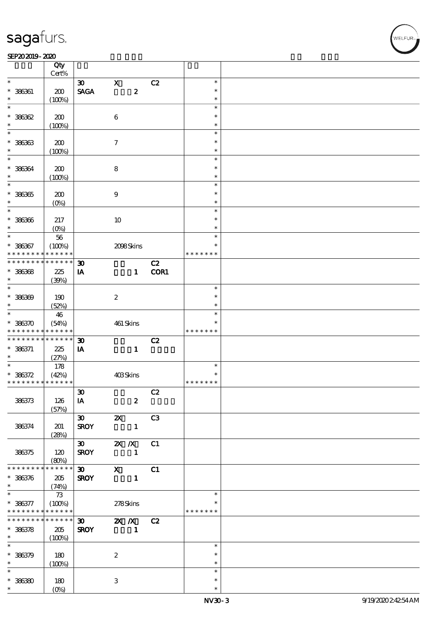#### $SEP202019 - 2020$

|                                            | Qty<br>Cert%       |                             |                           |                                                                                       |                |               |  |
|--------------------------------------------|--------------------|-----------------------------|---------------------------|---------------------------------------------------------------------------------------|----------------|---------------|--|
| $\ast$                                     |                    |                             | $\mathbf X$               |                                                                                       |                | $\ast$        |  |
|                                            |                    | $\boldsymbol{\mathfrak{D}}$ |                           |                                                                                       | C2             | $\ast$        |  |
| $* 386361$                                 | 200                | <b>SAGA</b>                 |                           | $\boldsymbol{z}$                                                                      |                |               |  |
|                                            | (100%)             |                             |                           |                                                                                       |                | $\ast$        |  |
| $\ast$                                     |                    |                             |                           |                                                                                       |                | $\ast$        |  |
| $* 36362$                                  | 200                |                             | $\bf 6$                   |                                                                                       |                | $\ast$        |  |
| $\ast$                                     | (100%)             |                             |                           |                                                                                       |                | $\ast$        |  |
| $\ast$                                     |                    |                             |                           |                                                                                       |                | $\ast$        |  |
| $* 36363$                                  | 200                |                             | $\tau$                    |                                                                                       |                | $\ast$        |  |
| $\ast$                                     | (100%)             |                             |                           |                                                                                       |                | $\ast$        |  |
| $\ast$                                     |                    |                             |                           |                                                                                       |                | $\ast$        |  |
| $* 36664$                                  | 200                |                             | $\bf8$                    |                                                                                       |                | $\ast$        |  |
| $\ast$                                     | (100%)             |                             |                           |                                                                                       |                | $\ast$        |  |
| $\ast$                                     |                    |                             |                           |                                                                                       |                | $\ast$        |  |
| $* 36365$                                  |                    |                             | $\boldsymbol{9}$          |                                                                                       |                | $\ast$        |  |
| $\ast$                                     | 200                |                             |                           |                                                                                       |                | $\ast$        |  |
| $\ast$                                     | $(O\%)$            |                             |                           |                                                                                       |                | $\ast$        |  |
|                                            |                    |                             |                           |                                                                                       |                |               |  |
| $* 38336$                                  | 217                |                             | 10                        |                                                                                       |                | $\ast$        |  |
| $\ast$                                     | $(O\%)$            |                             |                           |                                                                                       |                | $\ast$        |  |
| $\ast$                                     | $5\!6$             |                             |                           |                                                                                       |                | $\ast$        |  |
| $* 386367$                                 | (100%)             |                             |                           | 2098Skins                                                                             |                | $\ast$        |  |
| * * * * * * * *                            | * * * * * *        |                             |                           |                                                                                       |                | * * * * * * * |  |
| * * * * * * * *                            | ******             | $\boldsymbol{\mathfrak{D}}$ |                           |                                                                                       | C2             |               |  |
| $* 36368$                                  | 225                | IA                          |                           | $\mathbf{1}$                                                                          | COR1           |               |  |
| $\ast$                                     | (30%)              |                             |                           |                                                                                       |                |               |  |
| $\ast$                                     |                    |                             |                           |                                                                                       |                | $\ast$        |  |
| $* 386369$                                 | 190                |                             | $\boldsymbol{2}$          |                                                                                       |                | $\ast$        |  |
| $\ast$                                     | (52%)              |                             |                           |                                                                                       |                | $\ast$        |  |
| $\overline{\ast}$                          | 46                 |                             |                           |                                                                                       |                | $\ast$        |  |
| $* 386370$                                 | (54%)              |                             |                           | 461 Skins                                                                             |                | $\ast$        |  |
| * * * * * * * *                            | * * * * * *        |                             |                           |                                                                                       |                | * * * * * * * |  |
| * * * * * * * *                            | * * * * * *        | $\boldsymbol{\mathfrak{D}}$ |                           |                                                                                       | C2             |               |  |
|                                            |                    |                             |                           |                                                                                       |                |               |  |
| $* 386371$                                 | 225                | IA                          |                           | $\mathbf{1}$                                                                          |                |               |  |
| $\ast$<br>$\overline{\ast}$                | (27%)              |                             |                           |                                                                                       |                |               |  |
|                                            | 178                |                             |                           |                                                                                       |                | $\ast$        |  |
| $* 386372$                                 | (42%)              |                             | 403Skins                  |                                                                                       |                | $\ast$        |  |
| * * * * * * * * <mark>* * * * * * *</mark> |                    |                             |                           |                                                                                       |                | * * * * * * * |  |
|                                            |                    | $\boldsymbol{\mathfrak{D}}$ |                           |                                                                                       | C2             |               |  |
| 386373                                     | 126                | IA                          |                           | $\boldsymbol{z}$                                                                      |                |               |  |
|                                            | (57%)              |                             |                           |                                                                                       |                |               |  |
|                                            |                    | $\boldsymbol{\mathfrak{D}}$ | $\boldsymbol{\mathsf{z}}$ |                                                                                       | C <sub>3</sub> |               |  |
| 386374                                     | 201                | <b>SROY</b>                 |                           | $\mathbf{1}$                                                                          |                |               |  |
|                                            | (28%)              |                             |                           |                                                                                       |                |               |  |
|                                            |                    | $\infty$                    | $2X$ $\overline{X}$       |                                                                                       | C1             |               |  |
| 386375                                     | 120                | <b>SROY</b>                 |                           | $\mathbf{1}$                                                                          |                |               |  |
|                                            | (80%)              |                             |                           |                                                                                       |                |               |  |
| * * * * * * * *                            | $* * * * * * *$    | 30                          |                           | $\boldsymbol{\mathrm{X}}$ and $\boldsymbol{\mathrm{X}}$ and $\boldsymbol{\mathrm{X}}$ | C1             |               |  |
| $* 386376$                                 | 205                | <b>SROY</b>                 |                           | $\mathbf{1}$                                                                          |                |               |  |
| $\ast$                                     | (74%)              |                             |                           |                                                                                       |                |               |  |
| $\ast$                                     | 73                 |                             |                           |                                                                                       |                | $\ast$        |  |
|                                            |                    |                             |                           |                                                                                       |                | $\ast$        |  |
| $* 36377$                                  | (100%)<br>$******$ |                             | 278Skins                  |                                                                                       |                | * * * * * * * |  |
| * * * * * * * *<br>* * * * * * * *         |                    |                             |                           |                                                                                       |                |               |  |
|                                            | $******$           | $\infty$                    | $\mathbf{X}$ $\mathbf{X}$ |                                                                                       | C2             |               |  |
| $* 386378$                                 | 205                | <b>SROY</b>                 | $\blacksquare$            |                                                                                       |                |               |  |
| $\ast$                                     | (100%)             |                             |                           |                                                                                       |                |               |  |
| $\ast$                                     |                    |                             |                           |                                                                                       |                | $\ast$        |  |
| $* 36379$                                  | 180                |                             | $\boldsymbol{2}$          |                                                                                       |                | $\ast$        |  |
| $\ast$                                     | (100%)             |                             |                           |                                                                                       |                | $\ast$        |  |
| $\ast$                                     |                    |                             |                           |                                                                                       |                | $\ast$        |  |
| $* 36380$                                  | 180                |                             | 3                         |                                                                                       |                | $\ast$        |  |
| $\ast$                                     | (O <sub>0</sub> )  |                             |                           |                                                                                       |                | $\ast$        |  |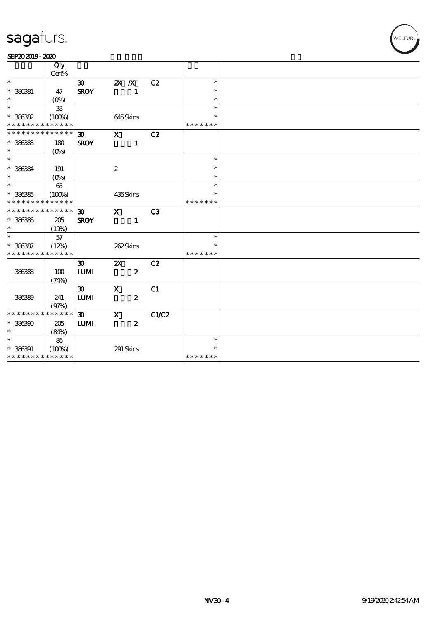| SEP202019-2020 |  |
|----------------|--|
|----------------|--|

|                            | Qty                         |                             |                           |                  |       |               |  |
|----------------------------|-----------------------------|-----------------------------|---------------------------|------------------|-------|---------------|--|
|                            | Cert%                       |                             |                           |                  |       |               |  |
| $\ast$                     |                             | $\boldsymbol{\mathfrak{D}}$ | $X \, X$                  |                  | C2    | $\ast$        |  |
| $* 386381$                 | 47                          | <b>SROY</b>                 |                           | $\mathbf{1}$     |       | $\ast$        |  |
| $\ast$                     | $(O\%)$                     |                             |                           |                  |       | $\ast$        |  |
| $\ast$                     | ${\bf 33}$                  |                             |                           |                  |       | $\ast$        |  |
| $* 386382$                 | (100%)                      |                             | 645Skins                  |                  |       | $\ast$        |  |
| * * * * * * * *            | * * * * * *                 |                             |                           |                  |       | * * * * * * * |  |
|                            | * * * * * * * * * * * * * * | $\boldsymbol{\mathfrak{D}}$ | $\mathbf{x}$              |                  | C2    |               |  |
| $* 386383$                 | 180                         | <b>SROY</b>                 |                           | $\mathbf{1}$     |       |               |  |
| $\ast$                     | $(O\%)$                     |                             |                           |                  |       |               |  |
| $\overline{\phantom{a}^*}$ |                             |                             |                           |                  |       | $\ast$        |  |
| * 386384                   | 191                         |                             | $\boldsymbol{2}$          |                  |       | $\ast$        |  |
| $\ast$                     | $(O\%)$                     |                             |                           |                  |       | $\ast$        |  |
| $\ast$                     | 65                          |                             |                           |                  |       | $\ast$        |  |
| $* 386385$                 | (100%)                      |                             | 436Skins                  |                  |       |               |  |
| * * * * * * * *            | * * * * * *                 |                             |                           |                  |       |               |  |
| * * * * * * * *            | * * * * * *                 | $\boldsymbol{\mathfrak{D}}$ | $\mathbf{x}$              |                  | C3    |               |  |
| $* 386386$                 | 205                         | <b>SROY</b>                 |                           | $\mathbf{1}$     |       |               |  |
| $\ast$                     | (19%)                       |                             |                           |                  |       |               |  |
| $\ast$                     | 57                          |                             |                           |                  |       | $\ast$        |  |
| $* 386387$                 | (12%)                       |                             | 262Skins                  |                  |       | $\ast$        |  |
| * * * * * * * *            | * * * * * *                 |                             |                           |                  |       | * * * * * * * |  |
|                            |                             | $\boldsymbol{\mathfrak{D}}$ | $\boldsymbol{\mathsf{X}}$ |                  | C2    |               |  |
| 38638                      | 100                         | <b>LUMI</b>                 |                           | $\boldsymbol{z}$ |       |               |  |
|                            | (74%)                       |                             |                           |                  |       |               |  |
|                            |                             | $\boldsymbol{\mathfrak{D}}$ | $\mathbf X$               |                  | C1    |               |  |
| 386399                     | 241                         | <b>LUMI</b>                 |                           | $\boldsymbol{z}$ |       |               |  |
|                            | (97%)                       |                             |                           |                  |       |               |  |
| * * * * * * * *            | * * * * * *                 | $\boldsymbol{\mathfrak{D}}$ | $\mathbf x$               |                  | C1/C2 |               |  |
| $* 386300$                 | 205                         | <b>LUMI</b>                 |                           | $\boldsymbol{z}$ |       |               |  |
| $\ast$                     | (84%)                       |                             |                           |                  |       |               |  |
| $\ast$                     | 86                          |                             |                           |                  |       | $\ast$        |  |
| $* 386391$                 | (100%)                      |                             | 291 Skins                 |                  |       |               |  |
|                            | * * * * * * * * * * * * * * |                             |                           |                  |       | * * * * * * * |  |

WELFUR<sub>T</sub>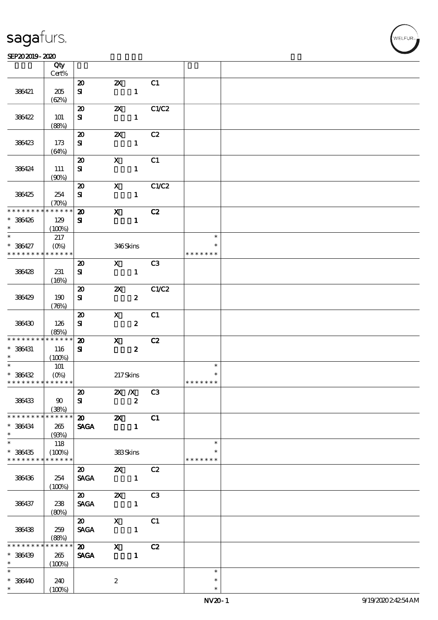$\overline{\mathsf{T}}$ 

#### $SEP202019 - 2020$

|                                          | Qty<br>Cert%               |                                                                      |                                                    |                  |       |               |  |
|------------------------------------------|----------------------------|----------------------------------------------------------------------|----------------------------------------------------|------------------|-------|---------------|--|
|                                          |                            |                                                                      |                                                    |                  |       |               |  |
|                                          |                            | $\boldsymbol{\mathfrak{D}}$                                          | $\boldsymbol{\mathsf{Z}}$                          |                  | C1    |               |  |
| 386421                                   | 205                        | ${\bf s}$                                                            |                                                    | $\mathbf{1}$     |       |               |  |
|                                          | (62%)                      |                                                                      |                                                    |                  |       |               |  |
|                                          |                            | $\boldsymbol{\mathfrak{D}}$                                          | $\boldsymbol{\mathsf{Z}}$                          |                  | C1/C2 |               |  |
| 386422                                   | 101                        | ${\bf s}$                                                            |                                                    | $\mathbf{1}$     |       |               |  |
|                                          |                            |                                                                      |                                                    |                  |       |               |  |
|                                          | (88%)                      |                                                                      |                                                    |                  |       |               |  |
|                                          |                            | $\boldsymbol{\mathbf{z}}$                                            | $\boldsymbol{\alpha}$                              |                  | C2    |               |  |
| 386423                                   | 173                        | ${\bf s}$                                                            |                                                    | $\mathbf{1}$     |       |               |  |
|                                          | (64%)                      |                                                                      |                                                    |                  |       |               |  |
|                                          |                            | $\boldsymbol{\mathsf{20}}$                                           | $\mathbf x$                                        |                  | C1    |               |  |
| 386424                                   | 111                        | ${\bf s}$                                                            |                                                    | $\mathbf{1}$     |       |               |  |
|                                          | (90%)                      |                                                                      |                                                    |                  |       |               |  |
|                                          |                            | $\boldsymbol{\mathfrak{D}}$                                          | $\boldsymbol{\mathsf{X}}$                          |                  | C1/C2 |               |  |
|                                          |                            |                                                                      |                                                    |                  |       |               |  |
| 386425                                   | 254                        | ${\bf s}$                                                            |                                                    | $\mathbf{1}$     |       |               |  |
|                                          | $(\mathcal{X}\mathcal{Y})$ |                                                                      |                                                    |                  |       |               |  |
| * * * * * * * *                          | $* * * * * * *$            | $\boldsymbol{\mathbf{z}}$                                            | $\mathbf{x}$                                       |                  | C2    |               |  |
| * 386426                                 | 129                        | ${\bf s}$                                                            |                                                    | $\mathbf{1}$     |       |               |  |
| $\ast$                                   | (100%)                     |                                                                      |                                                    |                  |       |               |  |
| $\ast$                                   | 217                        |                                                                      |                                                    |                  |       | $\ast$        |  |
| * 386427                                 | $(O\!\!\!\!\!\!\!/\,\!o)$  |                                                                      | 346Skins                                           |                  |       | $\ast$        |  |
| * * * * * * * *                          | $* * * * * * *$            |                                                                      |                                                    |                  |       | * * * * * * * |  |
|                                          |                            |                                                                      |                                                    |                  |       |               |  |
|                                          |                            | $\boldsymbol{\mathfrak{D}}$                                          | $\mathbf{X}$                                       |                  | C3    |               |  |
| 386428                                   | 231                        | ${\bf s}$                                                            |                                                    | $\mathbf{1}$     |       |               |  |
|                                          | (16%)                      |                                                                      |                                                    |                  |       |               |  |
|                                          |                            | $\boldsymbol{\mathbf{z}}$                                            | $\boldsymbol{\mathsf{z}}$                          |                  | C1/C2 |               |  |
| 386429                                   | 190                        | ${\bf s}$                                                            |                                                    | $\boldsymbol{z}$ |       |               |  |
|                                          | (76%)                      |                                                                      |                                                    |                  |       |               |  |
|                                          |                            |                                                                      |                                                    |                  |       |               |  |
|                                          |                            | $\boldsymbol{\mathsf{20}}$                                           | $\mathbf{x}$                                       |                  | C1    |               |  |
| 386430                                   | 126                        | ${\bf s}$                                                            |                                                    | $\boldsymbol{z}$ |       |               |  |
|                                          | (85%)                      |                                                                      |                                                    |                  |       |               |  |
| * * * * * * * *                          | * * * * * *                | $\boldsymbol{\mathbf{z}}$                                            | $\mathbf{x}$                                       |                  | C2    |               |  |
| * 386431                                 | 116                        | ${\bf s}$                                                            |                                                    | $\boldsymbol{2}$ |       |               |  |
| $\ast$                                   | (100%)                     |                                                                      |                                                    |                  |       |               |  |
| $\overline{\ast}$                        | 101                        |                                                                      |                                                    |                  |       | $\ast$        |  |
| * 386432                                 |                            |                                                                      | 217Skins                                           |                  |       |               |  |
| * * * * * * * * <mark>* * * * * *</mark> |                            |                                                                      |                                                    |                  |       | * * * * * * * |  |
|                                          |                            |                                                                      |                                                    |                  |       |               |  |
|                                          |                            | $\boldsymbol{\mathfrak{D}}$                                          | <b>2X</b> / <b>X</b> C3                            |                  |       |               |  |
| 386433                                   | 90                         | ${\bf s}$                                                            |                                                    | $\boldsymbol{z}$ |       |               |  |
|                                          | (38%)                      |                                                                      |                                                    |                  |       |               |  |
| * * * * * * * *                          | $* * * * * * *$            | $\overline{\text{20}}$ $\overline{\text{2X}}$ $\overline{\text{C1}}$ |                                                    |                  |       |               |  |
| * 386434                                 | 265                        | <b>SAGA</b>                                                          |                                                    | $\mathbf{1}$     |       |               |  |
| $\ast$                                   | (93%)                      |                                                                      |                                                    |                  |       |               |  |
| $\overline{\phantom{0}}$                 | 118                        |                                                                      |                                                    |                  |       | $\ast$        |  |
| $* 386435$                               | (100%)                     |                                                                      | <b>383Skins</b>                                    |                  |       |               |  |
| * * * * * * * *                          | $* * * * * * *$            |                                                                      |                                                    |                  |       | * * * * * * * |  |
|                                          |                            |                                                                      |                                                    |                  |       |               |  |
|                                          |                            | $\boldsymbol{\mathfrak{D}}$                                          | <b>2X</b> C <sub>2</sub>                           |                  |       |               |  |
| 386436                                   | 254                        | SAGA 1                                                               |                                                    |                  |       |               |  |
|                                          | (100%)                     |                                                                      |                                                    |                  |       |               |  |
|                                          |                            |                                                                      |                                                    |                  |       |               |  |
| 386437                                   | 238                        | <b>SAGA</b>                                                          |                                                    |                  |       |               |  |
|                                          | (80%)                      |                                                                      |                                                    |                  |       |               |  |
|                                          |                            | $\boldsymbol{\mathsf{20}}$                                           |                                                    |                  |       |               |  |
|                                          |                            |                                                                      | $\begin{array}{ccc} & X & C1 \\ & 1 & \end{array}$ |                  |       |               |  |
| 386438                                   | 259                        | <b>SAGA</b>                                                          |                                                    |                  |       |               |  |
|                                          | (88%)                      |                                                                      |                                                    |                  |       |               |  |
| * * * * * * * *                          | * * * * * *                | $\boldsymbol{\mathsf{20}}$                                           | $\mathbf{X}$                                       |                  | C2    |               |  |
| $* 386439$                               | 265                        | <b>SAGA</b>                                                          |                                                    |                  |       |               |  |
| $\ast$                                   | (100%)                     |                                                                      |                                                    |                  |       |               |  |
| $\ast$                                   |                            |                                                                      |                                                    |                  |       | $\ast$        |  |
| $* 386440$                               | 240                        |                                                                      | $\boldsymbol{2}$                                   |                  |       | $\ast$        |  |
| $\ast$                                   | (100%)                     |                                                                      |                                                    |                  |       | $\ast$        |  |
|                                          |                            |                                                                      |                                                    |                  |       |               |  |

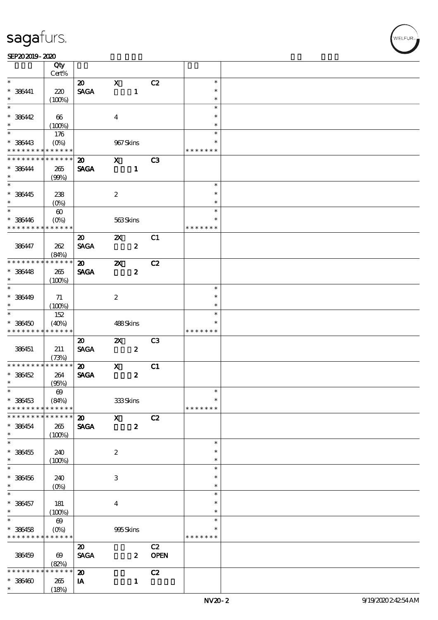### SEP202019-2020

|                               | Qty<br>Cert%           |                             |                           |                  |             |               |  |
|-------------------------------|------------------------|-----------------------------|---------------------------|------------------|-------------|---------------|--|
| $\ast$                        |                        |                             | $\mathbf x$               |                  |             | $\ast$        |  |
|                               |                        | $\boldsymbol{\mathfrak{D}}$ |                           |                  | C2          |               |  |
| $* 386441$                    | 220                    | <b>SAGA</b>                 |                           | $\mathbf{1}$     |             | $\ast$        |  |
| $\ast$                        | (100%)                 |                             |                           |                  |             | $\ast$        |  |
| $\overline{\ast}$             |                        |                             |                           |                  |             | $\ast$        |  |
| $* 386442$                    | 66                     |                             | $\boldsymbol{4}$          |                  |             | $\ast$        |  |
| $\ast$                        | (100%)                 |                             |                           |                  |             | $\ast$        |  |
|                               | 176                    |                             |                           |                  |             | $\ast$        |  |
| $* 386443$                    | $(O\%)$                |                             | 967Skins                  |                  |             | $\ast$        |  |
| * * * * * * * *               | * * * * * *            |                             |                           |                  |             | * * * * * * * |  |
| * * * * * * * *               | * * * * * *            | $\boldsymbol{\mathfrak{D}}$ | $\mathbf{x}$              |                  | C3          |               |  |
|                               |                        |                             |                           |                  |             |               |  |
| * 386444                      | $265\,$                | <b>SAGA</b>                 |                           | $\mathbf{1}$     |             |               |  |
| $\ast$                        | (90%)                  |                             |                           |                  |             |               |  |
| $\overline{\ast}$             |                        |                             |                           |                  |             | $\ast$        |  |
| * 386445                      | 238                    |                             | $\boldsymbol{2}$          |                  |             | $\ast$        |  |
| $\ast$                        | $(O\%)$                |                             |                           |                  |             | $\ast$        |  |
| $\overline{\ast}$             | $\boldsymbol{\omega}$  |                             |                           |                  |             | $\ast$        |  |
| $* 386446$                    | $(O\%)$                |                             | 563Skins                  |                  |             | $\ast$        |  |
| * * * * * * * *               | * * * * * *            |                             |                           |                  |             | * * * * * * * |  |
|                               |                        | $\boldsymbol{\mathfrak{D}}$ | $\boldsymbol{\mathsf{Z}}$ |                  | C1          |               |  |
| 386447                        |                        |                             |                           |                  |             |               |  |
|                               | 262                    | <b>SAGA</b>                 |                           | $\boldsymbol{z}$ |             |               |  |
|                               | (84%)                  |                             |                           |                  |             |               |  |
| * * * * * * * *               | * * * * * *            | $\boldsymbol{\mathbf{z}}$   | $\boldsymbol{\mathsf{z}}$ |                  | C2          |               |  |
| $* 366448$                    | 265                    | <b>SAGA</b>                 |                           | $\boldsymbol{z}$ |             |               |  |
| $\ast$                        | (100%)                 |                             |                           |                  |             |               |  |
| $\overline{\ast}$             |                        |                             |                           |                  |             | $\ast$        |  |
| * 386449                      | 71                     |                             | $\boldsymbol{2}$          |                  |             | $\ast$        |  |
| $\ast$                        | (100%)                 |                             |                           |                  |             | $\ast$        |  |
| $\overline{\ast}$             | 152                    |                             |                           |                  |             | $\ast$        |  |
| $* 386450$                    | (40%)                  |                             | 488Skins                  |                  |             | $\ast$        |  |
|                               |                        |                             |                           |                  |             |               |  |
| * * * * * * * *               | * * * * * *            |                             |                           |                  |             | * * * * * * * |  |
|                               |                        |                             |                           |                  |             |               |  |
|                               |                        | $\boldsymbol{\mathfrak{D}}$ | $\boldsymbol{\mathsf{Z}}$ |                  | C3          |               |  |
| 386451                        | 211                    | <b>SAGA</b>                 |                           | $\boldsymbol{z}$ |             |               |  |
|                               | (73%)                  |                             |                           |                  |             |               |  |
| * * * * * * * *               | ******                 | $\boldsymbol{\mathfrak{D}}$ | $\boldsymbol{\mathrm{X}}$ |                  | C1          |               |  |
| $* 386452$                    | 264                    | <b>SAGA</b>                 |                           | $\boldsymbol{z}$ |             |               |  |
| $\ast$                        | (95%)                  |                             |                           |                  |             |               |  |
| $\ast$                        | $\boldsymbol{\omega}$  |                             |                           |                  |             | $\ast$        |  |
| * 386453                      | (84%)                  |                             | 333Skins                  |                  |             | $\ast$        |  |
| * * * * * * * *               | * * * * * *            |                             |                           |                  |             | * * * * * * * |  |
| * * * * * * *                 | * * * * * *            | $\boldsymbol{\mathbf{z}}$   | $\mathbf{x}$              |                  | C2          |               |  |
|                               |                        |                             |                           |                  |             |               |  |
| * 386454<br>$\ast$            | 265                    | <b>SAGA</b>                 |                           | $\boldsymbol{z}$ |             |               |  |
| $\ast$                        | (100%)                 |                             |                           |                  |             | $\ast$        |  |
|                               |                        |                             |                           |                  |             | $\ast$        |  |
| $* 386455$                    | 240                    |                             | $\boldsymbol{z}$          |                  |             | $\ast$        |  |
| $\ast$                        | (100%)                 |                             |                           |                  |             |               |  |
| $\ast$                        |                        |                             |                           |                  |             | $\ast$        |  |
| $* 386456$                    | 240                    |                             | 3                         |                  |             | $\ast$        |  |
| $\ast$                        | $(0\%)$                |                             |                           |                  |             | $\ast$        |  |
| $\ast$                        |                        |                             |                           |                  |             | $\ast$        |  |
| * 386457                      | 181                    |                             | $\boldsymbol{4}$          |                  |             | $\ast$        |  |
| $\ast$                        | (100%)                 |                             |                           |                  |             | $\ast$        |  |
| $\overline{\ast}$             | $\boldsymbol{\omega}$  |                             |                           |                  |             | $\ast$        |  |
|                               |                        |                             |                           |                  |             | $\ast$        |  |
|                               | $(O\%)$<br>* * * * * * |                             | 995Skins                  |                  |             | * * * * * * * |  |
| $* 386458$<br>* * * * * * * * |                        |                             |                           |                  |             |               |  |
|                               |                        | $\boldsymbol{\mathfrak{D}}$ |                           |                  | C2          |               |  |
| 386459                        | $\boldsymbol{\omega}$  | <b>SAGA</b>                 |                           | $\boldsymbol{z}$ | <b>OPEN</b> |               |  |
| * * * * *                     | (82%)<br>* * * * *     |                             |                           |                  |             |               |  |
|                               |                        | $\boldsymbol{\mathbf{z}}$   |                           |                  | C2          |               |  |
| $*36400$<br>$\ast$            | 265<br>(18%)           | IA                          |                           | $\mathbf{1}$     |             |               |  |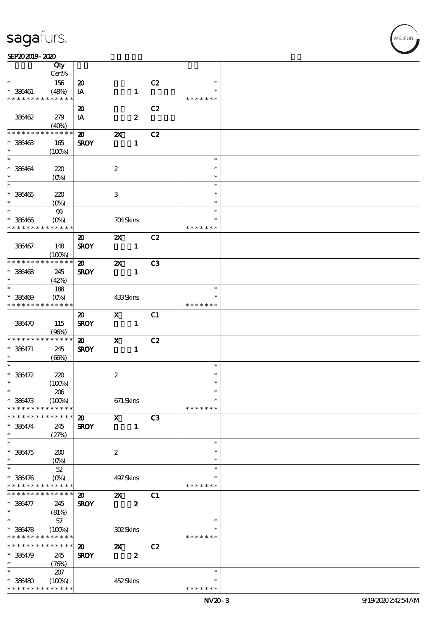### SEP202019-2020

|                               | Qty                    |                                            |                           |                  |                |                         |  |
|-------------------------------|------------------------|--------------------------------------------|---------------------------|------------------|----------------|-------------------------|--|
|                               | Cert%                  |                                            |                           |                  |                |                         |  |
| $\ast$                        | 156                    | $\boldsymbol{\mathbf{z}}$                  |                           |                  | C2             | $\ast$                  |  |
| $* 386461$<br>* * * * * * * * | (48%)<br>* * * * * *   | IA                                         |                           | $\mathbf{1}$     |                | * * * * * * *           |  |
|                               |                        |                                            |                           |                  |                |                         |  |
| 386462                        | 279                    | $\boldsymbol{\mathfrak{D}}$                |                           | $\boldsymbol{z}$ | C2             |                         |  |
|                               | (40%)                  | IA                                         |                           |                  |                |                         |  |
| * * * * * * *                 | * * * * * *            | $\boldsymbol{\mathbf{z}}$                  | $\boldsymbol{\alpha}$     |                  | C2             |                         |  |
| $* 386463$                    | 165                    | <b>SROY</b>                                |                           | $\mathbf{1}$     |                |                         |  |
| $\ast$                        | (100%)                 |                                            |                           |                  |                |                         |  |
|                               |                        |                                            |                           |                  |                | $\ast$                  |  |
| $* 386464$                    | 220                    |                                            | $\boldsymbol{2}$          |                  |                | $\ast$                  |  |
| $\ast$                        | $(O\%)$                |                                            |                           |                  |                | $\ast$                  |  |
| $\overline{\phantom{0}}$      |                        |                                            |                           |                  |                | $\ast$                  |  |
| $* 386465$                    | 220                    |                                            | 3                         |                  |                | $\ast$                  |  |
| $\ast$                        | $(O\%)$                |                                            |                           |                  |                | $\ast$                  |  |
| $*$                           | $99$                   |                                            |                           |                  |                | $\ast$                  |  |
| $* 386466$<br>* * * * * * * * | $(O\%)$<br>* * * * * * |                                            | 704Skins                  |                  |                | $\ast$<br>* * * * * * * |  |
|                               |                        |                                            |                           |                  |                |                         |  |
| 386467                        | 148                    | $\boldsymbol{\mathfrak{D}}$<br><b>SROY</b> | $\boldsymbol{\mathsf{Z}}$ | $\mathbf{1}$     | C2             |                         |  |
|                               | (100%)                 |                                            |                           |                  |                |                         |  |
| * * * * * * * *               | * * * * * *            | $\boldsymbol{\mathfrak{D}}$                | $\boldsymbol{\mathsf{Z}}$ |                  | C <sub>3</sub> |                         |  |
| $* 386468$                    | 245                    | <b>SROY</b>                                |                           | $\mathbf{1}$     |                |                         |  |
| $\ast$                        | (42%)                  |                                            |                           |                  |                |                         |  |
|                               | 188                    |                                            |                           |                  |                | $\ast$                  |  |
| $* 386409$                    | $(O\%)$                |                                            | 433Skins                  |                  |                |                         |  |
| * * * * * * * *               | * * * * * *            |                                            |                           |                  |                | * * * * * * *           |  |
|                               |                        | $\boldsymbol{\mathfrak{D}}$                | $\mathbf{x}$              |                  | C1             |                         |  |
| 386470                        | 115                    | <b>SROY</b>                                |                           | $\mathbf{1}$     |                |                         |  |
|                               | (96%)                  |                                            |                           |                  |                |                         |  |
| * * * * * * * *               | * * * * * *            | $\boldsymbol{\mathfrak{D}}$                | $\mathbf{x}$              |                  | C2             |                         |  |
| $* 386471$<br>$\ast$          | 245                    | <b>SROY</b>                                |                           | $\mathbf{1}$     |                |                         |  |
| $\ast$                        | (66%)                  |                                            |                           |                  |                | $\ast$                  |  |
| * 386472                      | 220                    |                                            | $\boldsymbol{2}$          |                  |                | $\ast$                  |  |
| $\ast$                        | (100%)                 |                                            |                           |                  |                | $\ast$                  |  |
| $*$                           | 206                    |                                            |                           |                  |                | $\ast$                  |  |
| * 386473                      | (100%)                 |                                            | $671$ Skins               |                  |                | $\ast$                  |  |
| * * * * * * * *               | * * * * * *            |                                            |                           |                  |                | * * * * * * *           |  |
| * * * * * * *                 | * * * * * *            | $\boldsymbol{\mathfrak{D}}$                | $\mathbf{x}$              |                  | C <sub>3</sub> |                         |  |
| $* 386474$                    | 245                    | <b>SROY</b>                                |                           | $\mathbf{1}$     |                |                         |  |
| $\ast$                        | (27%)                  |                                            |                           |                  |                |                         |  |
| $\overline{\phantom{0}}$      |                        |                                            |                           |                  |                | $\ast$                  |  |
| * 386475<br>$\ast$            | 200                    |                                            | $\boldsymbol{2}$          |                  |                | $\ast$<br>$\ast$        |  |
| $\ast$                        | $(0\%)$<br>52          |                                            |                           |                  |                | $\ast$                  |  |
| $* 386476$                    | $(O\%)$                |                                            | 497 Skins                 |                  |                | ∗                       |  |
| * * * * * * * *               | * * * * * *            |                                            |                           |                  |                | * * * * * * *           |  |
| * * * * * * *                 | * * * * * *            | $\boldsymbol{\mathsf{20}}$                 | $\boldsymbol{\mathsf{X}}$ |                  | C1             |                         |  |
| * 386477                      | 245                    | <b>SROY</b>                                |                           | $\pmb{2}$        |                |                         |  |
| $\ast$                        | (81%)                  |                                            |                           |                  |                |                         |  |
| $\overline{\ast}$             | 57                     |                                            |                           |                  |                | $\ast$                  |  |
| $* 386478$                    | (100%)                 |                                            | 302Skins                  |                  |                |                         |  |
| * * * * * * * *               | * * * * * *            |                                            |                           |                  |                | * * * * * * *           |  |
| * * * * * * * *               | $* * * * * * *$        | $\boldsymbol{\mathfrak{D}}$                | $\boldsymbol{\mathsf{z}}$ |                  | C2             |                         |  |
| $* 386479$                    | 245                    | <b>SROY</b>                                |                           | $\boldsymbol{2}$ |                |                         |  |
| $\ast$<br>$\ast$              | (76%)                  |                                            |                           |                  |                | $\ast$                  |  |
|                               | 207                    |                                            |                           |                  |                | $\ast$                  |  |
| $* 386480$<br>* * * * * * * * | (100%)<br>* * * * * *  |                                            | 452Skins                  |                  |                | * * * * * * *           |  |
|                               |                        |                                            |                           |                  |                |                         |  |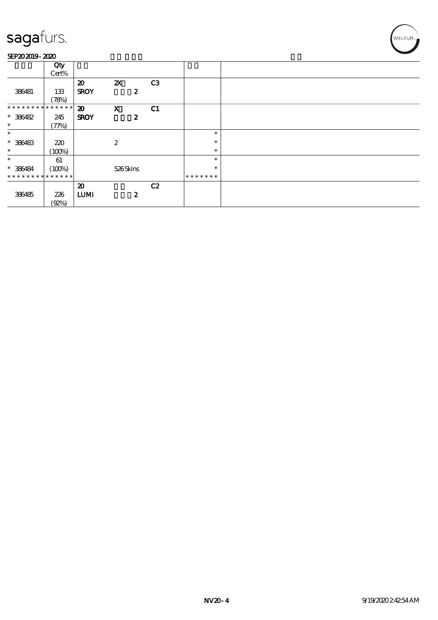### SEP202019-2020

| 245                         |                                                                               |                                                                                                                                                                         |                             |                                                                                        |                  |
|-----------------------------|-------------------------------------------------------------------------------|-------------------------------------------------------------------------------------------------------------------------------------------------------------------------|-----------------------------|----------------------------------------------------------------------------------------|------------------|
|                             |                                                                               |                                                                                                                                                                         |                             |                                                                                        |                  |
|                             |                                                                               |                                                                                                                                                                         |                             |                                                                                        |                  |
|                             |                                                                               |                                                                                                                                                                         |                             |                                                                                        |                  |
|                             |                                                                               | $\boldsymbol{2}$                                                                                                                                                        |                             | $\ast$                                                                                 |                  |
|                             |                                                                               |                                                                                                                                                                         |                             | $\ast$                                                                                 |                  |
|                             |                                                                               |                                                                                                                                                                         |                             |                                                                                        |                  |
|                             |                                                                               |                                                                                                                                                                         |                             |                                                                                        |                  |
|                             |                                                                               |                                                                                                                                                                         |                             | $\ast$                                                                                 |                  |
| * * * * * * * * * * * * * * |                                                                               |                                                                                                                                                                         |                             | * * * * * * *                                                                          |                  |
|                             |                                                                               |                                                                                                                                                                         |                             |                                                                                        |                  |
|                             |                                                                               |                                                                                                                                                                         |                             |                                                                                        |                  |
|                             |                                                                               |                                                                                                                                                                         |                             |                                                                                        |                  |
| (Q2%)                       |                                                                               |                                                                                                                                                                         |                             |                                                                                        |                  |
|                             | Qty<br>Cert%<br>133<br>(78%)<br>(77%)<br>220<br>(100%)<br>61<br>(100%)<br>226 | $\boldsymbol{\mathfrak{D}}$<br><b>SROY</b><br>* * * * * * * * * * * * * * *<br>$\boldsymbol{\mathfrak{D}}$<br><b>SROY</b><br>$\boldsymbol{\mathfrak{D}}$<br><b>LUMI</b> | $\mathbf{Z}$<br>$\mathbf X$ | C3<br>$\boldsymbol{z}$<br>C1<br>$\boldsymbol{z}$<br>526Skins<br>C2<br>$\boldsymbol{2}$ | $\ast$<br>$\ast$ |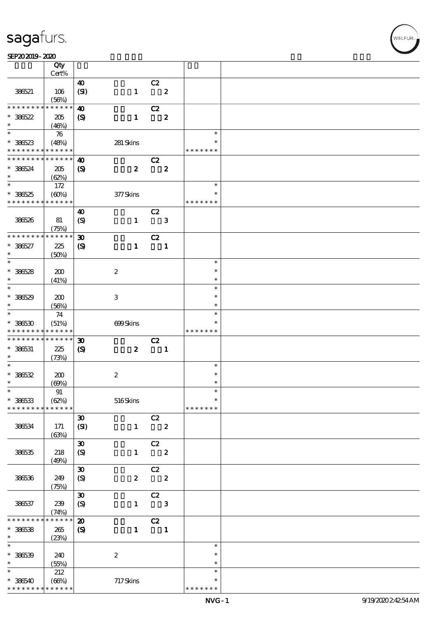#### $SEP202019 - 2020$

|                          |                 | Qty                    |                               |                  |                         |                         |                  |  |
|--------------------------|-----------------|------------------------|-------------------------------|------------------|-------------------------|-------------------------|------------------|--|
|                          |                 | Cert%                  |                               |                  |                         |                         |                  |  |
|                          | 386521          | 106                    | $\boldsymbol{\omega}$<br>(SI) | $\mathbf{1}$     | C2                      | $\boldsymbol{z}$        |                  |  |
|                          |                 | (56%)                  |                               |                  |                         |                         |                  |  |
|                          | * * * * * * * * | * * * * * *            | $\boldsymbol{\omega}$         |                  | C2                      |                         |                  |  |
| $* 36622$<br>$\ast$      |                 | 205<br>(46%)           | $\boldsymbol{S}$              | $\mathbf{1}$     |                         | $\boldsymbol{2}$        |                  |  |
| $\overline{\phantom{0}}$ |                 | 76                     |                               |                  |                         |                         | $\ast$           |  |
| $* 38623$                |                 | (48%)                  |                               | 281 Skins        |                         |                         | *                |  |
|                          | * * * * * * * * | * * * * * *            |                               |                  |                         |                         | * * * * * * *    |  |
|                          | * * * * * * * * | * * * * * *            | $\boldsymbol{\omega}$         |                  | C2                      |                         |                  |  |
| $* 386524$               |                 | 205                    | $\boldsymbol{\mathrm{(S)}}$   | $\boldsymbol{z}$ |                         | $\boldsymbol{z}$        |                  |  |
| $\ast$                   |                 | (62%)                  |                               |                  |                         |                         |                  |  |
| $\overline{\ast}$        |                 | 172                    |                               |                  |                         |                         | $\ast$           |  |
| $* 38625$                |                 | (60%)                  |                               | $377$ Skins      |                         |                         | $\ast$           |  |
|                          | * * * * * * * * | * * * * * *            |                               |                  |                         |                         | * * * * * * *    |  |
| 386526                   |                 | 81                     | $\boldsymbol{\omega}$         | $\mathbf{1}$     | C2                      | $\mathbf{3}$            |                  |  |
|                          |                 | (75%)                  | $\boldsymbol{S}$              |                  |                         |                         |                  |  |
|                          | * * * * * * * * | * * * * * *            | $\boldsymbol{\mathfrak{D}}$   |                  | C2                      |                         |                  |  |
| $* 386527$               |                 | 225                    | $\boldsymbol{\mathrm{(S)}}$   | $\mathbf{1}$     |                         | $\mathbf{1}$            |                  |  |
| $\ast$                   |                 | (50%)                  |                               |                  |                         |                         |                  |  |
| $\overline{\ast}$        |                 |                        |                               |                  |                         |                         | $\ast$           |  |
| $* 386528$               |                 | 200                    |                               | $\boldsymbol{2}$ |                         |                         | $\ast$           |  |
| $\ast$                   |                 | (41%)                  |                               |                  |                         |                         | $\ast$           |  |
| $\ast$                   |                 |                        |                               |                  |                         |                         | $\ast$           |  |
| $* 386529$               |                 | 200                    |                               | 3                |                         |                         | $\ast$           |  |
| $\ast$<br>$\ast$         |                 | (56%)                  |                               |                  |                         |                         | $\ast$<br>$\ast$ |  |
| $* 386530$               |                 | 74<br>(51%)            |                               | 699Skins         |                         |                         | $\ast$           |  |
|                          | * * * * * * * * | * * * * * *            |                               |                  |                         |                         | * * * * * * *    |  |
|                          | * * * * * * * * | * * * * * *            | $\boldsymbol{\mathfrak{D}}$   |                  | C2                      |                         |                  |  |
| $* 386531$               |                 | 225                    | $\boldsymbol{\mathcal{S}}$    | $\boldsymbol{z}$ |                         | $\blacksquare$          |                  |  |
| $\ast$                   |                 | (73%)                  |                               |                  |                         |                         |                  |  |
| $\ast$                   |                 |                        |                               |                  |                         |                         | $\ast$           |  |
| $* 36632$                |                 | 200                    |                               | $\boldsymbol{2}$ |                         |                         | $\ast$           |  |
| $\ast$<br>$\ast$         |                 | (60%)                  |                               |                  |                         |                         | $\ast$<br>$\ast$ |  |
| $* 36633$                |                 | 91<br>(62%)            |                               | $516$ Skins      |                         |                         | $\ast$           |  |
|                          | * * * * * * * * | * * * * * *            |                               |                  |                         |                         | * * * * * * *    |  |
|                          |                 |                        | $\boldsymbol{\mathfrak{D}}$   |                  | C2                      |                         |                  |  |
|                          | 386534          | 171                    | (SI)                          | $\mathbf{1}$     | $\overline{\mathbf{2}}$ |                         |                  |  |
|                          |                 | (63%)                  |                               |                  |                         |                         |                  |  |
|                          |                 |                        | $\boldsymbol{\mathfrak{D}}$   |                  | C2                      |                         |                  |  |
|                          | 386535          | 218                    | $\boldsymbol{S}$              | $\mathbf{1}$     | $\overline{\mathbf{2}}$ |                         |                  |  |
|                          |                 | (49%)                  |                               |                  |                         |                         |                  |  |
|                          |                 |                        | $\pmb{\mathfrak{D}}$          |                  | C2                      |                         |                  |  |
|                          | 386536          | 249<br>(75%)           | $\boldsymbol{S}$              | $\boldsymbol{z}$ |                         | $\overline{\mathbf{2}}$ |                  |  |
|                          |                 |                        | $\pmb{\mathfrak{D}}$          |                  | C2                      |                         |                  |  |
|                          | 386537          | 239                    | $\boldsymbol{S}$              | $\mathbf{1}$     |                         | $\mathbf{3}$            |                  |  |
|                          |                 | (74%)                  |                               |                  |                         |                         |                  |  |
|                          | * * * * * *     | $\ast\ast\ast\ast\ast$ | $\boldsymbol{\mathfrak{D}}$   |                  | C2                      |                         |                  |  |
| $* 36538$                |                 | 265                    | $\boldsymbol{S}$              | $\mathbf{1}$     | $\blacksquare$          |                         |                  |  |
| $\ast$                   |                 | (23%)                  |                               |                  |                         |                         |                  |  |
| $\ast$                   |                 |                        |                               |                  |                         |                         | $\ast$           |  |
| $* 386539$<br>$\ast$     |                 | 240                    |                               | $\boldsymbol{2}$ |                         |                         | $\ast$<br>$\ast$ |  |
| $\ast$                   |                 | (55%)<br>212           |                               |                  |                         |                         | $\ast$           |  |
| $* 386540$               |                 | (66%)                  |                               | 717Skins         |                         |                         | $\ast$           |  |
|                          | * * * * * * * * | * * * * * *            |                               |                  |                         |                         | * * * * * * *    |  |

 $\mathbf{r}$ 

WELFUR<br>
VELFUR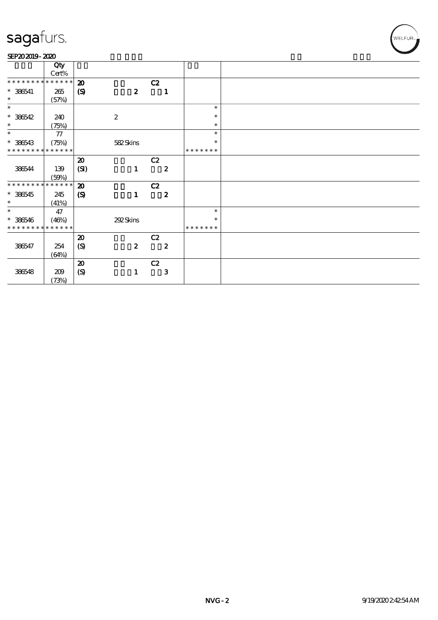#### SEP202019-2020

|                             | Qty         |                             |                  |                  |               |
|-----------------------------|-------------|-----------------------------|------------------|------------------|---------------|
|                             | $Cert\%$    |                             |                  |                  |               |
| * * * * * * * *             | * * * * * * | $\boldsymbol{\mathbf{z}}$   |                  | C2               |               |
| $* 386541$                  | 265         | $\boldsymbol{\mathcal{S}}$  | $\boldsymbol{z}$ | $\mathbf{1}$     |               |
| $\ast$                      | (57%)       |                             |                  |                  |               |
| $\ast$                      |             |                             |                  |                  | $\ast$        |
| $* 386542$                  | 240         |                             | $\boldsymbol{2}$ |                  | $\ast$        |
| $\ast$                      | (75%)       |                             |                  |                  | $\ast$        |
| $\ast$                      | $77\,$      |                             |                  |                  | $\ast$        |
| $* 386543$                  | (75%)       |                             | 582Skins         |                  | $\ast$        |
| * * * * * * * * * * * * * * |             |                             |                  |                  | *******       |
|                             |             | $\boldsymbol{\mathfrak{D}}$ |                  | C2               |               |
| 386544                      | 139         | (SI)                        | $\mathbf{1}$     | $\boldsymbol{z}$ |               |
|                             | (50%)       |                             |                  |                  |               |
| * * * * * * * * * * * * * * |             | $\boldsymbol{\mathfrak{D}}$ |                  | C2               |               |
| $* 386545$                  | 245         | $\boldsymbol{\mathcal{S}}$  | $\mathbf{1}$     | $\boldsymbol{z}$ |               |
| $\ast$                      | (41%)       |                             |                  |                  |               |
| $\ast$                      | 47          |                             |                  |                  | $\ast$        |
| $* 386546$                  | (46%)       |                             | 292Skins         |                  | $\ast$        |
| * * * * * * * * * * * * * * |             |                             |                  |                  | * * * * * * * |
|                             |             | $\boldsymbol{\mathbf{z}}$   |                  | C2               |               |
| 386547                      | 254         | (S)                         | $\boldsymbol{2}$ | $\boldsymbol{z}$ |               |
|                             | (64%)       |                             |                  |                  |               |
|                             |             | $\boldsymbol{\mathfrak{D}}$ |                  | C2               |               |
| 386548                      | 209         | (S)                         | $\mathbf{1}$     | 3                |               |
|                             | (73%)       |                             |                  |                  |               |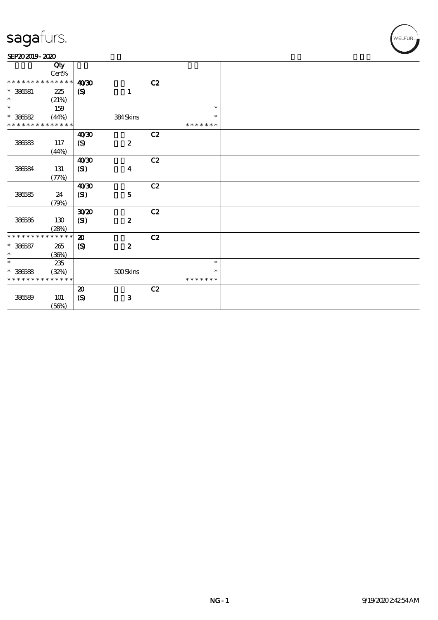### SEP202019-2020

|                               | Qty             |                             |                  |    |               |  |
|-------------------------------|-----------------|-----------------------------|------------------|----|---------------|--|
|                               | $\mbox{Cert\%}$ |                             |                  |    |               |  |
| * * * * * * * * * * * * * * * |                 | 40'30                       |                  | C2 |               |  |
| $*$ 386581                    | 225             | $\boldsymbol{\mathsf{(S)}}$ | $\mathbf{1}$     |    |               |  |
| $\ast$                        | (21%)           |                             |                  |    |               |  |
| $\ast$                        | 159             |                             |                  |    | $\ast$        |  |
| $* 386582$                    | (44%)           |                             | 384Skins         |    | $\ast$        |  |
| * * * * * * * * * * * * * *   |                 |                             |                  |    | * * * * * * * |  |
|                               |                 | 40'30                       |                  | C2 |               |  |
| 386583                        | 117             | (S)                         | $\boldsymbol{z}$ |    |               |  |
|                               | (44%)           |                             |                  |    |               |  |
|                               |                 | 40'30                       |                  | C2 |               |  |
| 386584                        | 131             | (SI)                        | $\boldsymbol{4}$ |    |               |  |
|                               | (77%)           |                             |                  |    |               |  |
|                               |                 | 40'30                       |                  | C2 |               |  |
| 386585                        | 24              | (SI)                        | ${\bf 5}$        |    |               |  |
|                               | (79%)           |                             |                  |    |               |  |
|                               |                 | 3020                        |                  | C2 |               |  |
| 386586                        | 130             | (SI)                        | $\boldsymbol{z}$ |    |               |  |
|                               | (28%)           |                             |                  |    |               |  |
| * * * * * * * * * * * * * * * |                 | $\boldsymbol{\mathfrak{D}}$ |                  | C2 |               |  |
| $* 386587$                    | 265             | $\boldsymbol{S}$            | $\pmb{2}$        |    |               |  |
| $\ast$                        | (36%)           |                             |                  |    |               |  |
| $\ast$                        | 235             |                             |                  |    | $\ast$        |  |
| $* 386588$                    | (32%)           |                             | $500$ Skins      |    | $\ast$        |  |
| * * * * * * * * * * * * * *   |                 |                             |                  |    | * * * * * * * |  |
|                               |                 | $\boldsymbol{\mathbf{z}}$   |                  | C2 |               |  |
| 386589                        | 101             | $\boldsymbol{S}$            | ${\bf 3}$        |    |               |  |
|                               | (56%)           |                             |                  |    |               |  |

WELFUR<sub>™</sub>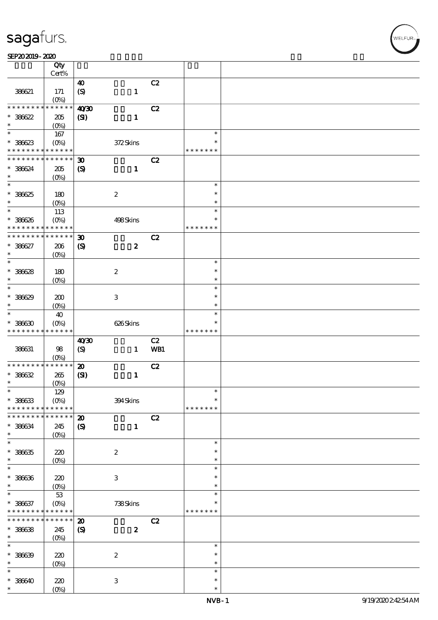### SEP202019-2020

|                                                                                    | Qty<br>Cert%             |                             |                           |     |                  |  |
|------------------------------------------------------------------------------------|--------------------------|-----------------------------|---------------------------|-----|------------------|--|
|                                                                                    |                          |                             |                           |     |                  |  |
|                                                                                    |                          | $\boldsymbol{\omega}$       |                           | C2  |                  |  |
| 38621                                                                              | 171                      | (S)                         | $\mathbf{1}$              |     |                  |  |
|                                                                                    | (O <sub>0</sub> )        |                             |                           |     |                  |  |
| * * * * * * * *                                                                    | * * * * * *              | 40 <sup>30</sup>            |                           | C2  |                  |  |
| $* 386622$                                                                         | 205                      | (S)                         | $\mathbf{1}$              |     |                  |  |
| $\ast$                                                                             | $(O\%)$                  |                             |                           |     |                  |  |
| $\overline{\ast}$                                                                  | 167                      |                             |                           |     | $\ast$           |  |
| $* 386623$                                                                         | $(O\%)$                  |                             | 372Skins                  |     | $\ast$           |  |
| * * * * * * * *                                                                    | * * * * * *              |                             |                           |     | * * * * * * *    |  |
| * * * * * * * *                                                                    | * * * * * *              | $\boldsymbol{\mathfrak{D}}$ |                           | C2  |                  |  |
| * 38634                                                                            | $205\,$                  | $\boldsymbol{\mathrm{(S)}}$ | $\mathbf{1}$              |     |                  |  |
| $\ast$                                                                             | (O <sub>0</sub> )        |                             |                           |     |                  |  |
| $\ast$                                                                             |                          |                             |                           |     | $\ast$           |  |
| * 38625                                                                            | 180                      |                             | $\boldsymbol{2}$          |     | $\ast$           |  |
| $\ast$                                                                             | $(O\%)$                  |                             |                           |     | $\ast$           |  |
| $\ast$                                                                             |                          |                             |                           |     | $\ast$           |  |
|                                                                                    | 113                      |                             |                           |     | $\ast$           |  |
| $* 386626$<br>* * * * * * * *                                                      | $(O\%)$<br>* * * * * *   |                             | 498Skins                  |     | * * * * * * *    |  |
|                                                                                    |                          |                             |                           |     |                  |  |
| * * * * * * *                                                                      | * * * * * *              | $\boldsymbol{\mathfrak{D}}$ |                           | C2  |                  |  |
| $* 386627$                                                                         | 206                      | $\boldsymbol{S}$            | $\boldsymbol{2}$          |     |                  |  |
| $\ast$                                                                             | (O <sub>0</sub> )        |                             |                           |     |                  |  |
| $\ast$                                                                             |                          |                             |                           |     | $\ast$           |  |
| $* 386628$                                                                         | 180                      |                             | $\boldsymbol{2}$          |     | $\ast$           |  |
| $\ast$                                                                             | (O <sub>0</sub> )        |                             |                           |     | $\ast$           |  |
| $\ast$                                                                             |                          |                             |                           |     | $\ast$           |  |
| $* 38629$                                                                          | 200                      |                             | $\ensuremath{\mathbf{3}}$ |     | $\ast$           |  |
| $\ast$                                                                             | (O <sub>0</sub> )        |                             |                           |     | $\ast$           |  |
| $\ast$                                                                             | 40                       |                             |                           |     | $\ast$           |  |
| $* 38630$                                                                          | $(O\%)$                  |                             | 626Skins                  |     | $\ast$           |  |
| * * * * * * * *                                                                    | * * * * * *              |                             |                           |     | * * * * * * *    |  |
|                                                                                    |                          |                             |                           |     |                  |  |
|                                                                                    |                          |                             |                           |     |                  |  |
|                                                                                    |                          | 40'30                       |                           | C2  |                  |  |
| 386631                                                                             | $98$                     | (S)                         | $\mathbf{1}$              | WB1 |                  |  |
| * * * * * * * *                                                                    | $(O\%)$<br>$******$      |                             |                           |     |                  |  |
|                                                                                    |                          | $\boldsymbol{\mathbf{z}}$   |                           | C2  |                  |  |
| $* 36632$                                                                          | $265\,$                  | (S)                         | $\mathbf{1}$              |     |                  |  |
| $\ast$                                                                             | (O <sub>0</sub> )        |                             |                           |     |                  |  |
| *                                                                                  | 129                      |                             |                           |     | $\ast$           |  |
| $* 38633$                                                                          | $(O\%)$                  |                             | 394Skins                  |     | $\ast$           |  |
| * * * * * * * *                                                                    | * * * * * *              |                             |                           |     | * * * * * * *    |  |
| * * * * * * *                                                                      | * * * * * *              | $\boldsymbol{\mathbf{z}}$   |                           | C2  |                  |  |
|                                                                                    | 245                      | $\boldsymbol{\mathcal{S}}$  | $\mathbf{1}$              |     |                  |  |
|                                                                                    | (O <sub>0</sub> )        |                             |                           |     |                  |  |
| * 386634<br>$\ast$<br>*                                                            |                          |                             |                           |     | $\ast$           |  |
| $* 38635$                                                                          | $220$                    |                             | $\boldsymbol{2}$          |     | $\ast$           |  |
|                                                                                    | (O <sub>0</sub> )        |                             |                           |     | $\ast$           |  |
| $\ast$<br>$\ast$                                                                   |                          |                             |                           |     | $\ast$           |  |
| $* 386636$                                                                         | 220                      |                             | $\ensuremath{\mathbf{3}}$ |     | $\ast$           |  |
|                                                                                    | $(0\%)$                  |                             |                           |     | $\ast$           |  |
|                                                                                    | $5\!3$                   |                             |                           |     | $\ast$           |  |
| $\ast$<br>$\ast$<br>$* 386637$                                                     | $(O_0)$                  |                             | 738Skins                  |     | $\ast$           |  |
| * * * * * * * *                                                                    | * * * * * *              |                             |                           |     | * * * * * * *    |  |
|                                                                                    | * * * * * *              | $\boldsymbol{\mathfrak{D}}$ |                           | C2  |                  |  |
|                                                                                    | 245                      |                             | $\boldsymbol{z}$          |     |                  |  |
|                                                                                    |                          | $\boldsymbol{S}$            |                           |     |                  |  |
|                                                                                    | (O <sub>0</sub> )        |                             |                           |     | $\ast$           |  |
|                                                                                    |                          |                             |                           |     | $\ast$           |  |
|                                                                                    | 220                      |                             | $\boldsymbol{2}$          |     | $\ast$           |  |
| * * * * * * * *<br>$* 36638$<br>$\ast$<br>$\ast$<br>$* 386639$<br>$\ast$<br>$\ast$ | $(0\%)$                  |                             |                           |     | $\ast$           |  |
|                                                                                    |                          |                             |                           |     |                  |  |
| $* 386640$<br>*                                                                    | 220<br>(O <sub>0</sub> ) |                             | 3                         |     | $\ast$<br>$\ast$ |  |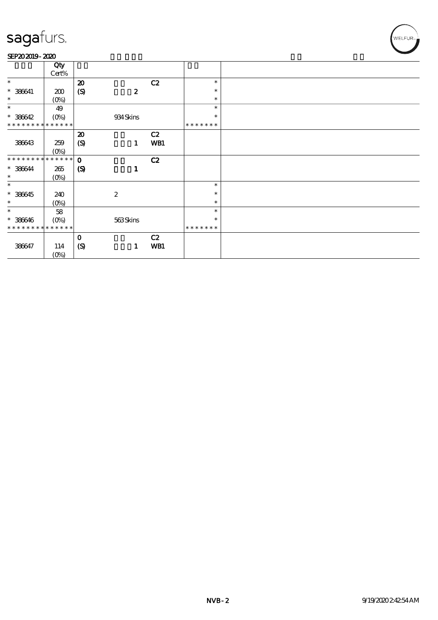#### SEP202019-2020

| Qty<br>Cert%<br>$\ast$<br>C2<br>$\boldsymbol{\mathbf{z}}$<br>$\ast$<br>$^*$ 386641<br>$\boldsymbol{S}$<br>$\boldsymbol{z}$<br>$\ast$<br>200<br>$\ast$<br>(0%)<br>$\ast$<br>$\ast$<br>$\ast$<br>49<br>$* 386642$<br>934 Skins<br>$\ast$<br>* * * * * * * * * * * * * *<br>* * * * * * *<br>C2<br>$\boldsymbol{\mathbf{z}}$<br>$\boldsymbol{S}$<br>WB1<br>386643<br>259<br>1<br>$(0\%)$<br>* * * * * * * * * * * * * * *<br>$\mathbf{o}$<br>C2<br>$* 386644$<br>$\boldsymbol{\mathrm{(S)}}$<br>265<br>$\mathbf{1}$<br>$\ast$<br>$(O\!/\!\delta)$<br>$\ast$<br>$\ast$<br>$* 386645$<br>$\boldsymbol{2}$<br>$\ast$<br>240<br>$\ast$<br>$(0\%)$<br>$\ast$<br>$\ast$<br>58<br>$\ast$<br>$* 386646$<br>563Skins<br>$(0\%)$<br>$\ast$<br>* * * * * * * * * * * * * *<br>*******<br>C2<br>$\mathbf 0$<br>(S)<br>WB1<br>386647<br>114<br>1 | ------ |  |  |  |  |
|----------------------------------------------------------------------------------------------------------------------------------------------------------------------------------------------------------------------------------------------------------------------------------------------------------------------------------------------------------------------------------------------------------------------------------------------------------------------------------------------------------------------------------------------------------------------------------------------------------------------------------------------------------------------------------------------------------------------------------------------------------------------------------------------------------------------------------|--------|--|--|--|--|
|                                                                                                                                                                                                                                                                                                                                                                                                                                                                                                                                                                                                                                                                                                                                                                                                                                  |        |  |  |  |  |
|                                                                                                                                                                                                                                                                                                                                                                                                                                                                                                                                                                                                                                                                                                                                                                                                                                  |        |  |  |  |  |
|                                                                                                                                                                                                                                                                                                                                                                                                                                                                                                                                                                                                                                                                                                                                                                                                                                  |        |  |  |  |  |
|                                                                                                                                                                                                                                                                                                                                                                                                                                                                                                                                                                                                                                                                                                                                                                                                                                  |        |  |  |  |  |
|                                                                                                                                                                                                                                                                                                                                                                                                                                                                                                                                                                                                                                                                                                                                                                                                                                  |        |  |  |  |  |
|                                                                                                                                                                                                                                                                                                                                                                                                                                                                                                                                                                                                                                                                                                                                                                                                                                  |        |  |  |  |  |
|                                                                                                                                                                                                                                                                                                                                                                                                                                                                                                                                                                                                                                                                                                                                                                                                                                  |        |  |  |  |  |
|                                                                                                                                                                                                                                                                                                                                                                                                                                                                                                                                                                                                                                                                                                                                                                                                                                  |        |  |  |  |  |
|                                                                                                                                                                                                                                                                                                                                                                                                                                                                                                                                                                                                                                                                                                                                                                                                                                  |        |  |  |  |  |
|                                                                                                                                                                                                                                                                                                                                                                                                                                                                                                                                                                                                                                                                                                                                                                                                                                  |        |  |  |  |  |
|                                                                                                                                                                                                                                                                                                                                                                                                                                                                                                                                                                                                                                                                                                                                                                                                                                  |        |  |  |  |  |
|                                                                                                                                                                                                                                                                                                                                                                                                                                                                                                                                                                                                                                                                                                                                                                                                                                  |        |  |  |  |  |
|                                                                                                                                                                                                                                                                                                                                                                                                                                                                                                                                                                                                                                                                                                                                                                                                                                  |        |  |  |  |  |
|                                                                                                                                                                                                                                                                                                                                                                                                                                                                                                                                                                                                                                                                                                                                                                                                                                  |        |  |  |  |  |
|                                                                                                                                                                                                                                                                                                                                                                                                                                                                                                                                                                                                                                                                                                                                                                                                                                  |        |  |  |  |  |
|                                                                                                                                                                                                                                                                                                                                                                                                                                                                                                                                                                                                                                                                                                                                                                                                                                  |        |  |  |  |  |
|                                                                                                                                                                                                                                                                                                                                                                                                                                                                                                                                                                                                                                                                                                                                                                                                                                  |        |  |  |  |  |
|                                                                                                                                                                                                                                                                                                                                                                                                                                                                                                                                                                                                                                                                                                                                                                                                                                  |        |  |  |  |  |
|                                                                                                                                                                                                                                                                                                                                                                                                                                                                                                                                                                                                                                                                                                                                                                                                                                  |        |  |  |  |  |
|                                                                                                                                                                                                                                                                                                                                                                                                                                                                                                                                                                                                                                                                                                                                                                                                                                  |        |  |  |  |  |
|                                                                                                                                                                                                                                                                                                                                                                                                                                                                                                                                                                                                                                                                                                                                                                                                                                  |        |  |  |  |  |
|                                                                                                                                                                                                                                                                                                                                                                                                                                                                                                                                                                                                                                                                                                                                                                                                                                  |        |  |  |  |  |
|                                                                                                                                                                                                                                                                                                                                                                                                                                                                                                                                                                                                                                                                                                                                                                                                                                  |        |  |  |  |  |
|                                                                                                                                                                                                                                                                                                                                                                                                                                                                                                                                                                                                                                                                                                                                                                                                                                  |        |  |  |  |  |
|                                                                                                                                                                                                                                                                                                                                                                                                                                                                                                                                                                                                                                                                                                                                                                                                                                  |        |  |  |  |  |
|                                                                                                                                                                                                                                                                                                                                                                                                                                                                                                                                                                                                                                                                                                                                                                                                                                  |        |  |  |  |  |
|                                                                                                                                                                                                                                                                                                                                                                                                                                                                                                                                                                                                                                                                                                                                                                                                                                  |        |  |  |  |  |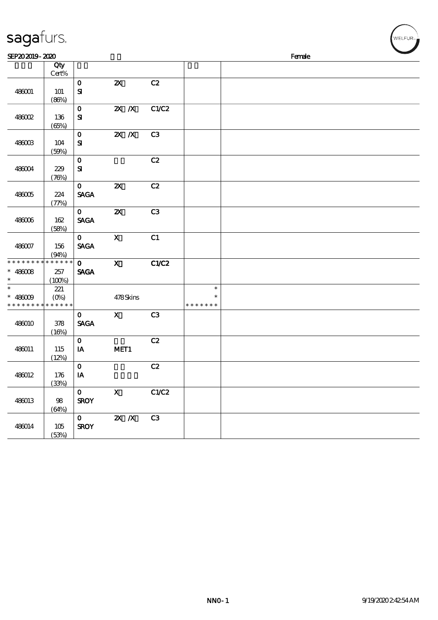| sagafurs.                               |                               |                              |                           |                |                                   | WELFUR <sub>™</sub> |  |        |  |  |  |
|-----------------------------------------|-------------------------------|------------------------------|---------------------------|----------------|-----------------------------------|---------------------|--|--------|--|--|--|
| SEP202019-2020                          |                               |                              |                           |                |                                   |                     |  | Female |  |  |  |
|                                         | Qty<br>Cert%                  |                              |                           |                |                                   |                     |  |        |  |  |  |
| 486001                                  | <b>101</b><br>(86%)           | $\mathbf 0$<br>${\bf s}$     | $\boldsymbol{\mathsf{z}}$ | C2             |                                   |                     |  |        |  |  |  |
| 486002                                  | 136<br>(65%)                  | $\mathbf 0$<br>${\bf s}$     | $X$ $X$                   | C1/C2          |                                   |                     |  |        |  |  |  |
| 486003                                  | 104<br>(50%)                  | $\mathbf 0$<br>${\bf s}$     | $\mathbf{X}$ $\mathbf{X}$ | C <sub>3</sub> |                                   |                     |  |        |  |  |  |
| 486004                                  | 229<br>(76%)                  | $\mathbf{o}$<br>${\bf s}$    |                           | C2             |                                   |                     |  |        |  |  |  |
| 486005                                  | 224<br>(77%)                  | $\mathbf 0$<br><b>SAGA</b>   | $\boldsymbol{\mathsf{Z}}$ | C2             |                                   |                     |  |        |  |  |  |
| 486006                                  | 162<br>(58%)                  | $\mathbf{O}$<br><b>SAGA</b>  | $\boldsymbol{\mathsf{z}}$ | C3             |                                   |                     |  |        |  |  |  |
| 486007                                  | 156<br>(94%)                  | $\mathbf{O}$<br><b>SAGA</b>  | $\mathbf X$               | C1             |                                   |                     |  |        |  |  |  |
| * * * * * * * *<br>$* 486008$<br>$\ast$ | * * * * * *<br>257<br>(100%)  | $\mathbf{O}$<br><b>SAGA</b>  | $\mathbf X$               | <b>C1/C2</b>   |                                   |                     |  |        |  |  |  |
| $\ast$<br>$* 486009$<br>* * * * * * *   | 221<br>$(O\%)$<br>* * * * * * |                              | 478Skins                  |                | $\ast$<br>$\ast$<br>* * * * * * * |                     |  |        |  |  |  |
| 486010                                  | 378<br>(16%)                  | $\mathbf 0$<br><b>SAGA</b>   | $\mathbf x$               | C <sub>3</sub> |                                   |                     |  |        |  |  |  |
| 486011                                  | 115<br>(12%)                  | $\mathbf 0$<br>IA            | MET <sub>1</sub>          | C2             |                                   |                     |  |        |  |  |  |
| 486012                                  | 176<br>(33%)                  | $\mathbf 0$<br>$\mathbf{IA}$ |                           | C2             |                                   |                     |  |        |  |  |  |
| 486013                                  | 98<br>(64%)                   | $\mathbf{O}$<br><b>SROY</b>  | $\mathbf{X}$              | C1/C2          |                                   |                     |  |        |  |  |  |
| 486014                                  | 105<br>(53%)                  | $\mathbf{O}$<br><b>SROY</b>  | $X$ $X$                   | C3             |                                   |                     |  |        |  |  |  |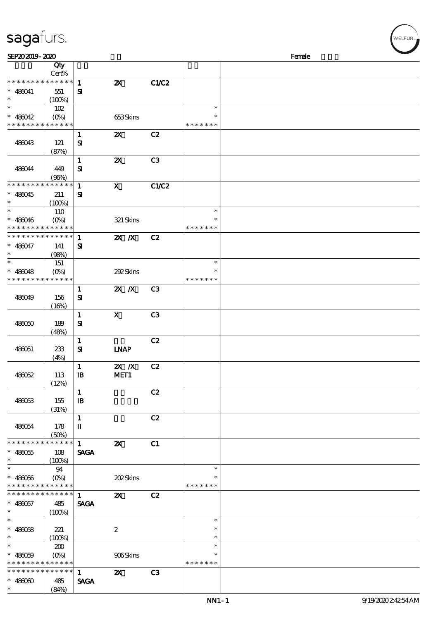| sagafurs.                                                           |                                  |                              |                                   |                |                                   |        | WELFUR <sub>™</sub> |
|---------------------------------------------------------------------|----------------------------------|------------------------------|-----------------------------------|----------------|-----------------------------------|--------|---------------------|
| SEP202019-2020                                                      |                                  |                              |                                   |                |                                   | Female |                     |
|                                                                     | Qty<br>Cert%                     |                              |                                   |                |                                   |        |                     |
| * * * * * * * *<br>$* 486041$                                       | * * * * * *<br>551               | $\mathbf{1}$<br>$\mathbf{S}$ | $\boldsymbol{\mathsf{z}}$         | C1/C2          |                                   |        |                     |
| $\ast$<br>$\ast$<br>$* 480042$                                      | (100%)<br>102<br>$(O\% )$        |                              | 653Skins                          |                | $\ast$<br>$\ast$                  |        |                     |
| * * * * * * * * <mark>* * * * * *</mark>                            |                                  |                              |                                   |                | * * * * * * *                     |        |                     |
| 486043                                                              | 121<br>(87%)                     | $\mathbf{1}$<br>${\bf s}$    | $\boldsymbol{\alpha}$             | C2             |                                   |        |                     |
| 486044                                                              | 449<br>(96%)                     | $\mathbf{1}$<br>${\bf s}$    | $\boldsymbol{\mathsf{Z}}$         | C3             |                                   |        |                     |
| * * * * * * * *<br>$* 480045$                                       | * * * * * *<br>211<br>(100%)     | $\mathbf{1}$<br>${\bf s}$    | $\mathbf X$                       | C1/C2          |                                   |        |                     |
| $\ast$<br>$* 480046$<br>* * * * * * * * * * * * *                   | 110<br>$(O\%)$                   |                              | 321 Skins                         |                | $\ast$<br>$\ast$<br>* * * * * * * |        |                     |
| * * * * * * * * * * * * * *<br>$* 480047$<br>$\ast$                 | 141<br>(98%)                     | $\mathbf{1}$<br>${\bf s}$    | $X$ $N$                           | C2             |                                   |        |                     |
| $* 480048$<br>* * * * * * * *                                       | 151<br>$(O\%)$<br>* * * * * *    |                              | 292Skins                          |                | $\ast$<br>$\ast$<br>* * * * * * * |        |                     |
| 486049                                                              | 156<br>(16%)                     | $\mathbf{1}$<br>${\bf s}$    | $2X$ $N$                          | C <sub>3</sub> |                                   |        |                     |
| 486050                                                              | 189<br>(48%)                     | $\mathbf{1}$<br>${\bf s}$    | $\mathbf X$                       | C <sub>3</sub> |                                   |        |                     |
| 486051                                                              | 233<br>(4%)                      | $\mathbf{1}$<br>${\bf S}$    | <b>INAP</b>                       | C2             |                                   |        |                     |
| 48052                                                               | 113<br>(12%)                     | $\mathbf{1}$<br>$\mathbf{B}$ | $\mathbf{X}$ $\mathbf{X}$<br>MET1 | C2             |                                   |        |                     |
| 486053                                                              | 155<br>(31%)                     | $\mathbf{1}$<br>$\mathbf{B}$ |                                   | C2             |                                   |        |                     |
| 486054                                                              | 178<br>(50%)                     | $\mathbf{1}$<br>$\mathbf{I}$ |                                   | C2             |                                   |        |                     |
| * * * * * * * *<br>$* 480055$<br>$\ast$<br>$\overline{\phantom{0}}$ | * * * * * *<br>108<br>(100%)     | 1<br><b>SAGA</b>             | $\boldsymbol{\mathsf{z}}$         | C1             |                                   |        |                     |
| $* 480056$<br>* * * * * * * * <mark>* * * * * * *</mark>            | 94                               |                              | 202Skins                          |                | $\ast$<br>∗<br>* * * * * * *      |        |                     |
| * * * * * * * *<br>$* 480057$<br>$\ast$                             | $* * * * * * *$<br>485<br>(100%) | 1<br><b>SAGA</b>             | $\mathbf{z}$                      | C2             |                                   |        |                     |
| $\ast$<br>$* 480058$<br>$\ast$                                      | 221<br>(100%)                    |                              | $\boldsymbol{2}$                  |                | $\ast$<br>$\ast$<br>$\ast$        |        |                     |
| $\ast$<br>$* 480009$                                                | 200<br>$(O\%)$                   |                              | 906Skins                          |                | $\ast$<br>$\ast$                  |        |                     |

\* \* \* \* \* \*

\* \* \* \* \* \*

\* \* \* \* \* \* \* \*

\*\*

\* \* \* \* \* \* \* \*

486060 485

\* \* \* \* \*

 $(84%)$ 

1  $\mathbf{Z} \mathbf{X}$  C3

SAGA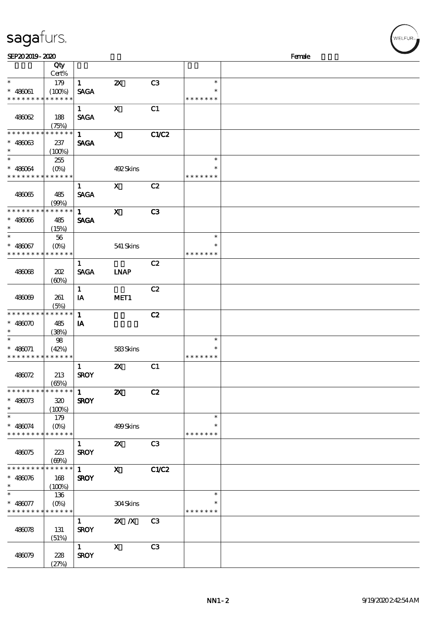| sayarurs.                                  |          |                         |                           |                |               |        |
|--------------------------------------------|----------|-------------------------|---------------------------|----------------|---------------|--------|
| SEP202019-2020                             |          |                         |                           |                |               | Female |
|                                            | Qty      |                         |                           |                |               |        |
|                                            | Cert%    |                         |                           |                |               |        |
| $\ast$                                     | 179      | $\mathbf{1}$            | $\boldsymbol{\mathsf{Z}}$ | C <sub>3</sub> | $\ast$        |        |
| $* 486061$                                 | (100%)   | <b>SAGA</b>             |                           |                | $\ast$        |        |
| * * * * * * * * <mark>* * * * * *</mark>   |          |                         |                           |                | * * * * * * * |        |
|                                            |          | $\mathbf{1}$            | $\mathbf x$               | C1             |               |        |
| 486062                                     | 188      | <b>SAGA</b>             |                           |                |               |        |
|                                            | (75%)    |                         |                           |                |               |        |
| * * * * * * * * * * * * * *                |          | $\mathbf{1}$            | $\mathbf x$               | <b>C1/C2</b>   |               |        |
| $* 48003$                                  | 237      | <b>SAGA</b>             |                           |                |               |        |
| $\ast$                                     | (100%)   |                         |                           |                |               |        |
| $\ast$                                     | 255      |                         |                           |                | $\ast$        |        |
| $* 486064$                                 | $(O\% )$ |                         | 492Skins                  |                | $\ast$        |        |
| * * * * * * * * <mark>* * * * * *</mark>   |          |                         |                           |                | * * * * * * * |        |
|                                            |          | $\mathbf{1}$            | $\mathbf{X}$              | C2             |               |        |
| 486065                                     | 485      | <b>SAGA</b>             |                           |                |               |        |
|                                            | (90%)    |                         |                           |                |               |        |
| * * * * * * * * * * * * * *                |          | $\mathbf{1}$            | $\mathbf{x}$              | C3             |               |        |
| $* 48006$                                  | 485      | <b>SAGA</b>             |                           |                |               |        |
| $\ast$                                     | (15%)    |                         |                           |                |               |        |
| $\ast$                                     | 56       |                         |                           |                | $\ast$        |        |
| $* 480067$                                 |          |                         | 541 Skins                 |                | $\ast$        |        |
| * * * * * * * * <mark>* * * * * *</mark>   |          |                         |                           |                | * * * * * * * |        |
|                                            |          | $\mathbf{1}$            |                           | C2             |               |        |
| 486068                                     | 202      | <b>SAGA</b>             | <b>INAP</b>               |                |               |        |
|                                            | (60%)    |                         |                           |                |               |        |
|                                            |          | $\mathbf{1}$            |                           | C2             |               |        |
| 486069                                     | 261      | IA                      | MET1                      |                |               |        |
|                                            | (5%)     |                         |                           |                |               |        |
| * * * * * * * * * * * * * *                |          | $\mathbf{1}$            |                           | C2             |               |        |
| $* 486070$                                 | 485      | $\mathbf{I} \mathbf{A}$ |                           |                |               |        |
| $\ast$                                     | (38%)    |                         |                           |                |               |        |
| $\ast$                                     | 98       |                         |                           |                | $\ast$        |        |
| $* 486071$                                 | (42%)    |                         | 583Skins                  |                | $\ast$        |        |
| * * * * * * * * <mark>* * * * * * *</mark> |          |                         |                           |                | * * * * * * * |        |

486079 228

(51%)

 $\overline{1}$  X C3

 $Z\!\!\!\!P\!\!\!\!O\!\!\!\!O\!\!\!\!P\!\!\!\!O\!\!\!\!O\!\!\!\!P\!\!\!\!O\!\!\!\!P\!\!\!\!O\!\!\!\!P\!\!\!\!O\!\!\!\!P\!\!\!\!O\!\!\!\!P\!\!\!\!P\!\!\!\!O\!\!\!\!P\!\!\!\!P\!\!\!\!P\!\!\!\!P\!\!\!\!P\!\!\!\!P\!\!\!\!P\!\!\!\!P\!\!\!\!P\!\!\!\!P\!\!\!\!P\!\!\!\!P\!\!\!\!P\!\!\!\!P\!\!\!\!P\!\!\!\!P\!\!\!\!P\!\!\!\!P\!\!\!\!P\!\!\$ 

SROY

| 486062                      | 188         | $\mathbf{1}$<br><b>SAGA</b> | $\mathbf{x}$              | C1             |               |  |
|-----------------------------|-------------|-----------------------------|---------------------------|----------------|---------------|--|
|                             | (75%)       |                             |                           |                |               |  |
| * * * * * * * *             | * * * * * * | $1 \quad \blacksquare$      | $\mathbf{x}$              | C1/C2          |               |  |
| $* 48003$                   |             |                             |                           |                |               |  |
| $\ast$                      | 237         | <b>SAGA</b>                 |                           |                |               |  |
| $\overline{\ast}$           | $(100\%)$   |                             |                           |                |               |  |
|                             | 255         |                             |                           |                | $\ast$        |  |
| $* 486064$                  |             |                             | 492Skins                  |                |               |  |
| * * * * * * * *             | * * * * * * |                             |                           |                | * * * * * * * |  |
|                             |             | $\mathbf{1}$                | $\mathbf{X}$              | C2             |               |  |
| 486065                      | 485         | <b>SAGA</b>                 |                           |                |               |  |
|                             | (90%)       |                             |                           |                |               |  |
| * * * * * * * *             | * * * * * * | $\mathbf{1}$                | $\mathbf{x}$              | C3             |               |  |
|                             |             |                             |                           |                |               |  |
| $* 48006$                   | 485         | <b>SAGA</b>                 |                           |                |               |  |
| $*$                         | (15%)       |                             |                           |                |               |  |
|                             | 56          |                             |                           |                | $\ast$        |  |
| $* 486067$                  |             |                             | 541 Skins                 |                |               |  |
| * * * * * * * *             | * * * * * * |                             |                           |                | * * * * * * * |  |
|                             |             | $\mathbf{1}$                |                           | C2             |               |  |
| 486068                      | 202         | <b>SAGA</b>                 | <b>INAP</b>               |                |               |  |
|                             |             |                             |                           |                |               |  |
|                             | (60%)       |                             |                           |                |               |  |
|                             |             | $\mathbf{1}$                |                           | C2             |               |  |
| 486069                      | 261         | IA                          | MET1                      |                |               |  |
|                             | (5%)        |                             |                           |                |               |  |
| * * * * * * * *             | $******$    | $\mathbf{1}$                |                           | C2             |               |  |
| $* 486070$                  | 485         | IA                          |                           |                |               |  |
| $\ast$                      | (38%)       |                             |                           |                |               |  |
| $\ast$                      | 98          |                             |                           |                | $\ast$        |  |
| $* 486071$                  | (42%)       |                             | 583Skins                  |                | $\ast$        |  |
| * * * * * * * * * * * * * * |             |                             |                           |                | * * * * * * * |  |
|                             |             |                             |                           |                |               |  |
|                             |             | $\mathbf{1}$                | $\boldsymbol{\mathsf{Z}}$ | C1             |               |  |
| 486072                      | 213         | <b>SROY</b>                 |                           |                |               |  |
|                             | (65%)       |                             |                           |                |               |  |
| * * * * * * * *             | ******      | $1 \quad$                   | $\boldsymbol{\mathsf{z}}$ | C2             |               |  |
| $* 486073$                  | 320         | <b>SROY</b>                 |                           |                |               |  |
| $\ast$                      | (100%)      |                             |                           |                |               |  |
| $\ast$                      | 179         |                             |                           |                | $\ast$        |  |
| $* 486074$                  | $(0\%)$     |                             | 499Skins                  |                | $\ast$        |  |
| * * * * * * * * * * * * * * |             |                             |                           |                | * * * * * * * |  |
|                             |             |                             |                           |                |               |  |
|                             |             | $\mathbf{1}$                | $\boldsymbol{\mathsf{z}}$ | C <sub>3</sub> |               |  |
| 486075                      | 223         | <b>SROY</b>                 |                           |                |               |  |
|                             | (60%)       |                             |                           |                |               |  |
| * * * * * * * *             | * * * * * * | $\mathbf 1$                 | $\mathbf x$               | C1/C2          |               |  |
| $* 480076$                  | 168         | <b>SROY</b>                 |                           |                |               |  |
| $\ast$                      | (100%)      |                             |                           |                |               |  |
| $\ast$                      | 136         |                             |                           |                | $\ast$        |  |
| $* 486077$                  | $(O\% )$    |                             | 304Skins                  |                | $\ast$        |  |
| * * * * * * * * * * * * * * |             |                             |                           |                | * * * * * * * |  |
|                             |             |                             |                           |                |               |  |
|                             |             | 1                           | $X$ $N$                   | C <sub>3</sub> |               |  |
| 486078                      | 131         | <b>SROY</b>                 |                           |                |               |  |

WELFUR<sub>"</sub>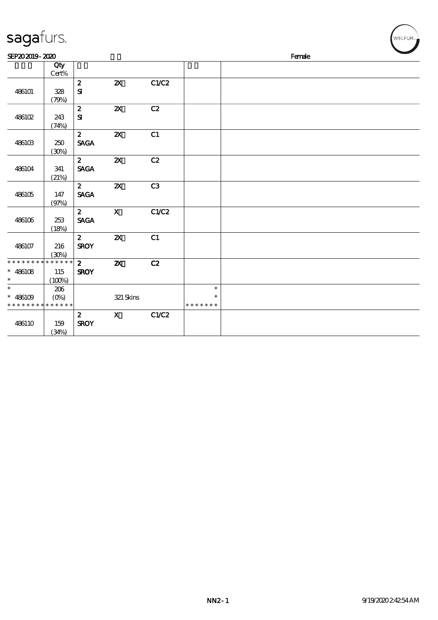| sagafurs.                                           |                              |                                 |                           |                |                                   |  |        |  | WELFUR <sub>™</sub> |  |
|-----------------------------------------------------|------------------------------|---------------------------------|---------------------------|----------------|-----------------------------------|--|--------|--|---------------------|--|
| SEP202019-2020                                      |                              |                                 |                           |                |                                   |  | Female |  |                     |  |
|                                                     | Qty<br>Cert%                 |                                 |                           |                |                                   |  |        |  |                     |  |
| 486101                                              | 328<br>(79%)                 | $\boldsymbol{2}$<br>${\bf s}$   | $\boldsymbol{\mathsf{z}}$ | C1/C2          |                                   |  |        |  |                     |  |
| 486102                                              | 243<br>(74%)                 | $\pmb{2}$<br>${\bf S}$          | $\boldsymbol{\mathsf{z}}$ | C2             |                                   |  |        |  |                     |  |
| 486103                                              | 250<br>(30%)                 | $\mathbf{z}$<br><b>SAGA</b>     | $\boldsymbol{\mathsf{z}}$ | C1             |                                   |  |        |  |                     |  |
| 486104                                              | 341<br>(21%)                 | $\mathbf{2}$<br><b>SAGA</b>     | $\pmb{\mathsf{zx}}$       | C2             |                                   |  |        |  |                     |  |
| 486105                                              | 147<br>(97%)                 | $\mathbf{2}$<br><b>SAGA</b>     | $\boldsymbol{\mathsf{z}}$ | C <sub>3</sub> |                                   |  |        |  |                     |  |
| 486106                                              | 253<br>(18%)                 | $\mathbf{2}$<br><b>SAGA</b>     | $\boldsymbol{\mathrm{X}}$ | C1/C2          |                                   |  |        |  |                     |  |
| 486107                                              | 216<br>$(\mathfrak{D}_0)$    | $\mathbf{z}$<br><b>SROY</b>     | $\boldsymbol{\mathsf{z}}$ | C1             |                                   |  |        |  |                     |  |
| * * * * * * * *<br>$* 486108$<br>$\ast$             | * * * * * *<br>115<br>(100%) | $\mathbf{z}$<br><b>SROY</b>     | $\boldsymbol{\mathsf{z}}$ | C2             |                                   |  |        |  |                     |  |
| $\ast$<br>$* 486109$<br>* * * * * * * * * * * * * * | 206<br>$(O\%)$               |                                 | 321 Skins                 |                | $\ast$<br>$\ast$<br>* * * * * * * |  |        |  |                     |  |
| 486110                                              | 159<br>(34%)                 | $\boldsymbol{z}$<br><b>SROY</b> | $\mathbf x$               | C1/C2          |                                   |  |        |  |                     |  |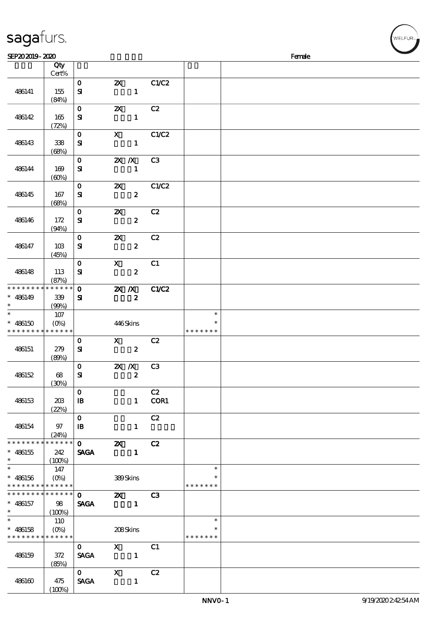| sagafurs.                                                                            |                                      |                              |                                                                                                                                                                                                                                                                                                                                                                                                                                                                                  |                  |                |                                   |        | WELFUR <sub>™</sub> |
|--------------------------------------------------------------------------------------|--------------------------------------|------------------------------|----------------------------------------------------------------------------------------------------------------------------------------------------------------------------------------------------------------------------------------------------------------------------------------------------------------------------------------------------------------------------------------------------------------------------------------------------------------------------------|------------------|----------------|-----------------------------------|--------|---------------------|
| SEP202019-2020                                                                       |                                      |                              |                                                                                                                                                                                                                                                                                                                                                                                                                                                                                  |                  |                |                                   | Female |                     |
|                                                                                      | Qty<br>Cert%                         |                              |                                                                                                                                                                                                                                                                                                                                                                                                                                                                                  |                  |                |                                   |        |                     |
| 486141                                                                               | 155<br>(84%)                         | $\mathbf 0$<br>${\bf s}$     | $\boldsymbol{\mathsf{Z}}$                                                                                                                                                                                                                                                                                                                                                                                                                                                        | $\mathbf{1}$     | C1/C2          |                                   |        |                     |
| 486142                                                                               | 165<br>(72%)                         | $\mathbf 0$<br>${\bf s}$     | $\boldsymbol{\mathsf{z}}$                                                                                                                                                                                                                                                                                                                                                                                                                                                        | $\mathbf{1}$     | C2             |                                   |        |                     |
| 486143                                                                               | 338<br>(68%)                         | $\mathbf 0$<br>$\mathbf{S}$  | $\mathbf x$                                                                                                                                                                                                                                                                                                                                                                                                                                                                      | $\mathbf{1}$     | C1/C2          |                                   |        |                     |
| 486144                                                                               | 169<br>(60%)                         | $\mathbf{o}$<br>${\bf s}$    | $X$ $N$                                                                                                                                                                                                                                                                                                                                                                                                                                                                          | $\mathbf{1}$     | C3             |                                   |        |                     |
| 486145                                                                               | 167<br>(68%)                         | $\mathbf 0$<br>${\bf s}$     | $\boldsymbol{\mathsf{Z}}$                                                                                                                                                                                                                                                                                                                                                                                                                                                        | $\pmb{2}$        | C1/C2          |                                   |        |                     |
| 486146                                                                               | 172<br>(94%)                         | $\mathbf 0$<br>$\mathbf{S}$  | $\boldsymbol{\mathsf{z}}$                                                                                                                                                                                                                                                                                                                                                                                                                                                        | $\boldsymbol{z}$ | C2             |                                   |        |                     |
| 486147                                                                               | 10B<br>(45%)                         | $\mathbf 0$<br>${\bf s}$     | $\boldsymbol{\mathsf{z}}$                                                                                                                                                                                                                                                                                                                                                                                                                                                        | $\boldsymbol{z}$ | C2             |                                   |        |                     |
| 486148                                                                               | 113<br>(87%)                         | $\mathbf 0$<br>${\bf s}$     | $\boldsymbol{\mathsf{X}}$                                                                                                                                                                                                                                                                                                                                                                                                                                                        | $\boldsymbol{z}$ | C1             |                                   |        |                     |
| * * * * * * * *<br>$* 486149$                                                        | * * * * * *<br>339                   | $\mathbf{o}$<br>$\mathbf{S}$ | $\mathbf{X}$ $\mathbf{X}$                                                                                                                                                                                                                                                                                                                                                                                                                                                        | $\pmb{2}$        | <b>C1/C2</b>   |                                   |        |                     |
| $\ast$                                                                               | (99%)<br>$107$                       |                              |                                                                                                                                                                                                                                                                                                                                                                                                                                                                                  |                  |                | $\ast$                            |        |                     |
| $* 486150$                                                                           | $(0\%)$<br>* * * * * * * * * * * * * |                              | 446Skins                                                                                                                                                                                                                                                                                                                                                                                                                                                                         |                  |                | $\ast$<br>* * * * * * *           |        |                     |
| 486151                                                                               | 279<br>(80%)                         | $\mathbf 0$<br>${\bf S}$     | $\mathbf{x}$                                                                                                                                                                                                                                                                                                                                                                                                                                                                     | $\pmb{2}$        | C2             |                                   |        |                     |
| 486152                                                                               | 68<br>(30%)                          | $\mathbf 0$<br>${\bf s}$     | $X$ $X$                                                                                                                                                                                                                                                                                                                                                                                                                                                                          | $\boldsymbol{z}$ | C <sub>3</sub> |                                   |        |                     |
| 486153                                                                               | 20B<br>(22%)                         | $\mathbf 0$<br>$\mathbf{B}$  |                                                                                                                                                                                                                                                                                                                                                                                                                                                                                  | $\mathbf{1}$     | C2<br>COR1     |                                   |        |                     |
| 486154                                                                               | 97<br>(24%)                          | $\mathbf{O}$<br>$\mathbf{B}$ |                                                                                                                                                                                                                                                                                                                                                                                                                                                                                  | $\mathbf{1}$     | C2             |                                   |        |                     |
| * * * * * * * * <mark>* * * * * *</mark><br>$* 486155$                               | 242<br>$(100\%)$                     | $\mathbf{O}$<br><b>SAGA</b>  | $\boldsymbol{\mathsf{X}}$                                                                                                                                                                                                                                                                                                                                                                                                                                                        | $\mathbf{1}$     | C2             |                                   |        |                     |
| $\overline{\phantom{0}}$<br>$* 486156$<br>* * * * * * * * <mark>* * * * * *</mark> * | 147                                  |                              | 389Skins                                                                                                                                                                                                                                                                                                                                                                                                                                                                         |                  |                | $\ast$<br>∗<br>* * * * * * *      |        |                     |
| * * * * * * * *<br>$* 486157$<br>$\ast$                                              | * * * * * *<br>98<br>(100%)          | $\mathbf{O}$<br><b>SAGA</b>  | $\mathbf{z}$<br>$\sim$ 1                                                                                                                                                                                                                                                                                                                                                                                                                                                         |                  | C3             |                                   |        |                     |
| $\ast$<br>$* 486158$<br>* * * * * * * * * * * * * *                                  | 110                                  |                              | 208Skins                                                                                                                                                                                                                                                                                                                                                                                                                                                                         |                  |                | $\ast$<br>$\ast$<br>* * * * * * * |        |                     |
| 486159                                                                               | 372<br>(85%)                         | $\mathbf{O}$<br><b>SAGA</b>  | $\boldsymbol{\mathrm{X}}$ and $\boldsymbol{\mathrm{X}}$ and $\boldsymbol{\mathrm{X}}$ and $\boldsymbol{\mathrm{X}}$ and $\boldsymbol{\mathrm{X}}$ and $\boldsymbol{\mathrm{X}}$ and $\boldsymbol{\mathrm{X}}$ and $\boldsymbol{\mathrm{X}}$ and $\boldsymbol{\mathrm{X}}$ and $\boldsymbol{\mathrm{X}}$ and $\boldsymbol{\mathrm{X}}$ and $\boldsymbol{\mathrm{X}}$ and $\boldsymbol{\mathrm{X}}$ and $\boldsymbol{\mathrm{X}}$ and $\boldsymbol{\mathrm{X}}$<br>$\sim$ $\sim$ 1 |                  | C1             |                                   |        |                     |
| 486160                                                                               | 475                                  | $\mathbf{O}$<br><b>SAGA</b>  | $\mathbf{x}$                                                                                                                                                                                                                                                                                                                                                                                                                                                                     | $\mathbf{1}$     | C2             |                                   |        |                     |

 $(100%)$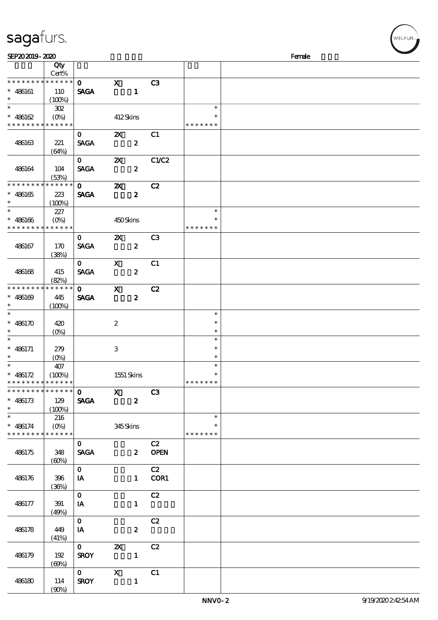## sagafurs.

| SEP202019-2020                |                        |                |                           |                  |                |               | Female |
|-------------------------------|------------------------|----------------|---------------------------|------------------|----------------|---------------|--------|
|                               | Qty                    |                |                           |                  |                |               |        |
|                               | Cert%                  |                |                           |                  |                |               |        |
| * * * * * * * *               | $******$               | $\mathbf{0}$   | $\mathbf{X}$              |                  | C3             |               |        |
| $* 486161$                    | 110                    | <b>SAGA</b>    |                           | $\blacksquare$   |                |               |        |
| $\ast$<br>$\overline{\ast}$   | (100%)                 |                |                           |                  |                |               |        |
|                               | $302\,$                |                |                           |                  |                | $\ast$        |        |
| $* 486162$                    |                        |                | 412Skins                  |                  |                | $\ast$        |        |
| * * * * * * * *               | * * * * * *            |                |                           |                  |                | * * * * * * * |        |
|                               |                        | $\mathbf{O}$   | $\boldsymbol{\mathsf{z}}$ |                  | C1             |               |        |
| 486163                        | 221                    | <b>SAGA</b>    |                           | $\boldsymbol{z}$ |                |               |        |
|                               | (64%)                  |                |                           |                  |                |               |        |
|                               |                        | $\mathbf{O}$   | $\boldsymbol{\mathsf{Z}}$ |                  | C1/C2          |               |        |
| 486164                        | 104                    | <b>SAGA</b>    |                           | $\boldsymbol{z}$ |                |               |        |
| * * * * * * * *               | (53%)<br>* * * * * *   |                |                           |                  |                |               |        |
|                               |                        | $\mathbf{O}$   | $\boldsymbol{\mathsf{X}}$ |                  | C2             |               |        |
| $* 486165$<br>$\ast$          | 223                    | <b>SAGA</b>    |                           | $\boldsymbol{z}$ |                |               |        |
| $\ast$                        | (100%)                 |                |                           |                  |                | $\ast$        |        |
| $* 486166$                    | 227                    |                |                           |                  |                | $\ast$        |        |
| * * * * * * * *               | $(O\%)$<br>* * * * * * |                | 450Skins                  |                  |                | * * * * * * * |        |
|                               |                        | $\mathbf{O}$   | $\boldsymbol{\mathsf{Z}}$ |                  | C <sub>3</sub> |               |        |
| 486167                        | 170                    | <b>SAGA</b>    |                           | $\boldsymbol{z}$ |                |               |        |
|                               | (38%)                  |                |                           |                  |                |               |        |
|                               |                        | $\mathbf{O}$   | $\mathbf{x}$              |                  | C1             |               |        |
| 486168                        | 415                    | <b>SAGA</b>    |                           | $\boldsymbol{z}$ |                |               |        |
|                               | (82%)                  |                |                           |                  |                |               |        |
| * * * * * * * *               | * * * * * *            | $\mathbf{O}$   | $\mathbf{x}$              |                  | C2             |               |        |
| $* 486169$                    | 445                    | <b>SAGA</b>    |                           | $\boldsymbol{z}$ |                |               |        |
| $\ast$                        | (100%)                 |                |                           |                  |                |               |        |
| $\ast$                        |                        |                |                           |                  |                | $\ast$        |        |
| * $486170$                    | 420                    |                | $\boldsymbol{2}$          |                  |                | $\ast$        |        |
| $\ast$                        | $(O\%)$                |                |                           |                  |                | $\ast$        |        |
| $\ast$                        |                        |                |                           |                  |                | $\ast$        |        |
| $* 486171$                    | 279                    |                | 3                         |                  |                | $\ast$        |        |
| $\ast$                        | $(O\!/\!o)$            |                |                           |                  |                | $\ast$        |        |
| $\overline{\ast}$             | 407                    |                |                           |                  |                | $\ast$        |        |
| * $486172$                    | (100%)                 |                | 1551 Skins                |                  |                | $\ast$        |        |
| * * * * * * * * * * * * * *   |                        |                |                           |                  |                | *******       |        |
| * * * * * * * * * * * * * * * |                        | $\mathbf{O}$   | $\overline{\mathbf{x}}$   |                  | C3             |               |        |
| $* 486173$                    | 129                    | <b>SAGA</b>    |                           | $\boldsymbol{z}$ |                |               |        |
| $\ast$                        | (100%)                 |                |                           |                  |                |               |        |
| $\ast$                        | 216                    |                |                           |                  |                | $\ast$        |        |
| $* 486174$                    | $(O\%)$                |                | 345Skins                  |                  |                | $\ast$        |        |
| * * * * * * * *               | * * * * * *            |                |                           |                  |                | * * * * * * * |        |
|                               |                        | $\mathbf{O}$   |                           |                  | C2             |               |        |
| 486175                        | 348                    | <b>SAGA</b>    |                           |                  | 2 OPEN         |               |        |
|                               | (60%)                  |                |                           |                  |                |               |        |
|                               |                        | $\overline{0}$ |                           |                  | C2             |               |        |
| 486176                        | $396\,$                | <b>IA</b>      |                           |                  | 1 COR1         |               |        |
|                               | (36%)                  |                |                           |                  |                |               |        |
|                               |                        | $\mathbf{O}$   |                           |                  | C2             |               |        |
| 486177                        | 391                    | IA             |                           | $\mathbf{1}$     |                |               |        |
|                               | (49%)                  | $\mathbf{0}$   |                           |                  | C2             |               |        |
|                               |                        |                |                           |                  |                |               |        |
| 486178                        | 449<br>(41%)           | $I$ A          |                           | $\boldsymbol{z}$ |                |               |        |
|                               |                        | $\mathbf{0}$   | $\boldsymbol{\mathsf{X}}$ |                  | C2             |               |        |
| 486179                        | 192                    | <b>SROY</b>    |                           |                  |                |               |        |
|                               | (60%)                  |                |                           |                  |                |               |        |
|                               |                        |                | $\mathbf{X}$              |                  | C1             |               |        |
| 486180                        | 114                    | <b>SROY</b>    |                           | $\mathbf{1}$     |                |               |        |
|                               | (90%)                  |                |                           |                  |                |               |        |

VELFUR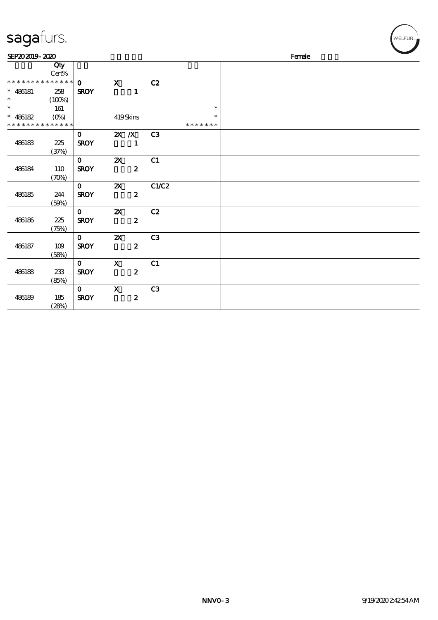## sagafurs.

| SEP202019-2020              |                                   |                             |                           |                                |               | Female | $\sim$ |
|-----------------------------|-----------------------------------|-----------------------------|---------------------------|--------------------------------|---------------|--------|--------|
|                             | Qty<br>$Cert\%$                   |                             |                           |                                |               |        |        |
| * * * * * * * * * * * * * * |                                   | $\mathbf{o}$                | $\mathbf x$               | C2                             |               |        |        |
| $* 486181$<br>$\ast$        | 258<br>(100%)                     | <b>SROY</b>                 |                           | $\mathbf{1}$                   |               |        |        |
|                             | 161                               |                             |                           |                                | $\ast$        |        |        |
| $* 486182$                  | $(O\!\!\!\!\!\!\!/\,\!o)$         |                             | 419Skins                  |                                | $\ast$        |        |        |
| * * * * * * * * * * * * * * |                                   |                             |                           |                                | * * * * * * * |        |        |
| 486183                      | 225<br>(37%)                      | $\mathbf{O}$<br><b>SROY</b> | $X$ $X$                   | C <sub>3</sub><br>$\mathbf{1}$ |               |        |        |
| 486184                      | 110<br>$(\mathcal{X}\mathcal{Y})$ | $\mathbf{O}$<br><b>SROY</b> | $\boldsymbol{\mathsf{z}}$ | C1<br>$\boldsymbol{z}$         |               |        |        |
| 486185                      | 244<br>(50%)                      | $\mathbf{O}$<br><b>SROY</b> | $\boldsymbol{\mathsf{Z}}$ | C1/C2<br>$\boldsymbol{z}$      |               |        |        |
| 486186                      | 225<br>(75%)                      | $\mathbf{O}$<br><b>SROY</b> | $\boldsymbol{\mathsf{X}}$ | C2<br>$\boldsymbol{z}$         |               |        |        |
| 486187                      | 109<br>(58%)                      | $\mathbf{0}$<br><b>SROY</b> | $\boldsymbol{\mathsf{z}}$ | C3<br>$\boldsymbol{z}$         |               |        |        |
| 486188                      | 233<br>(85%)                      | $\mathbf{O}$<br><b>SROY</b> | $\boldsymbol{\mathsf{X}}$ | C1<br>$\boldsymbol{2}$         |               |        |        |
| 486189                      | 185<br>(28%)                      | $\mathbf{O}$<br><b>SROY</b> | $\boldsymbol{\mathrm{X}}$ | C3<br>$\boldsymbol{z}$         |               |        |        |

 $\left(\mathsf{WELFLR}_{\mathsf{W}}\right)$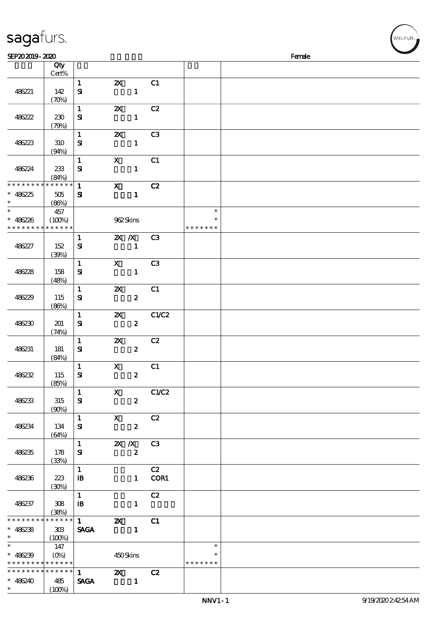| sagafurs.                                           |                              |                                                                                                                                                                                                                                                                                                                 |                                              |                  |                |                                   |        |  | .<br>WELFUR <sub>™</sub> |
|-----------------------------------------------------|------------------------------|-----------------------------------------------------------------------------------------------------------------------------------------------------------------------------------------------------------------------------------------------------------------------------------------------------------------|----------------------------------------------|------------------|----------------|-----------------------------------|--------|--|--------------------------|
| SEP202019-2020                                      |                              |                                                                                                                                                                                                                                                                                                                 |                                              |                  |                |                                   | Female |  |                          |
|                                                     | Qty<br>Cert%                 |                                                                                                                                                                                                                                                                                                                 |                                              |                  |                |                                   |        |  |                          |
| 486221                                              | 142<br>(70%)                 | $\mathbf{1}$<br>$\mathbf{S}$                                                                                                                                                                                                                                                                                    | $\boldsymbol{\mathsf{z}}$                    | $\mathbf{1}$     | C1             |                                   |        |  |                          |
| 486222                                              | 230<br>(79%)                 | $\mathbf 1$<br>${\bf s}$                                                                                                                                                                                                                                                                                        | $\boldsymbol{\mathsf{z}}$                    | $\mathbf{1}$     | C2             |                                   |        |  |                          |
| 486223                                              | 310<br>(94%)                 | $\mathbf{1}$<br>${\bf s}$                                                                                                                                                                                                                                                                                       | $\boldsymbol{\mathsf{z}}$                    | $\mathbf{1}$     | C <sub>3</sub> |                                   |        |  |                          |
| 486224                                              | 233<br>(84%)                 | $\mathbf 1$<br>$\mathbf{S}$                                                                                                                                                                                                                                                                                     | $\mathbf X$                                  | $\mathbf{1}$     | C1             |                                   |        |  |                          |
| * * * * * * * *<br>$* 486225$<br>$\ast$             | * * * * * *<br>505<br>(86%)  | $\mathbf 1$<br>$\mathbf{S}$                                                                                                                                                                                                                                                                                     | $\boldsymbol{\mathrm{X}}$                    | $\mathbf{1}$     | C2             |                                   |        |  |                          |
| $\ast$<br>$\ast$<br>486226<br>* * * * * * *         | 457<br>(100%)<br>* * * * * * |                                                                                                                                                                                                                                                                                                                 | 962Skins                                     |                  |                | $\ast$<br>$\ast$<br>* * * * * * * |        |  |                          |
| 486227                                              | 152<br>(30%)                 | $\mathbf{1}$<br>${\bf s}$                                                                                                                                                                                                                                                                                       | $X$ $N$                                      | $\mathbf{1}$     | C3             |                                   |        |  |                          |
| 486228                                              | 158<br>(48%)                 | $\mathbf 1$<br>${\bf s}$                                                                                                                                                                                                                                                                                        | $\boldsymbol{\mathsf{X}}$                    | $\mathbf{1}$     | C <sub>3</sub> |                                   |        |  |                          |
| 486229                                              | 115<br>(86%)                 | $\mathbf{1}$<br>${\bf s}$                                                                                                                                                                                                                                                                                       | $\pmb{\mathsf{z}}$                           | $\pmb{2}$        | C1             |                                   |        |  |                          |
| 486230                                              | 201<br>(74%)                 | $\mathbf 1$<br>$\mathbf{S}$                                                                                                                                                                                                                                                                                     | $\pmb{\mathsf{z}}$                           | $\boldsymbol{2}$ | C1/C2          |                                   |        |  |                          |
| 486231                                              | 181<br>(84%)                 | $\mathbf 1$<br>$\mathbf{S}$                                                                                                                                                                                                                                                                                     | $\boldsymbol{\mathsf{z}}$                    | $\pmb{2}$        | C2             |                                   |        |  |                          |
| 486232                                              | 115<br>(85%)                 | $\mathbf{1}$<br>${\bf s}$                                                                                                                                                                                                                                                                                       | $\mathbf{x}$                                 | $\boldsymbol{z}$ | C1             |                                   |        |  |                          |
| 486233                                              | 315<br>(90%)                 | 1<br>${\bf s}$                                                                                                                                                                                                                                                                                                  | $\mathbf{X}$                                 | $\mathbf{2}$     | C1/C2          |                                   |        |  |                          |
| 486234                                              | 134<br>(64%)                 | $1 \qquad \qquad$<br>${\bf s}$                                                                                                                                                                                                                                                                                  | $\mathbf{x}$                                 | $\boldsymbol{2}$ | C2             |                                   |        |  |                          |
| 486235                                              | 178<br>(33%)                 | $1 \quad \blacksquare$<br>${\bf s}$                                                                                                                                                                                                                                                                             | <b>2X X</b> C3                               | $\boldsymbol{z}$ |                |                                   |        |  |                          |
| 486236                                              | 223<br>(30%)                 | $\mathbf{1}$<br>$\, {\bf I} \! {\bf B} \,$                                                                                                                                                                                                                                                                      |                                              |                  | C2<br>1 COR1   |                                   |        |  |                          |
| 486237                                              | 308<br>(38%)                 | $\mathbf{1}$<br>$\mathbf{B}$                                                                                                                                                                                                                                                                                    |                                              | $\mathbf{1}$     | C2             |                                   |        |  |                          |
| * * * * * * * *<br>$* 486238$<br>$\ast$             | * * * * * *<br>303<br>(100%) | $\mathbf{1}$ and $\mathbf{1}$ and $\mathbf{1}$ and $\mathbf{1}$ and $\mathbf{1}$ and $\mathbf{1}$ and $\mathbf{1}$ and $\mathbf{1}$ and $\mathbf{1}$ and $\mathbf{1}$ and $\mathbf{1}$ and $\mathbf{1}$ and $\mathbf{1}$ and $\mathbf{1}$ and $\mathbf{1}$ and $\mathbf{1}$ and $\mathbf{1}$ and<br><b>SAGA</b> | $\boldsymbol{\mathsf{z}}$<br>$\sim$ $\sim$ 1 |                  | C1             |                                   |        |  |                          |
| $\ast$<br>$* 486239$<br>* * * * * * * * * * * * * * | 147                          |                                                                                                                                                                                                                                                                                                                 | 450Skins                                     |                  |                | $\ast$<br>$\ast$<br>* * * * * * * |        |  |                          |

1 2X C<sub>2</sub><br>SAGA 1

 $\operatorname{\mathbf{SAGA}}$ 

\* \* \* \* \* \* \* \* \* \* \* \*

 $(100%)$ 

486240 485

\*\*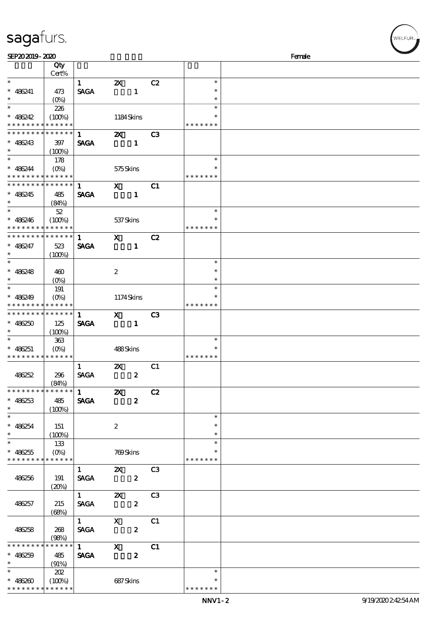| SEP202019-2020              |                    |                                                                                                                                                                                                                                                                                                                                                                                      |                           |                  |    |               | Female |
|-----------------------------|--------------------|--------------------------------------------------------------------------------------------------------------------------------------------------------------------------------------------------------------------------------------------------------------------------------------------------------------------------------------------------------------------------------------|---------------------------|------------------|----|---------------|--------|
|                             | Qty                |                                                                                                                                                                                                                                                                                                                                                                                      |                           |                  |    |               |        |
|                             | Cert%              |                                                                                                                                                                                                                                                                                                                                                                                      |                           |                  |    |               |        |
| $\ast$                      |                    | $\mathbf{1}$                                                                                                                                                                                                                                                                                                                                                                         | $\boldsymbol{\mathsf{Z}}$ |                  | C2 | $\ast$        |        |
| $* 486241$                  | 473                | <b>SAGA</b>                                                                                                                                                                                                                                                                                                                                                                          |                           | $\mathbf{1}$     |    | $\ast$        |        |
| $\ast$                      | $(O\%)$            |                                                                                                                                                                                                                                                                                                                                                                                      |                           |                  |    | $\ast$        |        |
| $\ast$                      |                    |                                                                                                                                                                                                                                                                                                                                                                                      |                           |                  |    | $\ast$        |        |
|                             | 226                |                                                                                                                                                                                                                                                                                                                                                                                      |                           |                  |    |               |        |
| $* 486242$                  | (100%)             |                                                                                                                                                                                                                                                                                                                                                                                      | 1184Skins                 |                  |    | $\ast$        |        |
| * * * * * * * *             | * * * * * *        |                                                                                                                                                                                                                                                                                                                                                                                      |                           |                  |    | * * * * * * * |        |
| * * * * * * * *             | * * * * * *        | $\mathbf{1}$                                                                                                                                                                                                                                                                                                                                                                         | $\boldsymbol{\alpha}$     |                  | C3 |               |        |
| $* 486243$                  | 397                | <b>SAGA</b>                                                                                                                                                                                                                                                                                                                                                                          |                           |                  |    |               |        |
| $\ast$                      | (100%)             |                                                                                                                                                                                                                                                                                                                                                                                      |                           |                  |    |               |        |
| $\ast$                      |                    |                                                                                                                                                                                                                                                                                                                                                                                      |                           |                  |    | $\ast$        |        |
|                             | 178                |                                                                                                                                                                                                                                                                                                                                                                                      |                           |                  |    |               |        |
| $* 486244$                  | $(O\%)$            |                                                                                                                                                                                                                                                                                                                                                                                      | 575Skins                  |                  |    | $\ast$        |        |
| * * * * * * * * * * * * * * |                    |                                                                                                                                                                                                                                                                                                                                                                                      |                           |                  |    | * * * * * * * |        |
| * * * * * * * * * * * * * * |                    | $\mathbf{1}$                                                                                                                                                                                                                                                                                                                                                                         | $\mathbf{x}$              |                  | C1 |               |        |
| $* 486245$                  | 485                | <b>SAGA</b>                                                                                                                                                                                                                                                                                                                                                                          |                           | $\mathbf{1}$     |    |               |        |
| $\ast$                      | (84%)              |                                                                                                                                                                                                                                                                                                                                                                                      |                           |                  |    |               |        |
| $\ast$                      | $52\,$             |                                                                                                                                                                                                                                                                                                                                                                                      |                           |                  |    | $\ast$        |        |
|                             |                    |                                                                                                                                                                                                                                                                                                                                                                                      |                           |                  |    | $\ast$        |        |
| $* 486246$                  | (100%)             |                                                                                                                                                                                                                                                                                                                                                                                      | 537Skins                  |                  |    |               |        |
| * * * * * * * *             | * * * * * *        |                                                                                                                                                                                                                                                                                                                                                                                      |                           |                  |    | * * * * * * * |        |
| * * * * * * * *             | * * * * * *        | $\mathbf{1}$                                                                                                                                                                                                                                                                                                                                                                         | $\mathbf{x}$              |                  | C2 |               |        |
| $* 486247$                  | 523                | <b>SAGA</b>                                                                                                                                                                                                                                                                                                                                                                          |                           | $\mathbf{1}$     |    |               |        |
| $\ast$                      | $(100\%)$          |                                                                                                                                                                                                                                                                                                                                                                                      |                           |                  |    |               |        |
| $\overline{\phantom{0}}$    |                    |                                                                                                                                                                                                                                                                                                                                                                                      |                           |                  |    | $\ast$        |        |
|                             |                    |                                                                                                                                                                                                                                                                                                                                                                                      |                           |                  |    | $\ast$        |        |
| $* 486248$                  | 460                |                                                                                                                                                                                                                                                                                                                                                                                      | $\boldsymbol{2}$          |                  |    |               |        |
| $\ast$                      | $(O\%)$            |                                                                                                                                                                                                                                                                                                                                                                                      |                           |                  |    | $\ast$        |        |
| $\ast$                      | 191                |                                                                                                                                                                                                                                                                                                                                                                                      |                           |                  |    | $\ast$        |        |
| $* 486249$                  | $(O\%)$            |                                                                                                                                                                                                                                                                                                                                                                                      | 1174Skins                 |                  |    |               |        |
| * * * * * * * * * * * * * * |                    |                                                                                                                                                                                                                                                                                                                                                                                      |                           |                  |    | * * * * * * * |        |
| * * * * * * * * * * * * * * |                    | $\mathbf{1}$                                                                                                                                                                                                                                                                                                                                                                         | $\mathbf{x}$              |                  | C3 |               |        |
| $* 486250$                  | 125                | <b>SAGA</b>                                                                                                                                                                                                                                                                                                                                                                          |                           | $\mathbf{1}$     |    |               |        |
| $\ast$                      |                    |                                                                                                                                                                                                                                                                                                                                                                                      |                           |                  |    |               |        |
|                             | (100%)             |                                                                                                                                                                                                                                                                                                                                                                                      |                           |                  |    |               |        |
| $\ast$                      | $363\,$            |                                                                                                                                                                                                                                                                                                                                                                                      |                           |                  |    | $\ast$        |        |
| $* 486251$                  | $(O\!/\!\!\delta)$ |                                                                                                                                                                                                                                                                                                                                                                                      | 488Skins                  |                  |    | $\ast$        |        |
| * * * * * * * * * * * * * * |                    |                                                                                                                                                                                                                                                                                                                                                                                      |                           |                  |    | * * * * * * * |        |
|                             |                    | $\mathbf{1}$                                                                                                                                                                                                                                                                                                                                                                         | $\boldsymbol{\mathsf{Z}}$ |                  | C1 |               |        |
| 486252                      | 296                | <b>SAGA</b>                                                                                                                                                                                                                                                                                                                                                                          |                           | $\boldsymbol{z}$ |    |               |        |
|                             | (84%)              |                                                                                                                                                                                                                                                                                                                                                                                      |                           |                  |    |               |        |
| * * * * * * * *             | * * * * * *        | $\overline{1}$ $\overline{2}$ $\overline{2}$ $\overline{2}$ $\overline{2}$ $\overline{2}$ $\overline{2}$ $\overline{2}$ $\overline{2}$ $\overline{2}$ $\overline{2}$ $\overline{2}$ $\overline{2}$ $\overline{2}$ $\overline{2}$ $\overline{2}$ $\overline{2}$ $\overline{2}$ $\overline{2}$ $\overline{2}$                                                                          |                           |                  |    |               |        |
|                             |                    |                                                                                                                                                                                                                                                                                                                                                                                      |                           |                  | C2 |               |        |
| $* 486253$                  | 485                | <b>SAGA</b>                                                                                                                                                                                                                                                                                                                                                                          |                           | $\boldsymbol{z}$ |    |               |        |
| $\ast$                      | (100%)             |                                                                                                                                                                                                                                                                                                                                                                                      |                           |                  |    |               |        |
| $\overline{\phantom{0}}$    |                    |                                                                                                                                                                                                                                                                                                                                                                                      |                           |                  |    | $\ast$        |        |
| $* 486254$                  | 151                |                                                                                                                                                                                                                                                                                                                                                                                      | $\boldsymbol{2}$          |                  |    | $\ast$        |        |
| $\ast$                      | (100%)             |                                                                                                                                                                                                                                                                                                                                                                                      |                           |                  |    | $\ast$        |        |
| $\overline{\phantom{0}}$    | 133                |                                                                                                                                                                                                                                                                                                                                                                                      |                           |                  |    | $\ast$        |        |
|                             |                    |                                                                                                                                                                                                                                                                                                                                                                                      |                           |                  |    |               |        |
| $* 486255$                  | $(O\% )$           |                                                                                                                                                                                                                                                                                                                                                                                      | 769Skins                  |                  |    | * * * * * * * |        |
| * * * * * * * * * * * * * * |                    |                                                                                                                                                                                                                                                                                                                                                                                      |                           |                  |    |               |        |
|                             |                    | $1 \quad \blacksquare$                                                                                                                                                                                                                                                                                                                                                               | <b>2X</b> C3              |                  |    |               |        |
| 486256                      | 191                | <b>SAGA</b>                                                                                                                                                                                                                                                                                                                                                                          | $\overline{\mathbf{z}}$   |                  |    |               |        |
|                             | (20%)              |                                                                                                                                                                                                                                                                                                                                                                                      |                           |                  |    |               |        |
|                             |                    | $\mathbf 1$                                                                                                                                                                                                                                                                                                                                                                          | $\mathbf{X}$              |                  | C3 |               |        |
| 486257                      | 215                | <b>SAGA</b>                                                                                                                                                                                                                                                                                                                                                                          |                           | $\boldsymbol{z}$ |    |               |        |
|                             |                    |                                                                                                                                                                                                                                                                                                                                                                                      |                           |                  |    |               |        |
|                             | (68%)              | $\overline{1}$                                                                                                                                                                                                                                                                                                                                                                       |                           |                  |    |               |        |
|                             |                    |                                                                                                                                                                                                                                                                                                                                                                                      | $\overline{\mathbf{x}}$   |                  | C1 |               |        |
| 486258                      | 268                | <b>SAGA</b>                                                                                                                                                                                                                                                                                                                                                                          |                           | $\boldsymbol{z}$ |    |               |        |
|                             | (98%)              |                                                                                                                                                                                                                                                                                                                                                                                      |                           |                  |    |               |        |
| * * * * * * * *             | * * * * * *        | $\overline{1}$ $\overline{1}$ $\overline{1}$ $\overline{1}$ $\overline{1}$ $\overline{1}$ $\overline{1}$ $\overline{1}$ $\overline{1}$ $\overline{1}$ $\overline{1}$ $\overline{1}$ $\overline{1}$ $\overline{1}$ $\overline{1}$ $\overline{1}$ $\overline{1}$ $\overline{1}$ $\overline{1}$ $\overline{1}$ $\overline{1}$ $\overline{1}$ $\overline{1}$ $\overline{1}$ $\overline{$ | $\mathbf{X}$              |                  | C1 |               |        |
| $* 486259$                  | 485                | <b>SAGA</b>                                                                                                                                                                                                                                                                                                                                                                          |                           | $\boldsymbol{z}$ |    |               |        |
| $\ast$                      | (91%)              |                                                                                                                                                                                                                                                                                                                                                                                      |                           |                  |    |               |        |
| $\ast$                      | 202                |                                                                                                                                                                                                                                                                                                                                                                                      |                           |                  |    | $\ast$        |        |
|                             |                    |                                                                                                                                                                                                                                                                                                                                                                                      |                           |                  |    |               |        |
| $* 486260$                  | $(100\%)$          |                                                                                                                                                                                                                                                                                                                                                                                      | 687Skins                  |                  |    | $\ast$        |        |
| * * * * * * * * * * * * * * |                    |                                                                                                                                                                                                                                                                                                                                                                                      |                           |                  |    | * * * * * * * |        |

:<br>LFUR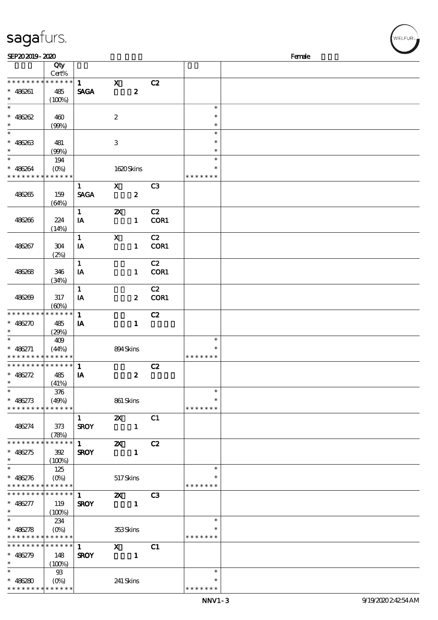| SEP202019-2020                             |                       |              |                           |                  |                | Female        |  |
|--------------------------------------------|-----------------------|--------------|---------------------------|------------------|----------------|---------------|--|
|                                            | Qty<br>Cert%          |              |                           |                  |                |               |  |
| * * *                                      | * * * * * * * * * * * | $\mathbf{1}$ | $\mathbf{x}$              |                  | C2             |               |  |
| $* 486261$                                 | 485                   | <b>SAGA</b>  |                           | $\boldsymbol{z}$ |                |               |  |
| $\ast$                                     | (100%)                |              |                           |                  |                |               |  |
| $\ast$                                     |                       |              |                           |                  |                | $\ast$        |  |
| $* 486262$                                 | 460                   |              | $\boldsymbol{2}$          |                  |                | $\ast$        |  |
| $\ast$                                     |                       |              |                           |                  |                | $\ast$        |  |
| $\ast$                                     | (90%)                 |              |                           |                  |                | $\ast$        |  |
|                                            |                       |              |                           |                  |                |               |  |
| $* 486263$                                 | 481                   |              | $\,3$                     |                  |                | $\ast$        |  |
| $\ast$                                     | (90%)                 |              |                           |                  |                | $\ast$        |  |
| $\ast$                                     | 194                   |              |                           |                  |                | $\ast$        |  |
| $* 486264$                                 | $(O\%)$               |              | 1620Skins                 |                  |                | $\ast$        |  |
| * * * * * * * * * * * * * *                |                       |              |                           |                  |                | * * * * * * * |  |
|                                            |                       | $\mathbf{1}$ | $\mathbf{x}$              |                  | C <sub>3</sub> |               |  |
| 486265                                     | 159                   | <b>SAGA</b>  |                           | $\boldsymbol{z}$ |                |               |  |
|                                            | (64%)                 |              |                           |                  |                |               |  |
|                                            |                       | $\mathbf{1}$ | $\boldsymbol{\mathsf{z}}$ |                  | C2             |               |  |
| 486266                                     | 224                   | IA           |                           | $\mathbf{1}$     | COR1           |               |  |
|                                            | (14%)                 |              |                           |                  |                |               |  |
|                                            |                       | $\mathbf{1}$ | $\mathbf X$               |                  | C2             |               |  |
| 486267                                     | 304                   | IA           |                           | $\mathbf{1}$     | COR1           |               |  |
|                                            | (2%)                  |              |                           |                  |                |               |  |
|                                            |                       | $\mathbf{1}$ |                           |                  | C2             |               |  |
|                                            |                       |              |                           |                  |                |               |  |
| 486268                                     | 346                   | IA           |                           | $\mathbf{1}$     | COR1           |               |  |
|                                            | (34%)                 |              |                           |                  |                |               |  |
|                                            |                       | $\mathbf{1}$ |                           |                  | C2             |               |  |
| 486269                                     | 317                   | IA           |                           | $\boldsymbol{z}$ | COR1           |               |  |
|                                            | (60%)                 |              |                           |                  |                |               |  |
| * * * * * * * *                            | * * * * * *           | $\mathbf{1}$ |                           |                  | C2             |               |  |
| $* 486270$                                 | 485                   | IA           |                           | $\mathbf{1}$     |                |               |  |
| $\ast$                                     | (29%)                 |              |                           |                  |                |               |  |
| $\ast$                                     | 409                   |              |                           |                  |                | $\ast$        |  |
| $* 486271$                                 | (44%)                 |              | 894Skins                  |                  |                | $\ast$        |  |
| * * * * * * * * <mark>* * * * * * *</mark> |                       |              |                           |                  |                | * * * * * * * |  |
| **************                             |                       | 1            |                           |                  | C2             |               |  |
| $* 486272$                                 | 485                   | IA           |                           | $\boldsymbol{z}$ |                |               |  |
| ∗                                          | (41%)                 |              |                           |                  |                |               |  |
| $\ast$                                     | 376                   |              |                           |                  |                | $\ast$        |  |
| $* 486273$                                 | (49%)                 |              | 861 Skins                 |                  |                | ∗             |  |
| * * * * * * * * * * * * * *                |                       |              |                           |                  |                | * * * * * * * |  |
|                                            |                       | $\mathbf{1}$ | $\boldsymbol{\alpha}$     |                  | C1             |               |  |
|                                            |                       |              |                           |                  |                |               |  |
| 486274                                     | 373                   | <b>SROY</b>  |                           | $\mathbf{1}$     |                |               |  |
| * * * * * * * * * * * * * *                | (78%)                 |              |                           |                  |                |               |  |
|                                            |                       | $1 \quad$    | $\boldsymbol{\mathsf{z}}$ |                  | C2             |               |  |
| $* 486275$                                 | 392                   | <b>SROY</b>  |                           | $\mathbf{1}$     |                |               |  |
| $\ast$<br>$\ast$                           | (100%)                |              |                           |                  |                |               |  |
|                                            | 125                   |              |                           |                  |                | $\ast$        |  |
| $* 486276$                                 | $(O\% )$              |              | 517Skins                  |                  |                | $\ast$        |  |
| * * * * * * * * * * * * * *                |                       |              |                           |                  |                | * * * * * * * |  |
| **************                             |                       | $\mathbf{1}$ | $\mathbf{X}$              |                  | C <sub>3</sub> |               |  |
| $* 486277$                                 | 119                   | <b>SROY</b>  |                           | $\mathbf{1}$     |                |               |  |
| $\ast$                                     | $(100\%)$             |              |                           |                  |                |               |  |
| $\ast$                                     | 234                   |              |                           |                  |                | $\ast$        |  |
| $* 486278$                                 |                       |              | 353Skins                  |                  |                | $\ast$        |  |
| * * * * * * * * * * * * * *                |                       |              |                           |                  |                | * * * * * * * |  |
| * * * * * * * * * * * * * * *              |                       | $\mathbf{1}$ | $\mathbf{X}$              |                  | C1             |               |  |
| $* 486279$                                 | 148                   | <b>SROY</b>  |                           | $\blacksquare$   |                |               |  |
| $\ast$                                     | (100%)                |              |                           |                  |                |               |  |
| $\ast$                                     | $93\,$                |              |                           |                  |                | $\ast$        |  |
| $* 486280$                                 |                       |              |                           |                  |                |               |  |
| * * * * * * * * * * * * * *                |                       |              | 241 Skins                 |                  |                | * * * * * * * |  |
|                                            |                       |              |                           |                  |                |               |  |

,<br>WELFUR<sub>™</sub>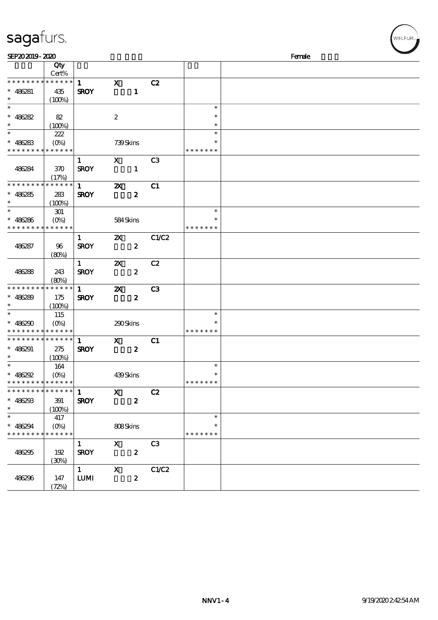## sagafurs.

| SEP202019-2020                                 |                            |              |                           |                  |                |               | Female |  |
|------------------------------------------------|----------------------------|--------------|---------------------------|------------------|----------------|---------------|--------|--|
|                                                | Qty                        |              |                           |                  |                |               |        |  |
|                                                | Cert%                      |              |                           |                  |                |               |        |  |
| * * * * * * * * * * * * * *                    |                            | $\mathbf{1}$ | $\mathbf{x}$              |                  | C2             |               |        |  |
| $* 486281$                                     | 435                        | <b>SROY</b>  |                           | $\mathbf{1}$     |                |               |        |  |
| $\ast$                                         | (100%)                     |              |                           |                  |                |               |        |  |
| $\ast$                                         |                            |              |                           |                  |                | $\ast$        |        |  |
| $* 486282$                                     | 82                         |              | $\boldsymbol{2}$          |                  |                | $\ast$        |        |  |
| $\ast$                                         | (100%)                     |              |                           |                  |                | $\ast$        |        |  |
| $\ast$                                         | 222                        |              |                           |                  |                | $\ast$        |        |  |
| $* 486283$                                     | $(O\%)$                    |              | 739Skins                  |                  |                | $\ast$        |        |  |
| * * * * * * * * <mark>* * * * * *</mark>       |                            |              |                           |                  |                | * * * * * * * |        |  |
|                                                |                            | $\mathbf{1}$ | $\mathbf{x}$              |                  | C <sub>3</sub> |               |        |  |
| 486284                                         | 370                        | <b>SROY</b>  |                           | $\mathbf{1}$     |                |               |        |  |
|                                                | (17%)                      |              |                           |                  |                |               |        |  |
| * * * * * * * *                                | $\ast\ast\ast\ast\ast\ast$ | $\mathbf{1}$ | $\boldsymbol{\mathsf{X}}$ |                  | C1             |               |        |  |
| $* 486285$                                     | 283                        | <b>SROY</b>  |                           | $\boldsymbol{z}$ |                |               |        |  |
| $\ast$                                         | (100%)                     |              |                           |                  |                |               |        |  |
| $\ast$                                         | 301                        |              |                           |                  |                | $\ast$        |        |  |
| $* 486286$                                     | $(O\%)$                    |              | 584Skins                  |                  |                | $\ast$        |        |  |
| * * * * * * * * * * * * * *                    |                            |              |                           |                  |                | * * * * * * * |        |  |
|                                                |                            | $\mathbf{1}$ | $\boldsymbol{\mathsf{Z}}$ |                  | C1/C2          |               |        |  |
| 486287                                         | 96                         | <b>SROY</b>  |                           | $\boldsymbol{z}$ |                |               |        |  |
|                                                | (80%)                      |              |                           |                  |                |               |        |  |
|                                                |                            | $\mathbf{1}$ | $\boldsymbol{\mathsf{X}}$ |                  | C2             |               |        |  |
| 486288                                         | 243                        | <b>SROY</b>  |                           | $\boldsymbol{z}$ |                |               |        |  |
|                                                | (80%)                      |              |                           |                  |                |               |        |  |
| * * * * * * * *                                | * * * * * *                | $\mathbf{1}$ | $\boldsymbol{\mathsf{z}}$ |                  | C <sub>3</sub> |               |        |  |
| $* 486289$                                     |                            |              |                           | $\boldsymbol{z}$ |                |               |        |  |
| $\ast$                                         | 175<br>(100%)              | <b>SROY</b>  |                           |                  |                |               |        |  |
| $\ast$                                         | 115                        |              |                           |                  |                | $\ast$        |        |  |
| $* 486290$                                     | $(O\%)$                    |              |                           |                  |                | $\ast$        |        |  |
| * * * * * * * * * * * * * *                    |                            |              | 290Skins                  |                  |                | * * * * * * * |        |  |
| * * * * * * * * * * * * * *                    |                            |              |                           |                  |                |               |        |  |
|                                                |                            | $\mathbf{1}$ | $\mathbf{x}$              |                  | C1             |               |        |  |
| $* 486291$<br>$\ast$                           | 275                        | <b>SROY</b>  |                           | $\boldsymbol{z}$ |                |               |        |  |
| $\ast$                                         | (100%)                     |              |                           |                  |                | $\ast$        |        |  |
|                                                | 164                        |              |                           |                  |                | $\ast$        |        |  |
| $* 486292$                                     | $(O\%)$                    |              | 439Skins                  |                  |                | * * * * * * * |        |  |
| * * * * * * * *<br>* * * * * * * * * * * * * * | * * * * * *                |              |                           |                  |                |               |        |  |
|                                                |                            | $\mathbf{1}$ | $\boldsymbol{\mathrm{X}}$ |                  | C2             |               |        |  |
| $* 486293$                                     | 391                        | <b>SROY</b>  |                           | $\boldsymbol{z}$ |                |               |        |  |
| $\ast$<br>$\overline{\ast}$                    | (100%)                     |              |                           |                  |                |               |        |  |
|                                                | 417                        |              |                           |                  |                | $\ast$        |        |  |
| $* 486294$                                     | $(O\%)$                    |              | 808Skins                  |                  |                | $\ast$        |        |  |
| * * * * * * * *                                | * * * * * *                |              |                           |                  |                | * * * * * * * |        |  |
|                                                |                            | $\mathbf{1}$ | $\mathbf{x}$              |                  | C3             |               |        |  |
| 486295                                         | 192                        | <b>SROY</b>  |                           | $\boldsymbol{z}$ |                |               |        |  |
|                                                | (30%)                      |              |                           |                  |                |               |        |  |
|                                                |                            | $1 -$        | $\boldsymbol{\mathrm{X}}$ |                  | C1/C2          |               |        |  |
| 486296                                         | 147                        | <b>LUMI</b>  |                           | $\boldsymbol{z}$ |                |               |        |  |
|                                                | (72%)                      |              |                           |                  |                |               |        |  |

WELFUR<sub>"</sub>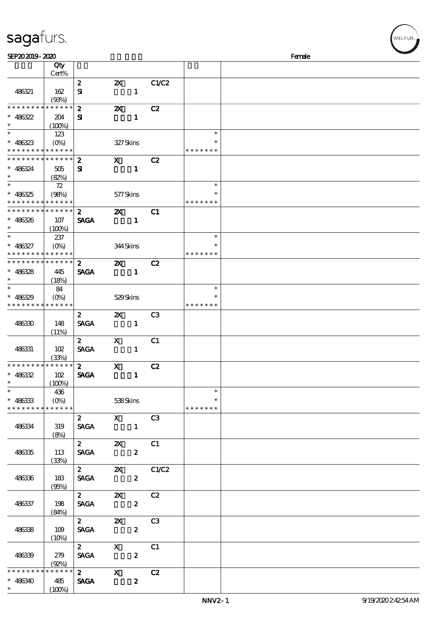| sagafurs.                         |                        |                  |                               |                  |                |                  |        | WELFUR <sub>**</sub> |
|-----------------------------------|------------------------|------------------|-------------------------------|------------------|----------------|------------------|--------|----------------------|
| SEP202019-2020                    |                        |                  |                               |                  |                |                  | Female |                      |
|                                   | Qty                    |                  |                               |                  |                |                  |        |                      |
|                                   | Cert%                  |                  |                               |                  |                |                  |        |                      |
|                                   |                        | $\boldsymbol{z}$ | $\boldsymbol{\mathsf{Z}}$     |                  | C1/C2          |                  |        |                      |
| 486321                            | 162                    | Я                |                               | $\mathbf{1}$     |                |                  |        |                      |
| * * * * * * * *                   | (93%)<br>* * * * * *   |                  |                               |                  |                |                  |        |                      |
| $* 486322$                        |                        | $\boldsymbol{z}$ | $\boldsymbol{\mathsf{z}}$     | $\mathbf{1}$     | C2             |                  |        |                      |
| $\ast$                            | 204<br>$(100\%)$       | Я                |                               |                  |                |                  |        |                      |
| $\ast$                            | 123                    |                  |                               |                  |                | $\ast$           |        |                      |
| $* 486323$                        | $(O\%)$                |                  | 327Skins                      |                  |                | $\ast$           |        |                      |
|                                   | * * * * * * * * * * *  |                  |                               |                  |                | * * * * * * *    |        |                      |
| * * * * * * * *                   | * * * * * *            | $\boldsymbol{z}$ | $\mathbf x$                   |                  | C2             |                  |        |                      |
| $* 486324$                        | 505                    | ${\bf s}$        |                               | $\mathbf{1}$     |                |                  |        |                      |
|                                   | (82%)                  |                  |                               |                  |                |                  |        |                      |
| $\ast$                            | 72                     |                  |                               |                  |                | $\ast$           |        |                      |
| $* 486325$                        | (98%)                  |                  | 577Skins                      |                  |                | $\ast$           |        |                      |
| * * * * * * * *                   | * * * * * *            |                  |                               |                  |                | * * * * * * *    |        |                      |
| * * * * * * * *                   | * * * * * *            | $\boldsymbol{z}$ | $\boldsymbol{\mathsf{X}}$     |                  | C1             |                  |        |                      |
| $* 486326$                        | 107                    | <b>SAGA</b>      |                               | $\mathbf{1}$     |                |                  |        |                      |
| $\ast$                            | (100%)                 |                  |                               |                  |                |                  |        |                      |
| $\ast$                            | 237                    |                  |                               |                  |                | $\ast$           |        |                      |
| $* 486327$                        | $(O\!/\!\!\delta)$     |                  | 344Skins                      |                  |                | $\ast$           |        |                      |
| * * * *                           | * * * * * *            |                  |                               |                  |                | * * * * * * *    |        |                      |
| * * * * * * * *                   | * * * * * *            | $\boldsymbol{z}$ | $\boldsymbol{\mathsf{z}}$     |                  | C2             |                  |        |                      |
| $* 486328$                        | 445                    | <b>SAGA</b>      |                               | $\mathbf{1}$     |                |                  |        |                      |
| $\ast$                            | (18%)                  |                  |                               |                  |                |                  |        |                      |
|                                   | 84                     |                  |                               |                  |                | $\ast$<br>$\ast$ |        |                      |
| 486329<br>$\ast$<br>* * * * * * * | $(O\%)$<br>* * * * * * |                  | 529Skins                      |                  |                | * * * * * * *    |        |                      |
|                                   |                        | $\boldsymbol{z}$ | $\boldsymbol{\mathsf{Z}}$     |                  | C <sub>3</sub> |                  |        |                      |
| 486330                            | 148                    | <b>SAGA</b>      |                               | $\mathbf{1}$     |                |                  |        |                      |
|                                   | (11%)                  |                  |                               |                  |                |                  |        |                      |
|                                   |                        | $\boldsymbol{z}$ | $\mathbf X$                   |                  | C1             |                  |        |                      |
| 486331                            | 102                    | <b>SAGA</b>      |                               | $\mathbf{1}$     |                |                  |        |                      |
|                                   | (33%)                  |                  |                               |                  |                |                  |        |                      |
| * * * * * * * *                   | * * * * * *            |                  | $\overline{z}$ $\overline{x}$ | C2               |                |                  |        |                      |
| $* 486332$                        | 102                    |                  | SAGA 1                        |                  |                |                  |        |                      |
| $\ast$                            | (100%)                 |                  |                               |                  |                |                  |        |                      |
| $\overline{\phantom{0}}$          | 436                    |                  |                               |                  |                | $\ast$           |        |                      |
| $* 486333$                        |                        |                  | 538Skins                      |                  |                | $\ast$           |        |                      |
| * * * * * * * * * * * * * * *     |                        |                  |                               |                  |                | * * * * * * *    |        |                      |
|                                   |                        | $\mathbf{2}$     | $X$ $C3$                      |                  |                |                  |        |                      |
| 486334                            | 319                    |                  | SAGA 1                        |                  |                |                  |        |                      |
|                                   | (8%)                   |                  |                               |                  |                |                  |        |                      |
|                                   |                        | $\mathbf{2}$     | <b>2X</b> C1                  |                  |                |                  |        |                      |
| 486335                            | 113                    |                  | SAGA 2                        |                  |                |                  |        |                      |
|                                   | (33%)                  | $\mathbf{2}$     | $\alpha$ $\alpha$             |                  |                |                  |        |                      |
| 486336                            | 183                    | <b>SAGA</b>      |                               | $\mathbf{2}$     |                |                  |        |                      |
|                                   | (95%)                  |                  |                               |                  |                |                  |        |                      |
|                                   |                        | $\mathbf{2}$     | $\mathbf{X}$                  |                  | C2             |                  |        |                      |
| 486337                            | 198                    | <b>SAGA</b>      |                               | $\boldsymbol{z}$ |                |                  |        |                      |
|                                   | (84%)                  |                  |                               |                  |                |                  |        |                      |
|                                   |                        | $\mathbf{2}$     | $\mathbf{X}$                  |                  | C3             |                  |        |                      |
| 486338                            | 109                    | <b>SAGA</b>      |                               | $\boldsymbol{z}$ |                |                  |        |                      |
|                                   | (10%)                  |                  |                               |                  |                |                  |        |                      |
|                                   |                        | $\mathbf{2}$     | $\mathbf{X}$                  |                  | C1             |                  |        |                      |
| 486339                            | 279                    | <b>SAGA</b>      |                               | $\boldsymbol{z}$ |                |                  |        |                      |
|                                   | $(Q2\%)$               |                  |                               |                  |                |                  |        |                      |
| * * * * * * *                     | * * * * * *            | $\mathbf{2}$     | $\mathbf X$                   |                  | C2             |                  |        |                      |
| $* 486340$                        | 485                    | <b>SAGA</b>      |                               | $\boldsymbol{z}$ |                |                  |        |                      |
| $\ast$                            | (100%)                 |                  |                               |                  |                |                  |        |                      |

 $(100%)$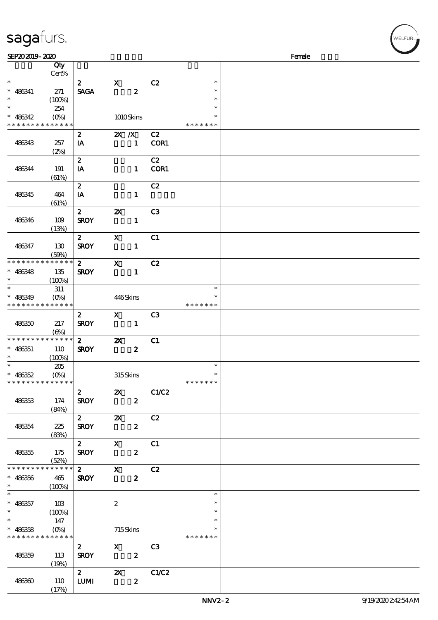| <b>saga</b> furs. |  |
|-------------------|--|
|                   |  |

| SEP202019-2020                             |             |                                         |                                       |                  |                         |               | Female |
|--------------------------------------------|-------------|-----------------------------------------|---------------------------------------|------------------|-------------------------|---------------|--------|
|                                            | Qty         |                                         |                                       |                  |                         |               |        |
|                                            | Cert%       |                                         |                                       |                  |                         |               |        |
| $\ast$                                     |             | $\mathbf{2}$                            | $\mathbf{x}$                          |                  | C2                      | $\ast$        |        |
| $* 486341$                                 | 271         | <b>SAGA</b>                             |                                       | $\boldsymbol{z}$ |                         | $\ast$        |        |
| $\ast$                                     |             |                                         |                                       |                  |                         | $\ast$        |        |
| $\overline{\ast}$                          | (100%)      |                                         |                                       |                  |                         | $\ast$        |        |
|                                            | 254         |                                         |                                       |                  |                         |               |        |
| $* 486342$                                 | $(0\%)$     |                                         |                                       | 1010Skins        |                         | $\ast$        |        |
| * * * * * * * * <mark>* * * * * *</mark>   |             |                                         |                                       |                  |                         | * * * * * * * |        |
|                                            |             | $\boldsymbol{z}$                        | $X$ $N$                               |                  | C2                      |               |        |
| 486343                                     | 257         | IA                                      |                                       | $\mathbf{1}$     | COR1                    |               |        |
|                                            | (2%)        |                                         |                                       |                  |                         |               |        |
|                                            |             | $\boldsymbol{z}$                        |                                       |                  | C2                      |               |        |
| 486344                                     | 191         | IA                                      |                                       | $\mathbf{1}$     | COR1                    |               |        |
|                                            | (61%)       |                                         |                                       |                  |                         |               |        |
|                                            |             | $\boldsymbol{z}$                        |                                       |                  | C2                      |               |        |
| 486345                                     | 464         | IA                                      |                                       | $\mathbf{1}$     |                         |               |        |
|                                            | (61%)       |                                         |                                       |                  |                         |               |        |
|                                            |             | $\mathbf{2}$                            | $\boldsymbol{\alpha}$                 |                  | C3                      |               |        |
|                                            |             |                                         |                                       |                  |                         |               |        |
| 486346                                     | 109         | <b>SROY</b>                             |                                       | $\mathbf{1}$     |                         |               |        |
|                                            | (13%)       |                                         |                                       |                  |                         |               |        |
|                                            |             | $\mathbf{z}$                            | $\mathbf x$                           |                  | C1                      |               |        |
| 486347                                     | 130         | <b>SROY</b>                             |                                       | $\mathbf{1}$     |                         |               |        |
|                                            | (50%)       |                                         |                                       |                  |                         |               |        |
| * * * * * * * *                            | * * * * * * | $\mathbf{2}$                            | $\mathbf{x}$                          |                  | C2                      |               |        |
| $* 486348$                                 | 135         | <b>SROY</b>                             |                                       | $\mathbf{1}$     |                         |               |        |
| $\ast$                                     | (100%)      |                                         |                                       |                  |                         |               |        |
| $\ast$                                     | 311         |                                         |                                       |                  |                         | $\ast$        |        |
| $* 486349$                                 | $(O\%)$     |                                         | 446Skins                              |                  |                         |               |        |
| * * * * * * * * * * * * * *                |             |                                         |                                       |                  |                         | * * * * * * * |        |
|                                            |             | $\mathbf{2}$                            | $\mathbf{X}$                          |                  | C3                      |               |        |
| 486350                                     | 217         | <b>SROY</b>                             |                                       | $\mathbf{1}$     |                         |               |        |
|                                            | (6%)        |                                         |                                       |                  |                         |               |        |
| * * * * * * * * * * * * * *                |             | $2^{\circ}$                             | $\boldsymbol{\mathsf{Z}}$             |                  | C1                      |               |        |
| $* 486351$                                 | 110         | <b>SROY</b>                             |                                       | $\boldsymbol{z}$ |                         |               |        |
| $\ast$                                     | (100%)      |                                         |                                       |                  |                         |               |        |
| $\ast$                                     | 205         |                                         |                                       |                  |                         | $\ast$        |        |
| $* 486352$                                 |             |                                         | 315Skins                              |                  |                         | $\ast$        |        |
| * * * * * * * * * * * * * *                |             |                                         |                                       |                  |                         | *******       |        |
|                                            |             | $\overline{\mathbf{r}}$                 |                                       |                  | C1/C2                   |               |        |
|                                            |             |                                         | $\mathbf{x}$                          |                  |                         |               |        |
| 486353                                     | 174         | <b>SROY</b>                             |                                       | $\mathbf{2}$     |                         |               |        |
|                                            | (84%)       |                                         |                                       |                  |                         |               |        |
|                                            |             | $\overline{z}$ $\overline{\phantom{z}}$ | $\mathbf{x}$                          |                  | C2                      |               |        |
| 486354                                     | 225         | <b>SROY</b>                             |                                       | $\mathbf{2}$     |                         |               |        |
|                                            | (83%)       |                                         |                                       |                  |                         |               |        |
|                                            |             | 2 X                                     |                                       |                  | $\overline{\text{c}}$ 1 |               |        |
| 486355                                     | 175         | <b>SROY</b>                             |                                       | $\mathbf{2}$     |                         |               |        |
|                                            | (52%)       |                                         |                                       |                  |                         |               |        |
| * * * * * * * *                            | $******$    | $2$ X C2                                |                                       |                  |                         |               |        |
| $* 486356$                                 | 465         | <b>SROY</b>                             |                                       | $\mathbf{z}$     |                         |               |        |
| $\ast$                                     | (100%)      |                                         |                                       |                  |                         |               |        |
| $\ast$                                     |             |                                         |                                       |                  |                         | $\ast$        |        |
| $* 486357$                                 | 103         |                                         | $\boldsymbol{2}$                      |                  |                         | $\ast$        |        |
| $*$                                        | (100%)      |                                         |                                       |                  |                         | $\ast$        |        |
| $\overline{\ast}$                          | 147         |                                         |                                       |                  |                         | $\ast$        |        |
| $* 486358$                                 | $(O\% )$    |                                         |                                       | 715Skins         |                         |               |        |
| * * * * * * * * <mark>* * * * * * *</mark> |             |                                         |                                       |                  |                         | * * * * * * * |        |
|                                            |             | $\mathbf{2}$                            |                                       |                  | C3                      |               |        |
|                                            | 113         | <b>SROY</b>                             | $\begin{array}{c} x \\ z \end{array}$ |                  |                         |               |        |
| 486359                                     |             |                                         |                                       |                  |                         |               |        |
|                                            | (19%)       | $\overline{2}$                          |                                       |                  | C1/C2                   |               |        |
|                                            |             |                                         |                                       | $\mathbf{z}$     |                         |               |        |
| 486360                                     | 110         | <b>LUMI</b>                             |                                       | $\boldsymbol{z}$ |                         |               |        |
|                                            | (17%)       |                                         |                                       |                  |                         |               |        |

:<br>LFUR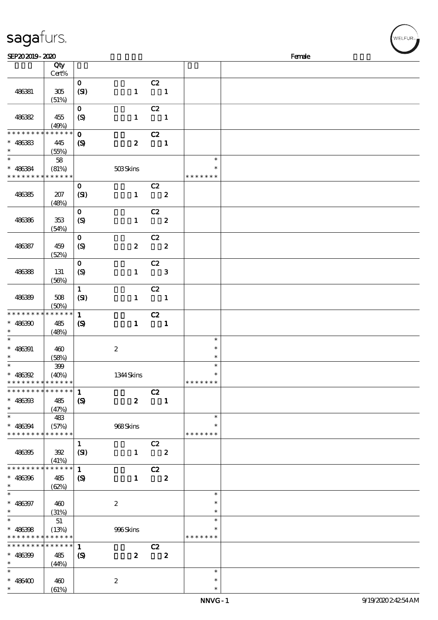| sagafurs.                                             |                                    |                                             |                  |                                  |                         |                                   | WELFUR <sub>™</sub> |
|-------------------------------------------------------|------------------------------------|---------------------------------------------|------------------|----------------------------------|-------------------------|-----------------------------------|---------------------|
| SEP202019-2020                                        |                                    |                                             |                  |                                  |                         |                                   | Female              |
|                                                       | Qty<br>Cert%                       |                                             |                  |                                  |                         |                                   |                     |
| 486381                                                | $305\,$<br>(51%)                   | $\mathbf{o}$<br>(SI)                        | $\mathbf{1}$     | C2<br>$\blacksquare$             |                         |                                   |                     |
| 486382                                                | 455<br>(49%)                       | $\mathbf{o}$<br>$\boldsymbol{S}$            | $\mathbf{1}$     | C2<br>$\blacksquare$             |                         |                                   |                     |
| * * * * * * * *<br>$* 486383$                         | * * * * * *<br>445<br>(55%)        | $\mathbf{o}$<br>$\boldsymbol{\mathcal{S}}$  | $\boldsymbol{z}$ | C2<br>$\blacksquare$             |                         |                                   |                     |
| $\ast$<br>$* 486384$<br>* * * * * * * *               | ${\bf 58}$<br>(81%)<br>* * * * * * |                                             | $508$ Skins      |                                  |                         | $\ast$<br>$\ast$<br>* * * * * * * |                     |
| 486385                                                | 207<br>(48%)                       | $\mathbf{o}$<br>(SI)                        | $\mathbf{1}$     | C2<br>$\overline{\mathbf{2}}$    |                         |                                   |                     |
| 486386                                                | 353<br>(54%)                       | $\mathbf{o}$<br>$\boldsymbol{S}$            | $\mathbf{1}$     | C2<br>$\overline{\mathbf{2}}$    |                         |                                   |                     |
| 486387                                                | 459<br>(52%)                       | $\mathbf O$<br>(S)                          |                  | C2<br>$2\qquad 2$                |                         |                                   |                     |
| 486388                                                | 131<br>(56%)                       | $\mathbf 0$<br>$\boldsymbol{S}$             | $\mathbf{1}$     | C2<br>$\overline{\phantom{a}}$ 3 |                         |                                   |                     |
| 486389                                                | 508<br>(50%)                       | $\mathbf{1}$<br>(SI)                        | $\mathbf{1}$     | C2<br>$\overline{\mathbf{1}}$    |                         |                                   |                     |
| * * * * * * * * * * * * * *<br>$* 486300$<br>$\ast$   | 485<br>(48%)                       | $\mathbf{1}$<br>$\boldsymbol{\mathrm{(S)}}$ | $\mathbf{1}$     | C2                               | $\mathbf{1}$            |                                   |                     |
| $\ast$<br>$* 486391$<br>$\ast$                        | 460<br>(58%)                       |                                             | $\boldsymbol{2}$ |                                  |                         | $\ast$<br>$\ast$<br>$\ast$        |                     |
| $\ast$<br>$* 486392$<br>* * * * * * * * * * * * * *   | 399<br>(40%)                       |                                             | 1344 Skins       |                                  |                         | $\ast$<br>* * * * * * *           |                     |
| * * * * * * * * * * * * * * *<br>$* 486393$<br>$\ast$ | 485<br>(47%)                       | $\mathbf{1}$<br>$\boldsymbol{\mathrm{(S)}}$ | $\mathbf{z}$     | C2<br>$\blacksquare$             |                         |                                   |                     |
| $\ast$<br>$* 486394$<br>* * * * * * * * * * * * * *   | 483<br>(57%)                       |                                             | 968Skins         |                                  |                         | $\ast$<br>* * * * * * *           |                     |
| 486395                                                | 392<br>(41%)                       | $\mathbf{1}$<br>(SI)                        | $\mathbf{1}$     | C2                               | $\overline{\mathbf{2}}$ |                                   |                     |
| * * * * * * * * * * * * * *<br>$* 486396$<br>$\ast$   | 485<br>(62%)                       | $\mathbf{1}$<br>$\boldsymbol{\mathcal{S}}$  | $\mathbf{1}$     | C2                               | $\boldsymbol{z}$        |                                   |                     |
| $\ast$<br>$* 486397$<br>$\ast$                        | 460<br>(31%)                       |                                             | $\boldsymbol{2}$ |                                  |                         | $\ast$<br>$\ast$<br>$\ast$        |                     |
| $\ast$<br>$* 486398$<br>* * * * * * * * * * * * * *   | 51<br>(13%)                        |                                             | 996Skins         |                                  |                         | $\ast$<br>$\ast$<br>* * * * * * * |                     |
| * * * * * * * * * * * * * * *<br>$* 486399$<br>$\ast$ | 485<br>(44%)                       | 1<br>$\boldsymbol{\mathcal{S}}$             | $\boldsymbol{z}$ | C2<br>$\overline{\mathbf{2}}$    |                         |                                   |                     |
| $\ast$<br>$* 486400$<br>$\ast$                        | 460<br>(61%)                       |                                             | $\boldsymbol{2}$ |                                  |                         | $\ast$<br>$\ast$<br>$\ast$        |                     |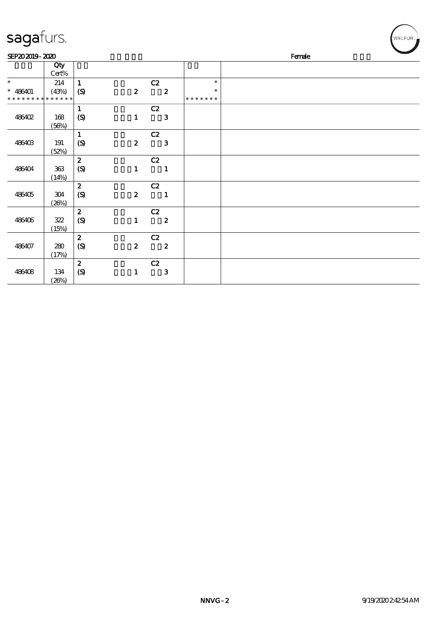| sagafurs.                   |              |                             |                  |                         |               | WELFUR <sub>™</sub> |
|-----------------------------|--------------|-----------------------------|------------------|-------------------------|---------------|---------------------|
| SEP202019-2020              |              |                             |                  |                         |               | Female              |
|                             | Qty<br>Cert% |                             |                  |                         |               |                     |
| $\ast$                      | 214          | $\mathbf{1}$                |                  | C2                      | $\ast$        |                     |
| $* 486401$                  | (43%)        | $\boldsymbol{S}$            | $\boldsymbol{z}$ | $\overline{\mathbf{2}}$ | $\ast$        |                     |
| * * * * * * * * * * * * * * |              |                             |                  |                         | * * * * * * * |                     |
|                             |              | $\mathbf{1}$                |                  | C2                      |               |                     |
| 486402                      | 168          | $\boldsymbol{S}$            | $\mathbf{1}$     | $\mathbf{3}$            |               |                     |
|                             | (56%)        |                             |                  |                         |               |                     |
|                             |              | $\mathbf{1}$                |                  | C2                      |               |                     |
| 486403                      | 191          | (S)                         | $\boldsymbol{z}$ | $\mathbf{3}$            |               |                     |
|                             | (52%)        |                             |                  |                         |               |                     |
|                             |              | $\boldsymbol{z}$            |                  | C2                      |               |                     |
| 486404                      | $363\,$      | $\boldsymbol{\mathrm{(S)}}$ | $\mathbf{1}$     | $\mathbf{1}$            |               |                     |
|                             | (14%)        |                             |                  |                         |               |                     |
|                             |              | $\boldsymbol{z}$            |                  | C2                      |               |                     |
| 486405                      | 304          | $\boldsymbol{S}$            | $\boldsymbol{z}$ | $\blacksquare$          |               |                     |
|                             | (20%)        | $\boldsymbol{z}$            |                  | C2                      |               |                     |
| 486406                      | 322          | $\boldsymbol{S}$            | $\mathbf{1}$     | $\overline{\mathbf{2}}$ |               |                     |
|                             | (15%)        |                             |                  |                         |               |                     |
|                             |              | $\boldsymbol{2}$            |                  | C2                      |               |                     |
| 486407                      | 280          | $\boldsymbol{\mathrm{(S)}}$ | $\boldsymbol{z}$ | $\overline{\mathbf{2}}$ |               |                     |
|                             | (17%)        |                             |                  |                         |               |                     |
|                             |              | $\boldsymbol{z}$            |                  | C2                      |               |                     |
| 486408                      | 134          | $\boldsymbol{\mathrm{(S)}}$ | $\mathbf{1}$     | $\mathbf{3}$            |               |                     |
|                             | (20%)        |                             |                  |                         |               |                     |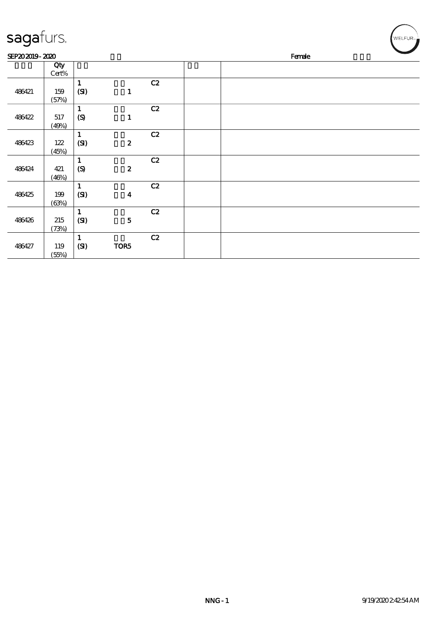| sagafurs.      |                |                                            |                  |    |        |  |  |  | WELFUR <sub>™</sub> |
|----------------|----------------|--------------------------------------------|------------------|----|--------|--|--|--|---------------------|
| SEP202019-2020 |                |                                            |                  |    | Female |  |  |  |                     |
|                | Qty<br>Cert%   |                                            |                  |    |        |  |  |  |                     |
| 486421         | 159<br>(57%)   | $\mathbf{1}$<br>(SI)                       | $\mathbf{1}$     | C2 |        |  |  |  |                     |
| 486422         | 517<br>(49%)   | $\mathbf 1$<br>$\boldsymbol{S}$            | $\mathbf{1}$     | C2 |        |  |  |  |                     |
| 486423         | $122$<br>(45%) | $\mathbf{1}$<br>(SI)                       | $\pmb{2}$        | C2 |        |  |  |  |                     |
| 486424         | 421<br>(46%)   | $\mathbf 1$<br>$\boldsymbol{\mathrm{(S)}}$ | $\pmb{2}$        | C2 |        |  |  |  |                     |
| 486425         | 199<br>(63%)   | $\mathbf{1}$<br>(SI)                       | $\boldsymbol{4}$ | C2 |        |  |  |  |                     |
| 486426         | 215<br>(73%)   | $\mathbf{1}$<br>(SI)                       | ${\bf 5}$        | C2 |        |  |  |  |                     |
| 486427         | 119<br>(55%)   | $\mathbf{1}$<br>(SI)                       | TOR5             | C2 |        |  |  |  |                     |

╭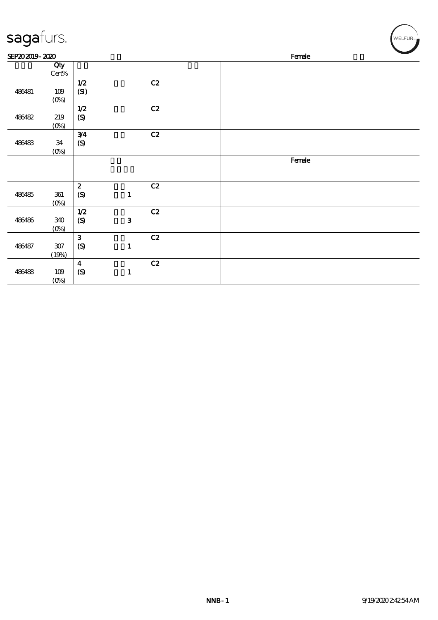| sagafurs.      |                  |                                      |              |               |        |        |  | $^{\prime}$ WELFUR <sub><sup>N</sup></sub> |  |
|----------------|------------------|--------------------------------------|--------------|---------------|--------|--------|--|--------------------------------------------|--|
| SEP202019-2020 |                  |                                      |              |               | Female |        |  |                                            |  |
|                | Qty<br>$Cert\%$  |                                      |              |               |        |        |  |                                            |  |
| 486481         | 109<br>$(0\%)$   | $1/2$<br>(SI)                        |              | $\mathbf{C2}$ |        |        |  |                                            |  |
| 486482         | 219<br>$(0\%)$   | $1/2$<br>$\boldsymbol{\mathrm{(S)}}$ |              | C2            |        |        |  |                                            |  |
| 486483         | 34<br>$(0\%)$    | 3/4<br>$\pmb{\text{(S)}}$            |              | C2            |        |        |  |                                            |  |
|                |                  |                                      |              |               |        | Female |  |                                            |  |
| 486485         | 361<br>$(0\%)$   | $\pmb{2}$<br>(S)                     | $\mathbf{1}$ | C2            |        |        |  |                                            |  |
| 486486         | 340<br>$(0\%)$   | $1/2$<br>$\pmb{\infty}$              | ${\bf 3}$    | C2            |        |        |  |                                            |  |
| 486487         | $307\,$<br>(19%) | $\mathbf{3}$<br>(S)                  | $\mathbf{1}$ | C2            |        |        |  |                                            |  |
| 486488         | $109$<br>$(0\%)$ | $\overline{\mathbf{4}}$<br>(S)       | $\mathbf{1}$ | C2            |        |        |  |                                            |  |

۰